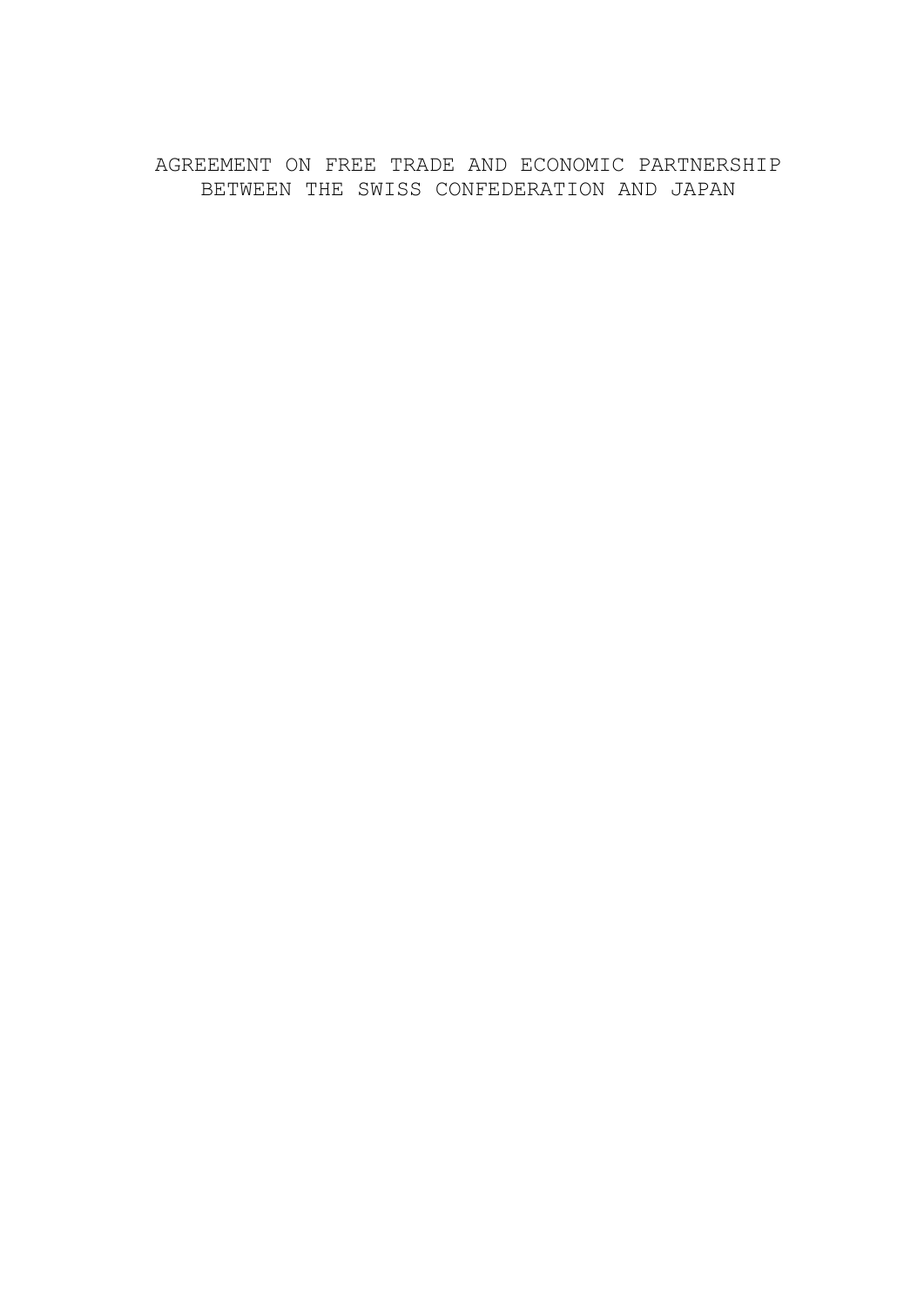# AGREEMENT ON FREE TRADE AND ECONOMIC PARTNERSHIP BETWEEN THE SWISS CONFEDERATION AND JAPAN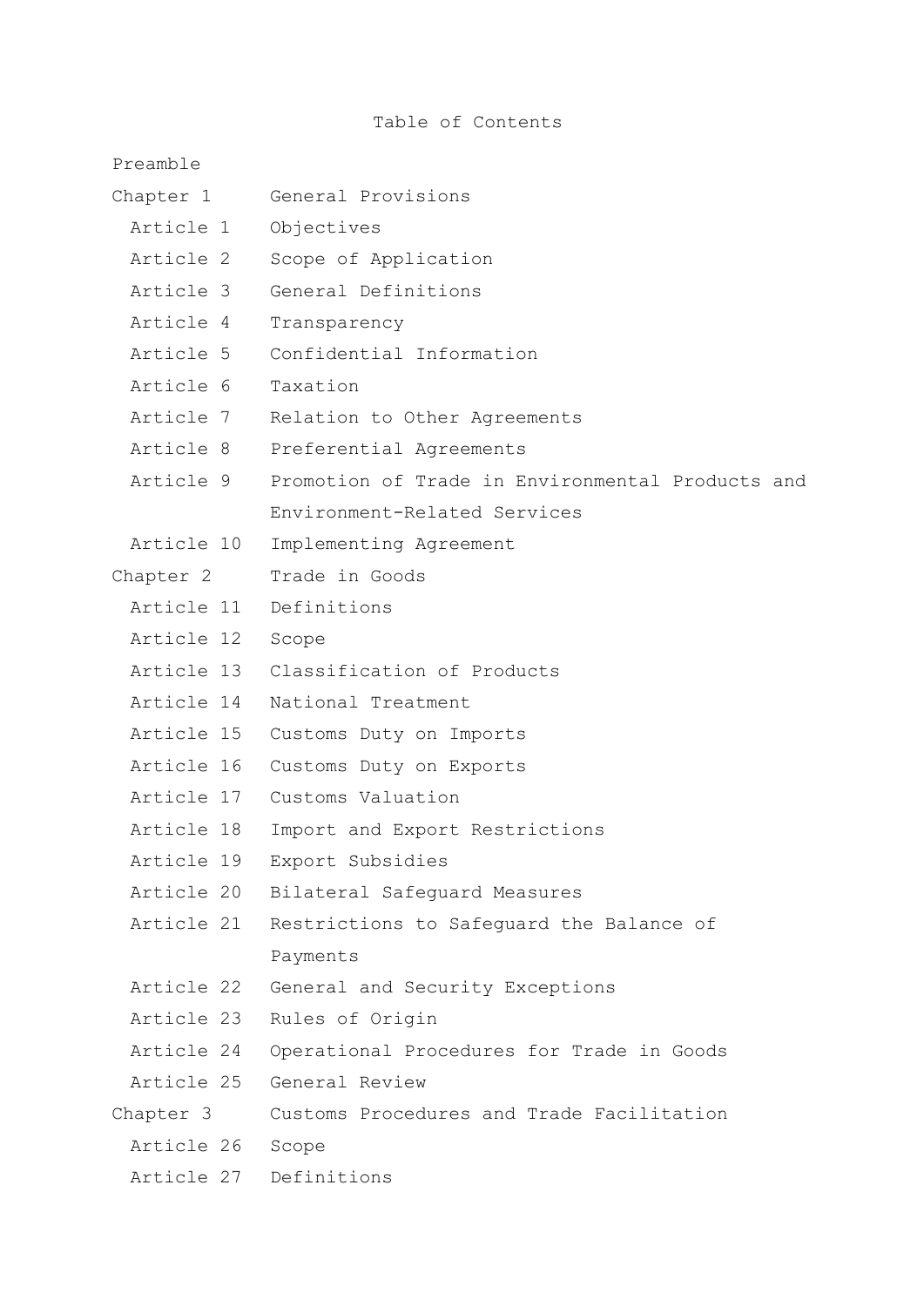## Preamble

| Chapter 1        | General Provisions                               |
|------------------|--------------------------------------------------|
| Article 1        | Objectives                                       |
| Article 2        | Scope of Application                             |
| Article 3        | General Definitions                              |
| Article 4        | Transparency                                     |
| Article 5        | Confidential Information                         |
| Article 6        | Taxation                                         |
| Article 7        | Relation to Other Agreements                     |
| Article 8        | Preferential Agreements                          |
| Article 9        | Promotion of Trade in Environmental Products and |
|                  | Environment-Related Services                     |
| Article 10       | Implementing Agreement                           |
| Chapter 2        | Trade in Goods                                   |
|                  | Article 11 Definitions                           |
| Article 12 Scope |                                                  |
|                  | Article 13 Classification of Products            |
| Article 14       | National Treatment                               |
| Article 15       | Customs Duty on Imports                          |
| Article 16       | Customs Duty on Exports                          |
| Article 17       | Customs Valuation                                |
| Article 18       | Import and Export Restrictions                   |
| Article 19       | Export Subsidies                                 |
| Article 20       | Bilateral Safeguard Measures                     |
| Article 21       | Restrictions to Safeguard the Balance of         |
|                  | Payments                                         |
| Article 22       | General and Security Exceptions                  |
| Article 23       | Rules of Origin                                  |
| Article 24       | Operational Procedures for Trade in Goods        |
| Article 25       | General Review                                   |
| Chapter 3        | Customs Procedures and Trade Facilitation        |
| Article 26       | Scope                                            |
| Article 27       | Definitions                                      |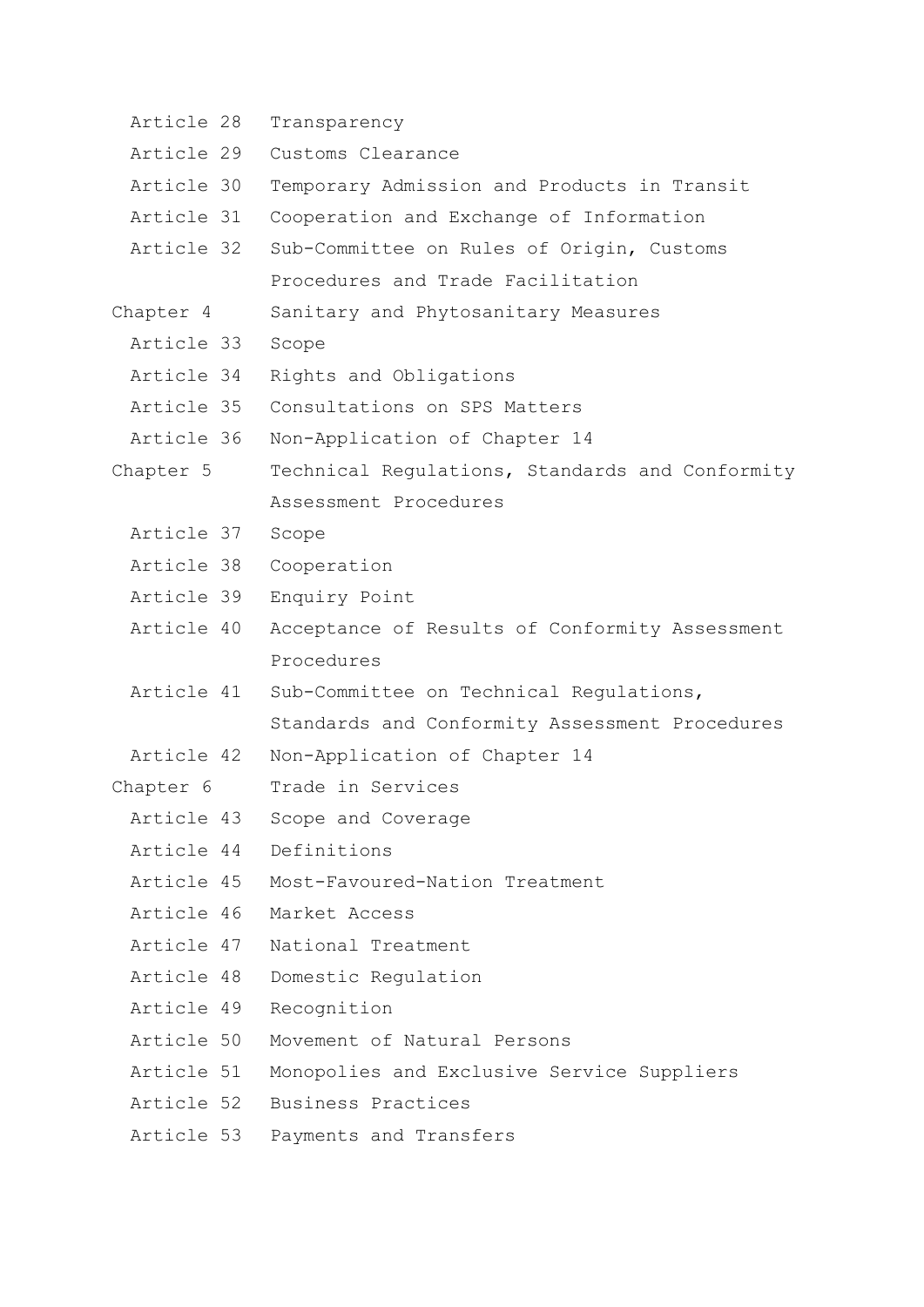| Article 28 | Transparency                                    |
|------------|-------------------------------------------------|
| Article 29 | Customs Clearance                               |
| Article 30 | Temporary Admission and Products in Transit     |
| Article 31 | Cooperation and Exchange of Information         |
| Article 32 | Sub-Committee on Rules of Origin, Customs       |
|            | Procedures and Trade Facilitation               |
| Chapter 4  | Sanitary and Phytosanitary Measures             |
| Article 33 | Scope                                           |
| Article 34 | Rights and Obligations                          |
| Article 35 | Consultations on SPS Matters                    |
| Article 36 | Non-Application of Chapter 14                   |
| Chapter 5  | Technical Requlations, Standards and Conformity |
|            | Assessment Procedures                           |
| Article 37 | Scope                                           |
| Article 38 | Cooperation                                     |
| Article 39 | Enquiry Point                                   |
| Article 40 | Acceptance of Results of Conformity Assessment  |
|            | Procedures                                      |
| Article 41 | Sub-Committee on Technical Regulations,         |
|            | Standards and Conformity Assessment Procedures  |
| Article 42 | Non-Application of Chapter 14                   |
| Chapter 6  | Trade in Services                               |
| Article 43 | Scope and Coverage                              |
| Article 44 | Definitions                                     |
|            | Article 45 Most-Favoured-Nation Treatment       |
|            | Article 46 Market Access                        |
| Article 47 | National Treatment                              |
| Article 48 | Domestic Regulation                             |
| Article 49 | Recognition                                     |
| Article 50 | Movement of Natural Persons                     |
| Article 51 | Monopolies and Exclusive Service Suppliers      |
| Article 52 | Business Practices                              |
| Article 53 | Payments and Transfers                          |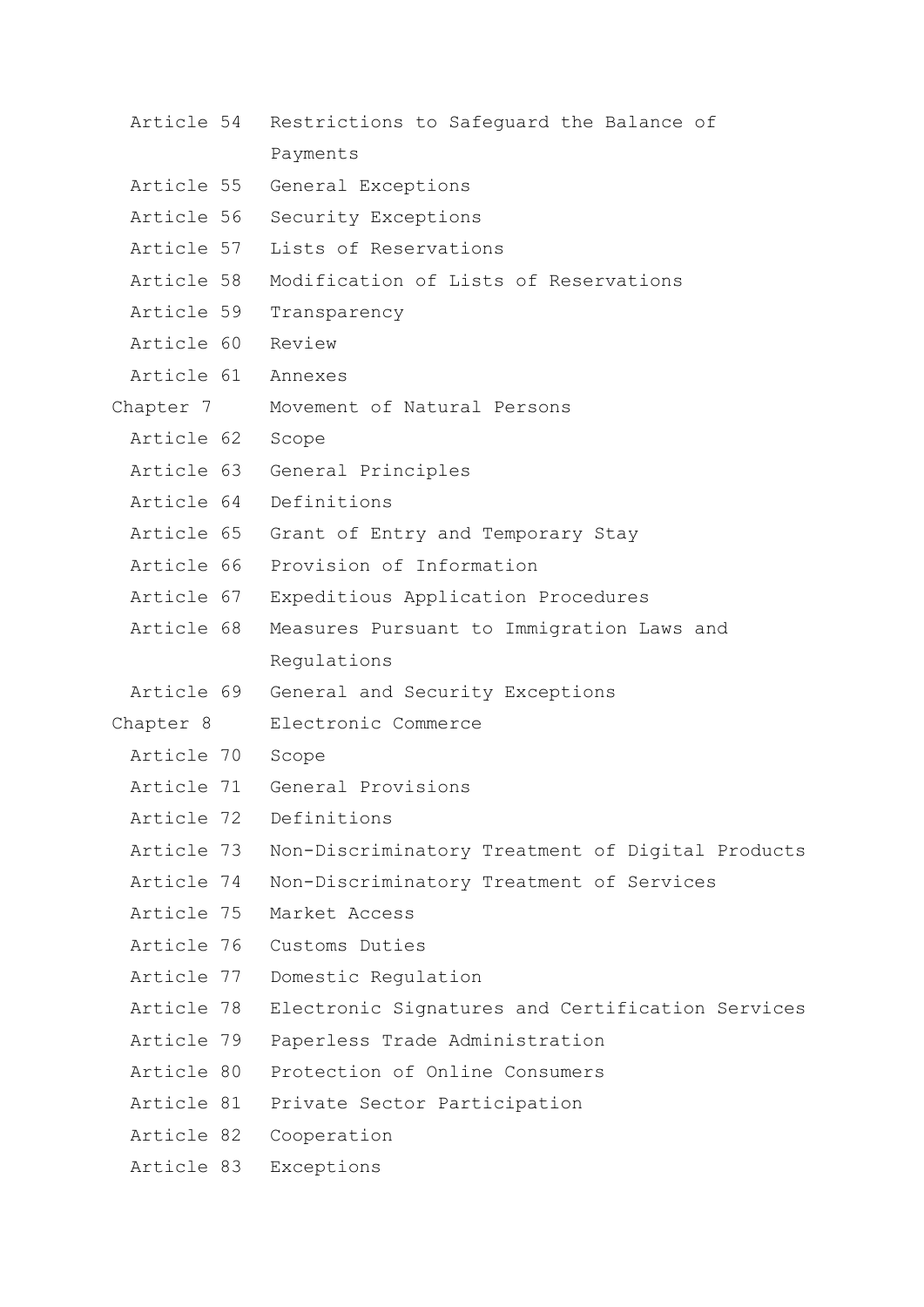| Article 54        | Restrictions to Safeguard the Balance of         |
|-------------------|--------------------------------------------------|
|                   | Payments                                         |
| Article 55        | General Exceptions                               |
| Article 56        | Security Exceptions                              |
| Article 57        | Lists of Reservations                            |
| Article 58        | Modification of Lists of Reservations            |
| Article 59        | Transparency                                     |
| Article 60 Review |                                                  |
| Article 61        | Annexes                                          |
| Chapter 7         | Movement of Natural Persons                      |
| Article 62        | Scope                                            |
| Article 63        | General Principles                               |
|                   | Article 64 Definitions                           |
| Article 65        | Grant of Entry and Temporary Stay                |
|                   | Article 66 Provision of Information              |
| Article 67        | Expeditious Application Procedures               |
| Article 68        | Measures Pursuant to Immigration Laws and        |
|                   |                                                  |
|                   | Regulations                                      |
| Article 69        | General and Security Exceptions                  |
| Chapter 8         | Electronic Commerce                              |
| Article 70        | Scope                                            |
|                   | Article 71 General Provisions                    |
| Article 72        | Definitions                                      |
| Article 73        | Non-Discriminatory Treatment of Digital Products |
| Article 74        | Non-Discriminatory Treatment of Services         |
| Article 75        | Market Access                                    |
| Article 76        | Customs Duties                                   |
| Article 77        | Domestic Regulation                              |
| Article 78        | Electronic Signatures and Certification Services |
| Article 79        | Paperless Trade Administration                   |
| Article 80        | Protection of Online Consumers                   |
| Article 81        | Private Sector Participation                     |
| Article 82        | Cooperation                                      |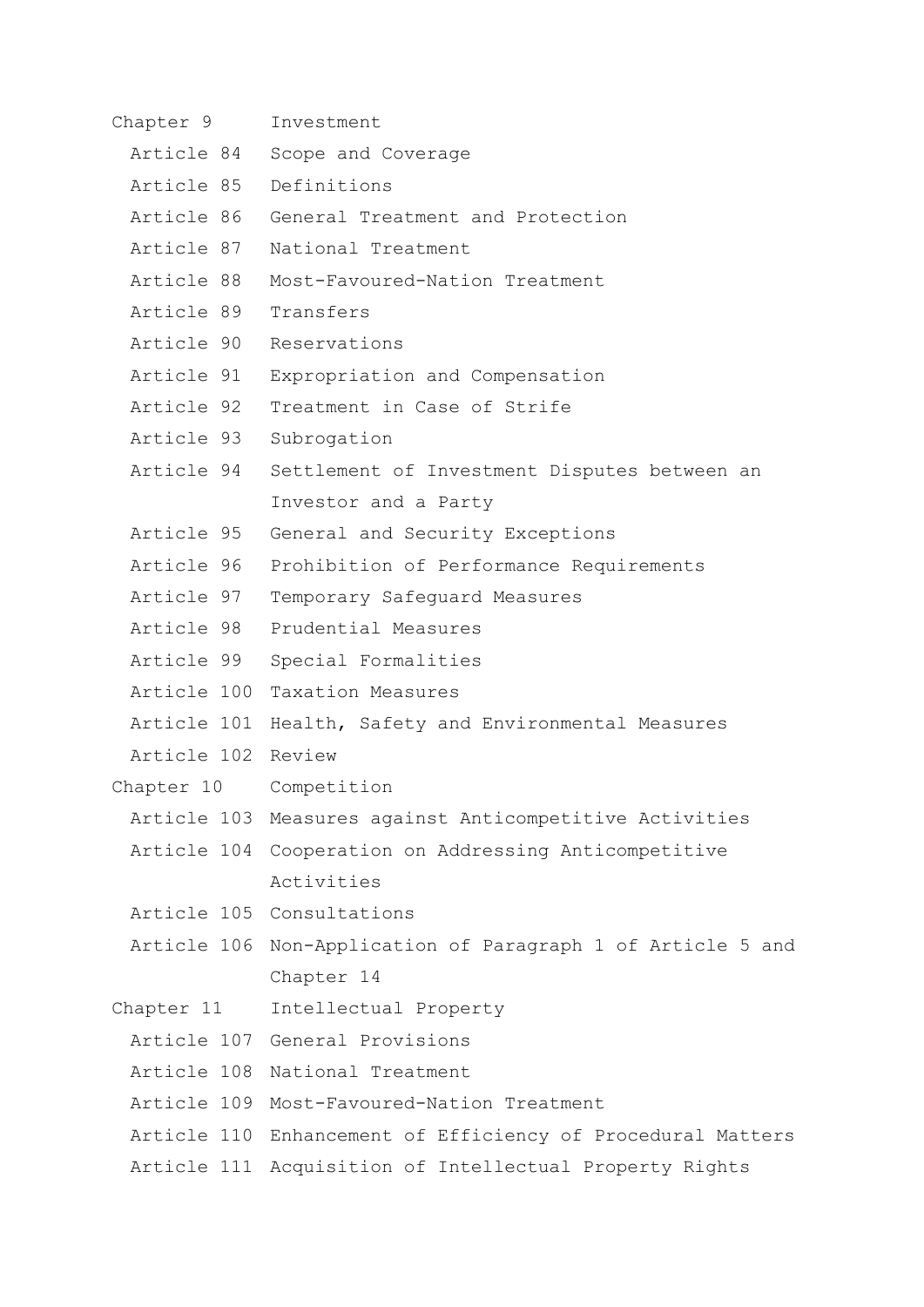| Chapter 9              | Investment                                                  |
|------------------------|-------------------------------------------------------------|
| Article 84             | Scope and Coverage                                          |
| Article 85             | Definitions                                                 |
| Article 86             | General Treatment and Protection                            |
| Article 87             | National Treatment                                          |
| Article 88             | Most-Favoured-Nation Treatment                              |
| Article 89             | Transfers                                                   |
|                        | Article 90 Reservations                                     |
| Article 91             | Expropriation and Compensation                              |
| Article 92             | Treatment in Case of Strife                                 |
| Article 93             | Subrogation                                                 |
| Article 94             | Settlement of Investment Disputes between an                |
|                        | Investor and a Party                                        |
| Article 95             | General and Security Exceptions                             |
| Article 96             | Prohibition of Performance Requirements                     |
| Article 97             | Temporary Safequard Measures                                |
| Article 98             | Prudential Measures                                         |
| Article 99             | Special Formalities                                         |
|                        | Article 100 Taxation Measures                               |
|                        | Article 101 Health, Safety and Environmental Measures       |
| Article 102 Review     |                                                             |
| Chapter 10 Competition |                                                             |
| Article 103            | Measures against Anticompetitive Activities                 |
|                        | Article 104 Cooperation on Addressing Anticompetitive       |
|                        | Activities                                                  |
|                        | Article 105 Consultations                                   |
|                        | Article 106 Non-Application of Paragraph 1 of Article 5 and |
|                        | Chapter 14                                                  |
| Chapter 11             | Intellectual Property                                       |
|                        | Article 107 General Provisions                              |
|                        | Article 108 National Treatment                              |
|                        | Article 109 Most-Favoured-Nation Treatment                  |
|                        | Article 110 Enhancement of Efficiency of Procedural Matters |
|                        | Article 111 Acquisition of Intellectual Property Rights     |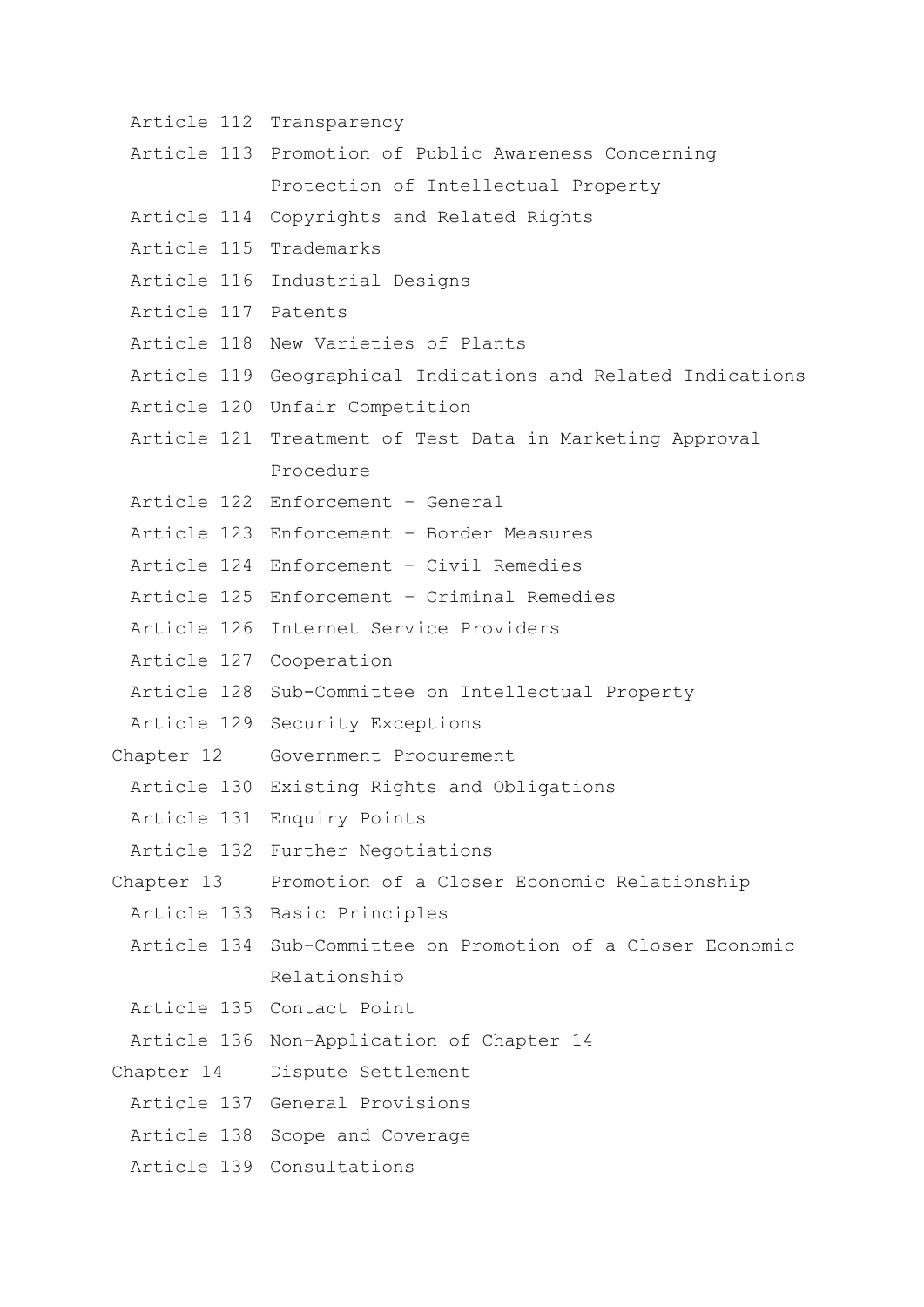Article 112 Transparency Article 113 Promotion of Public Awareness Concerning Protection of Intellectual Property Article 114 Copyrights and Related Rights Article 115 Trademarks Article 116 Industrial Designs Article 117 Patents Article 118 New Varieties of Plants Article 119 Geographical Indications and Related Indications Article 120 Unfair Competition Article 121 Treatment of Test Data in Marketing Approval Procedure Article 122 Enforcement – General Article 123 Enforcement – Border Measures Article 124 Enforcement – Civil Remedies Article 125 Enforcement – Criminal Remedies Article 126 Internet Service Providers Article 127 Cooperation Article 128 Sub-Committee on Intellectual Property Article 129 Security Exceptions Chapter 12 Government Procurement Article 130 Existing Rights and Obligations Article 131 Enquiry Points Article 132 Further Negotiations Chapter 13 Promotion of a Closer Economic Relationship Article 133 Basic Principles Article 134 Sub-Committee on Promotion of a Closer Economic Relationship Article 135 Contact Point Article 136 Non-Application of Chapter 14 Chapter 14 Dispute Settlement Article 137 General Provisions Article 138 Scope and Coverage Article 139 Consultations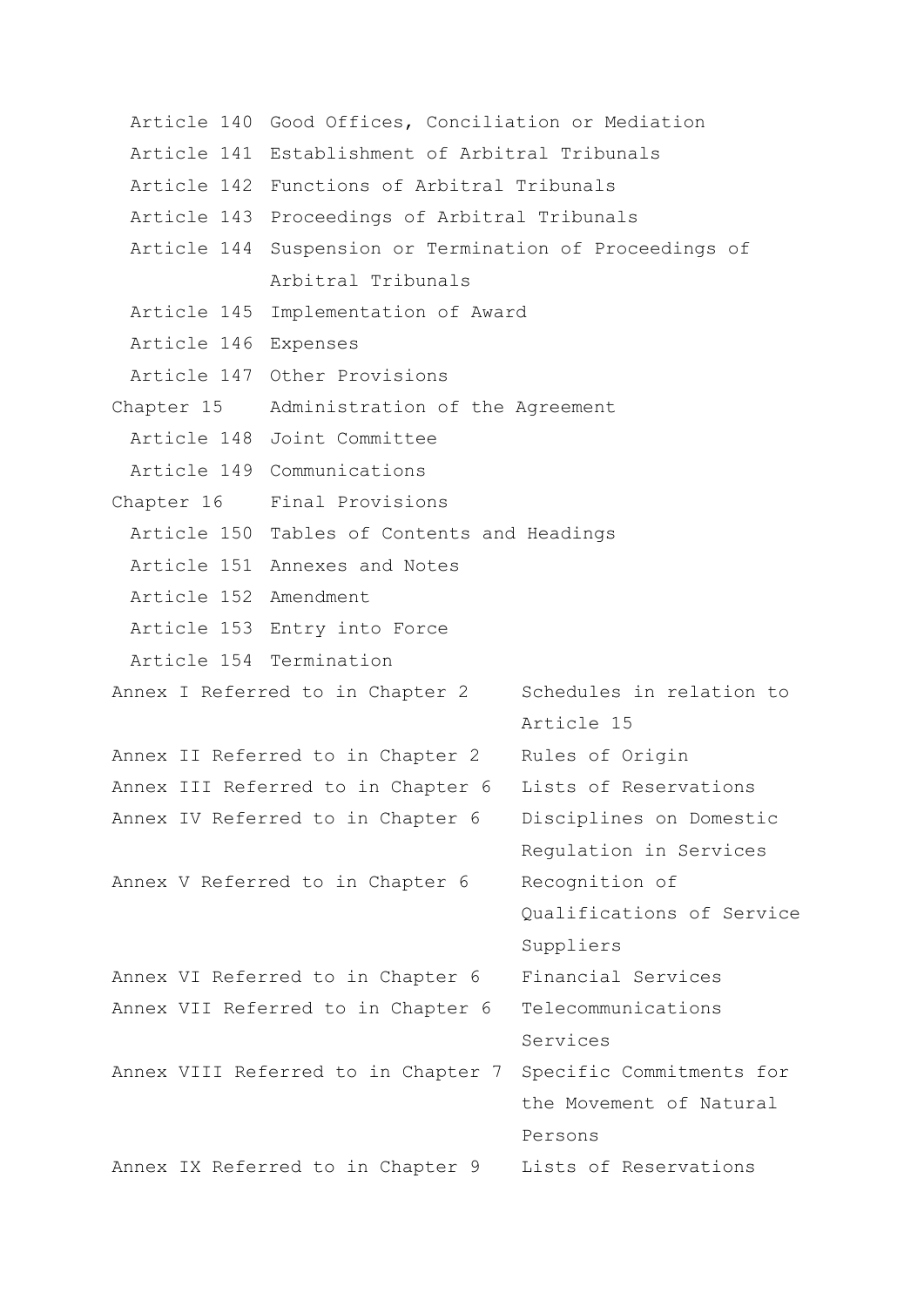Article 140 Good Offices, Conciliation or Mediation Article 141 Establishment of Arbitral Tribunals Article 142 Functions of Arbitral Tribunals Article 143 Proceedings of Arbitral Tribunals Article 144 Suspension or Termination of Proceedings of Arbitral Tribunals Article 145 Implementation of Award Article 146 Expenses Article 147 Other Provisions Chapter 15 Administration of the Agreement Article 148 Joint Committee Article 149 Communications Chapter 16 Final Provisions Article 150 Tables of Contents and Headings Article 151 Annexes and Notes Article 152 Amendment Article 153 Entry into Force Article 154 Termination Annex I Referred to in Chapter 2 Schedules in relation to Article 15 Annex II Referred to in Chapter 2 Rules of Origin Annex III Referred to in Chapter 6 Lists of Reservations Annex IV Referred to in Chapter 6 Disciplines on Domestic Regulation in Services Annex V Referred to in Chapter 6 Recognition of Qualifications of Service Suppliers Annex VI Referred to in Chapter 6 Financial Services Annex VII Referred to in Chapter 6 Telecommunications Services Annex VIII Referred to in Chapter 7 Specific Commitments for the Movement of Natural Persons Annex IX Referred to in Chapter 9 Lists of Reservations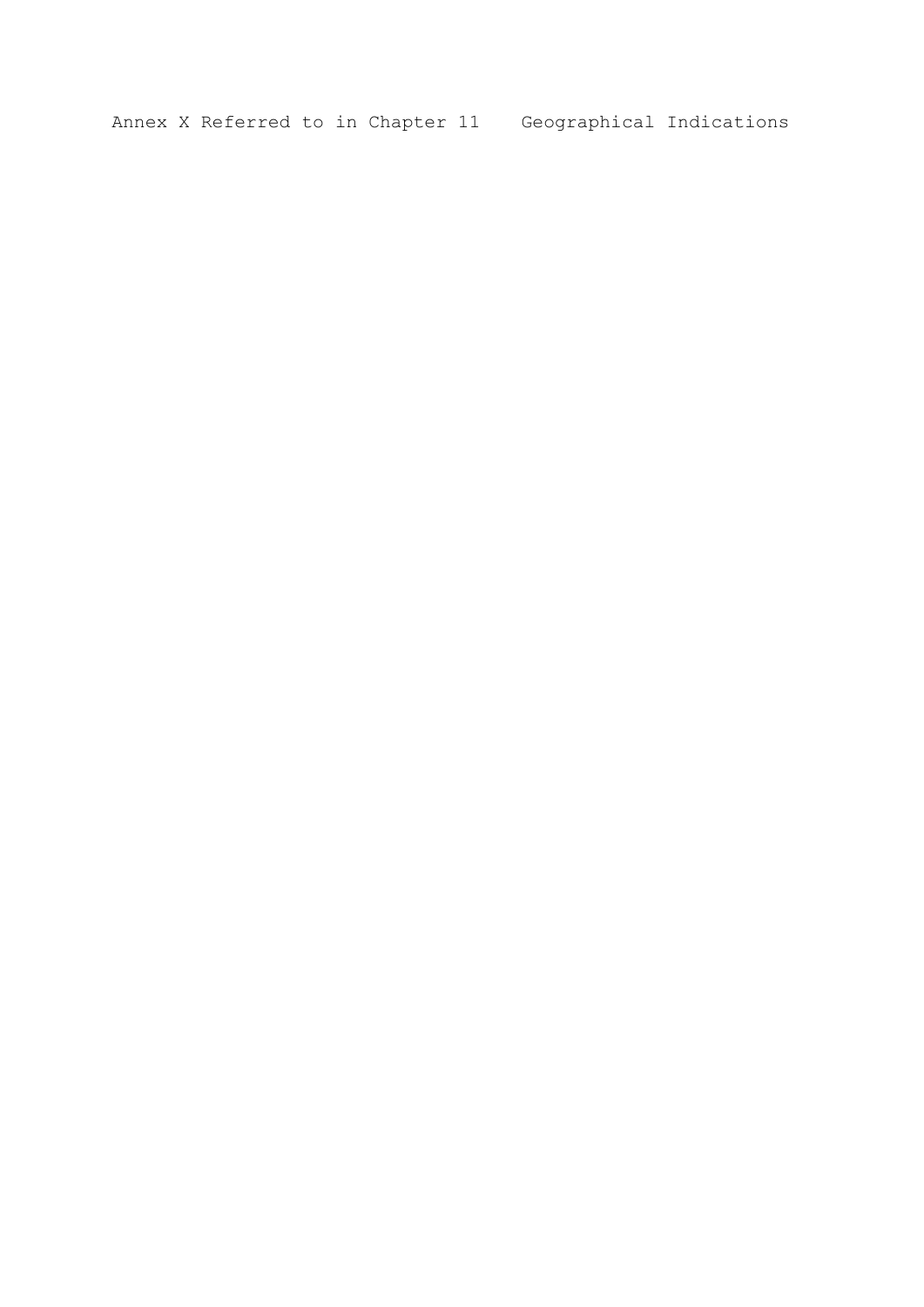Annex X Referred to in Chapter 11 Geographical Indications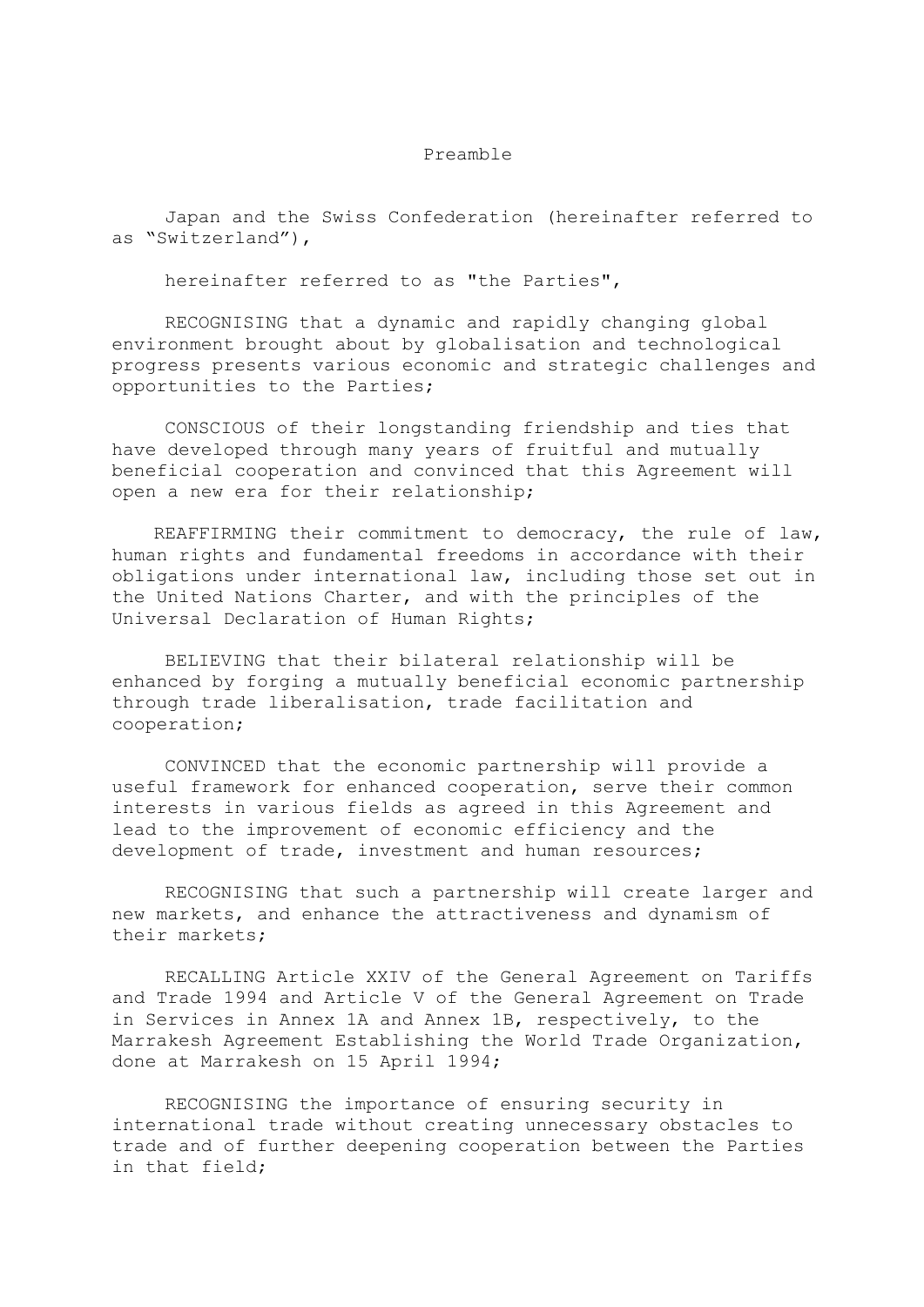#### Preamble

 Japan and the Swiss Confederation (hereinafter referred to as "Switzerland"),

hereinafter referred to as "the Parties",

 RECOGNISING that a dynamic and rapidly changing global environment brought about by globalisation and technological progress presents various economic and strategic challenges and opportunities to the Parties;

 CONSCIOUS of their longstanding friendship and ties that have developed through many years of fruitful and mutually beneficial cooperation and convinced that this Agreement will open a new era for their relationship;

 REAFFIRMING their commitment to democracy, the rule of law, human rights and fundamental freedoms in accordance with their obligations under international law, including those set out in the United Nations Charter, and with the principles of the Universal Declaration of Human Rights;

 BELIEVING that their bilateral relationship will be enhanced by forging a mutually beneficial economic partnership through trade liberalisation, trade facilitation and cooperation;

 CONVINCED that the economic partnership will provide a useful framework for enhanced cooperation, serve their common interests in various fields as agreed in this Agreement and lead to the improvement of economic efficiency and the development of trade, investment and human resources;

 RECOGNISING that such a partnership will create larger and new markets, and enhance the attractiveness and dynamism of their markets;

 RECALLING Article XXIV of the General Agreement on Tariffs and Trade 1994 and Article V of the General Agreement on Trade in Services in Annex 1A and Annex 1B, respectively, to the Marrakesh Agreement Establishing the World Trade Organization, done at Marrakesh on 15 April 1994;

 RECOGNISING the importance of ensuring security in international trade without creating unnecessary obstacles to trade and of further deepening cooperation between the Parties in that field;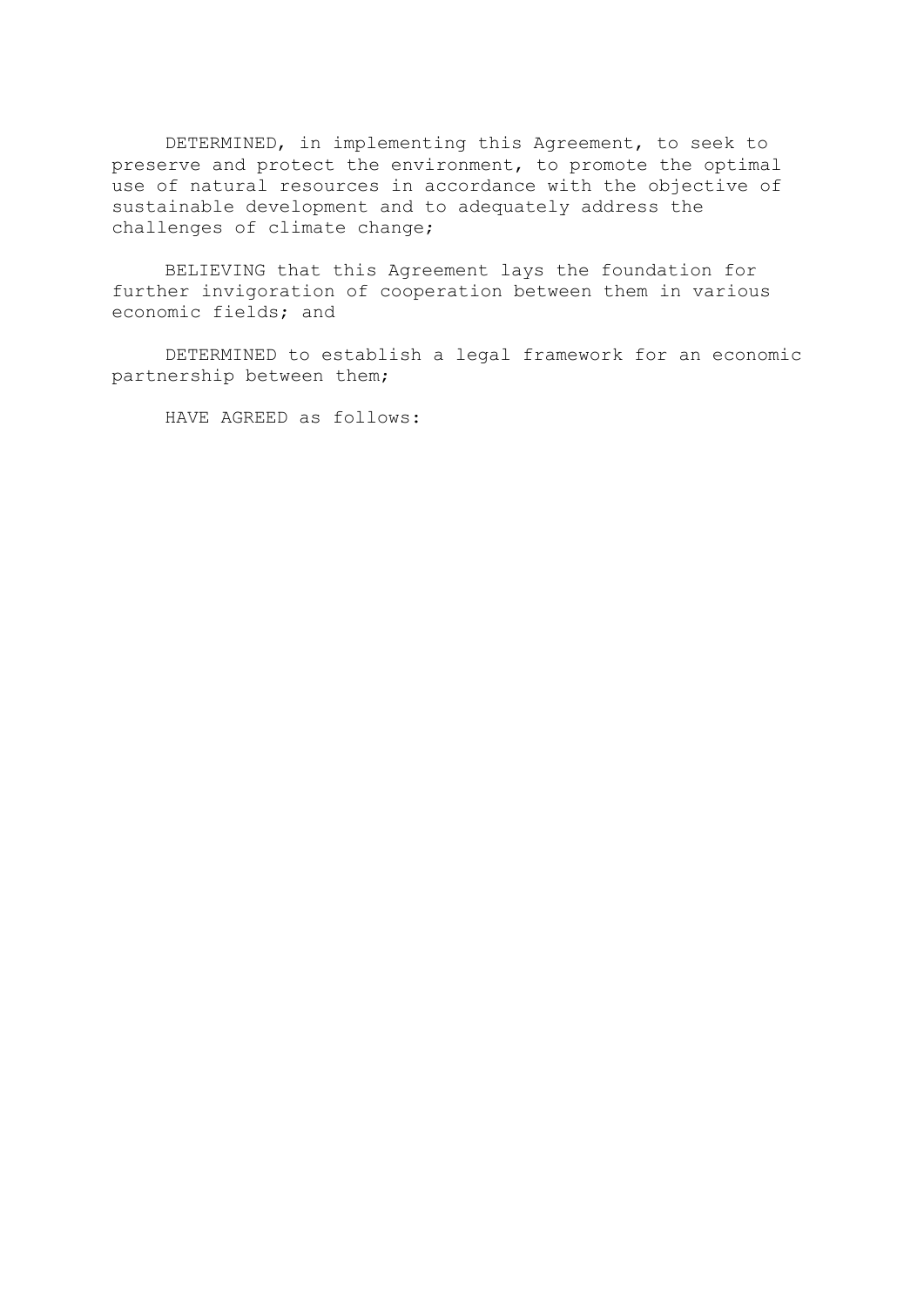DETERMINED, in implementing this Agreement, to seek to preserve and protect the environment, to promote the optimal use of natural resources in accordance with the objective of sustainable development and to adequately address the challenges of climate change;

 BELIEVING that this Agreement lays the foundation for further invigoration of cooperation between them in various economic fields; and

 DETERMINED to establish a legal framework for an economic partnership between them;

HAVE AGREED as follows: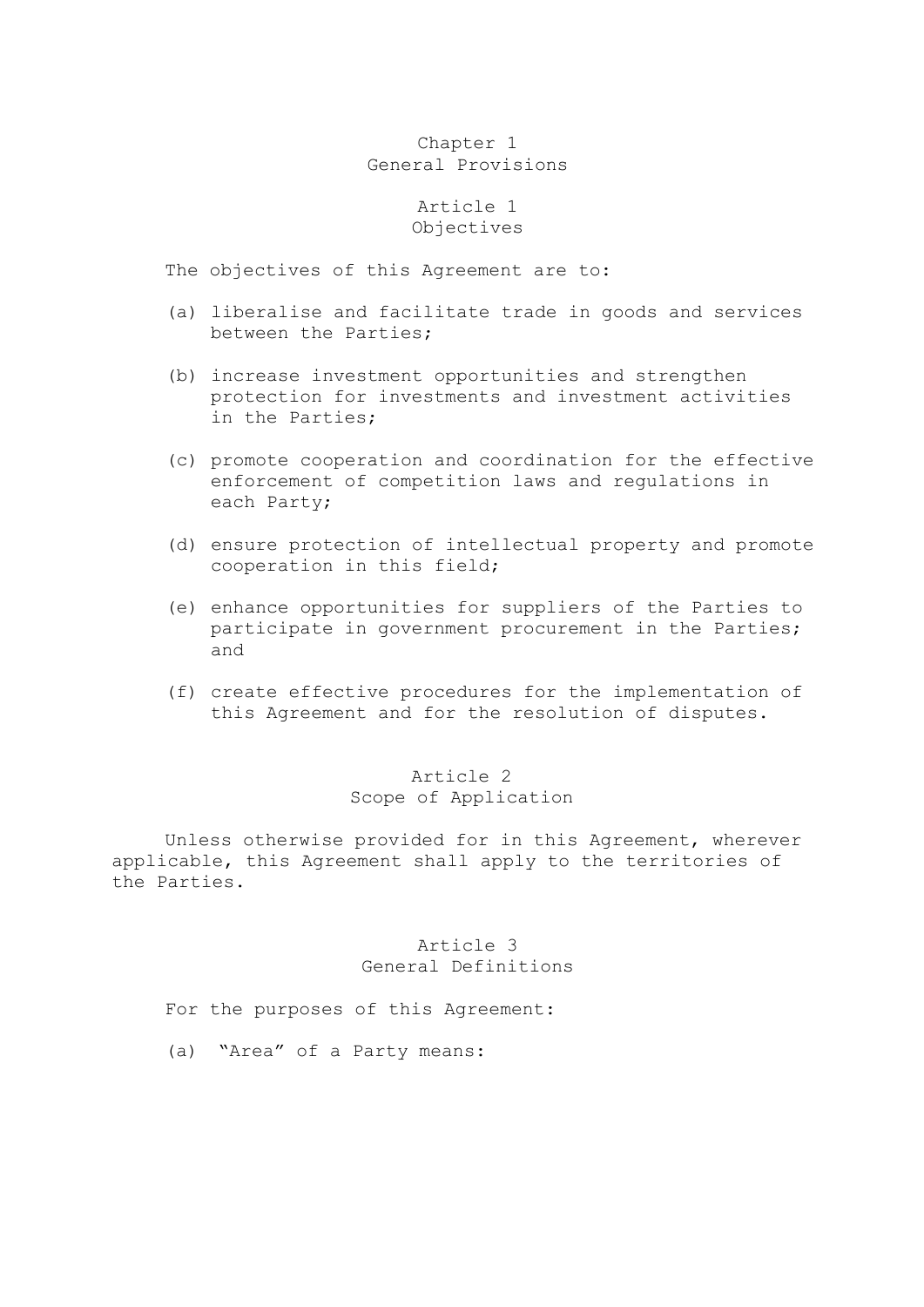### Chapter 1 General Provisions

### Article 1 Objectives

The objectives of this Agreement are to:

- (a) liberalise and facilitate trade in goods and services between the Parties;
- (b) increase investment opportunities and strengthen protection for investments and investment activities in the Parties;
- (c) promote cooperation and coordination for the effective enforcement of competition laws and regulations in each Party;
- (d) ensure protection of intellectual property and promote cooperation in this field;
- (e) enhance opportunities for suppliers of the Parties to participate in government procurement in the Parties; and
- (f) create effective procedures for the implementation of this Agreement and for the resolution of disputes.

### Article 2 Scope of Application

 Unless otherwise provided for in this Agreement, wherever applicable, this Agreement shall apply to the territories of the Parties.

### Article 3 General Definitions

For the purposes of this Agreement:

(a) "Area" of a Party means: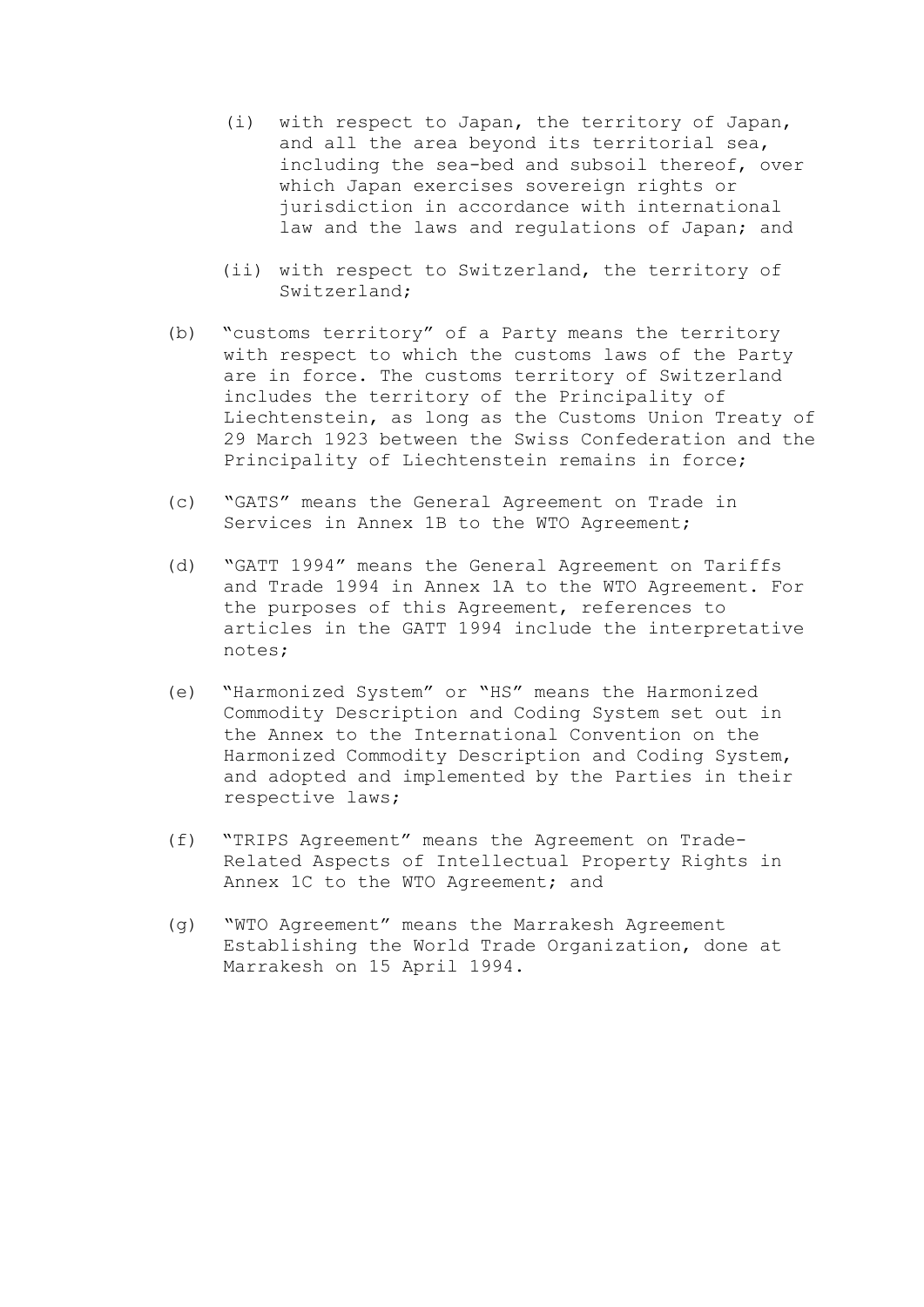- (i) with respect to Japan, the territory of Japan, and all the area beyond its territorial sea, including the sea-bed and subsoil thereof, over which Japan exercises sovereign rights or jurisdiction in accordance with international law and the laws and regulations of Japan; and
- (ii) with respect to Switzerland, the territory of Switzerland;
- (b) "customs territory" of a Party means the territory with respect to which the customs laws of the Party are in force. The customs territory of Switzerland includes the territory of the Principality of Liechtenstein, as long as the Customs Union Treaty of 29 March 1923 between the Swiss Confederation and the Principality of Liechtenstein remains in force;
- (c) "GATS" means the General Agreement on Trade in Services in Annex 1B to the WTO Agreement;
- (d) "GATT 1994" means the General Agreement on Tariffs and Trade 1994 in Annex 1A to the WTO Agreement. For the purposes of this Agreement, references to articles in the GATT 1994 include the interpretative notes;
- (e) "Harmonized System" or "HS" means the Harmonized Commodity Description and Coding System set out in the Annex to the International Convention on the Harmonized Commodity Description and Coding System, and adopted and implemented by the Parties in their respective laws;
- (f) "TRIPS Agreement" means the Agreement on Trade-Related Aspects of Intellectual Property Rights in Annex 1C to the WTO Agreement; and
- (g) "WTO Agreement" means the Marrakesh Agreement Establishing the World Trade Organization, done at Marrakesh on 15 April 1994.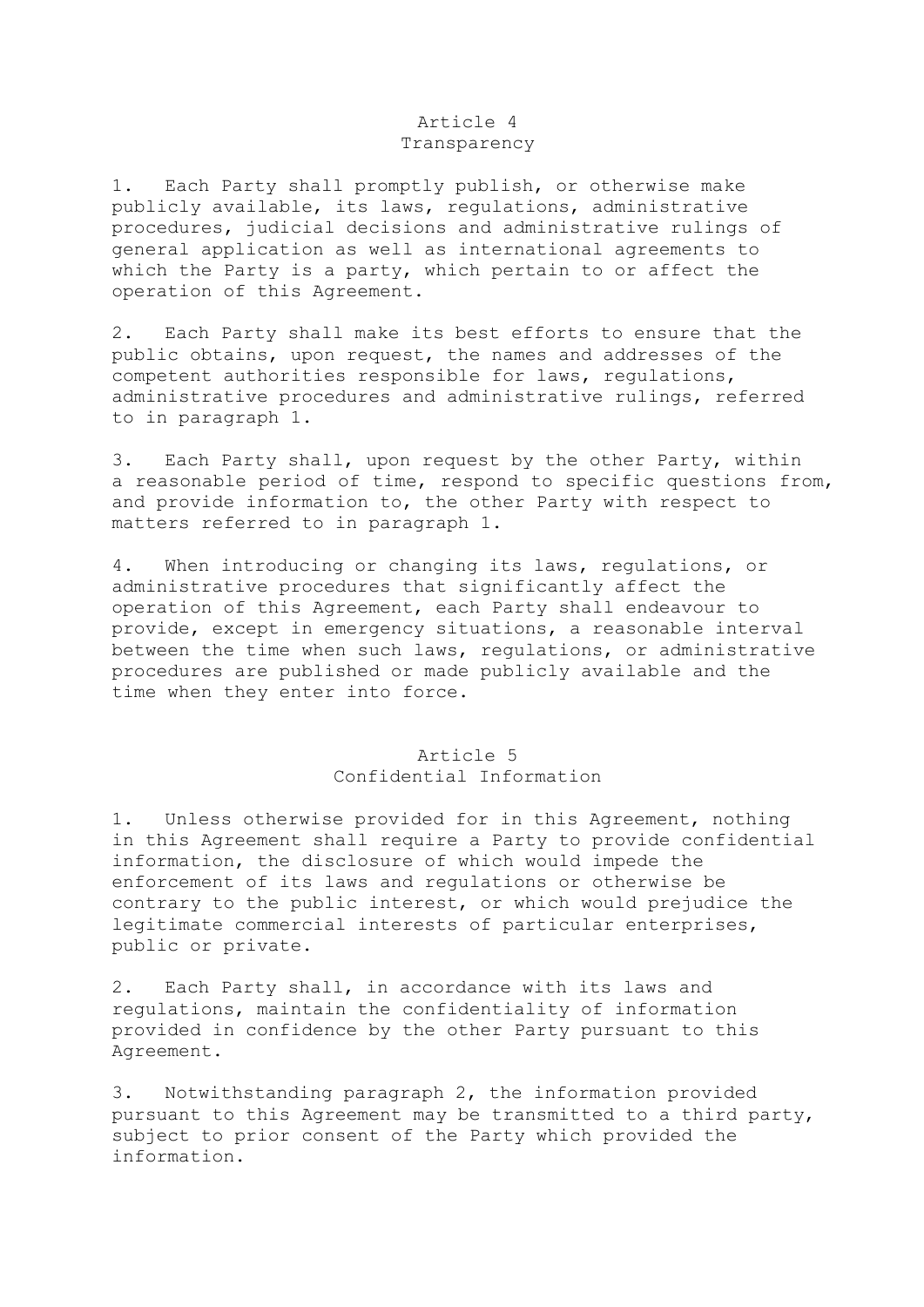### Article 4 Transparency

1. Each Party shall promptly publish, or otherwise make publicly available, its laws, regulations, administrative procedures, judicial decisions and administrative rulings of general application as well as international agreements to which the Party is a party, which pertain to or affect the operation of this Agreement.

2. Each Party shall make its best efforts to ensure that the public obtains, upon request, the names and addresses of the competent authorities responsible for laws, regulations, administrative procedures and administrative rulings, referred to in paragraph 1.

3. Each Party shall, upon request by the other Party, within a reasonable period of time, respond to specific questions from, and provide information to, the other Party with respect to matters referred to in paragraph 1.

4. When introducing or changing its laws, regulations, or administrative procedures that significantly affect the operation of this Agreement, each Party shall endeavour to provide, except in emergency situations, a reasonable interval between the time when such laws, regulations, or administrative procedures are published or made publicly available and the time when they enter into force.

### Article 5 Confidential Information

1. Unless otherwise provided for in this Agreement, nothing in this Agreement shall require a Party to provide confidential information, the disclosure of which would impede the enforcement of its laws and regulations or otherwise be contrary to the public interest, or which would prejudice the legitimate commercial interests of particular enterprises, public or private.

2. Each Party shall, in accordance with its laws and regulations, maintain the confidentiality of information provided in confidence by the other Party pursuant to this Agreement.

3. Notwithstanding paragraph 2, the information provided pursuant to this Agreement may be transmitted to a third party, subject to prior consent of the Party which provided the information.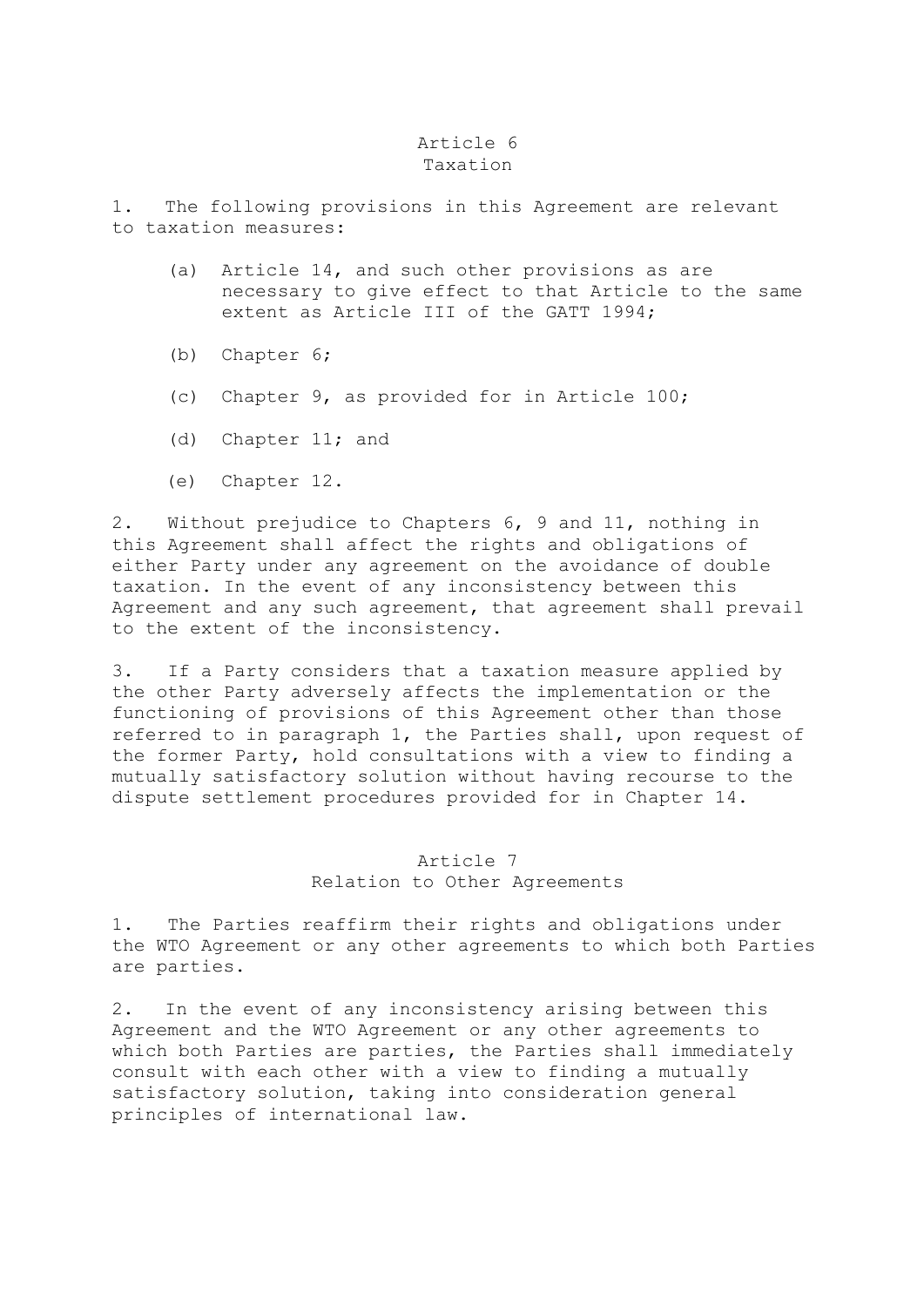#### Article 6 Taxation

1. The following provisions in this Agreement are relevant to taxation measures:

- (a) Article 14, and such other provisions as are necessary to give effect to that Article to the same extent as Article III of the GATT 1994;
- (b) Chapter 6;
- (c) Chapter 9, as provided for in Article 100;
- (d) Chapter 11; and
- (e) Chapter 12.

2. Without prejudice to Chapters 6, 9 and 11, nothing in this Agreement shall affect the rights and obligations of either Party under any agreement on the avoidance of double taxation. In the event of any inconsistency between this Agreement and any such agreement, that agreement shall prevail to the extent of the inconsistency.

3. If a Party considers that a taxation measure applied by the other Party adversely affects the implementation or the functioning of provisions of this Agreement other than those referred to in paragraph 1, the Parties shall, upon request of the former Party, hold consultations with a view to finding a mutually satisfactory solution without having recourse to the dispute settlement procedures provided for in Chapter 14.

## Article 7 Relation to Other Agreements

1. The Parties reaffirm their rights and obligations under the WTO Agreement or any other agreements to which both Parties are parties.

2. In the event of any inconsistency arising between this Agreement and the WTO Agreement or any other agreements to which both Parties are parties, the Parties shall immediately consult with each other with a view to finding a mutually satisfactory solution, taking into consideration general principles of international law.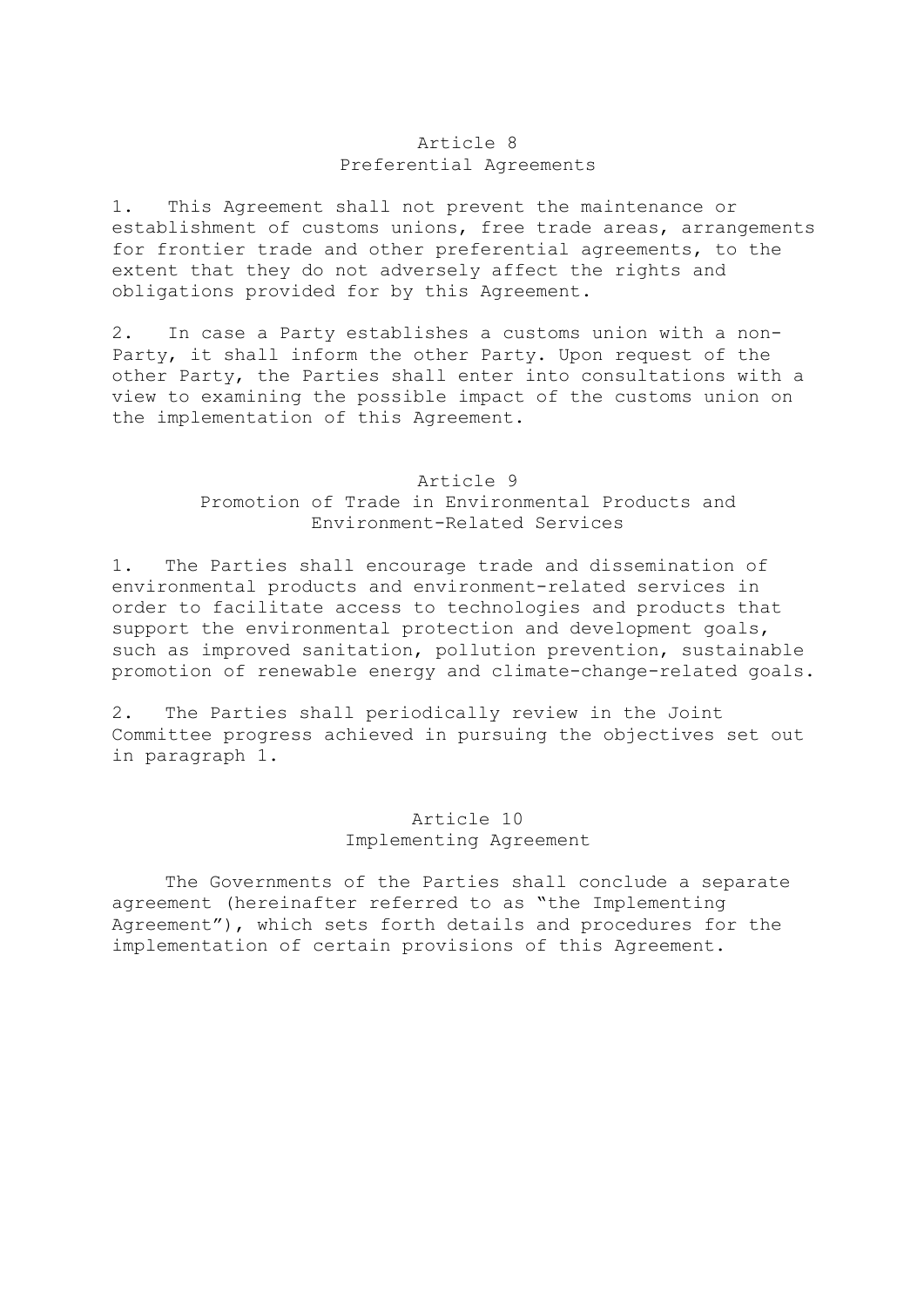### Article 8 Preferential Agreements

1. This Agreement shall not prevent the maintenance or establishment of customs unions, free trade areas, arrangements for frontier trade and other preferential agreements, to the extent that they do not adversely affect the rights and obligations provided for by this Agreement.

2. In case a Party establishes a customs union with a non-Party, it shall inform the other Party. Upon request of the other Party, the Parties shall enter into consultations with a view to examining the possible impact of the customs union on the implementation of this Agreement.

#### Article 9

Promotion of Trade in Environmental Products and Environment-Related Services

1. The Parties shall encourage trade and dissemination of environmental products and environment-related services in order to facilitate access to technologies and products that support the environmental protection and development goals, such as improved sanitation, pollution prevention, sustainable promotion of renewable energy and climate-change-related goals.

2. The Parties shall periodically review in the Joint Committee progress achieved in pursuing the objectives set out in paragraph 1.

### Article 10 Implementing Agreement

 The Governments of the Parties shall conclude a separate agreement (hereinafter referred to as "the Implementing Agreement"), which sets forth details and procedures for the implementation of certain provisions of this Agreement.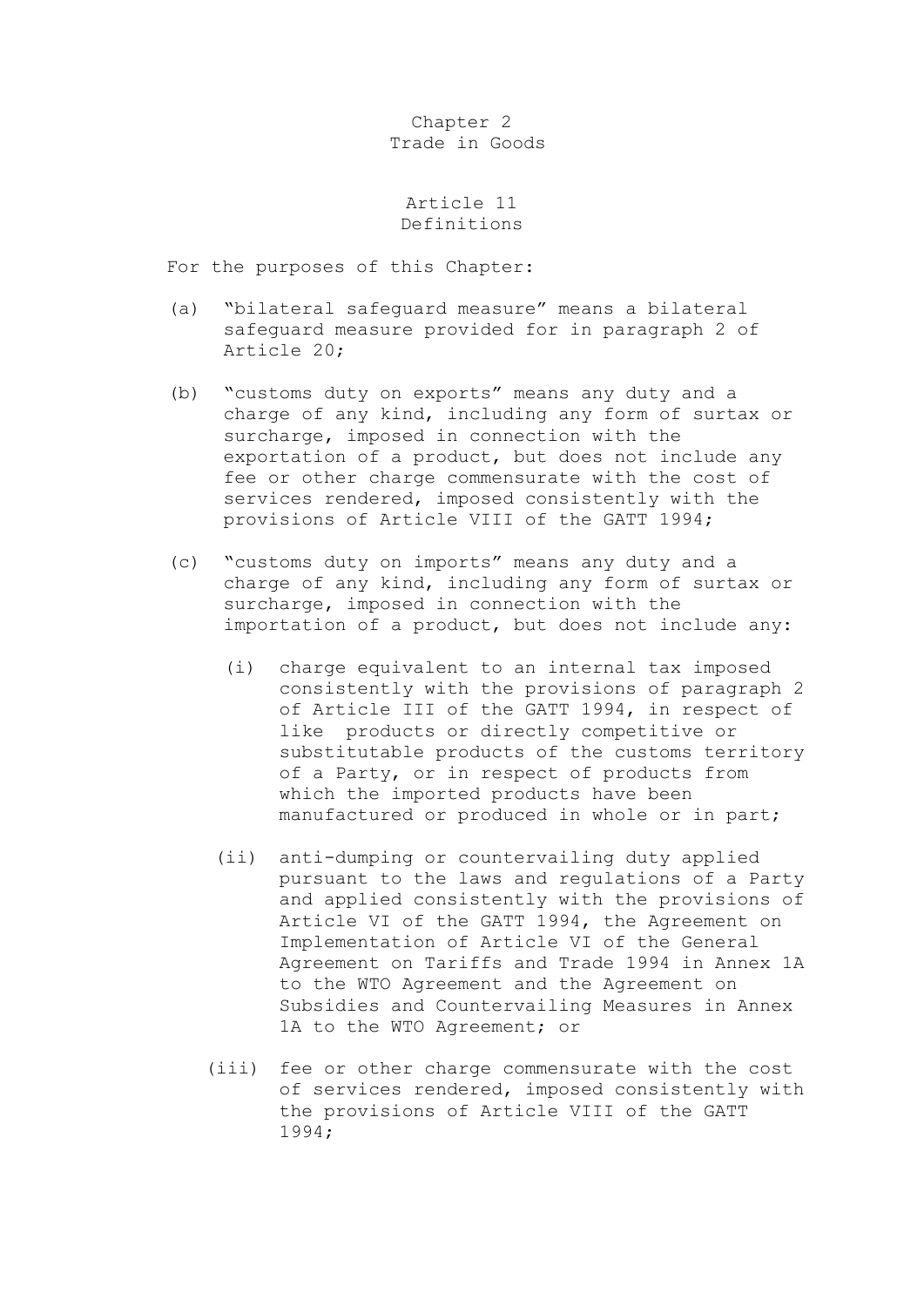Chapter 2 Trade in Goods

Article 11 Definitions

For the purposes of this Chapter:

- (a) "bilateral safeguard measure" means a bilateral safeguard measure provided for in paragraph 2 of Article 20;
- (b) "customs duty on exports" means any duty and a charge of any kind, including any form of surtax or surcharge, imposed in connection with the exportation of a product, but does not include any fee or other charge commensurate with the cost of services rendered, imposed consistently with the provisions of Article VIII of the GATT 1994;
- (c) "customs duty on imports" means any duty and a charge of any kind, including any form of surtax or surcharge, imposed in connection with the importation of a product, but does not include any:
	- (i) charge equivalent to an internal tax imposed consistently with the provisions of paragraph 2 of Article III of the GATT 1994, in respect of like products or directly competitive or substitutable products of the customs territory of a Party, or in respect of products from which the imported products have been manufactured or produced in whole or in part;
	- (ii) anti-dumping or countervailing duty applied pursuant to the laws and regulations of a Party and applied consistently with the provisions of Article VI of the GATT 1994, the Agreement on Implementation of Article VI of the General Agreement on Tariffs and Trade 1994 in Annex 1A to the WTO Agreement and the Agreement on Subsidies and Countervailing Measures in Annex 1A to the WTO Agreement; or
	- (iii) fee or other charge commensurate with the cost of services rendered, imposed consistently with the provisions of Article VIII of the GATT 1994;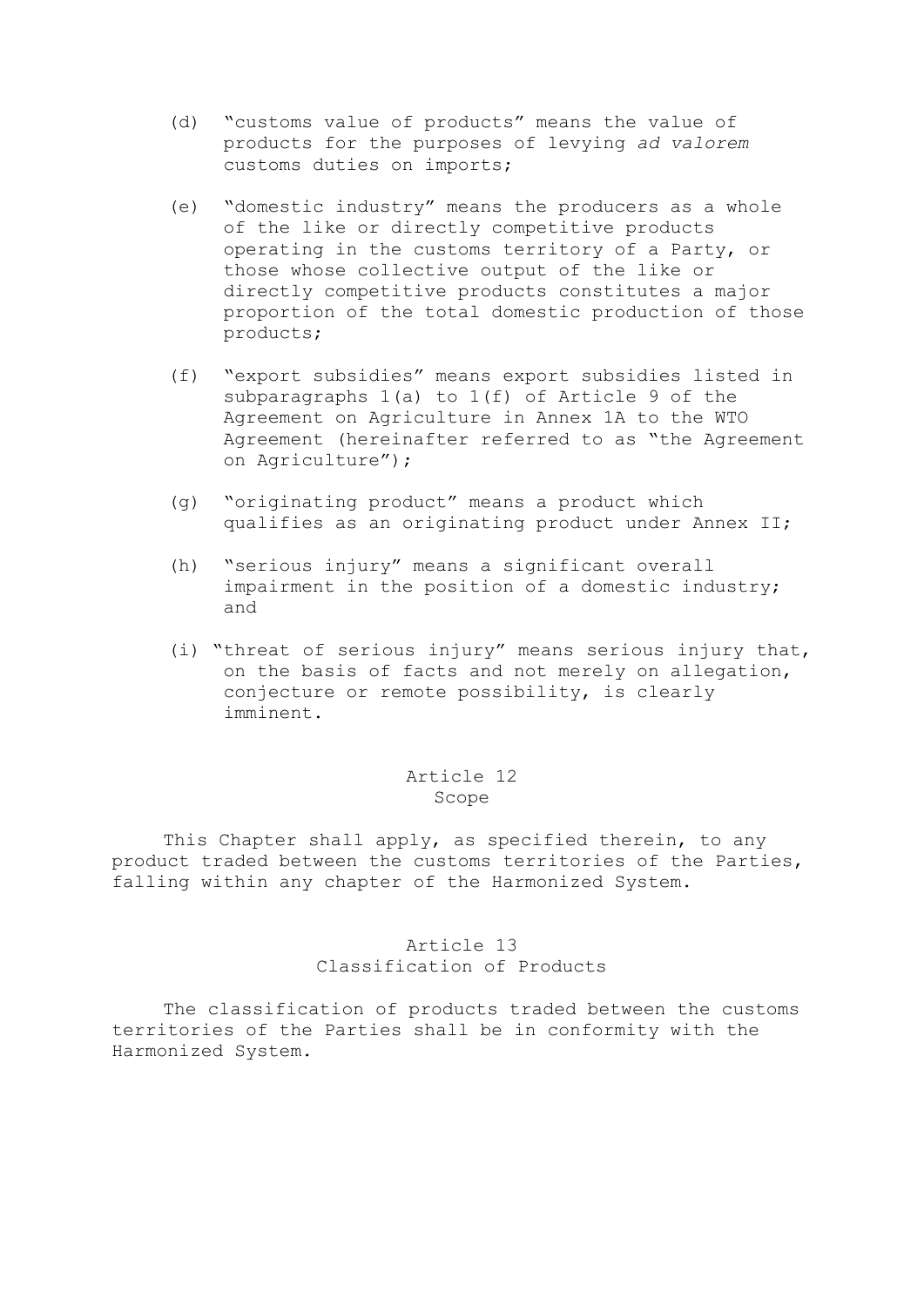- (d) "customs value of products" means the value of products for the purposes of levying *ad valorem* customs duties on imports;
- (e) "domestic industry" means the producers as a whole of the like or directly competitive products operating in the customs territory of a Party, or those whose collective output of the like or directly competitive products constitutes a major proportion of the total domestic production of those products;
- (f) "export subsidies" means export subsidies listed in subparagraphs 1(a) to 1(f) of Article 9 of the Agreement on Agriculture in Annex 1A to the WTO Agreement (hereinafter referred to as "the Agreement on Agriculture");
- (g) "originating product" means a product which qualifies as an originating product under Annex II;
- (h) "serious injury" means a significant overall impairment in the position of a domestic industry; and
- (i) "threat of serious injury" means serious injury that, on the basis of facts and not merely on allegation, conjecture or remote possibility, is clearly imminent.

### Article 12 Scope

This Chapter shall apply, as specified therein, to any product traded between the customs territories of the Parties, falling within any chapter of the Harmonized System.

### Article 13 Classification of Products

 The classification of products traded between the customs territories of the Parties shall be in conformity with the Harmonized System.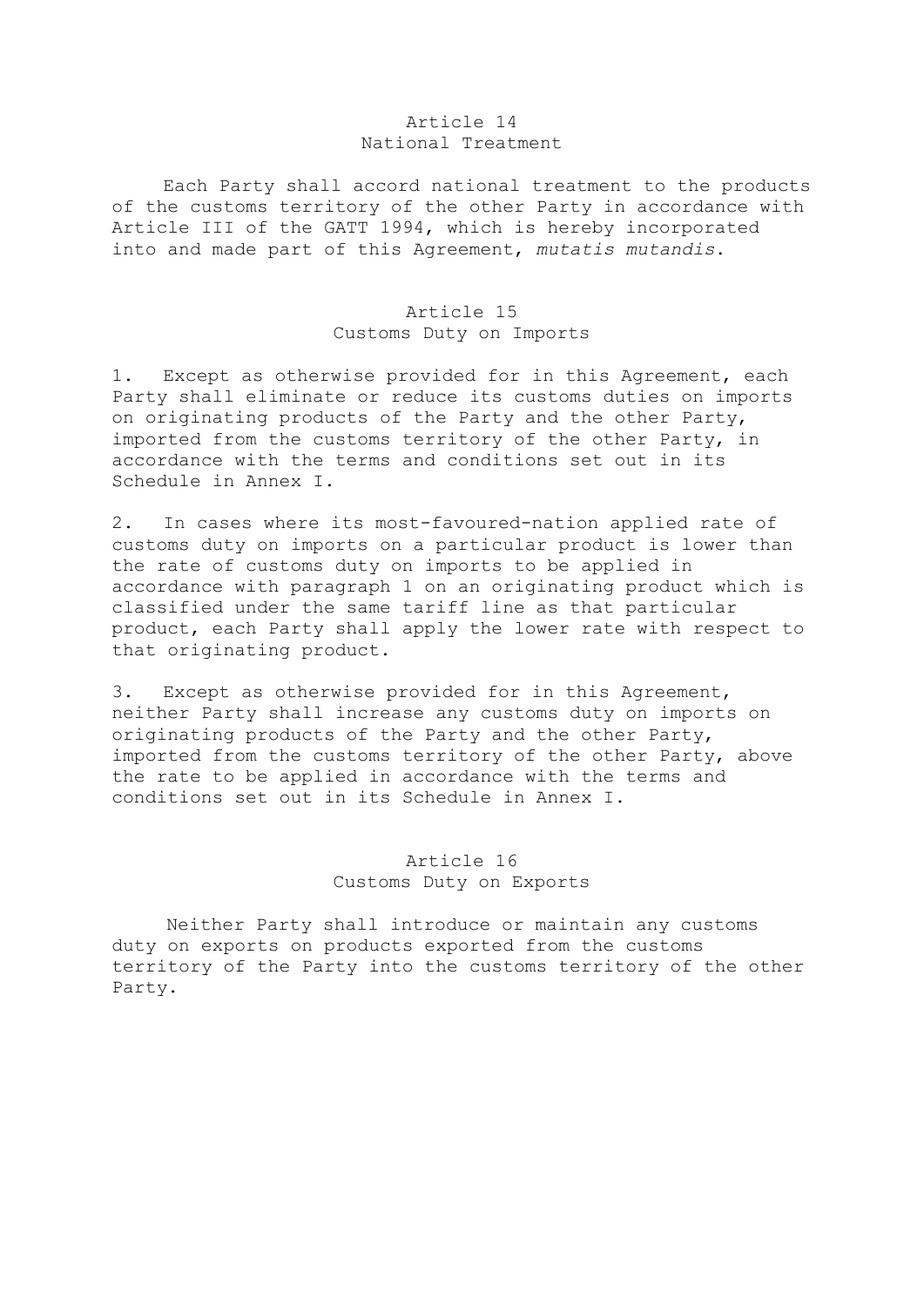#### Article 14 National Treatment

 Each Party shall accord national treatment to the products of the customs territory of the other Party in accordance with Article III of the GATT 1994, which is hereby incorporated into and made part of this Agreement, *mutatis mutandis*.

#### Article 15 Customs Duty on Imports

1. Except as otherwise provided for in this Agreement, each Party shall eliminate or reduce its customs duties on imports on originating products of the Party and the other Party, imported from the customs territory of the other Party, in accordance with the terms and conditions set out in its Schedule in Annex I.

2. In cases where its most-favoured-nation applied rate of customs duty on imports on a particular product is lower than the rate of customs duty on imports to be applied in accordance with paragraph 1 on an originating product which is classified under the same tariff line as that particular product, each Party shall apply the lower rate with respect to that originating product.

3. Except as otherwise provided for in this Agreement, neither Party shall increase any customs duty on imports on originating products of the Party and the other Party, imported from the customs territory of the other Party, above the rate to be applied in accordance with the terms and conditions set out in its Schedule in Annex I.

### Article 16 Customs Duty on Exports

Neither Party shall introduce or maintain any customs duty on exports on products exported from the customs territory of the Party into the customs territory of the other Party.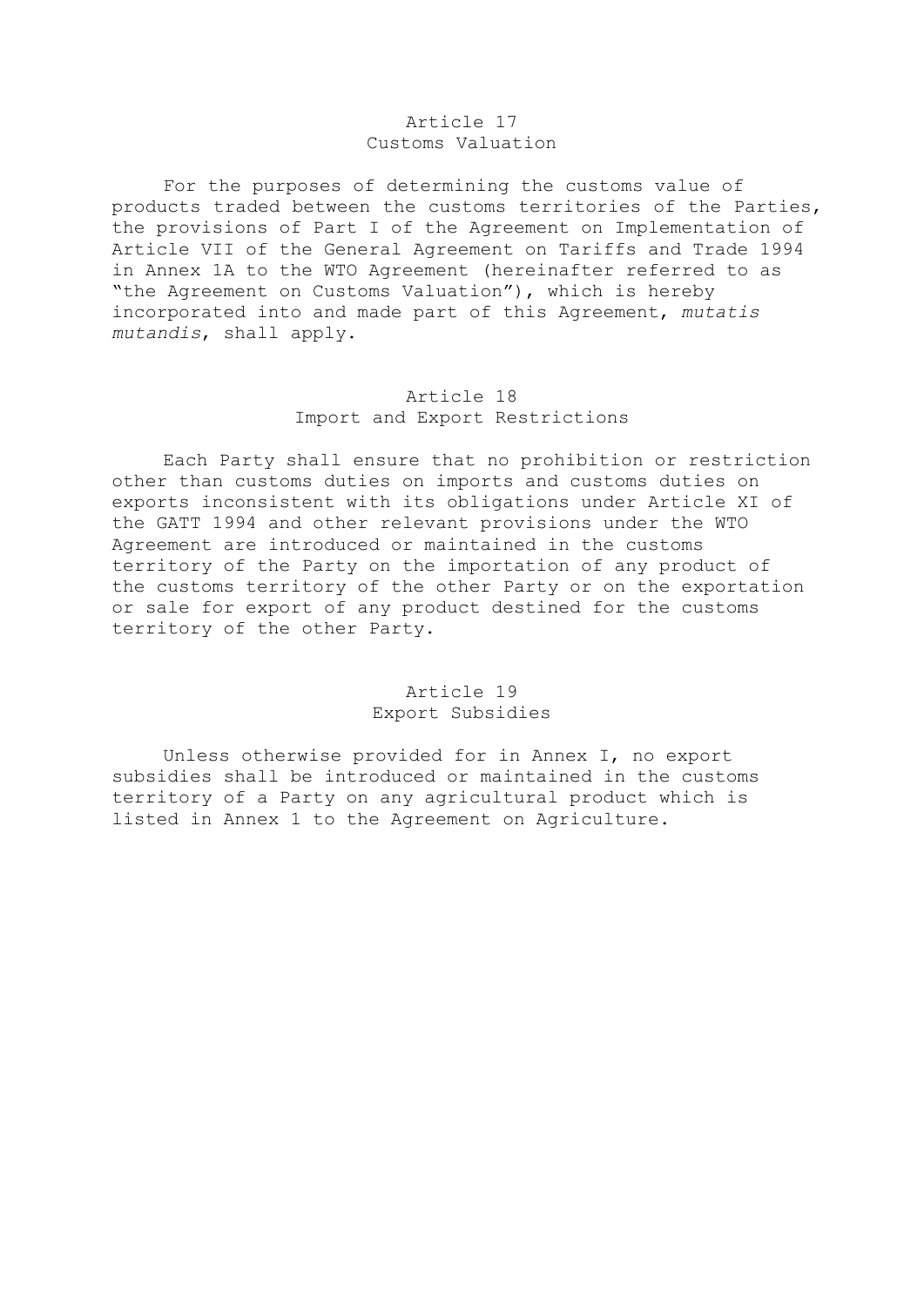#### Article 17 Customs Valuation

 For the purposes of determining the customs value of products traded between the customs territories of the Parties, the provisions of Part I of the Agreement on Implementation of Article VII of the General Agreement on Tariffs and Trade 1994 in Annex 1A to the WTO Agreement (hereinafter referred to as "the Agreement on Customs Valuation"), which is hereby incorporated into and made part of this Agreement, *mutatis mutandis*, shall apply.

#### Article 18 Import and Export Restrictions

 Each Party shall ensure that no prohibition or restriction other than customs duties on imports and customs duties on exports inconsistent with its obligations under Article XI of the GATT 1994 and other relevant provisions under the WTO Agreement are introduced or maintained in the customs territory of the Party on the importation of any product of the customs territory of the other Party or on the exportation or sale for export of any product destined for the customs territory of the other Party.

### Article 19 Export Subsidies

 Unless otherwise provided for in Annex I, no export subsidies shall be introduced or maintained in the customs territory of a Party on any agricultural product which is listed in Annex 1 to the Agreement on Agriculture.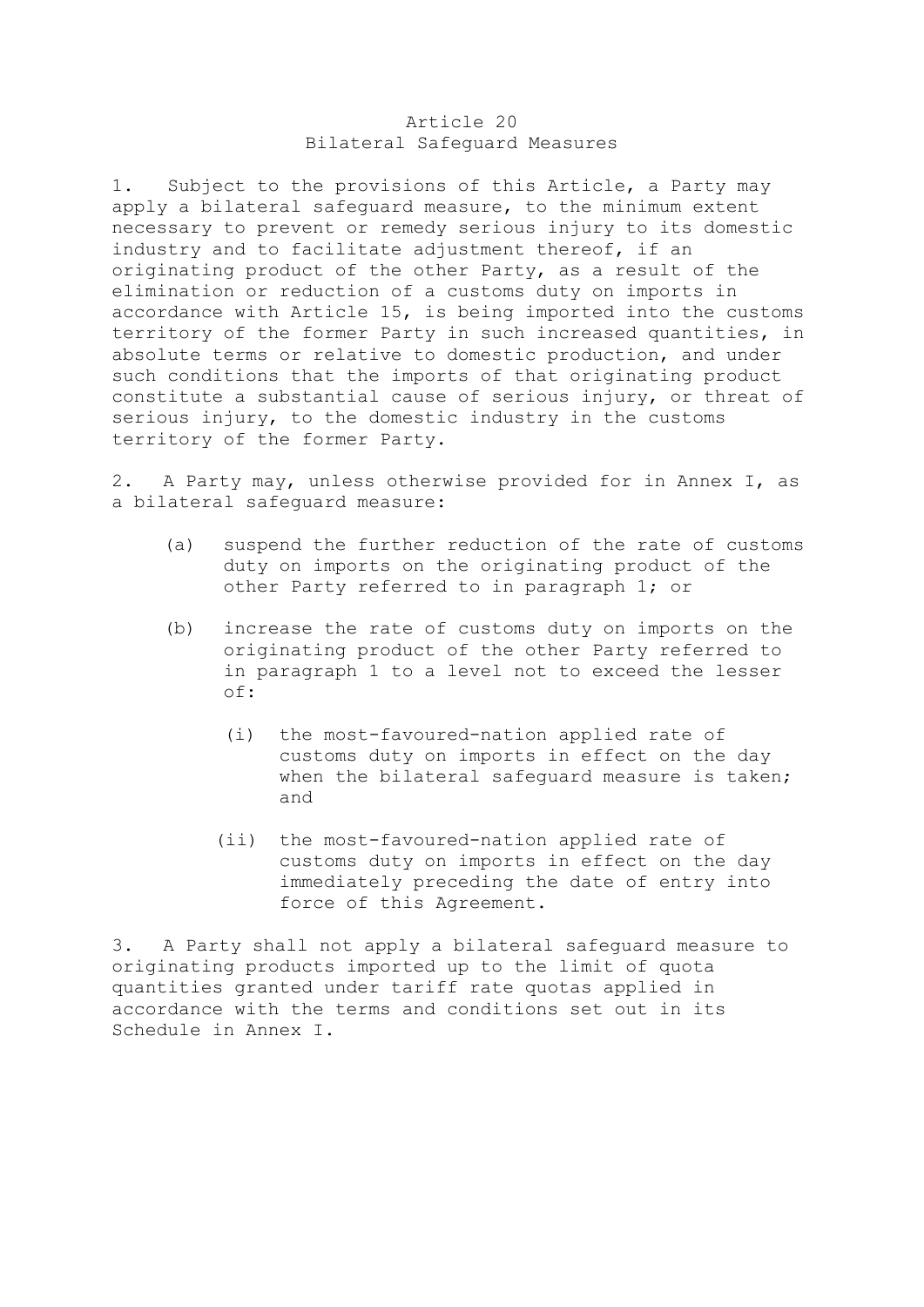#### Article 20 Bilateral Safeguard Measures

1. Subject to the provisions of this Article, a Party may apply a bilateral safeguard measure, to the minimum extent necessary to prevent or remedy serious injury to its domestic industry and to facilitate adjustment thereof, if an originating product of the other Party, as a result of the elimination or reduction of a customs duty on imports in accordance with Article 15, is being imported into the customs territory of the former Party in such increased quantities, in absolute terms or relative to domestic production, and under such conditions that the imports of that originating product constitute a substantial cause of serious injury, or threat of serious injury, to the domestic industry in the customs territory of the former Party.

2. A Party may, unless otherwise provided for in Annex I, as a bilateral safeguard measure:

- (a) suspend the further reduction of the rate of customs duty on imports on the originating product of the other Party referred to in paragraph 1; or
- (b) increase the rate of customs duty on imports on the originating product of the other Party referred to in paragraph 1 to a level not to exceed the lesser of:
	- (i) the most-favoured-nation applied rate of customs duty on imports in effect on the day when the bilateral safeguard measure is taken; and
	- (ii) the most-favoured-nation applied rate of customs duty on imports in effect on the day immediately preceding the date of entry into force of this Agreement.

3. A Party shall not apply a bilateral safeguard measure to originating products imported up to the limit of quota quantities granted under tariff rate quotas applied in accordance with the terms and conditions set out in its Schedule in Annex I.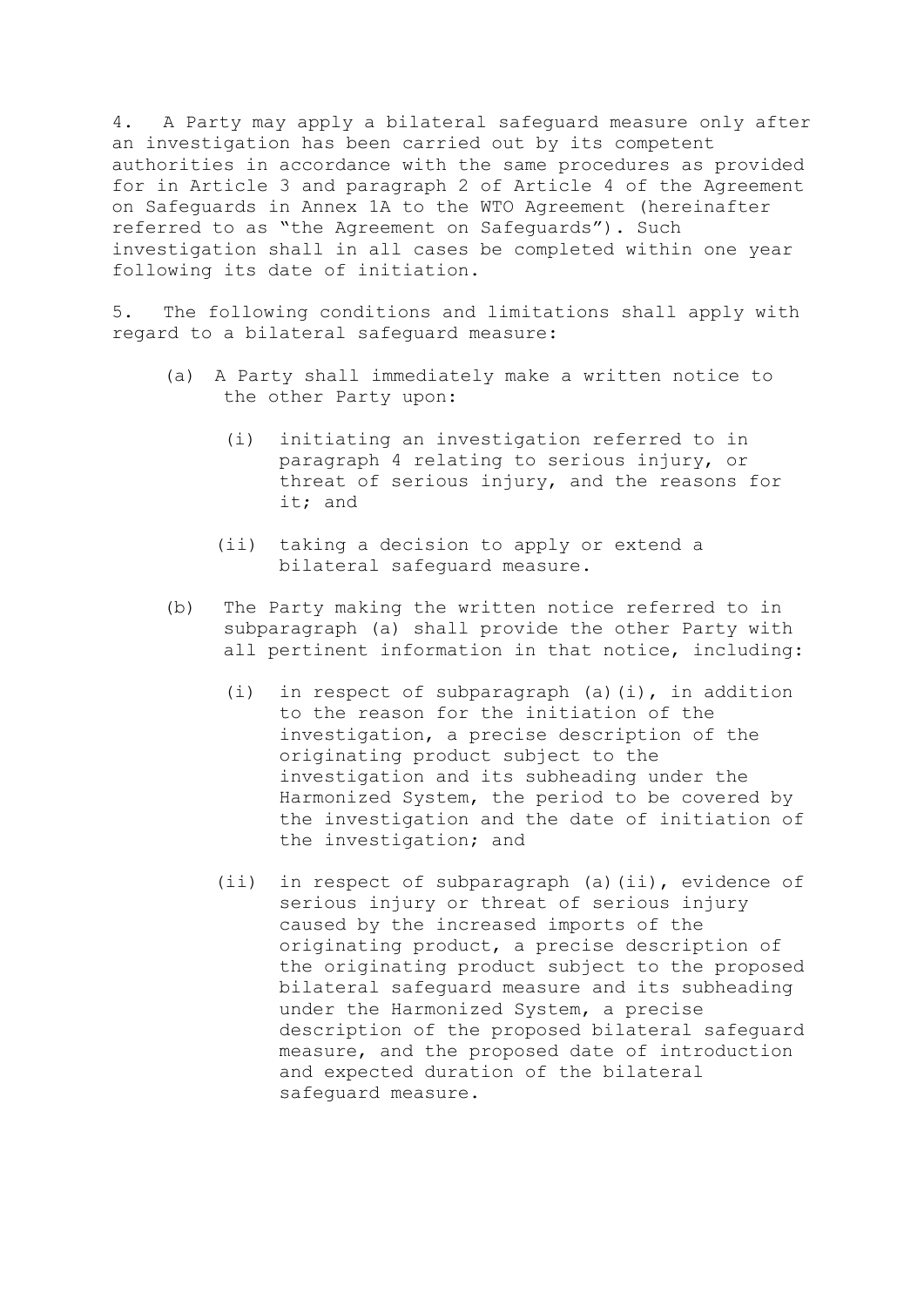4. A Party may apply a bilateral safeguard measure only after an investigation has been carried out by its competent authorities in accordance with the same procedures as provided for in Article 3 and paragraph 2 of Article 4 of the Agreement on Safeguards in Annex 1A to the WTO Agreement (hereinafter referred to as "the Agreement on Safeguards"). Such investigation shall in all cases be completed within one year following its date of initiation.

5. The following conditions and limitations shall apply with regard to a bilateral safeguard measure:

- (a) A Party shall immediately make a written notice to the other Party upon:
	- (i) initiating an investigation referred to in paragraph 4 relating to serious injury, or threat of serious injury, and the reasons for it; and
	- (ii) taking a decision to apply or extend a bilateral safeguard measure.
- (b) The Party making the written notice referred to in subparagraph (a) shall provide the other Party with all pertinent information in that notice, including:
	- (i) in respect of subparagraph (a)(i), in addition to the reason for the initiation of the investigation, a precise description of the originating product subject to the investigation and its subheading under the Harmonized System, the period to be covered by the investigation and the date of initiation of the investigation; and
	- (ii) in respect of subparagraph (a)(ii), evidence of serious injury or threat of serious injury caused by the increased imports of the originating product, a precise description of the originating product subject to the proposed bilateral safeguard measure and its subheading under the Harmonized System, a precise description of the proposed bilateral safeguard measure, and the proposed date of introduction and expected duration of the bilateral safeguard measure.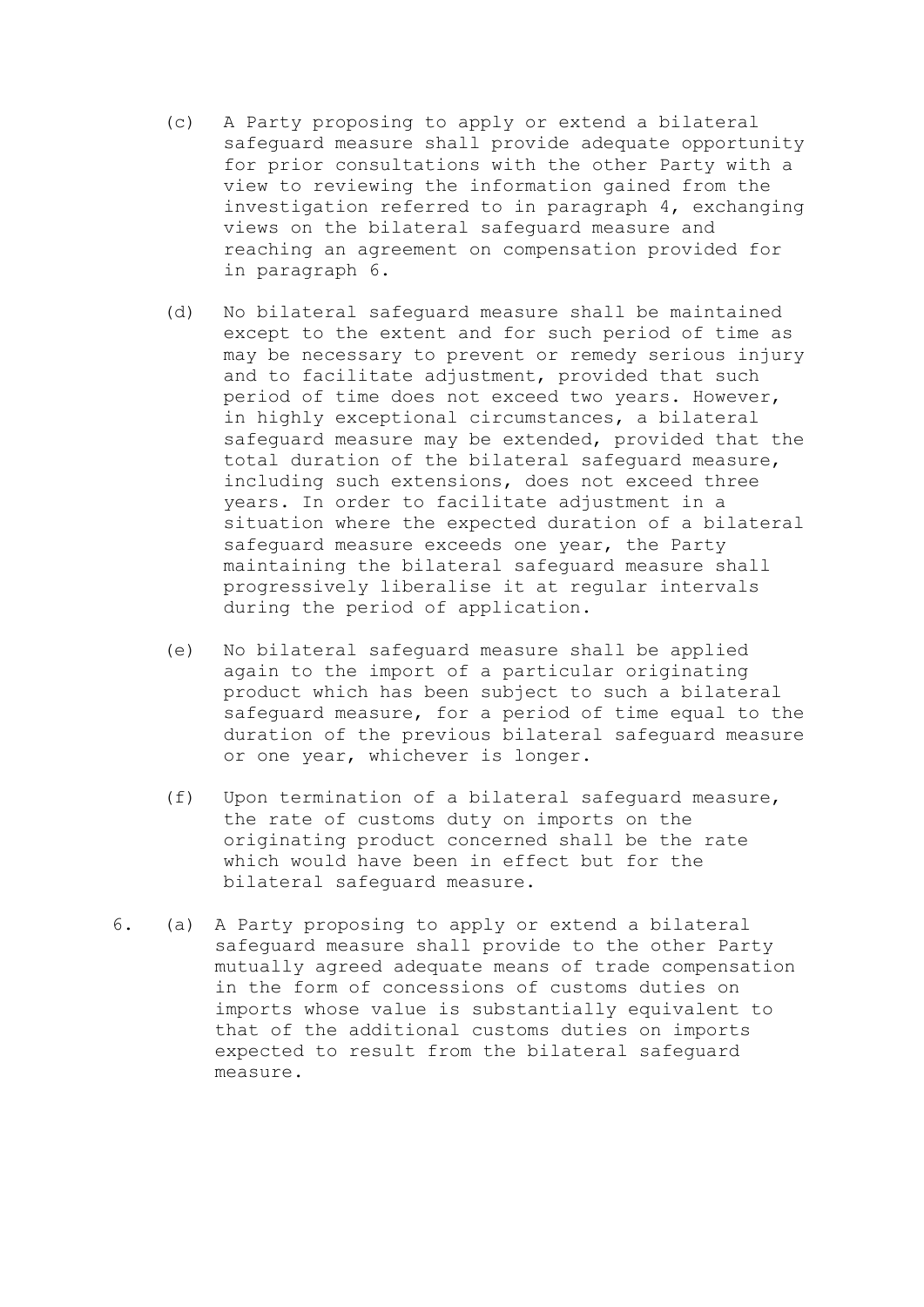- (c) A Party proposing to apply or extend a bilateral safeguard measure shall provide adequate opportunity for prior consultations with the other Party with a view to reviewing the information gained from the investigation referred to in paragraph 4, exchanging views on the bilateral safeguard measure and reaching an agreement on compensation provided for in paragraph 6.
- (d) No bilateral safeguard measure shall be maintained except to the extent and for such period of time as may be necessary to prevent or remedy serious injury and to facilitate adjustment, provided that such period of time does not exceed two years. However, in highly exceptional circumstances, a bilateral safeguard measure may be extended, provided that the total duration of the bilateral safeguard measure, including such extensions, does not exceed three years. In order to facilitate adjustment in a situation where the expected duration of a bilateral safeguard measure exceeds one year, the Party maintaining the bilateral safeguard measure shall progressively liberalise it at regular intervals during the period of application.
- (e) No bilateral safeguard measure shall be applied again to the import of a particular originating product which has been subject to such a bilateral safeguard measure, for a period of time equal to the duration of the previous bilateral safeguard measure or one year, whichever is longer.
- (f) Upon termination of a bilateral safeguard measure, the rate of customs duty on imports on the originating product concerned shall be the rate which would have been in effect but for the bilateral safeguard measure.
- 6. (a) A Party proposing to apply or extend a bilateral safeguard measure shall provide to the other Party mutually agreed adequate means of trade compensation in the form of concessions of customs duties on imports whose value is substantially equivalent to that of the additional customs duties on imports expected to result from the bilateral safeguard measure.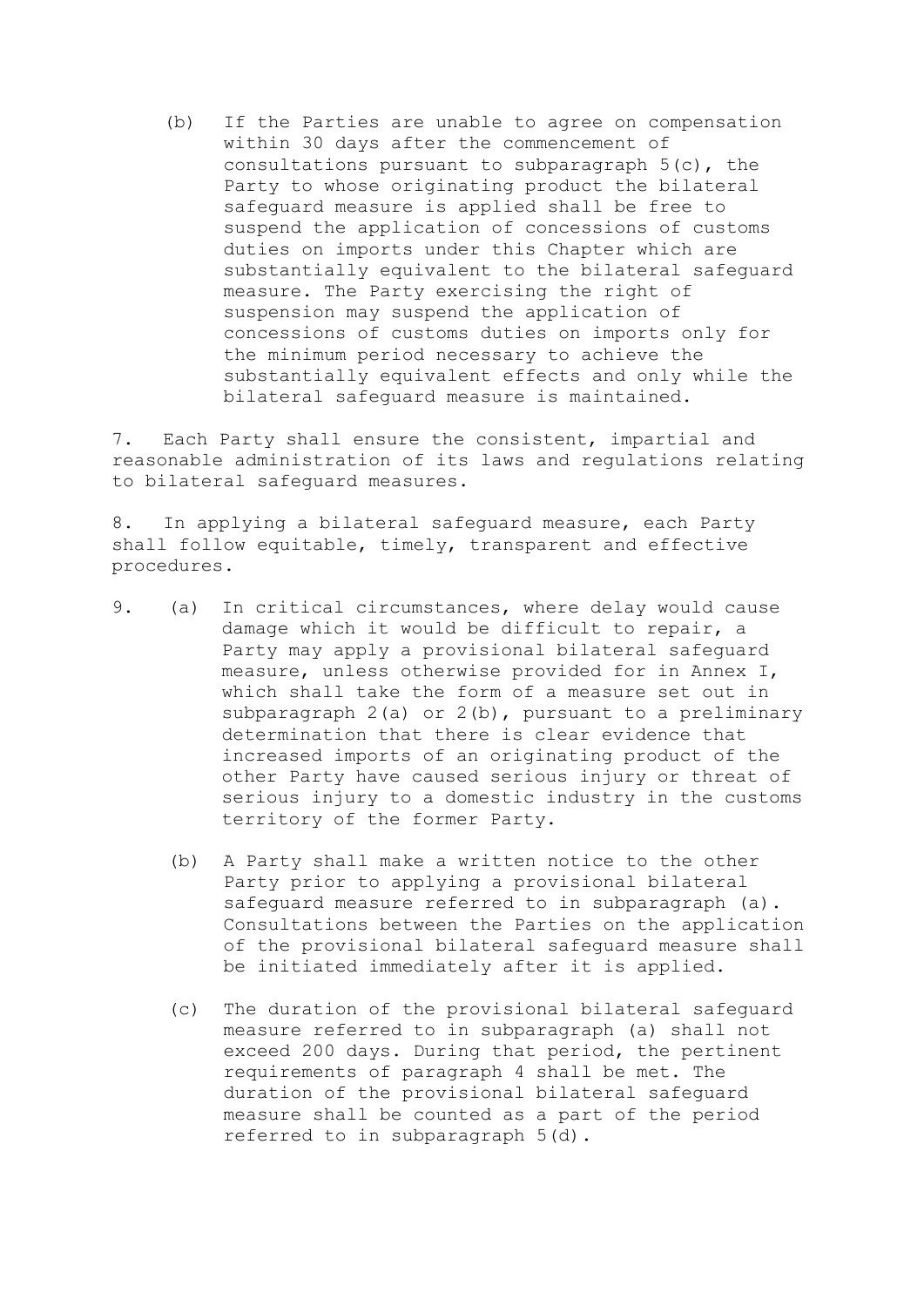(b) If the Parties are unable to agree on compensation within 30 days after the commencement of consultations pursuant to subparagraph 5(c), the Party to whose originating product the bilateral safeguard measure is applied shall be free to suspend the application of concessions of customs duties on imports under this Chapter which are substantially equivalent to the bilateral safeguard measure. The Party exercising the right of suspension may suspend the application of concessions of customs duties on imports only for the minimum period necessary to achieve the substantially equivalent effects and only while the bilateral safeguard measure is maintained.

7. Each Party shall ensure the consistent, impartial and reasonable administration of its laws and regulations relating to bilateral safeguard measures.

8. In applying a bilateral safeguard measure, each Party shall follow equitable, timely, transparent and effective procedures.

- 9. (a) In critical circumstances, where delay would cause damage which it would be difficult to repair, a Party may apply a provisional bilateral safeguard measure, unless otherwise provided for in Annex I, which shall take the form of a measure set out in subparagraph 2(a) or 2(b), pursuant to a preliminary determination that there is clear evidence that increased imports of an originating product of the other Party have caused serious injury or threat of serious injury to a domestic industry in the customs territory of the former Party.
	- (b) A Party shall make a written notice to the other Party prior to applying a provisional bilateral safeguard measure referred to in subparagraph (a). Consultations between the Parties on the application of the provisional bilateral safeguard measure shall be initiated immediately after it is applied.
	- (c) The duration of the provisional bilateral safeguard measure referred to in subparagraph (a) shall not exceed 200 days. During that period, the pertinent requirements of paragraph 4 shall be met. The duration of the provisional bilateral safeguard measure shall be counted as a part of the period referred to in subparagraph 5(d).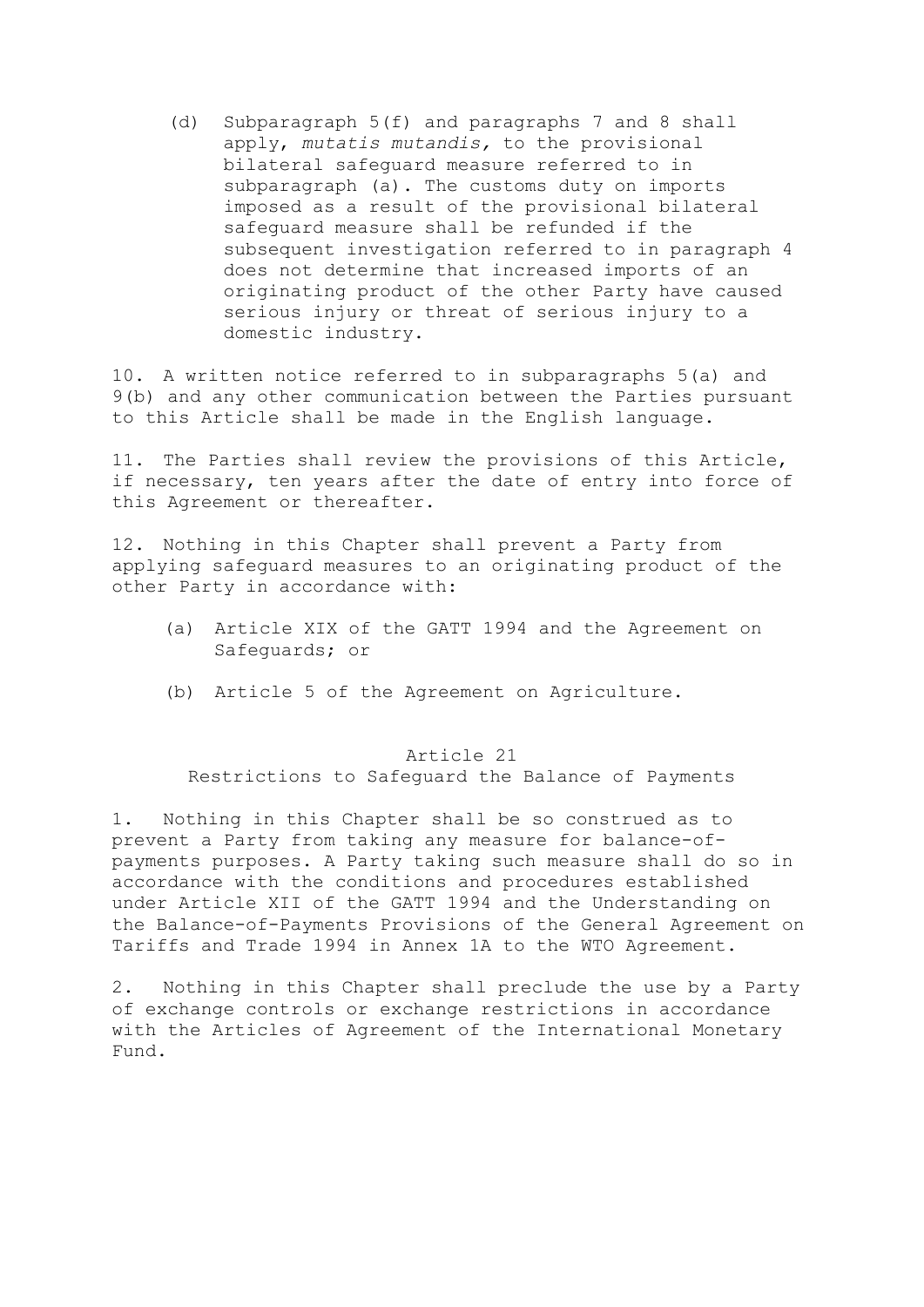(d) Subparagraph 5(f) and paragraphs 7 and 8 shall apply, *mutatis mutandis,* to the provisional bilateral safeguard measure referred to in subparagraph (a). The customs duty on imports imposed as a result of the provisional bilateral safeguard measure shall be refunded if the subsequent investigation referred to in paragraph 4 does not determine that increased imports of an originating product of the other Party have caused serious injury or threat of serious injury to a domestic industry.

10. A written notice referred to in subparagraphs 5(a) and 9(b) and any other communication between the Parties pursuant to this Article shall be made in the English language.

11. The Parties shall review the provisions of this Article, if necessary, ten years after the date of entry into force of this Agreement or thereafter.

12. Nothing in this Chapter shall prevent a Party from applying safeguard measures to an originating product of the other Party in accordance with:

- (a) Article XIX of the GATT 1994 and the Agreement on Safeguards; or
- (b) Article 5 of the Agreement on Agriculture.

#### Article 21

Restrictions to Safeguard the Balance of Payments

1. Nothing in this Chapter shall be so construed as to prevent a Party from taking any measure for balance-ofpayments purposes. A Party taking such measure shall do so in accordance with the conditions and procedures established under Article XII of the GATT 1994 and the Understanding on the Balance-of-Payments Provisions of the General Agreement on Tariffs and Trade 1994 in Annex 1A to the WTO Agreement.

2. Nothing in this Chapter shall preclude the use by a Party of exchange controls or exchange restrictions in accordance with the Articles of Agreement of the International Monetary Fund.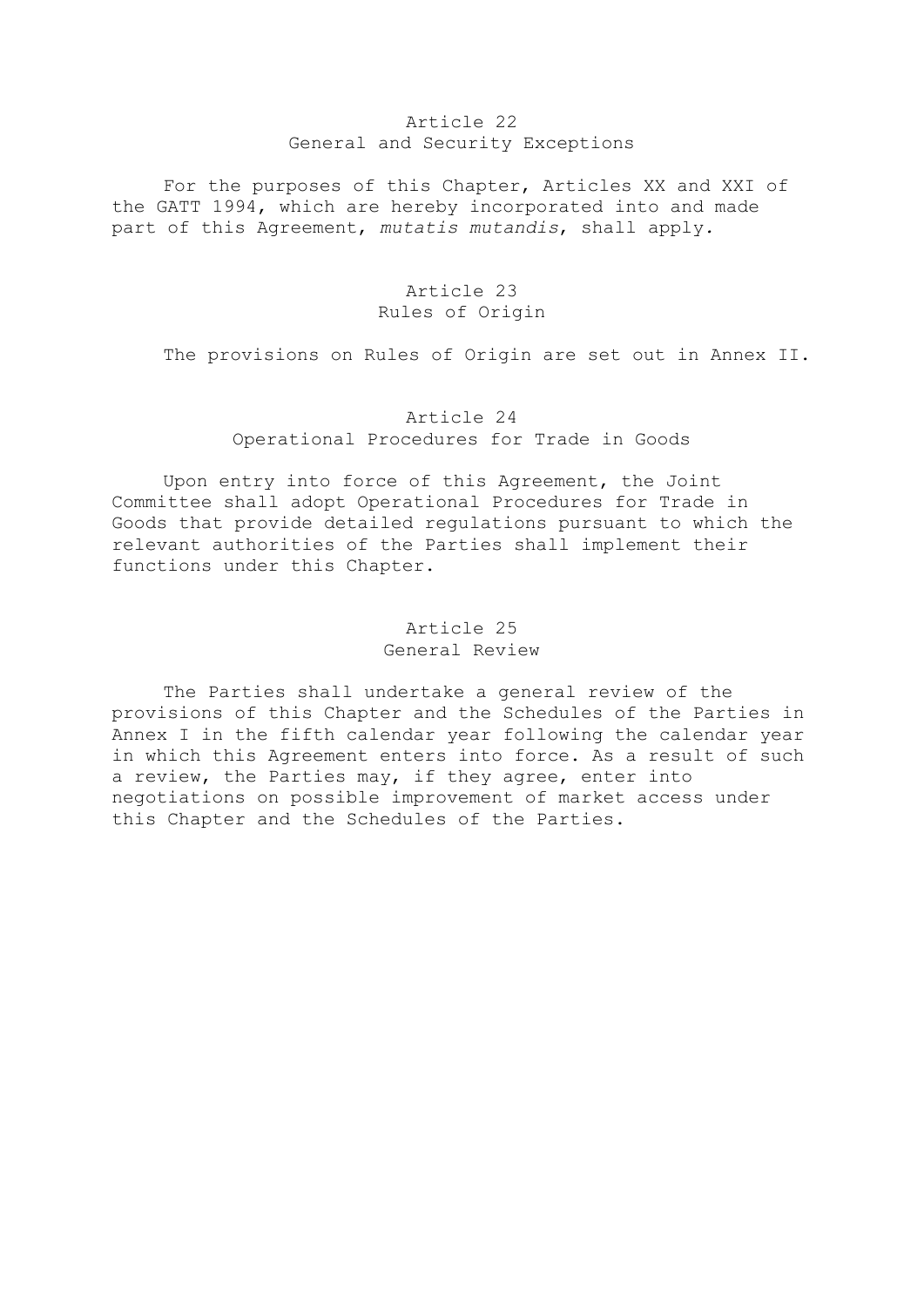#### Article 22 General and Security Exceptions

For the purposes of this Chapter, Articles XX and XXI of the GATT 1994, which are hereby incorporated into and made part of this Agreement, *mutatis mutandis*, shall apply*.*

### Article 23 Rules of Origin

The provisions on Rules of Origin are set out in Annex II.

# Article 24

Operational Procedures for Trade in Goods

 Upon entry into force of this Agreement, the Joint Committee shall adopt Operational Procedures for Trade in Goods that provide detailed regulations pursuant to which the relevant authorities of the Parties shall implement their functions under this Chapter.

#### Article 25 General Review

 The Parties shall undertake a general review of the provisions of this Chapter and the Schedules of the Parties in Annex I in the fifth calendar year following the calendar year in which this Agreement enters into force. As a result of such a review, the Parties may, if they agree, enter into negotiations on possible improvement of market access under this Chapter and the Schedules of the Parties.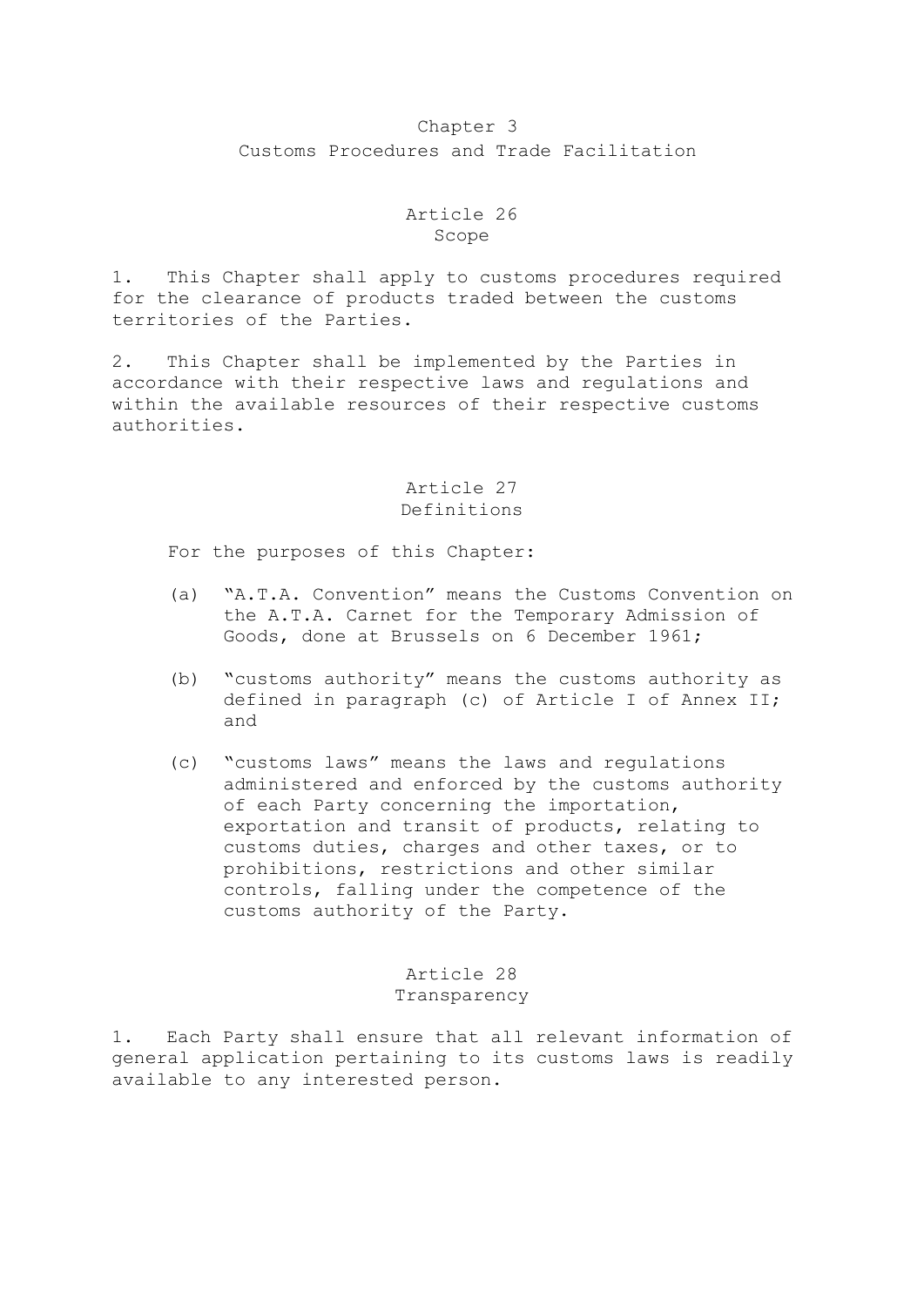## Chapter 3 Customs Procedures and Trade Facilitation

#### Article 26 Scope

1. This Chapter shall apply to customs procedures required for the clearance of products traded between the customs territories of the Parties.

2. This Chapter shall be implemented by the Parties in accordance with their respective laws and regulations and within the available resources of their respective customs authorities.

### Article 27 Definitions

For the purposes of this Chapter:

- (a) "A.T.A. Convention" means the Customs Convention on the A.T.A. Carnet for the Temporary Admission of Goods, done at Brussels on 6 December 1961;
- (b) "customs authority" means the customs authority as defined in paragraph (c) of Article I of Annex II; and
- (c) "customs laws" means the laws and regulations administered and enforced by the customs authority of each Party concerning the importation, exportation and transit of products, relating to customs duties, charges and other taxes, or to prohibitions, restrictions and other similar controls, falling under the competence of the customs authority of the Party.

#### Article 28 Transparency

1. Each Party shall ensure that all relevant information of general application pertaining to its customs laws is readily available to any interested person.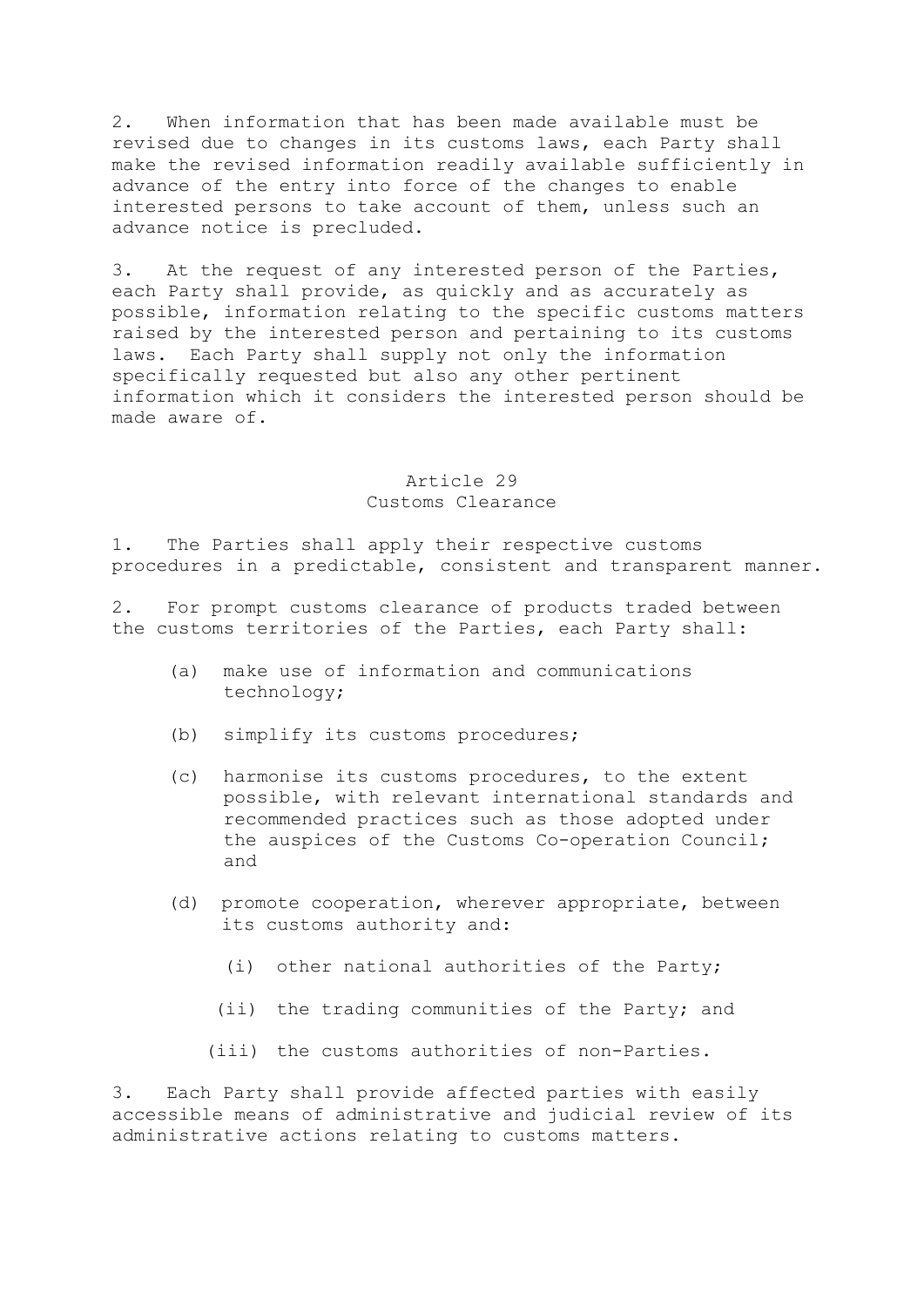2. When information that has been made available must be revised due to changes in its customs laws, each Party shall make the revised information readily available sufficiently in advance of the entry into force of the changes to enable interested persons to take account of them, unless such an advance notice is precluded.

3. At the request of any interested person of the Parties, each Party shall provide, as quickly and as accurately as possible, information relating to the specific customs matters raised by the interested person and pertaining to its customs laws. Each Party shall supply not only the information specifically requested but also any other pertinent information which it considers the interested person should be made aware of.

#### Article 29 Customs Clearance

1. The Parties shall apply their respective customs procedures in a predictable, consistent and transparent manner.

2. For prompt customs clearance of products traded between the customs territories of the Parties, each Party shall:

- (a) make use of information and communications technology;
- (b) simplify its customs procedures;
- (c) harmonise its customs procedures, to the extent possible, with relevant international standards and recommended practices such as those adopted under the auspices of the Customs Co-operation Council; and
- (d) promote cooperation, wherever appropriate, between its customs authority and:
	- (i) other national authorities of the Party;
	- (ii) the trading communities of the Party; and
	- (iii) the customs authorities of non-Parties.

3. Each Party shall provide affected parties with easily accessible means of administrative and judicial review of its administrative actions relating to customs matters.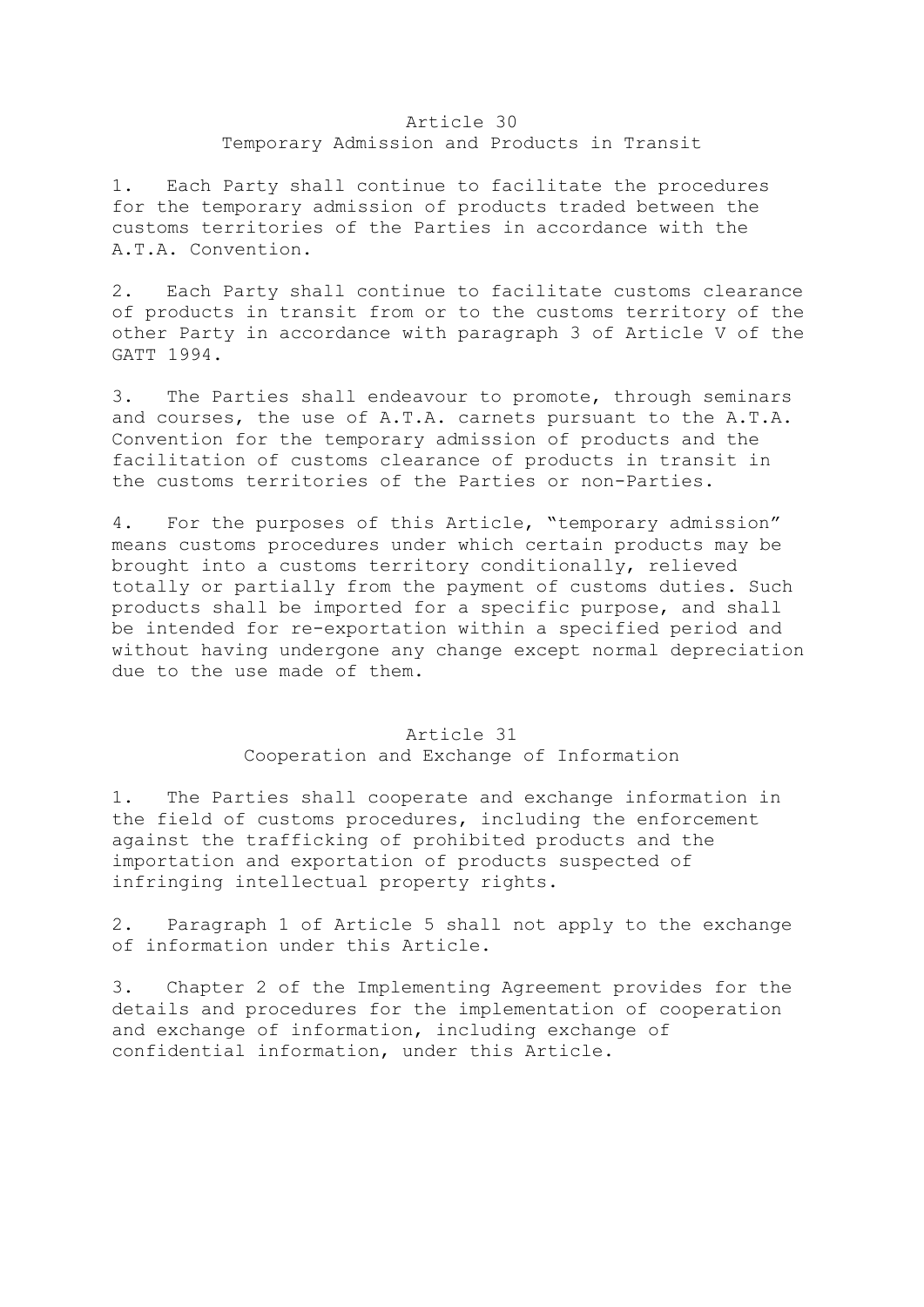#### Article 30 Temporary Admission and Products in Transit

1. Each Party shall continue to facilitate the procedures for the temporary admission of products traded between the customs territories of the Parties in accordance with the A.T.A. Convention.

2. Each Party shall continue to facilitate customs clearance of products in transit from or to the customs territory of the other Party in accordance with paragraph 3 of Article V of the GATT 1994.

3. The Parties shall endeavour to promote, through seminars and courses, the use of A.T.A. carnets pursuant to the A.T.A. Convention for the temporary admission of products and the facilitation of customs clearance of products in transit in the customs territories of the Parties or non-Parties.

4. For the purposes of this Article, "temporary admission" means customs procedures under which certain products may be brought into a customs territory conditionally, relieved totally or partially from the payment of customs duties. Such products shall be imported for a specific purpose, and shall be intended for re-exportation within a specified period and without having undergone any change except normal depreciation due to the use made of them.

#### Article 31 Cooperation and Exchange of Information

1. The Parties shall cooperate and exchange information in the field of customs procedures, including the enforcement against the trafficking of prohibited products and the importation and exportation of products suspected of infringing intellectual property rights.

2. Paragraph 1 of Article 5 shall not apply to the exchange of information under this Article.

3. Chapter 2 of the Implementing Agreement provides for the details and procedures for the implementation of cooperation and exchange of information, including exchange of confidential information, under this Article.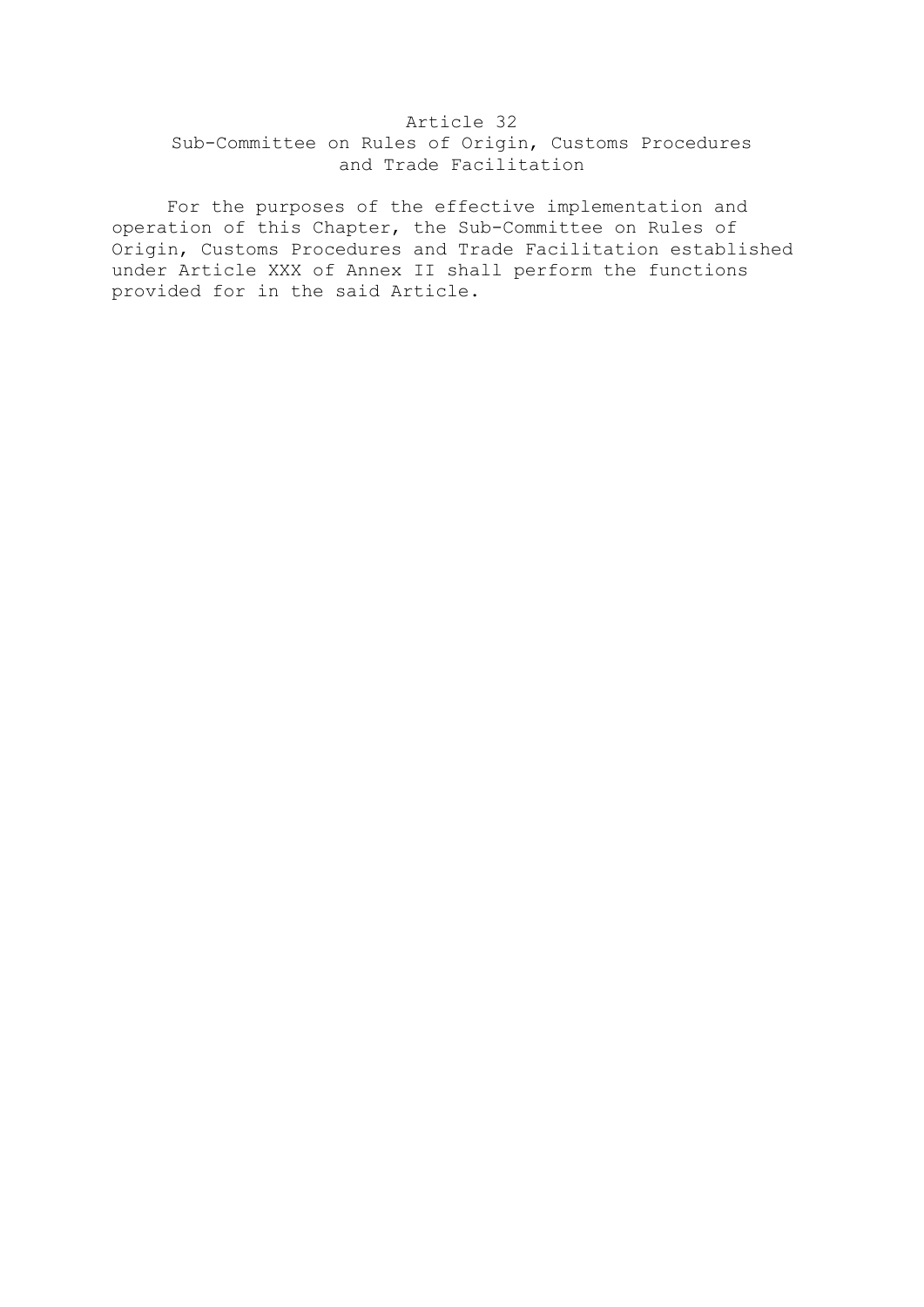### Article 32 Sub-Committee on Rules of Origin, Customs Procedures and Trade Facilitation

 For the purposes of the effective implementation and operation of this Chapter, the Sub-Committee on Rules of Origin, Customs Procedures and Trade Facilitation established under Article XXX of Annex II shall perform the functions provided for in the said Article.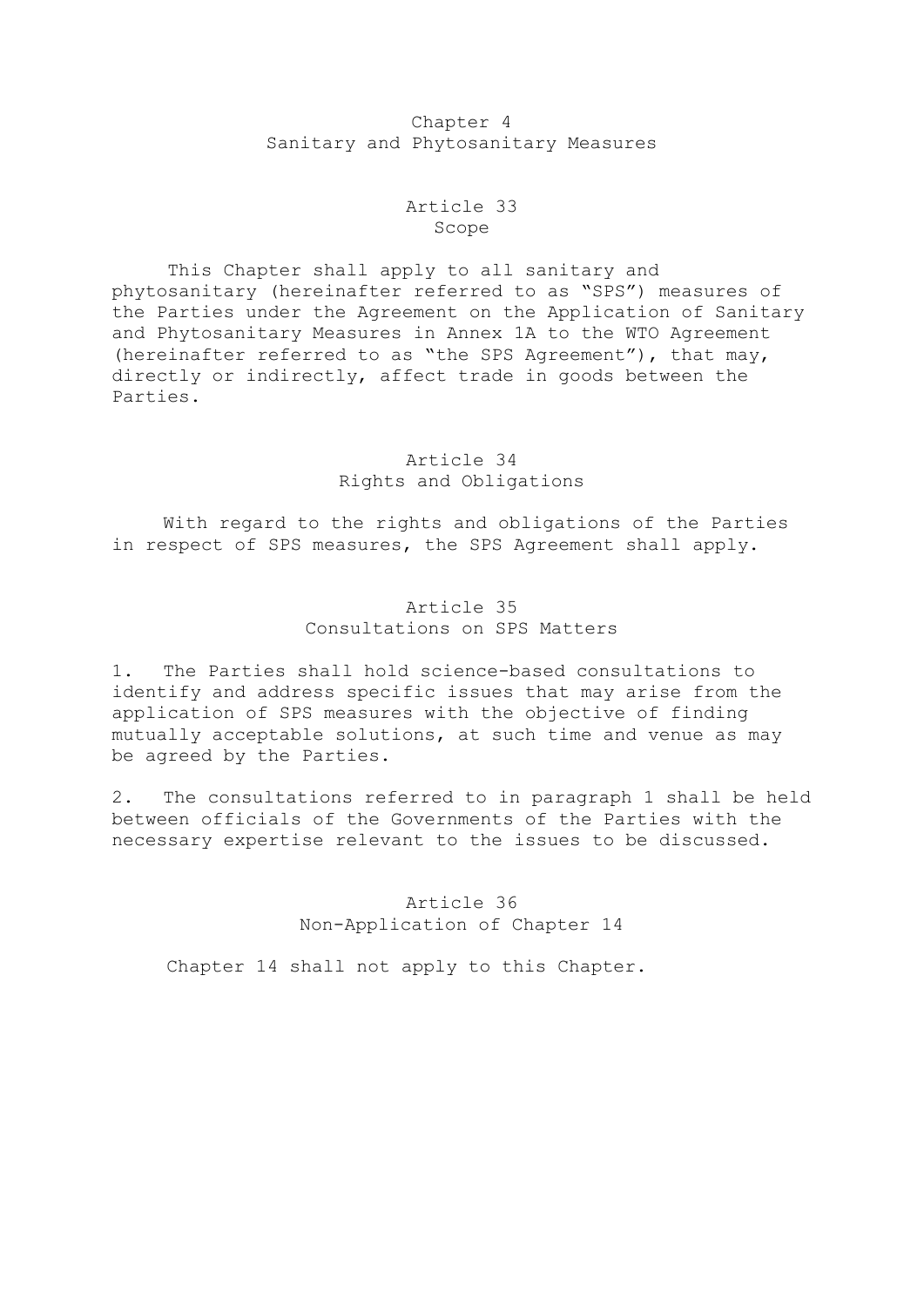### Chapter 4 Sanitary and Phytosanitary Measures

### Article 33 Scope

 This Chapter shall apply to all sanitary and phytosanitary (hereinafter referred to as "SPS") measures of the Parties under the Agreement on the Application of Sanitary and Phytosanitary Measures in Annex 1A to the WTO Agreement (hereinafter referred to as "the SPS Agreement"), that may, directly or indirectly, affect trade in goods between the Parties.

### Article 34 Rights and Obligations

 With regard to the rights and obligations of the Parties in respect of SPS measures, the SPS Agreement shall apply.

### Article 35 Consultations on SPS Matters

1. The Parties shall hold science-based consultations to identify and address specific issues that may arise from the application of SPS measures with the objective of finding mutually acceptable solutions, at such time and venue as may be agreed by the Parties.

2. The consultations referred to in paragraph 1 shall be held between officials of the Governments of the Parties with the necessary expertise relevant to the issues to be discussed.

### Article 36 Non-Application of Chapter 14

Chapter 14 shall not apply to this Chapter.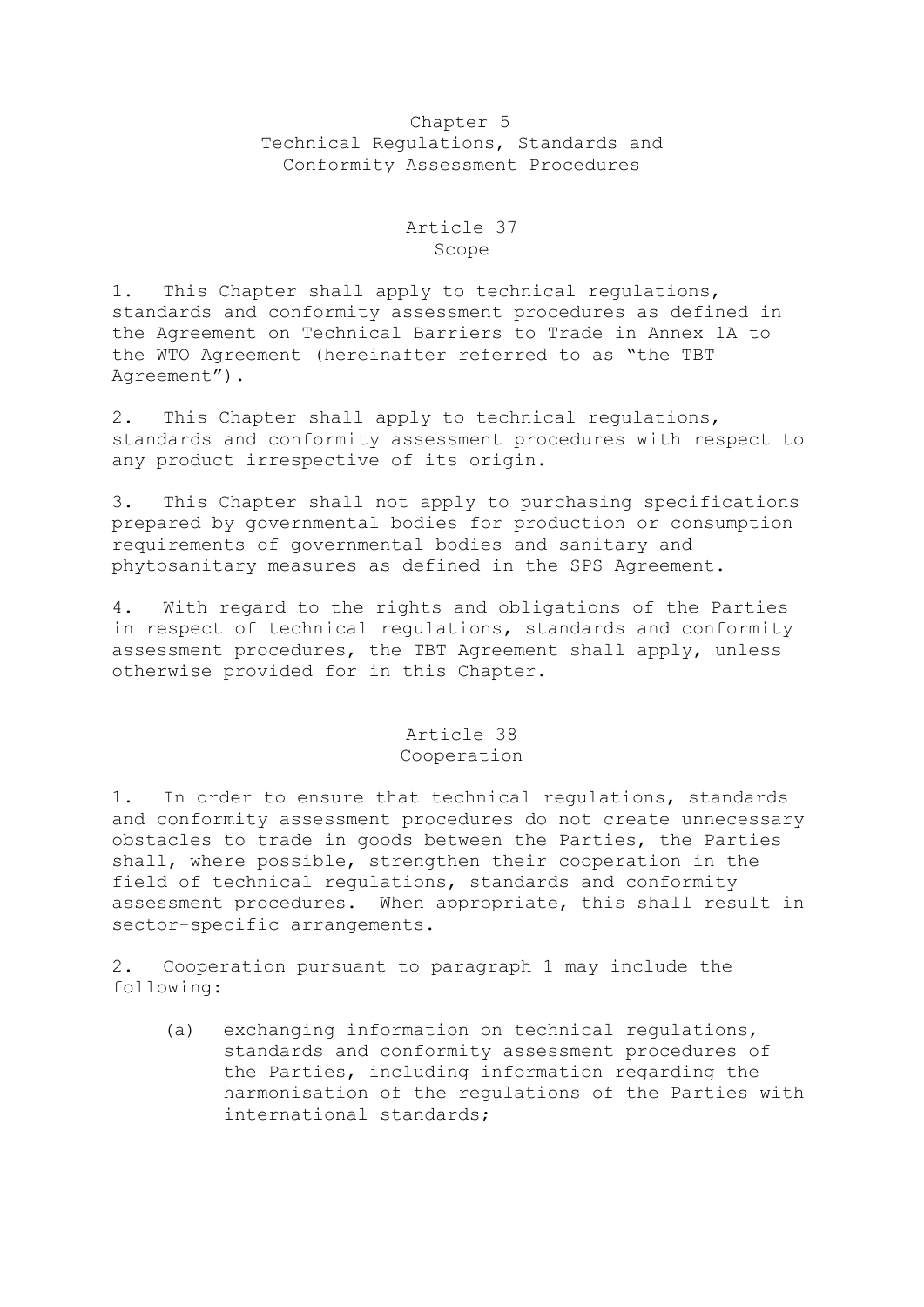### Chapter 5 Technical Regulations, Standards and Conformity Assessment Procedures

## Article 37 Scope

1. This Chapter shall apply to technical regulations, standards and conformity assessment procedures as defined in the Agreement on Technical Barriers to Trade in Annex 1A to the WTO Agreement (hereinafter referred to as "the TBT Agreement").

2. This Chapter shall apply to technical regulations, standards and conformity assessment procedures with respect to any product irrespective of its origin.

3. This Chapter shall not apply to purchasing specifications prepared by governmental bodies for production or consumption requirements of governmental bodies and sanitary and phytosanitary measures as defined in the SPS Agreement.

4. With regard to the rights and obligations of the Parties in respect of technical regulations, standards and conformity assessment procedures, the TBT Agreement shall apply, unless otherwise provided for in this Chapter.

#### Article 38 Cooperation

1. In order to ensure that technical regulations, standards and conformity assessment procedures do not create unnecessary obstacles to trade in goods between the Parties, the Parties shall, where possible, strengthen their cooperation in the field of technical regulations, standards and conformity assessment procedures. When appropriate, this shall result in sector-specific arrangements.

2. Cooperation pursuant to paragraph 1 may include the following:

 (a) exchanging information on technical regulations, standards and conformity assessment procedures of the Parties, including information regarding the harmonisation of the regulations of the Parties with international standards;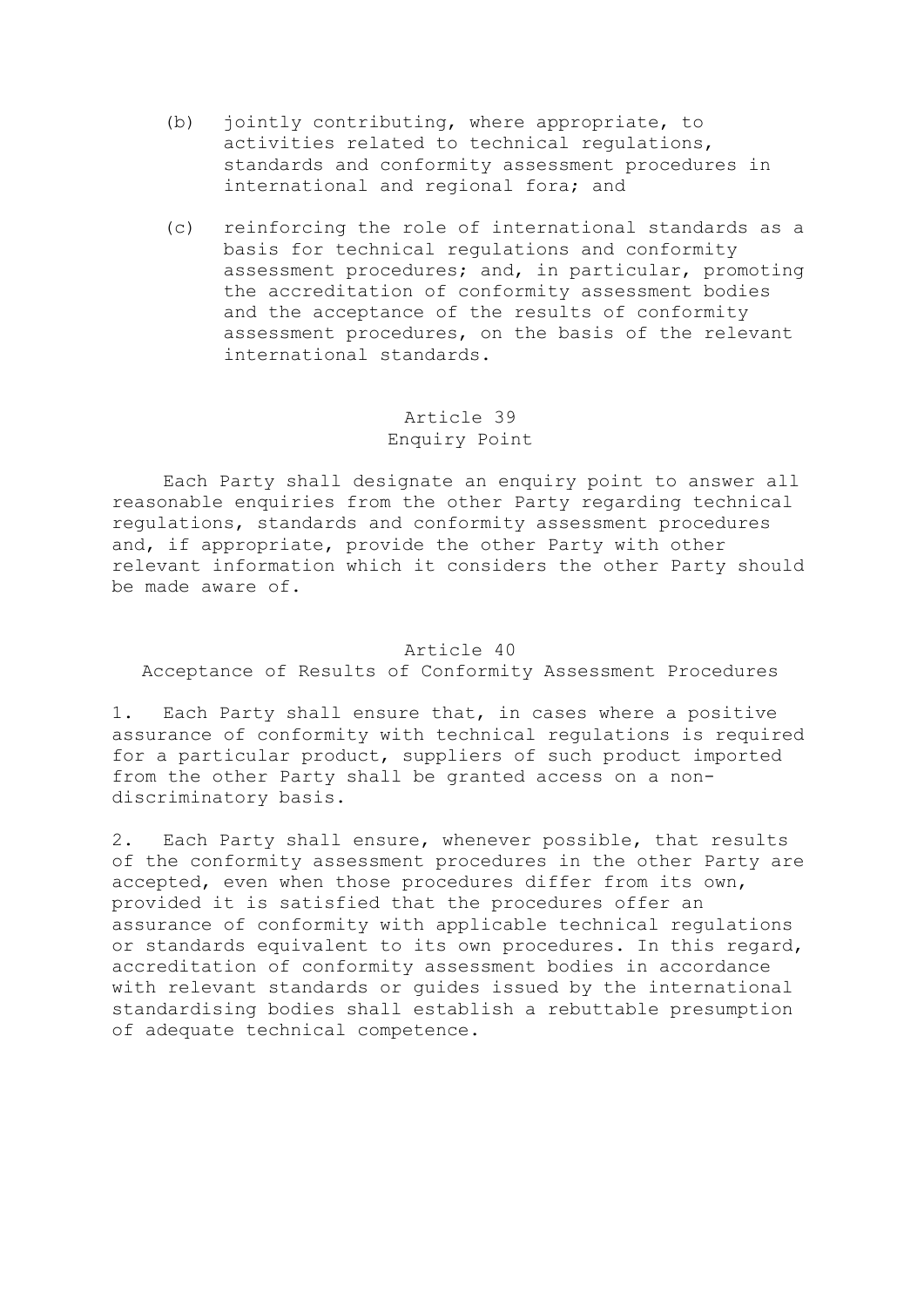- (b) jointly contributing, where appropriate, to activities related to technical regulations, standards and conformity assessment procedures in international and regional fora; and
- (c) reinforcing the role of international standards as a basis for technical regulations and conformity assessment procedures; and, in particular, promoting the accreditation of conformity assessment bodies and the acceptance of the results of conformity assessment procedures, on the basis of the relevant international standards.

#### Article 39 Enquiry Point

 Each Party shall designate an enquiry point to answer all reasonable enquiries from the other Party regarding technical regulations, standards and conformity assessment procedures and, if appropriate, provide the other Party with other relevant information which it considers the other Party should be made aware of.

#### Article 40

Acceptance of Results of Conformity Assessment Procedures

1. Each Party shall ensure that, in cases where a positive assurance of conformity with technical regulations is required for a particular product, suppliers of such product imported from the other Party shall be granted access on a nondiscriminatory basis.

2. Each Party shall ensure, whenever possible, that results of the conformity assessment procedures in the other Party are accepted, even when those procedures differ from its own, provided it is satisfied that the procedures offer an assurance of conformity with applicable technical regulations or standards equivalent to its own procedures. In this regard, accreditation of conformity assessment bodies in accordance with relevant standards or guides issued by the international standardising bodies shall establish a rebuttable presumption of adequate technical competence.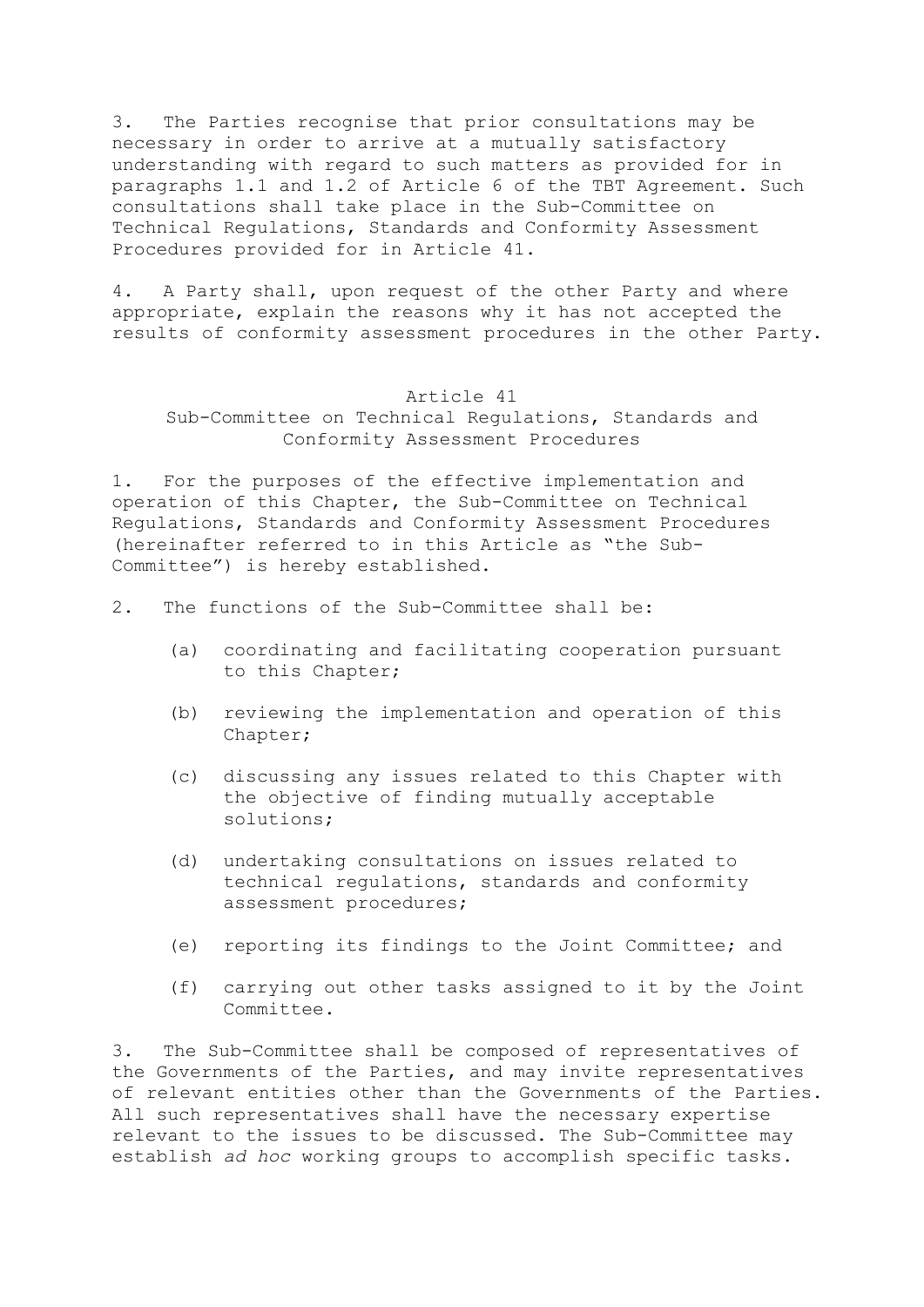3. The Parties recognise that prior consultations may be necessary in order to arrive at a mutually satisfactory understanding with regard to such matters as provided for in paragraphs 1.1 and 1.2 of Article 6 of the TBT Agreement. Such consultations shall take place in the Sub-Committee on Technical Regulations, Standards and Conformity Assessment Procedures provided for in Article 41.

4. A Party shall, upon request of the other Party and where appropriate, explain the reasons why it has not accepted the results of conformity assessment procedures in the other Party.

#### Article 41

Sub-Committee on Technical Regulations, Standards and Conformity Assessment Procedures

1. For the purposes of the effective implementation and operation of this Chapter, the Sub-Committee on Technical Regulations, Standards and Conformity Assessment Procedures (hereinafter referred to in this Article as "the Sub-Committee") is hereby established.

2. The functions of the Sub-Committee shall be:

- (a) coordinating and facilitating cooperation pursuant to this Chapter;
- (b) reviewing the implementation and operation of this Chapter;
- (c) discussing any issues related to this Chapter with the objective of finding mutually acceptable solutions;
- (d) undertaking consultations on issues related to technical regulations, standards and conformity assessment procedures;
- (e) reporting its findings to the Joint Committee; and
- (f) carrying out other tasks assigned to it by the Joint Committee.

3. The Sub-Committee shall be composed of representatives of the Governments of the Parties, and may invite representatives of relevant entities other than the Governments of the Parties. All such representatives shall have the necessary expertise relevant to the issues to be discussed. The Sub-Committee may establish *ad hoc* working groups to accomplish specific tasks.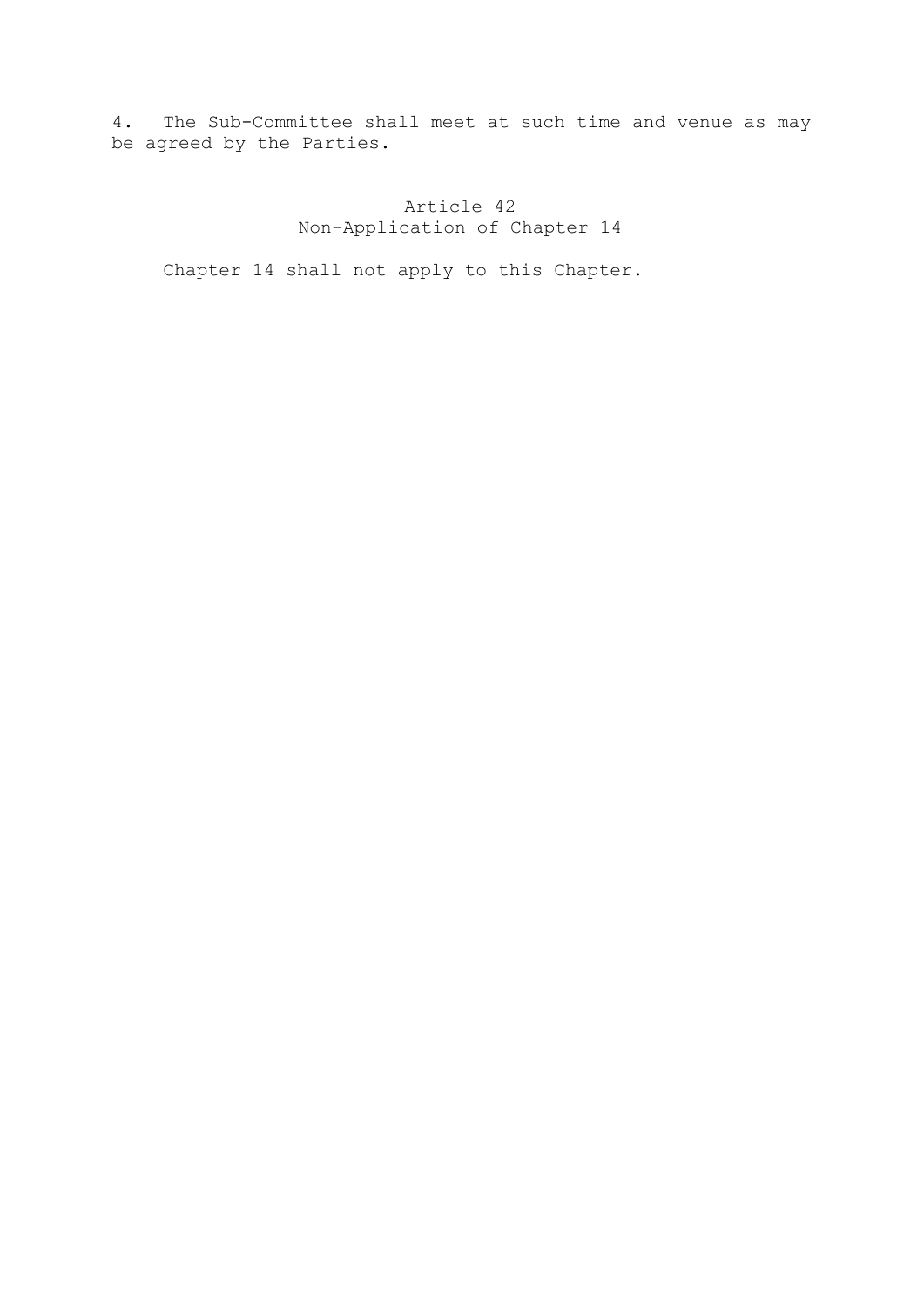4. The Sub-Committee shall meet at such time and venue as may be agreed by the Parties.

> Article 42 Non-Application of Chapter 14

Chapter 14 shall not apply to this Chapter.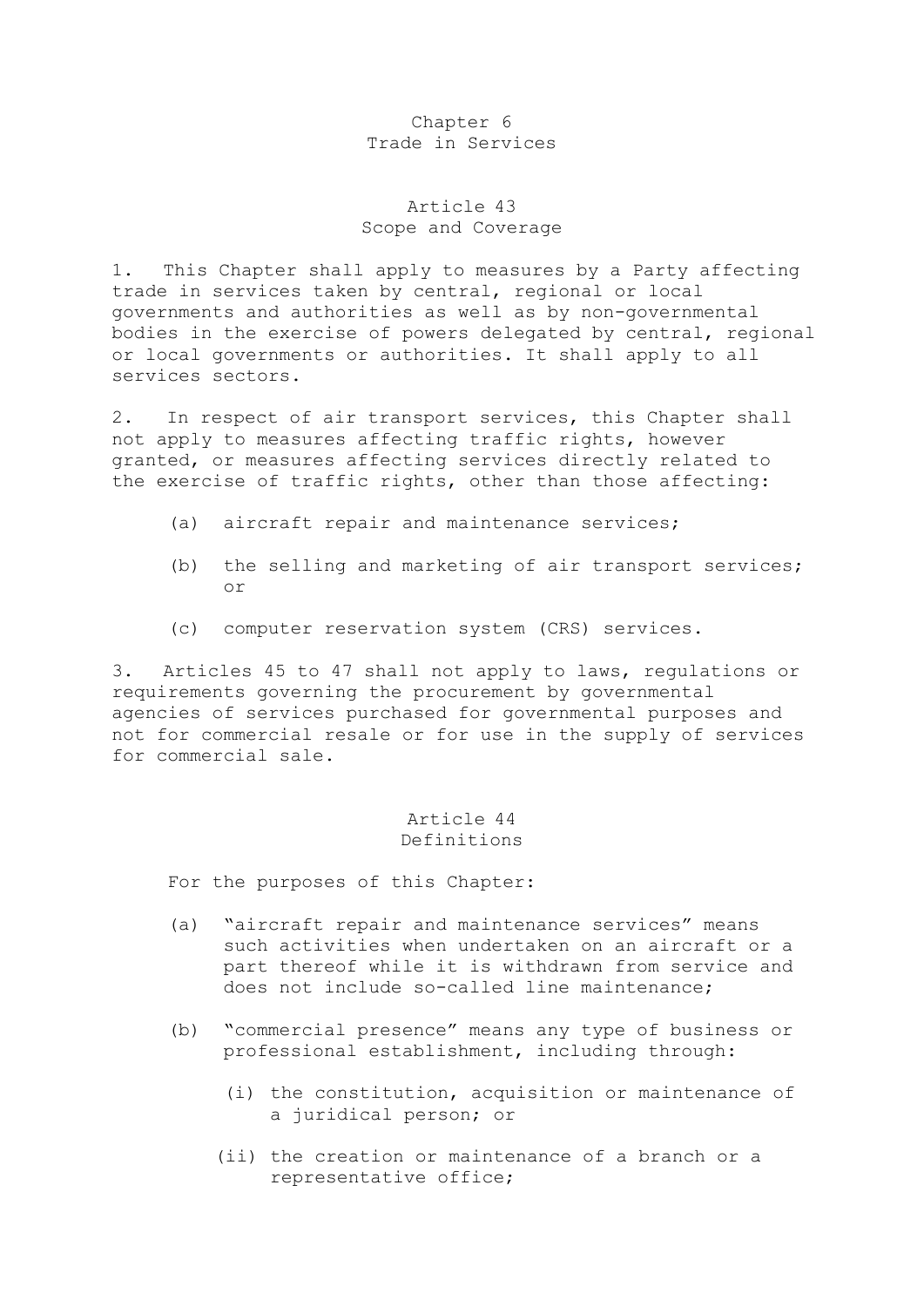### Chapter 6 Trade in Services

### Article 43 Scope and Coverage

1. This Chapter shall apply to measures by a Party affecting trade in services taken by central, regional or local governments and authorities as well as by non-governmental bodies in the exercise of powers delegated by central, regional or local governments or authorities. It shall apply to all services sectors.

2. In respect of air transport services, this Chapter shall not apply to measures affecting traffic rights, however granted, or measures affecting services directly related to the exercise of traffic rights, other than those affecting:

- (a) aircraft repair and maintenance services;
- (b) the selling and marketing of air transport services; or
- (c) computer reservation system (CRS) services.

3. Articles 45 to 47 shall not apply to laws, regulations or requirements governing the procurement by governmental agencies of services purchased for governmental purposes and not for commercial resale or for use in the supply of services for commercial sale.

#### Article 44 Definitions

For the purposes of this Chapter:

- (a) "aircraft repair and maintenance services" means such activities when undertaken on an aircraft or a part thereof while it is withdrawn from service and does not include so-called line maintenance;
- (b) "commercial presence" means any type of business or professional establishment, including through:
	- (i) the constitution, acquisition or maintenance of a juridical person; or
	- (ii) the creation or maintenance of a branch or a representative office;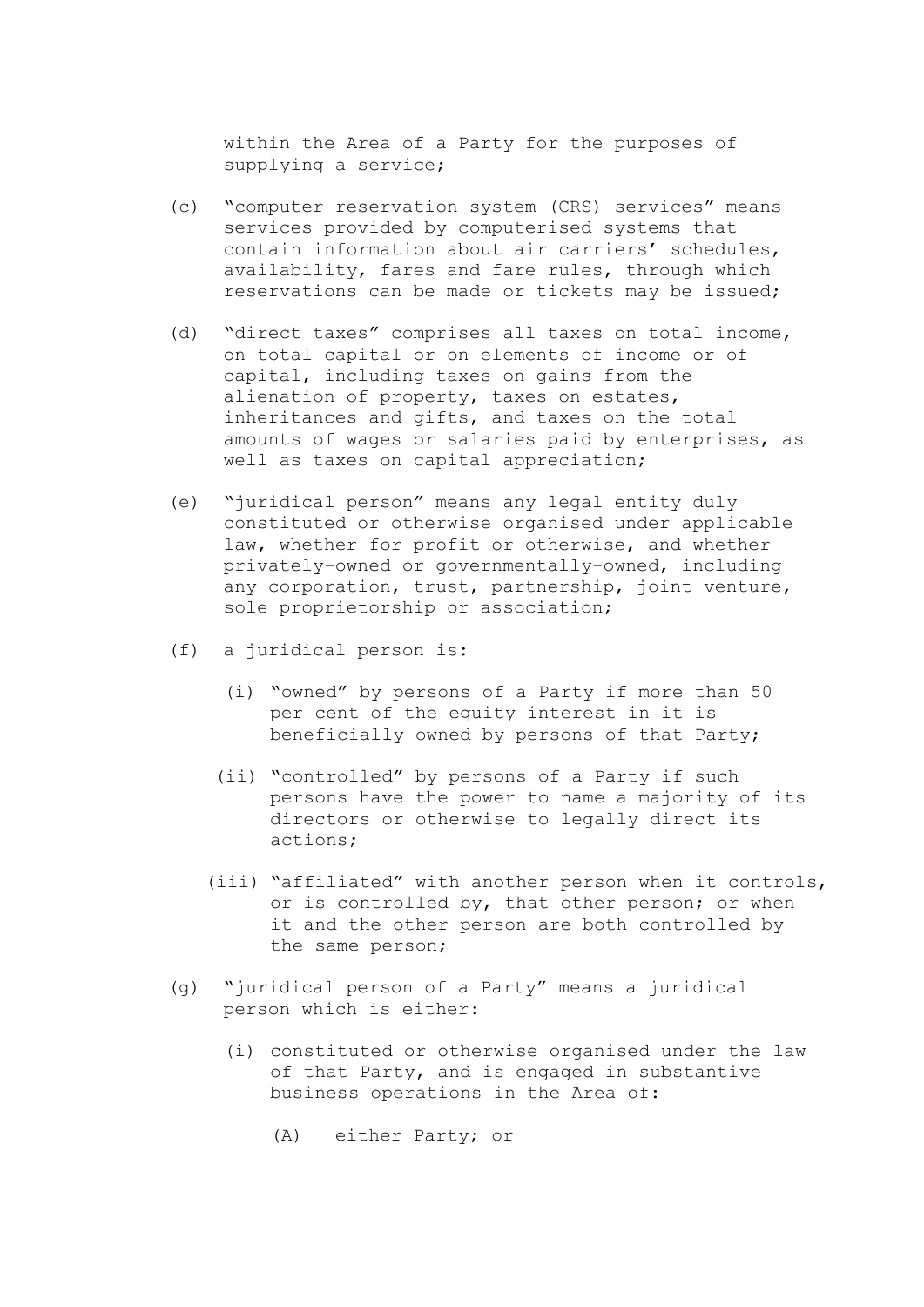within the Area of a Party for the purposes of supplying a service;

- (c) "computer reservation system (CRS) services" means services provided by computerised systems that contain information about air carriers' schedules, availability, fares and fare rules, through which reservations can be made or tickets may be issued;
- (d) "direct taxes" comprises all taxes on total income, on total capital or on elements of income or of capital, including taxes on gains from the alienation of property, taxes on estates, inheritances and gifts, and taxes on the total amounts of wages or salaries paid by enterprises, as well as taxes on capital appreciation;
- (e) "juridical person" means any legal entity duly constituted or otherwise organised under applicable law, whether for profit or otherwise, and whether privately-owned or governmentally-owned, including any corporation, trust, partnership, joint venture, sole proprietorship or association;
- (f) a juridical person is:
	- (i) "owned" by persons of a Party if more than 50 per cent of the equity interest in it is beneficially owned by persons of that Party;
	- (ii) "controlled" by persons of a Party if such persons have the power to name a majority of its directors or otherwise to legally direct its actions;
	- (iii) "affiliated" with another person when it controls, or is controlled by, that other person; or when it and the other person are both controlled by the same person;
- (g) "juridical person of a Party" means a juridical person which is either:
	- (i) constituted or otherwise organised under the law of that Party, and is engaged in substantive business operations in the Area of:
		- (A) either Party; or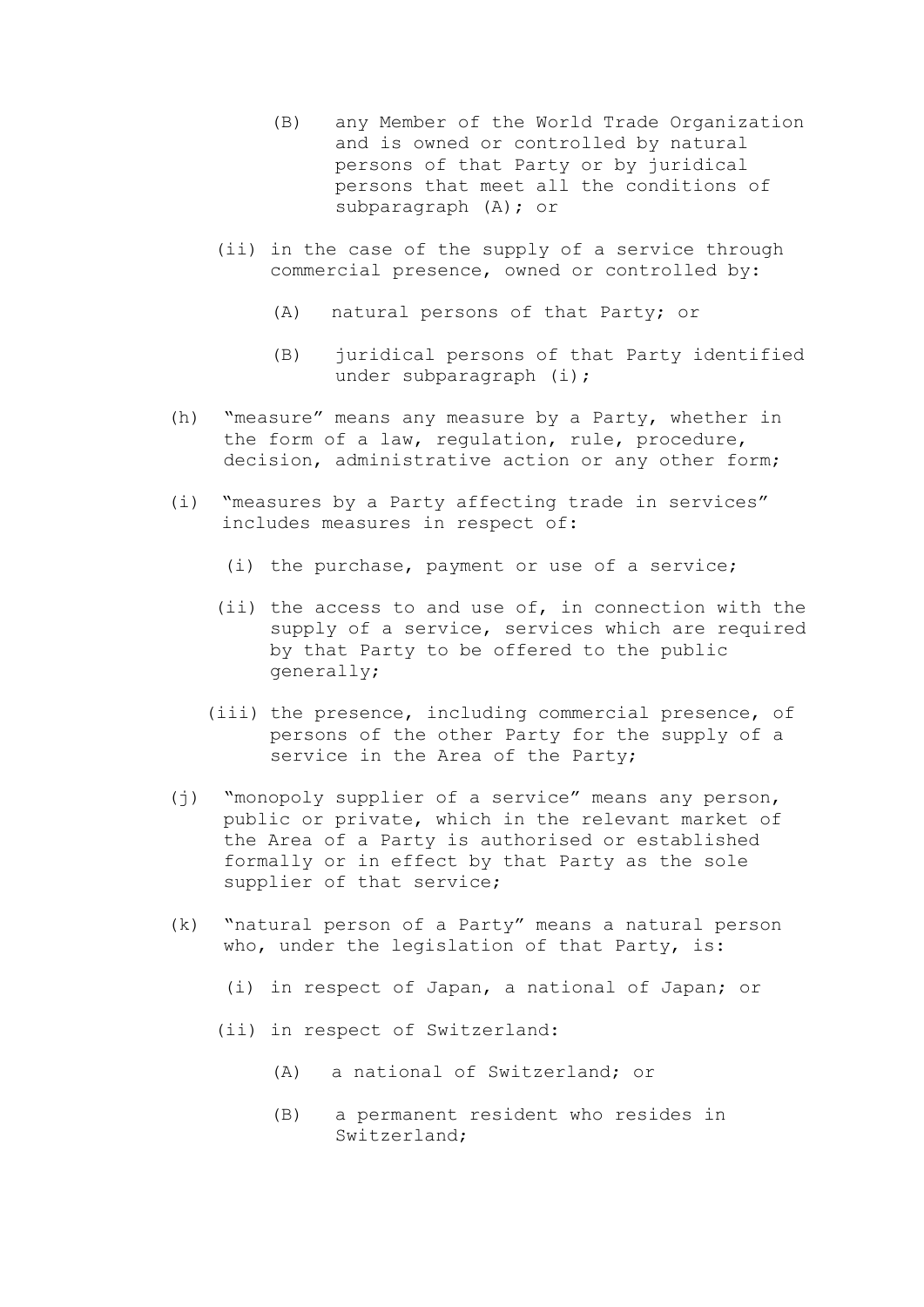- (B) any Member of the World Trade Organization and is owned or controlled by natural persons of that Party or by juridical persons that meet all the conditions of subparagraph (A); or
- (ii) in the case of the supply of a service through commercial presence, owned or controlled by:
	- (A) natural persons of that Party; or
	- (B) juridical persons of that Party identified under subparagraph (i);
- (h) "measure" means any measure by a Party, whether in the form of a law, regulation, rule, procedure, decision, administrative action or any other form;
- (i) "measures by a Party affecting trade in services" includes measures in respect of:
	- (i) the purchase, payment or use of a service;
	- (ii) the access to and use of, in connection with the supply of a service, services which are required by that Party to be offered to the public generally;
	- (iii) the presence, including commercial presence, of persons of the other Party for the supply of a service in the Area of the Party;
- (j) "monopoly supplier of a service" means any person, public or private, which in the relevant market of the Area of a Party is authorised or established formally or in effect by that Party as the sole supplier of that service;
- (k) "natural person of a Party" means a natural person who, under the legislation of that Party, is:
	- (i) in respect of Japan, a national of Japan; or
	- (ii) in respect of Switzerland:
		- (A) a national of Switzerland; or
		- (B) a permanent resident who resides in Switzerland;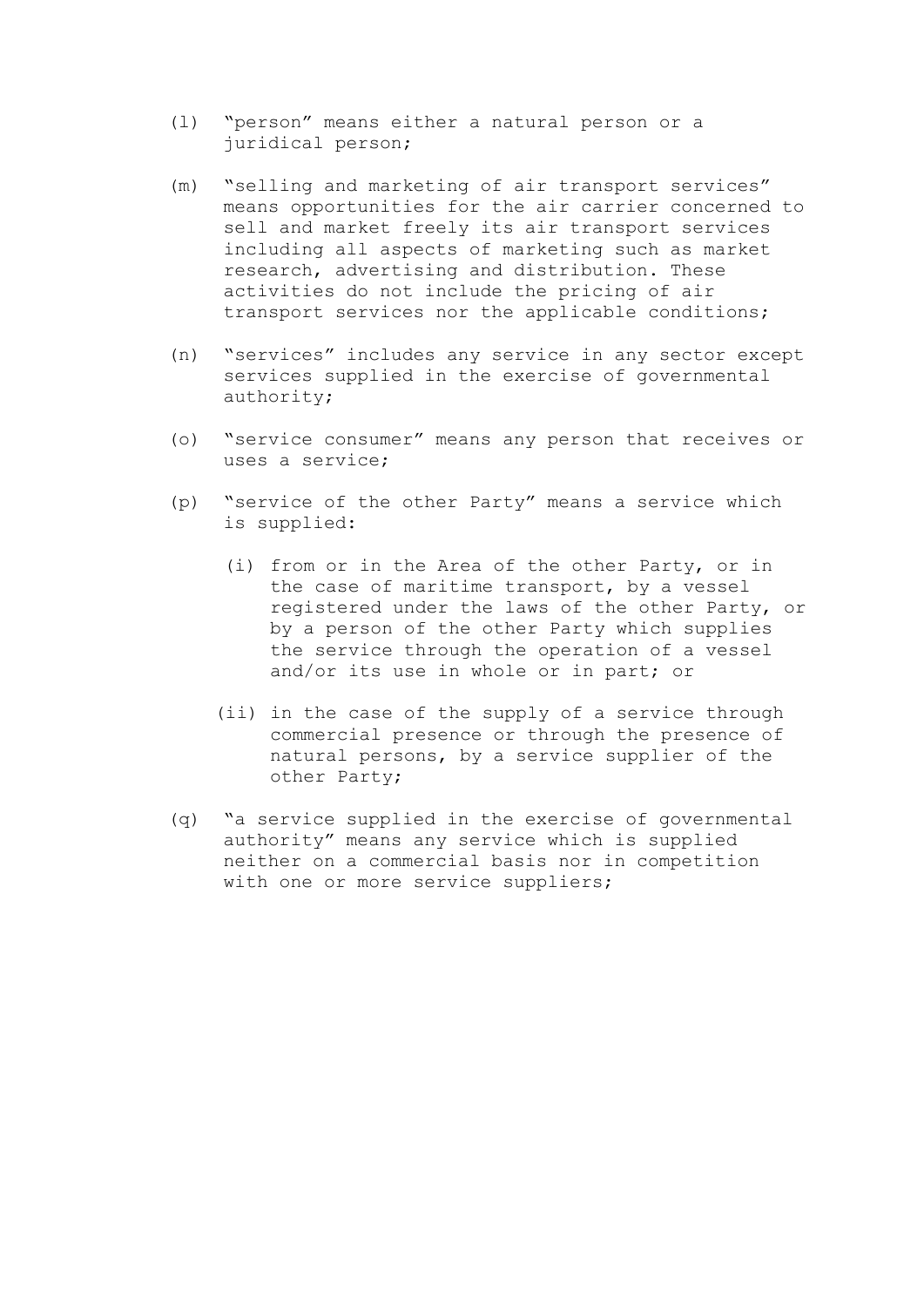- (l) "person" means either a natural person or a juridical person;
- (m) "selling and marketing of air transport services" means opportunities for the air carrier concerned to sell and market freely its air transport services including all aspects of marketing such as market research, advertising and distribution. These activities do not include the pricing of air transport services nor the applicable conditions;
- (n) "services" includes any service in any sector except services supplied in the exercise of governmental authority;
- (o) "service consumer" means any person that receives or uses a service;
- (p) "service of the other Party" means a service which is supplied:
	- (i) from or in the Area of the other Party, or in the case of maritime transport, by a vessel registered under the laws of the other Party, or by a person of the other Party which supplies the service through the operation of a vessel and/or its use in whole or in part; or
	- (ii) in the case of the supply of a service through commercial presence or through the presence of natural persons, by a service supplier of the other Party;
- (q) "a service supplied in the exercise of governmental authority" means any service which is supplied neither on a commercial basis nor in competition with one or more service suppliers;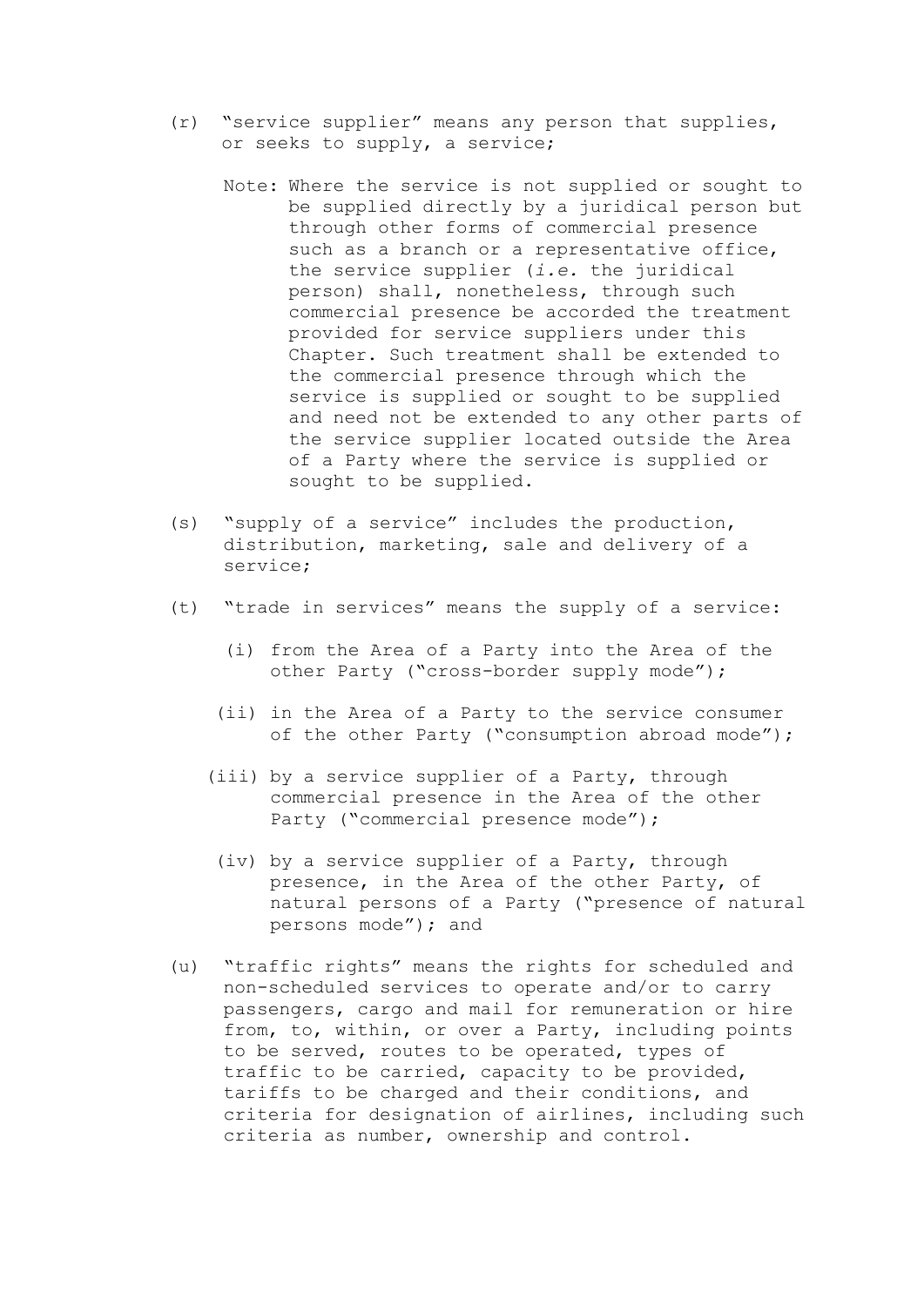- (r) "service supplier" means any person that supplies, or seeks to supply, a service;
	- Note: Where the service is not supplied or sought to be supplied directly by a juridical person but through other forms of commercial presence such as a branch or a representative office, the service supplier (*i.e.* the juridical person) shall, nonetheless, through such commercial presence be accorded the treatment provided for service suppliers under this Chapter. Such treatment shall be extended to the commercial presence through which the service is supplied or sought to be supplied and need not be extended to any other parts of the service supplier located outside the Area of a Party where the service is supplied or sought to be supplied.
- (s) "supply of a service" includes the production, distribution, marketing, sale and delivery of a service;
- (t) "trade in services" means the supply of a service:
	- (i) from the Area of a Party into the Area of the other Party ("cross-border supply mode");
	- (ii) in the Area of a Party to the service consumer of the other Party ("consumption abroad mode");
	- (iii) by a service supplier of a Party, through commercial presence in the Area of the other Party ("commercial presence mode");
		- (iv) by a service supplier of a Party, through presence, in the Area of the other Party, of natural persons of a Party ("presence of natural persons mode"); and
- (u) "traffic rights" means the rights for scheduled and non-scheduled services to operate and/or to carry passengers, cargo and mail for remuneration or hire from, to, within, or over a Party, including points to be served, routes to be operated, types of traffic to be carried, capacity to be provided, tariffs to be charged and their conditions, and criteria for designation of airlines, including such criteria as number, ownership and control.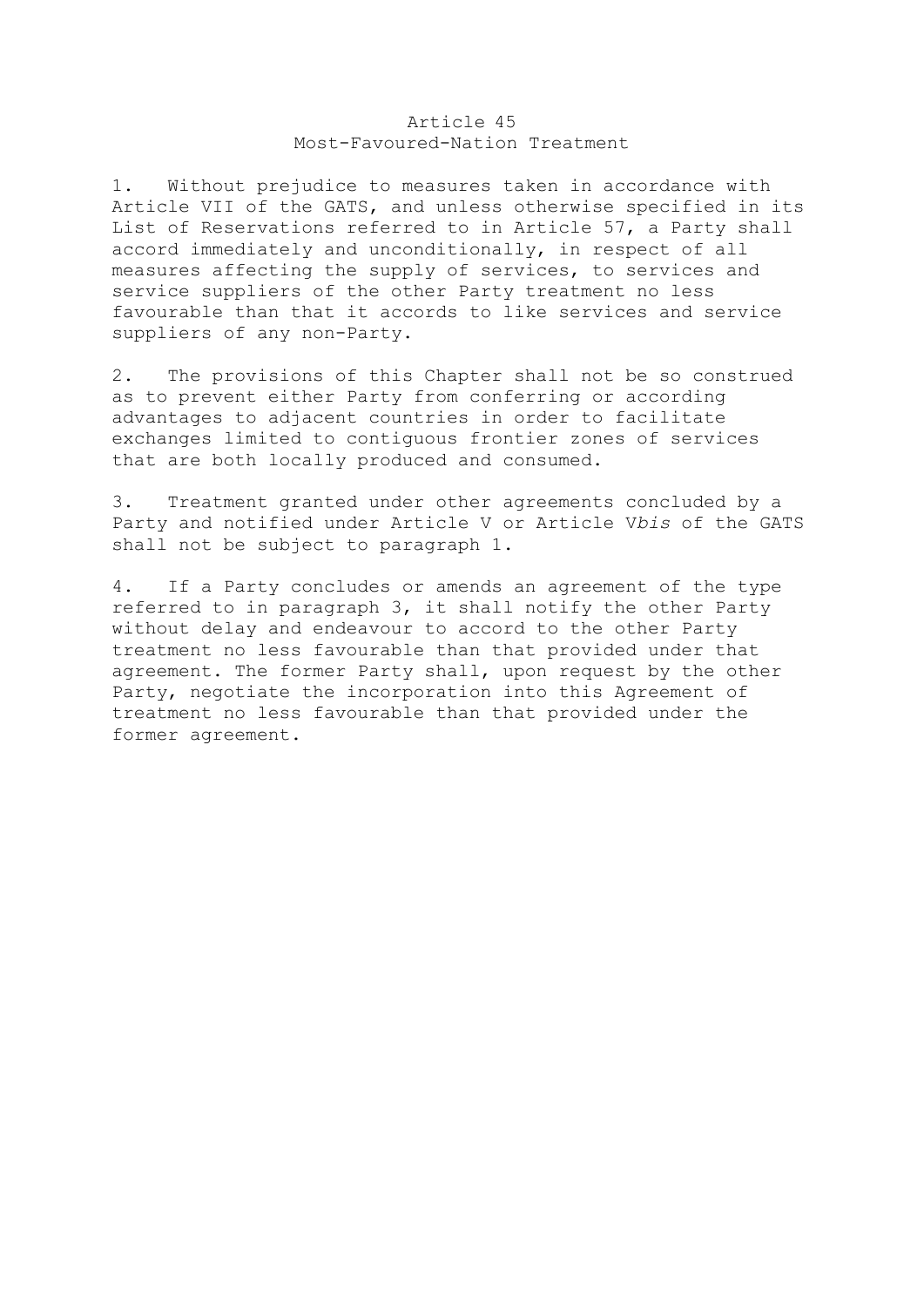#### Article 45 Most-Favoured-Nation Treatment

1. Without prejudice to measures taken in accordance with Article VII of the GATS, and unless otherwise specified in its List of Reservations referred to in Article 57, a Party shall accord immediately and unconditionally, in respect of all measures affecting the supply of services, to services and service suppliers of the other Party treatment no less favourable than that it accords to like services and service suppliers of any non-Party.

2. The provisions of this Chapter shall not be so construed as to prevent either Party from conferring or according advantages to adjacent countries in order to facilitate exchanges limited to contiguous frontier zones of services that are both locally produced and consumed.

3. Treatment granted under other agreements concluded by a Party and notified under Article V or Article V*bis* of the GATS shall not be subject to paragraph 1.

4. If a Party concludes or amends an agreement of the type referred to in paragraph 3, it shall notify the other Party without delay and endeavour to accord to the other Party treatment no less favourable than that provided under that agreement. The former Party shall, upon request by the other Party, negotiate the incorporation into this Agreement of treatment no less favourable than that provided under the former agreement.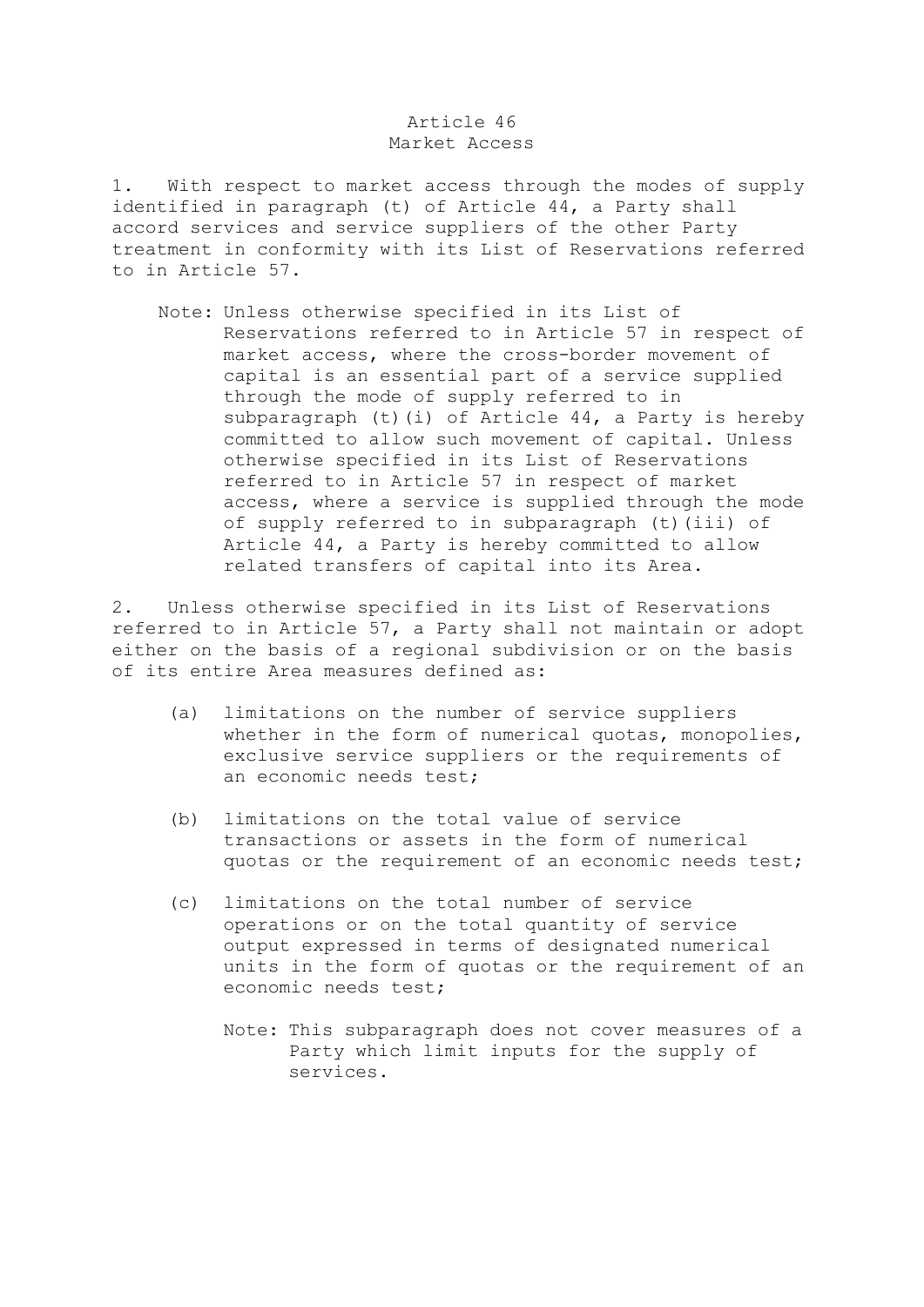#### Article 46 Market Access

1. With respect to market access through the modes of supply identified in paragraph (t) of Article 44, a Party shall accord services and service suppliers of the other Party treatment in conformity with its List of Reservations referred to in Article 57.

 Note: Unless otherwise specified in its List of Reservations referred to in Article 57 in respect of market access, where the cross-border movement of capital is an essential part of a service supplied through the mode of supply referred to in subparagraph (t)(i) of Article 44, a Party is hereby committed to allow such movement of capital. Unless otherwise specified in its List of Reservations referred to in Article 57 in respect of market access, where a service is supplied through the mode of supply referred to in subparagraph (t)(iii) of Article 44, a Party is hereby committed to allow related transfers of capital into its Area.

2. Unless otherwise specified in its List of Reservations referred to in Article 57, a Party shall not maintain or adopt either on the basis of a regional subdivision or on the basis of its entire Area measures defined as:

- (a) limitations on the number of service suppliers whether in the form of numerical quotas, monopolies, exclusive service suppliers or the requirements of an economic needs test;
- (b) limitations on the total value of service transactions or assets in the form of numerical quotas or the requirement of an economic needs test;
- (c) limitations on the total number of service operations or on the total quantity of service output expressed in terms of designated numerical units in the form of quotas or the requirement of an economic needs test;
	- Note: This subparagraph does not cover measures of a Party which limit inputs for the supply of services.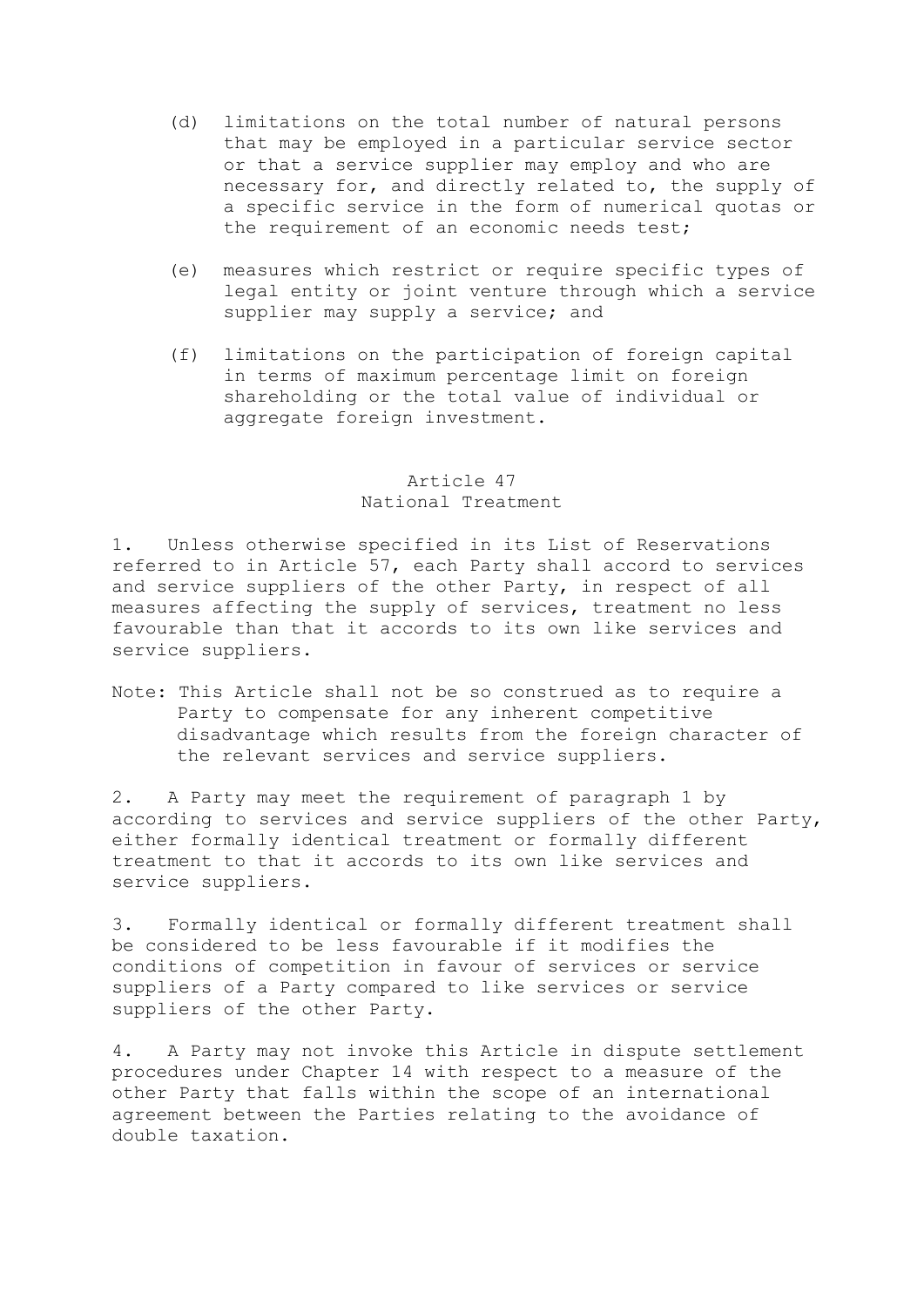- (d) limitations on the total number of natural persons that may be employed in a particular service sector or that a service supplier may employ and who are necessary for, and directly related to, the supply of a specific service in the form of numerical quotas or the requirement of an economic needs test;
- (e) measures which restrict or require specific types of legal entity or joint venture through which a service supplier may supply a service; and
- (f) limitations on the participation of foreign capital in terms of maximum percentage limit on foreign shareholding or the total value of individual or aggregate foreign investment.

## Article 47 National Treatment

1. Unless otherwise specified in its List of Reservations referred to in Article 57, each Party shall accord to services and service suppliers of the other Party, in respect of all measures affecting the supply of services, treatment no less favourable than that it accords to its own like services and service suppliers.

Note: This Article shall not be so construed as to require a Party to compensate for any inherent competitive disadvantage which results from the foreign character of the relevant services and service suppliers.

2. A Party may meet the requirement of paragraph 1 by according to services and service suppliers of the other Party, either formally identical treatment or formally different treatment to that it accords to its own like services and service suppliers.

3. Formally identical or formally different treatment shall be considered to be less favourable if it modifies the conditions of competition in favour of services or service suppliers of a Party compared to like services or service suppliers of the other Party.

4. A Party may not invoke this Article in dispute settlement procedures under Chapter 14 with respect to a measure of the other Party that falls within the scope of an international agreement between the Parties relating to the avoidance of double taxation.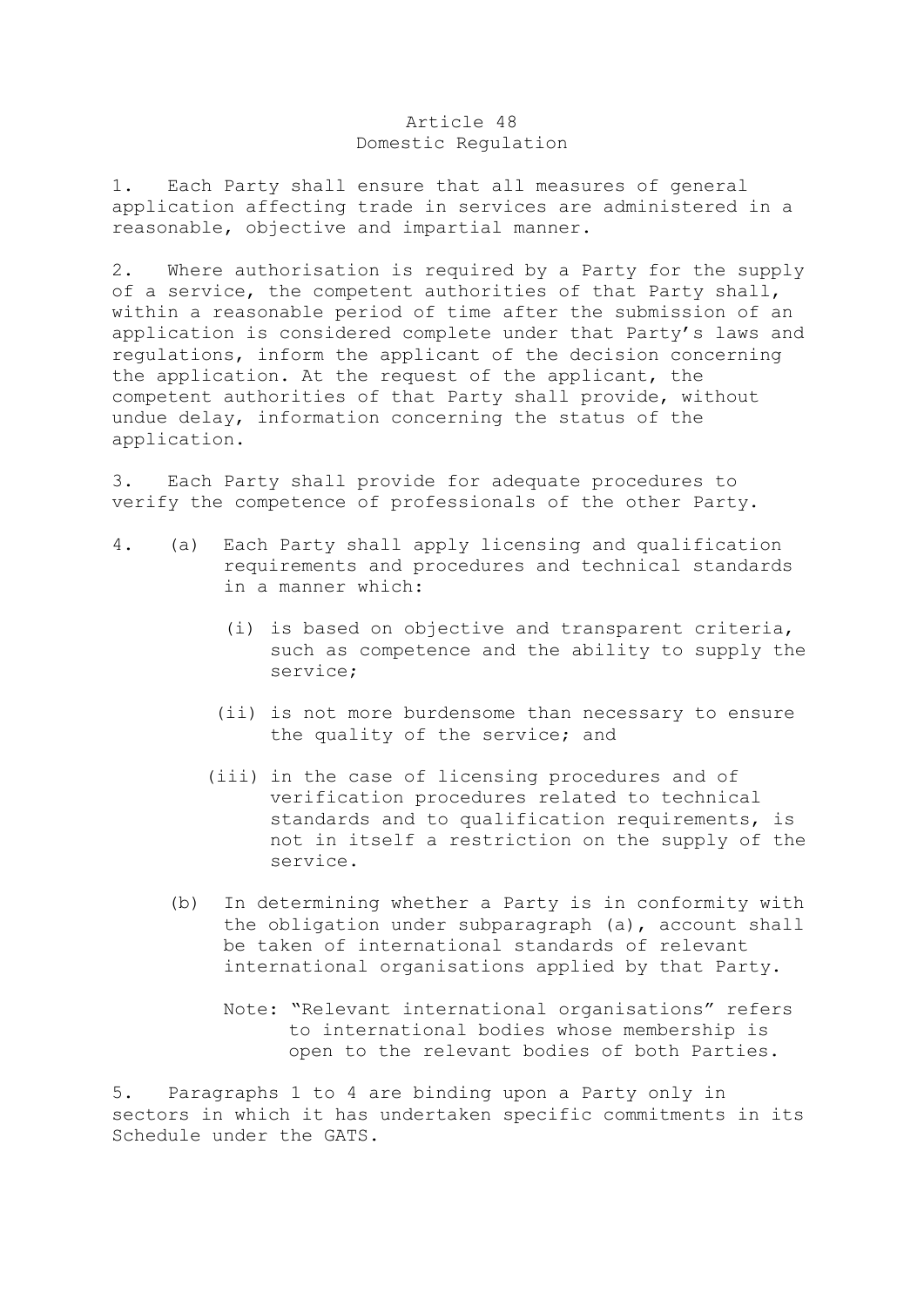# Article 48 Domestic Regulation

1. Each Party shall ensure that all measures of general application affecting trade in services are administered in a reasonable, objective and impartial manner.

2. Where authorisation is required by a Party for the supply of a service, the competent authorities of that Party shall, within a reasonable period of time after the submission of an application is considered complete under that Party's laws and regulations, inform the applicant of the decision concerning the application. At the request of the applicant, the competent authorities of that Party shall provide, without undue delay, information concerning the status of the application.

3. Each Party shall provide for adequate procedures to verify the competence of professionals of the other Party.

- 4. (a) Each Party shall apply licensing and qualification requirements and procedures and technical standards in a manner which:
	- (i) is based on objective and transparent criteria, such as competence and the ability to supply the service;
	- (ii) is not more burdensome than necessary to ensure the quality of the service; and
	- (iii) in the case of licensing procedures and of verification procedures related to technical standards and to qualification requirements, is not in itself a restriction on the supply of the service.
	- (b) In determining whether a Party is in conformity with the obligation under subparagraph (a), account shall be taken of international standards of relevant international organisations applied by that Party.
		- Note: "Relevant international organisations" refers to international bodies whose membership is open to the relevant bodies of both Parties.

5. Paragraphs 1 to 4 are binding upon a Party only in sectors in which it has undertaken specific commitments in its Schedule under the GATS.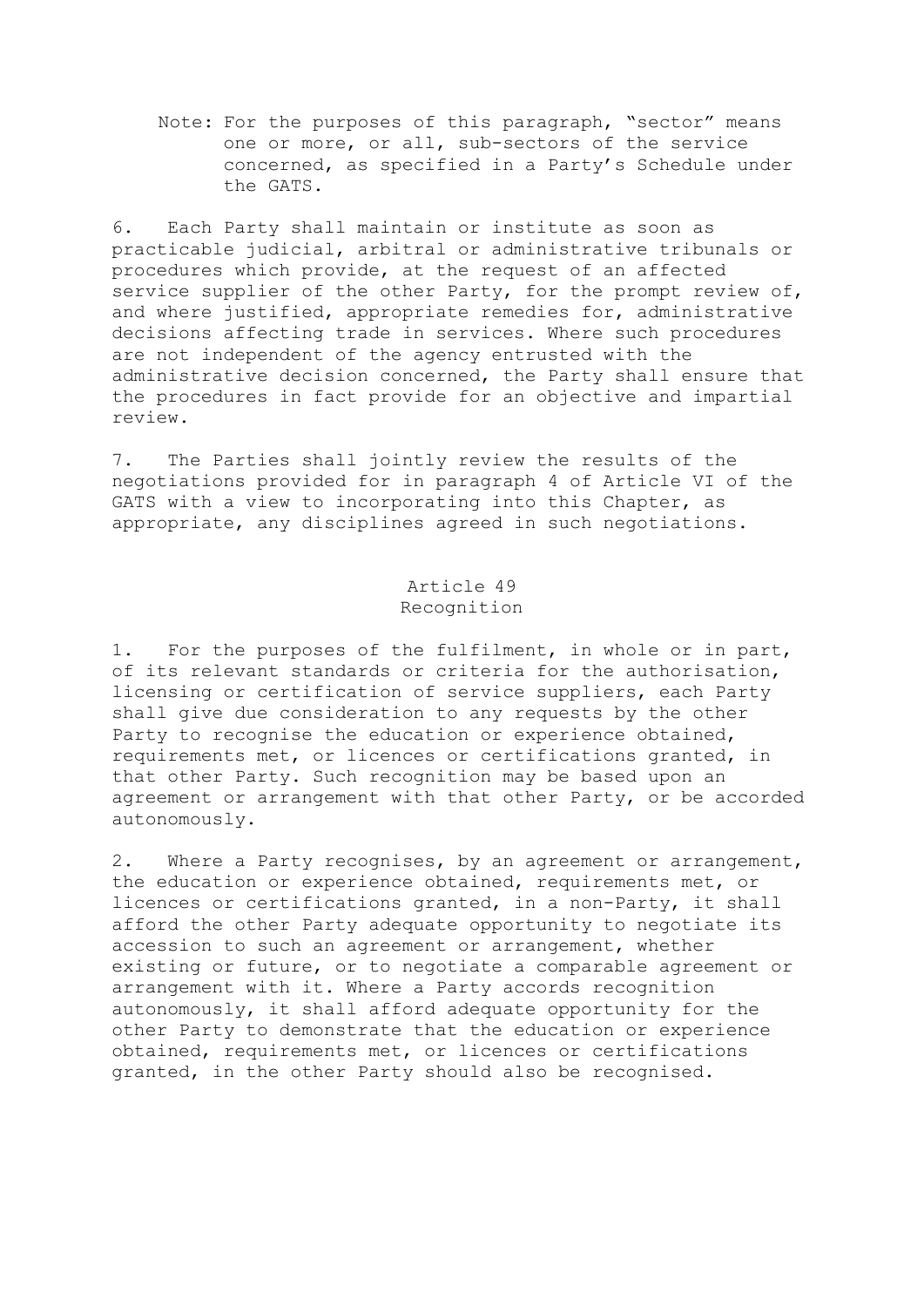Note: For the purposes of this paragraph, "sector" means one or more, or all, sub-sectors of the service concerned, as specified in a Party's Schedule under the GATS.

6. Each Party shall maintain or institute as soon as practicable judicial, arbitral or administrative tribunals or procedures which provide, at the request of an affected service supplier of the other Party, for the prompt review of, and where justified, appropriate remedies for, administrative decisions affecting trade in services. Where such procedures are not independent of the agency entrusted with the administrative decision concerned, the Party shall ensure that the procedures in fact provide for an objective and impartial review.

7. The Parties shall jointly review the results of the negotiations provided for in paragraph 4 of Article VI of the GATS with a view to incorporating into this Chapter, as appropriate, any disciplines agreed in such negotiations.

#### Article 49

# Recognition

1. For the purposes of the fulfilment, in whole or in part, of its relevant standards or criteria for the authorisation, licensing or certification of service suppliers, each Party shall give due consideration to any requests by the other Party to recognise the education or experience obtained, requirements met, or licences or certifications granted, in that other Party. Such recognition may be based upon an agreement or arrangement with that other Party, or be accorded autonomously.

2. Where a Party recognises, by an agreement or arrangement, the education or experience obtained, requirements met, or licences or certifications granted, in a non-Party, it shall afford the other Party adequate opportunity to negotiate its accession to such an agreement or arrangement, whether existing or future, or to negotiate a comparable agreement or arrangement with it. Where a Party accords recognition autonomously, it shall afford adequate opportunity for the other Party to demonstrate that the education or experience obtained, requirements met, or licences or certifications granted, in the other Party should also be recognised.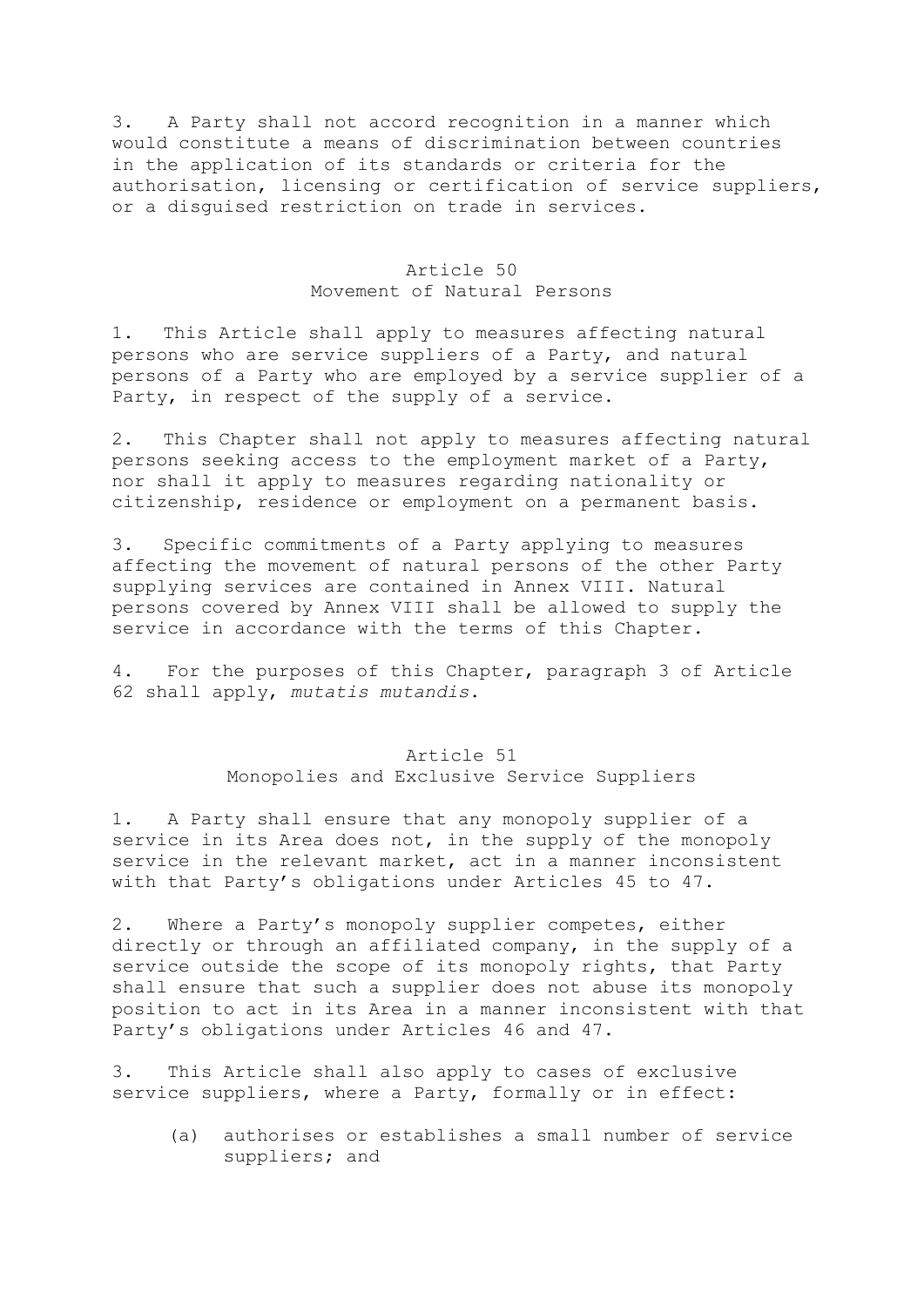3. A Party shall not accord recognition in a manner which would constitute a means of discrimination between countries in the application of its standards or criteria for the authorisation, licensing or certification of service suppliers, or a disguised restriction on trade in services.

# Article 50 Movement of Natural Persons

1. This Article shall apply to measures affecting natural persons who are service suppliers of a Party, and natural persons of a Party who are employed by a service supplier of a Party, in respect of the supply of a service.

2. This Chapter shall not apply to measures affecting natural persons seeking access to the employment market of a Party, nor shall it apply to measures regarding nationality or citizenship, residence or employment on a permanent basis.

3. Specific commitments of a Party applying to measures affecting the movement of natural persons of the other Party supplying services are contained in Annex VIII. Natural persons covered by Annex VIII shall be allowed to supply the service in accordance with the terms of this Chapter.

4. For the purposes of this Chapter, paragraph 3 of Article 62 shall apply, *mutatis mutandis*.

#### Article 51

Monopolies and Exclusive Service Suppliers

1. A Party shall ensure that any monopoly supplier of a service in its Area does not, in the supply of the monopoly service in the relevant market, act in a manner inconsistent with that Party's obligations under Articles 45 to 47.

2. Where a Party's monopoly supplier competes, either directly or through an affiliated company, in the supply of a service outside the scope of its monopoly rights, that Party shall ensure that such a supplier does not abuse its monopoly position to act in its Area in a manner inconsistent with that Party's obligations under Articles 46 and 47.

3. This Article shall also apply to cases of exclusive service suppliers, where a Party, formally or in effect:

 (a) authorises or establishes a small number of service suppliers; and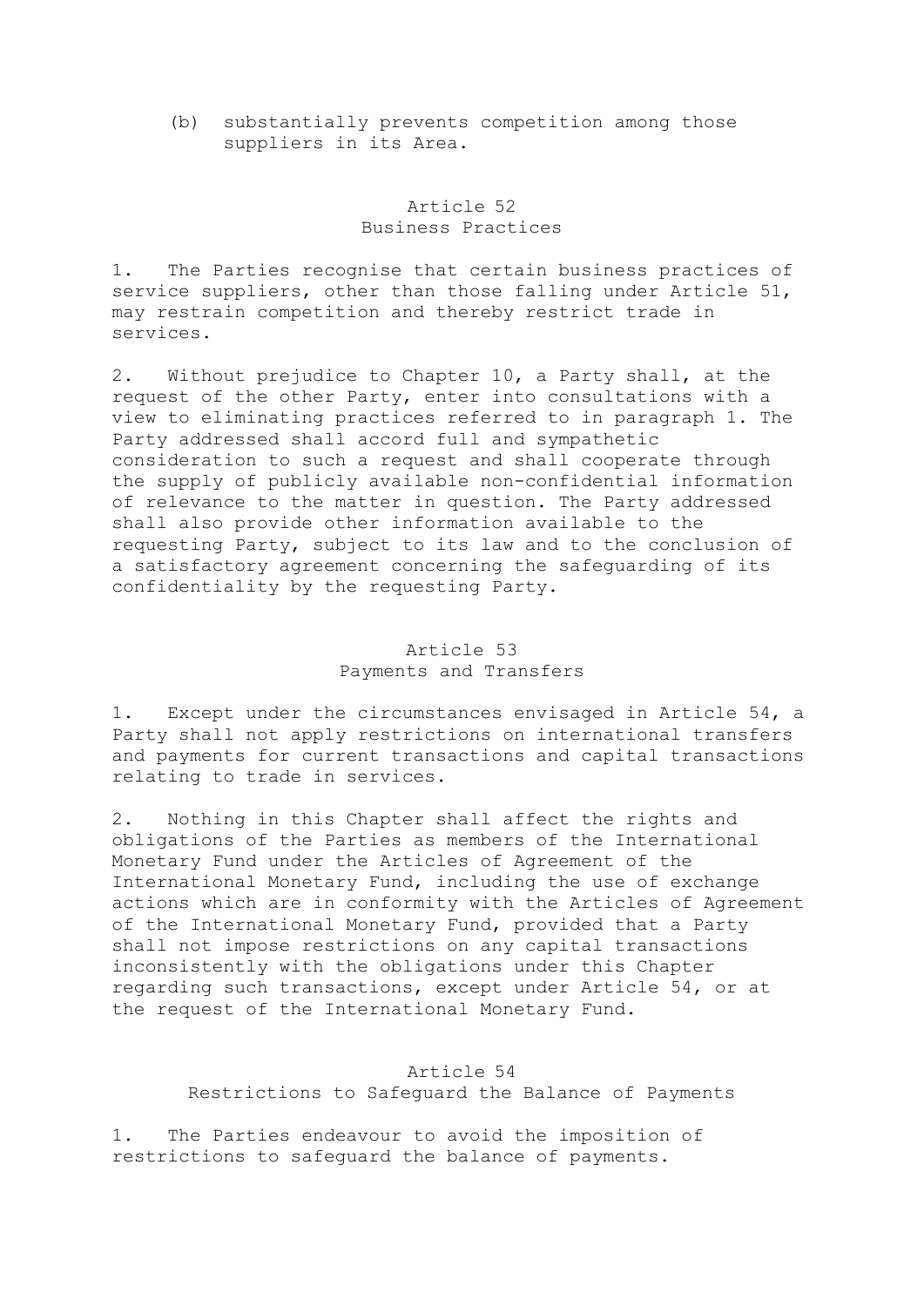## (b) substantially prevents competition among those suppliers in its Area.

# Article 52 Business Practices

1. The Parties recognise that certain business practices of service suppliers, other than those falling under Article 51, may restrain competition and thereby restrict trade in services.

2. Without prejudice to Chapter 10, a Party shall, at the request of the other Party, enter into consultations with a view to eliminating practices referred to in paragraph 1. The Party addressed shall accord full and sympathetic consideration to such a request and shall cooperate through the supply of publicly available non-confidential information of relevance to the matter in question. The Party addressed shall also provide other information available to the requesting Party, subject to its law and to the conclusion of a satisfactory agreement concerning the safeguarding of its confidentiality by the requesting Party.

# Article 53 Payments and Transfers

1. Except under the circumstances envisaged in Article 54, a Party shall not apply restrictions on international transfers and payments for current transactions and capital transactions relating to trade in services.

2. Nothing in this Chapter shall affect the rights and obligations of the Parties as members of the International Monetary Fund under the Articles of Agreement of the International Monetary Fund, including the use of exchange actions which are in conformity with the Articles of Agreement of the International Monetary Fund, provided that a Party shall not impose restrictions on any capital transactions inconsistently with the obligations under this Chapter regarding such transactions, except under Article 54, or at the request of the International Monetary Fund.

# Article 54 Restrictions to Safeguard the Balance of Payments

1. The Parties endeavour to avoid the imposition of restrictions to safeguard the balance of payments.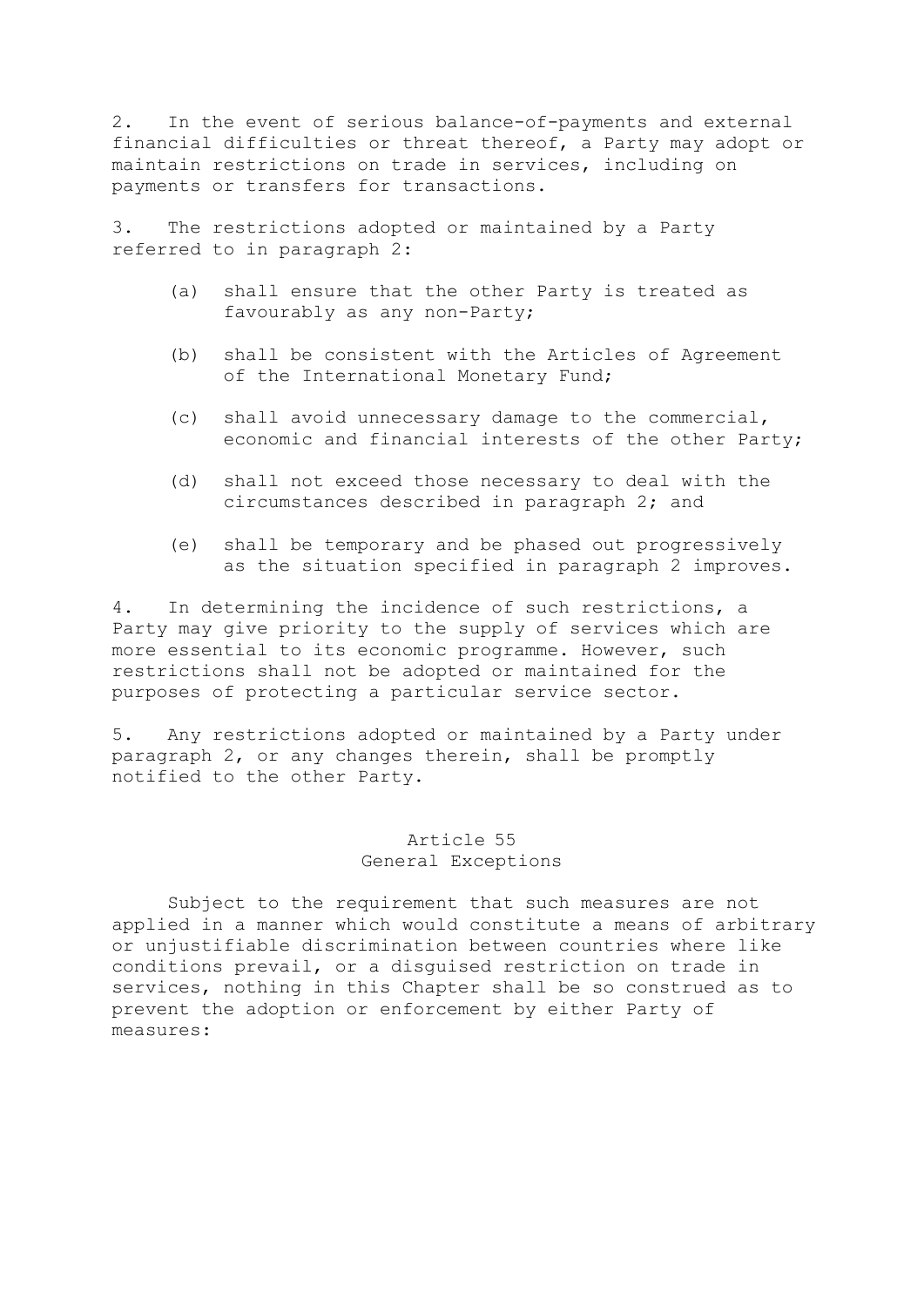2. In the event of serious balance-of-payments and external financial difficulties or threat thereof, a Party may adopt or maintain restrictions on trade in services, including on payments or transfers for transactions.

3. The restrictions adopted or maintained by a Party referred to in paragraph 2:

- (a) shall ensure that the other Party is treated as favourably as any non-Party;
- (b) shall be consistent with the Articles of Agreement of the International Monetary Fund;
- (c) shall avoid unnecessary damage to the commercial, economic and financial interests of the other Party;
- (d) shall not exceed those necessary to deal with the circumstances described in paragraph 2; and
- (e) shall be temporary and be phased out progressively as the situation specified in paragraph 2 improves.

4. In determining the incidence of such restrictions, a Party may give priority to the supply of services which are more essential to its economic programme. However, such restrictions shall not be adopted or maintained for the purposes of protecting a particular service sector.

5. Any restrictions adopted or maintained by a Party under paragraph 2, or any changes therein, shall be promptly notified to the other Party.

# Article 55 General Exceptions

 Subject to the requirement that such measures are not applied in a manner which would constitute a means of arbitrary or unjustifiable discrimination between countries where like conditions prevail, or a disguised restriction on trade in services, nothing in this Chapter shall be so construed as to prevent the adoption or enforcement by either Party of measures: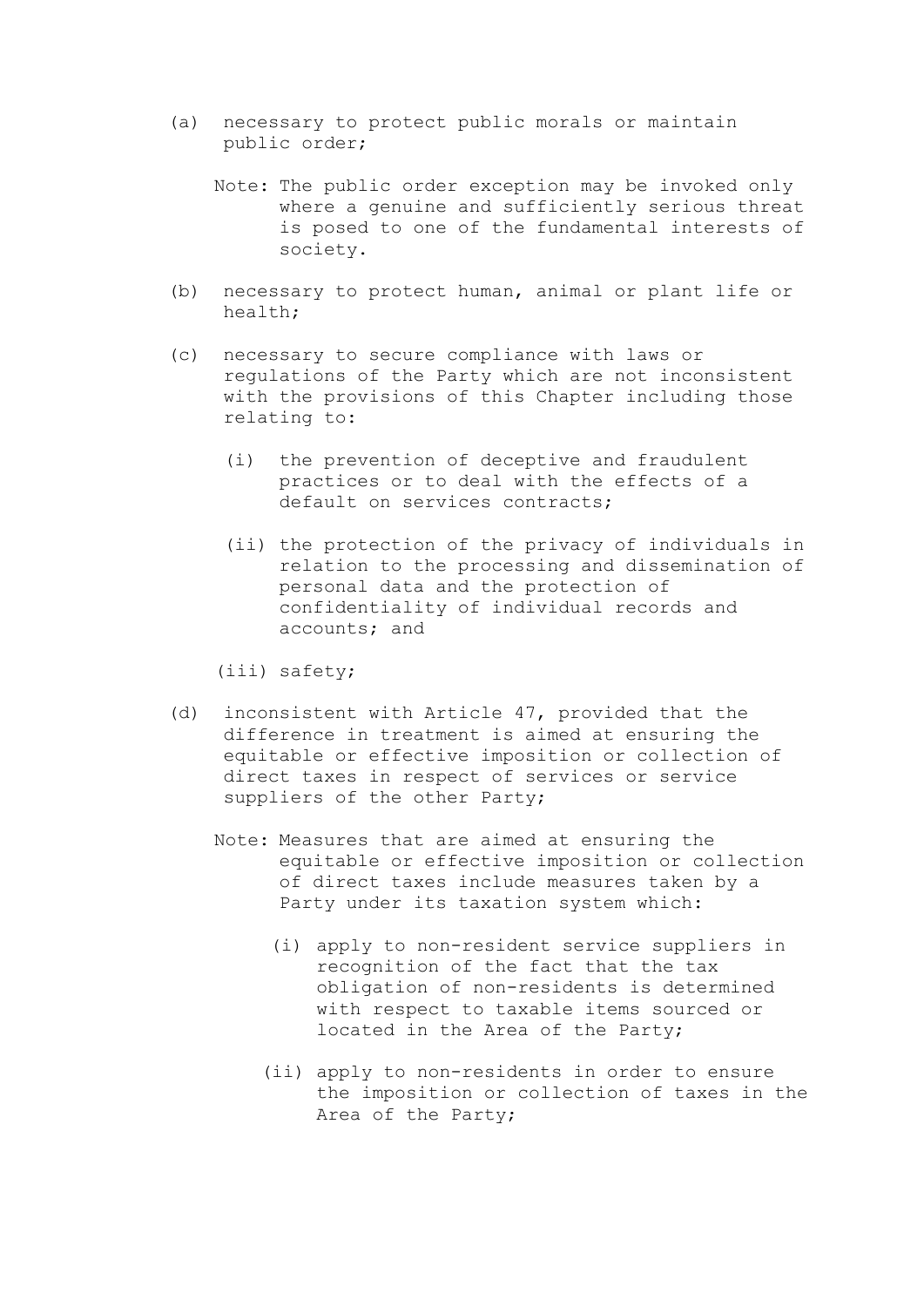- (a) necessary to protect public morals or maintain public order;
	- Note: The public order exception may be invoked only where a genuine and sufficiently serious threat is posed to one of the fundamental interests of society.
- (b) necessary to protect human, animal or plant life or health;
- (c) necessary to secure compliance with laws or regulations of the Party which are not inconsistent with the provisions of this Chapter including those relating to:
	- (i) the prevention of deceptive and fraudulent practices or to deal with the effects of a default on services contracts;
	- (ii) the protection of the privacy of individuals in relation to the processing and dissemination of personal data and the protection of confidentiality of individual records and accounts; and

- (d) inconsistent with Article 47, provided that the difference in treatment is aimed at ensuring the equitable or effective imposition or collection of direct taxes in respect of services or service suppliers of the other Party;
	- Note: Measures that are aimed at ensuring the equitable or effective imposition or collection of direct taxes include measures taken by a Party under its taxation system which:
		- (i) apply to non-resident service suppliers in recognition of the fact that the tax obligation of non-residents is determined with respect to taxable items sourced or located in the Area of the Party;
		- (ii) apply to non-residents in order to ensure the imposition or collection of taxes in the Area of the Party;

 <sup>(</sup>iii) safety;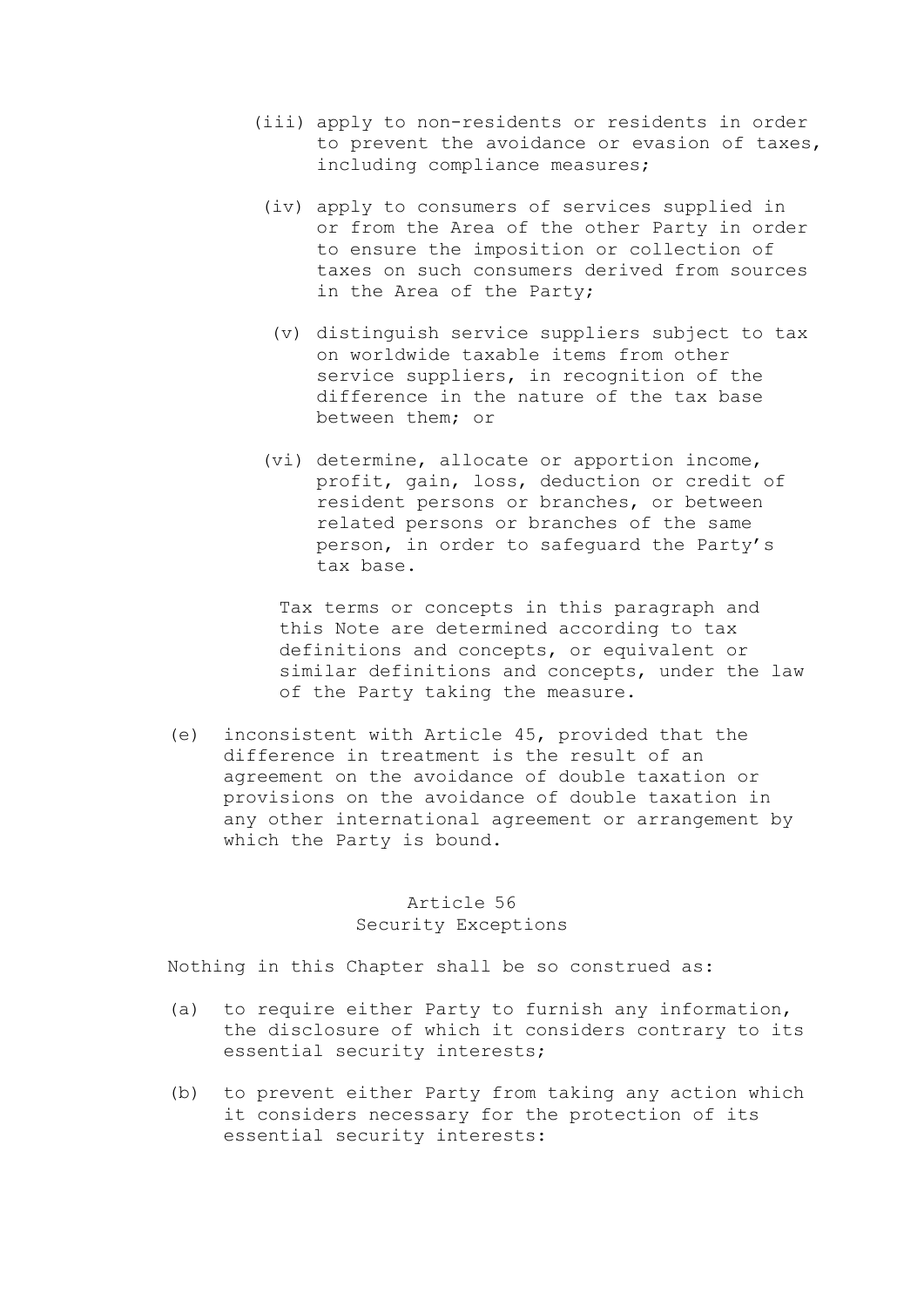- (iii) apply to non-residents or residents in order to prevent the avoidance or evasion of taxes, including compliance measures;
	- (iv) apply to consumers of services supplied in or from the Area of the other Party in order to ensure the imposition or collection of taxes on such consumers derived from sources in the Area of the Party;
		- (v) distinguish service suppliers subject to tax on worldwide taxable items from other service suppliers, in recognition of the difference in the nature of the tax base between them; or
	- (vi) determine, allocate or apportion income, profit, gain, loss, deduction or credit of resident persons or branches, or between related persons or branches of the same person, in order to safeguard the Party's tax base.

 Tax terms or concepts in this paragraph and this Note are determined according to tax definitions and concepts, or equivalent or similar definitions and concepts, under the law of the Party taking the measure.

 (e) inconsistent with Article 45, provided that the difference in treatment is the result of an agreement on the avoidance of double taxation or provisions on the avoidance of double taxation in any other international agreement or arrangement by which the Party is bound.

## Article 56 Security Exceptions

Nothing in this Chapter shall be so construed as:

- (a) to require either Party to furnish any information, the disclosure of which it considers contrary to its essential security interests;
- (b) to prevent either Party from taking any action which it considers necessary for the protection of its essential security interests: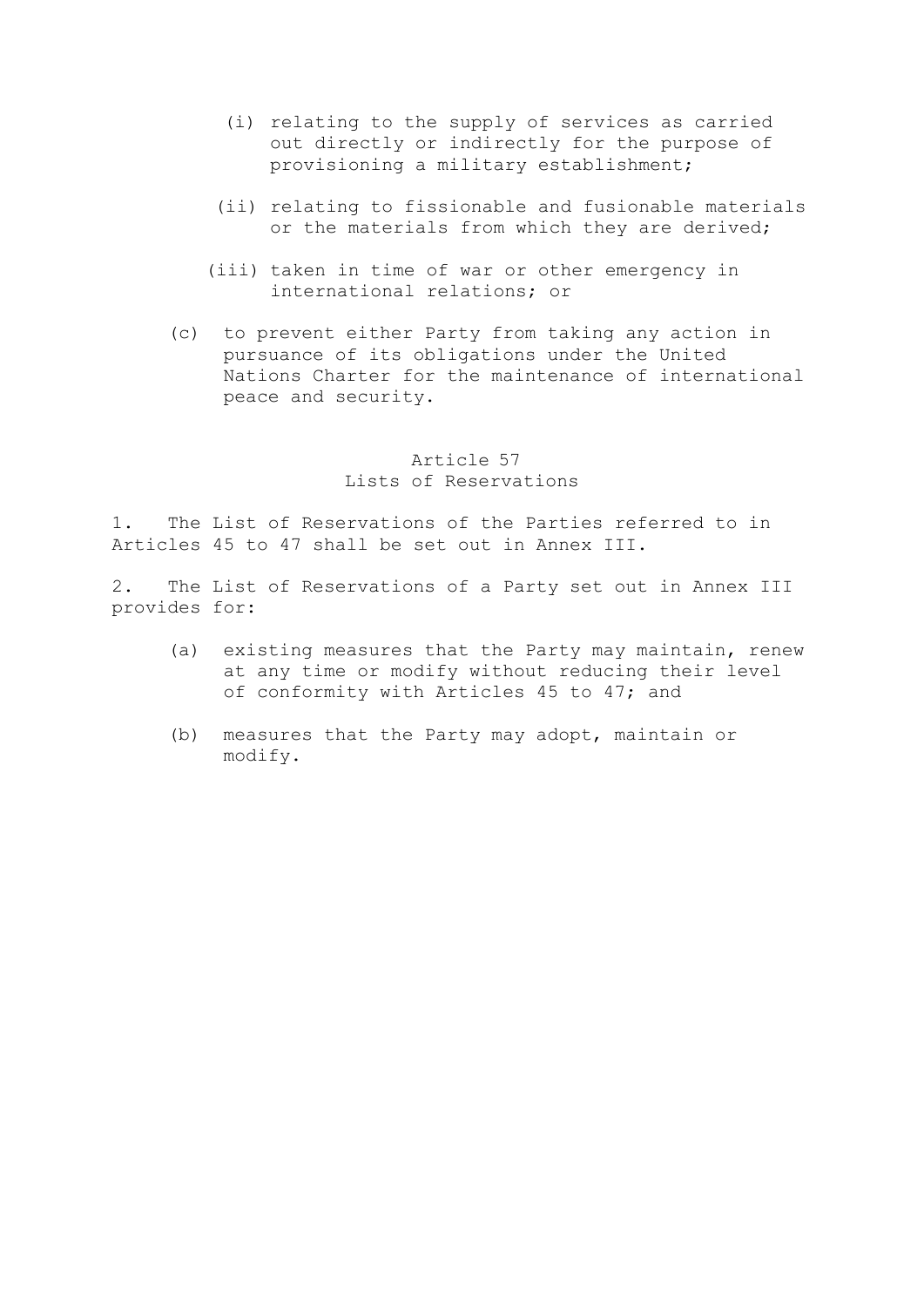- (i) relating to the supply of services as carried out directly or indirectly for the purpose of provisioning a military establishment;
- (ii) relating to fissionable and fusionable materials or the materials from which they are derived;
- (iii) taken in time of war or other emergency in international relations; or
- (c) to prevent either Party from taking any action in pursuance of its obligations under the United Nations Charter for the maintenance of international peace and security.

# Article 57 Lists of Reservations

1. The List of Reservations of the Parties referred to in Articles 45 to 47 shall be set out in Annex III.

2. The List of Reservations of a Party set out in Annex III provides for:

- (a) existing measures that the Party may maintain, renew at any time or modify without reducing their level of conformity with Articles 45 to 47; and
- (b) measures that the Party may adopt, maintain or modify.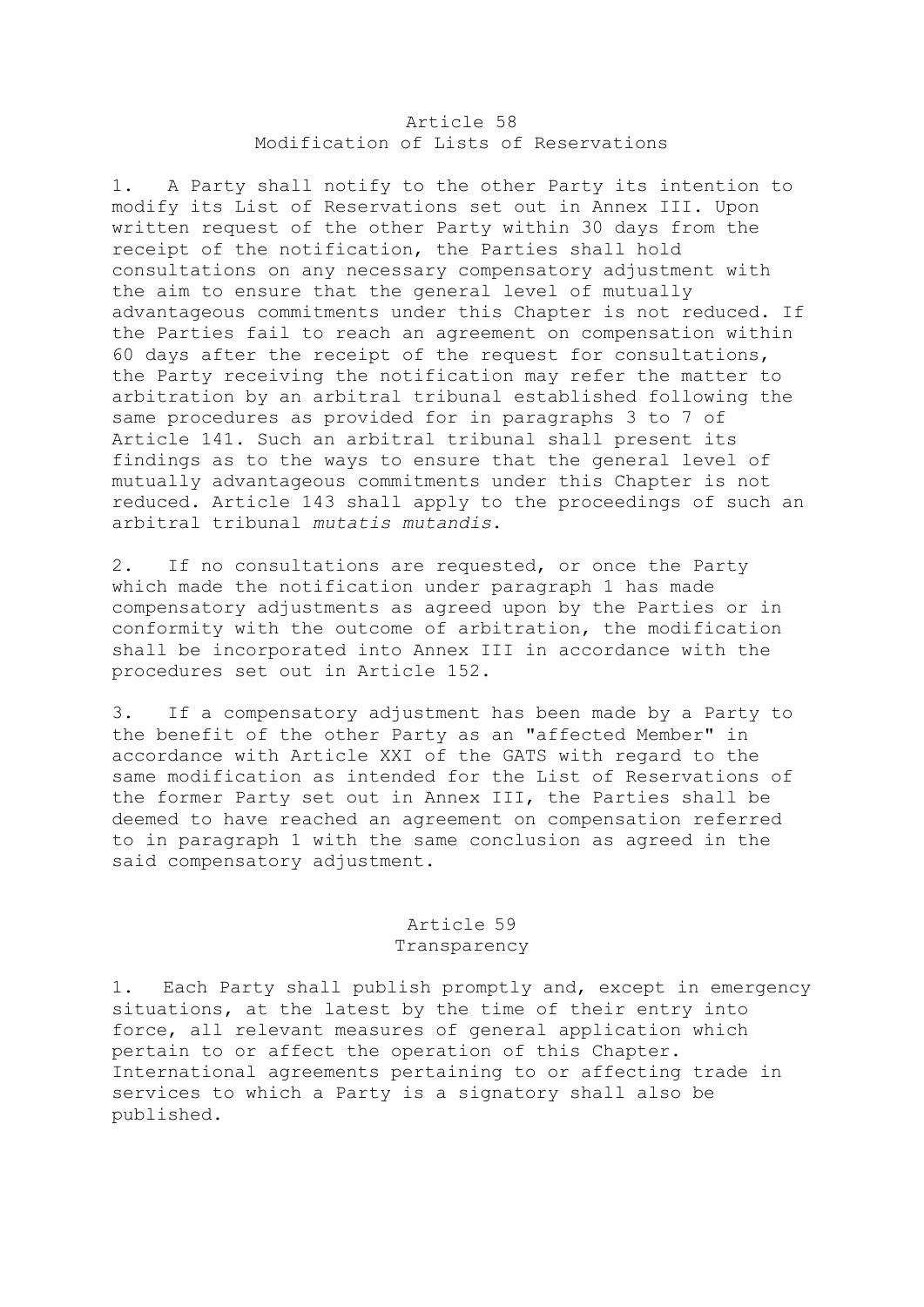#### Article 58 Modification of Lists of Reservations

1. A Party shall notify to the other Party its intention to modify its List of Reservations set out in Annex III. Upon written request of the other Party within 30 days from the receipt of the notification, the Parties shall hold consultations on any necessary compensatory adjustment with the aim to ensure that the general level of mutually advantageous commitments under this Chapter is not reduced. If the Parties fail to reach an agreement on compensation within 60 days after the receipt of the request for consultations, the Party receiving the notification may refer the matter to arbitration by an arbitral tribunal established following the same procedures as provided for in paragraphs 3 to 7 of Article 141. Such an arbitral tribunal shall present its findings as to the ways to ensure that the general level of mutually advantageous commitments under this Chapter is not reduced. Article 143 shall apply to the proceedings of such an arbitral tribunal *mutatis mutandis*.

2. If no consultations are requested, or once the Party which made the notification under paragraph 1 has made compensatory adjustments as agreed upon by the Parties or in conformity with the outcome of arbitration, the modification shall be incorporated into Annex III in accordance with the procedures set out in Article 152.

3. If a compensatory adjustment has been made by a Party to the benefit of the other Party as an "affected Member" in accordance with Article XXI of the GATS with regard to the same modification as intended for the List of Reservations of the former Party set out in Annex III, the Parties shall be deemed to have reached an agreement on compensation referred to in paragraph 1 with the same conclusion as agreed in the said compensatory adjustment.

# Article 59 Transparency

1. Each Party shall publish promptly and, except in emergency situations, at the latest by the time of their entry into force, all relevant measures of general application which pertain to or affect the operation of this Chapter. International agreements pertaining to or affecting trade in services to which a Party is a signatory shall also be published.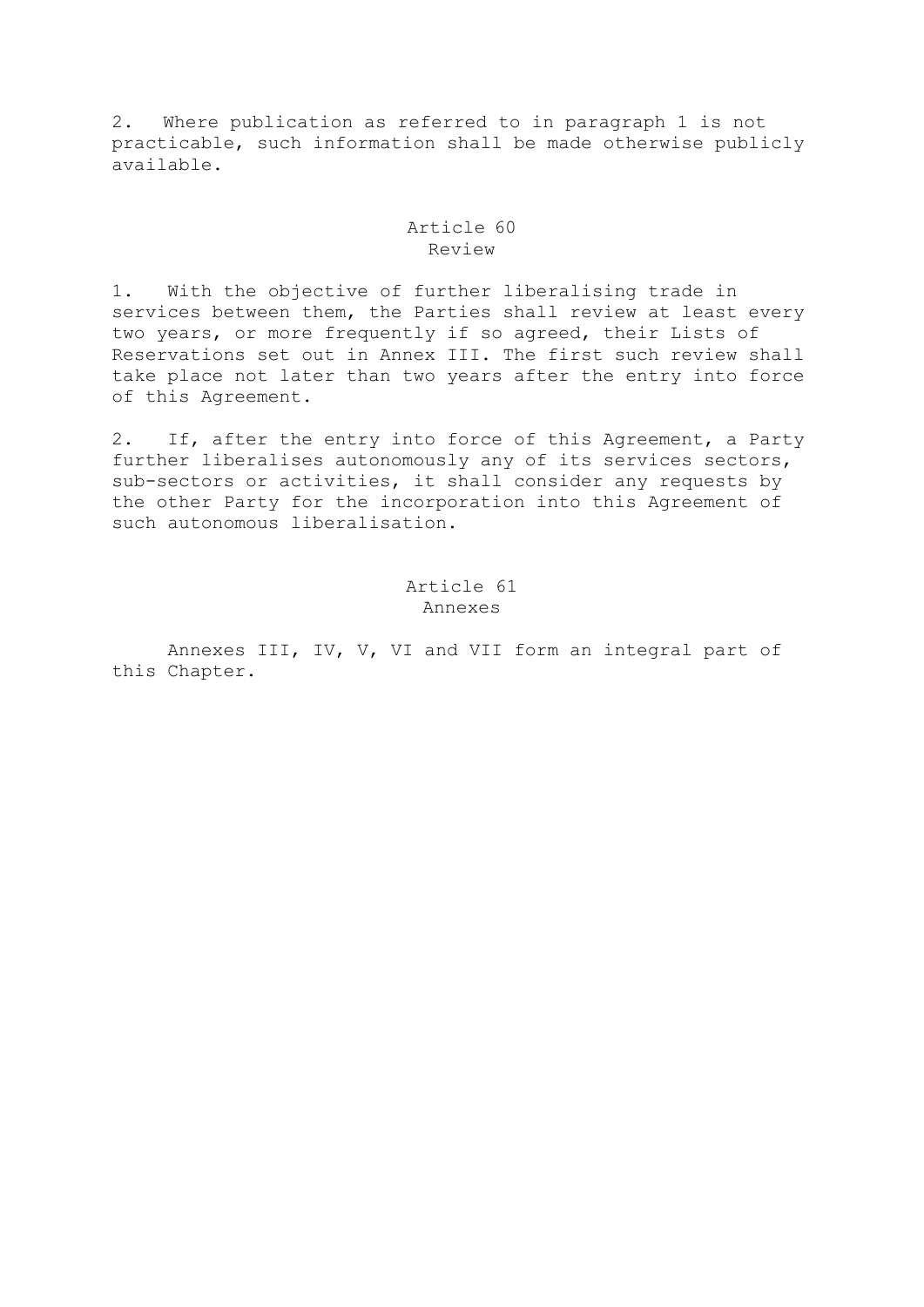2. Where publication as referred to in paragraph 1 is not practicable, such information shall be made otherwise publicly available.

# Article 60 Review

1. With the objective of further liberalising trade in services between them, the Parties shall review at least every two years, or more frequently if so agreed, their Lists of Reservations set out in Annex III. The first such review shall take place not later than two years after the entry into force of this Agreement.

2. If, after the entry into force of this Agreement, a Party further liberalises autonomously any of its services sectors, sub-sectors or activities, it shall consider any requests by the other Party for the incorporation into this Agreement of such autonomous liberalisation.

# Article 61 Annexes

 Annexes III, IV, V, VI and VII form an integral part of this Chapter.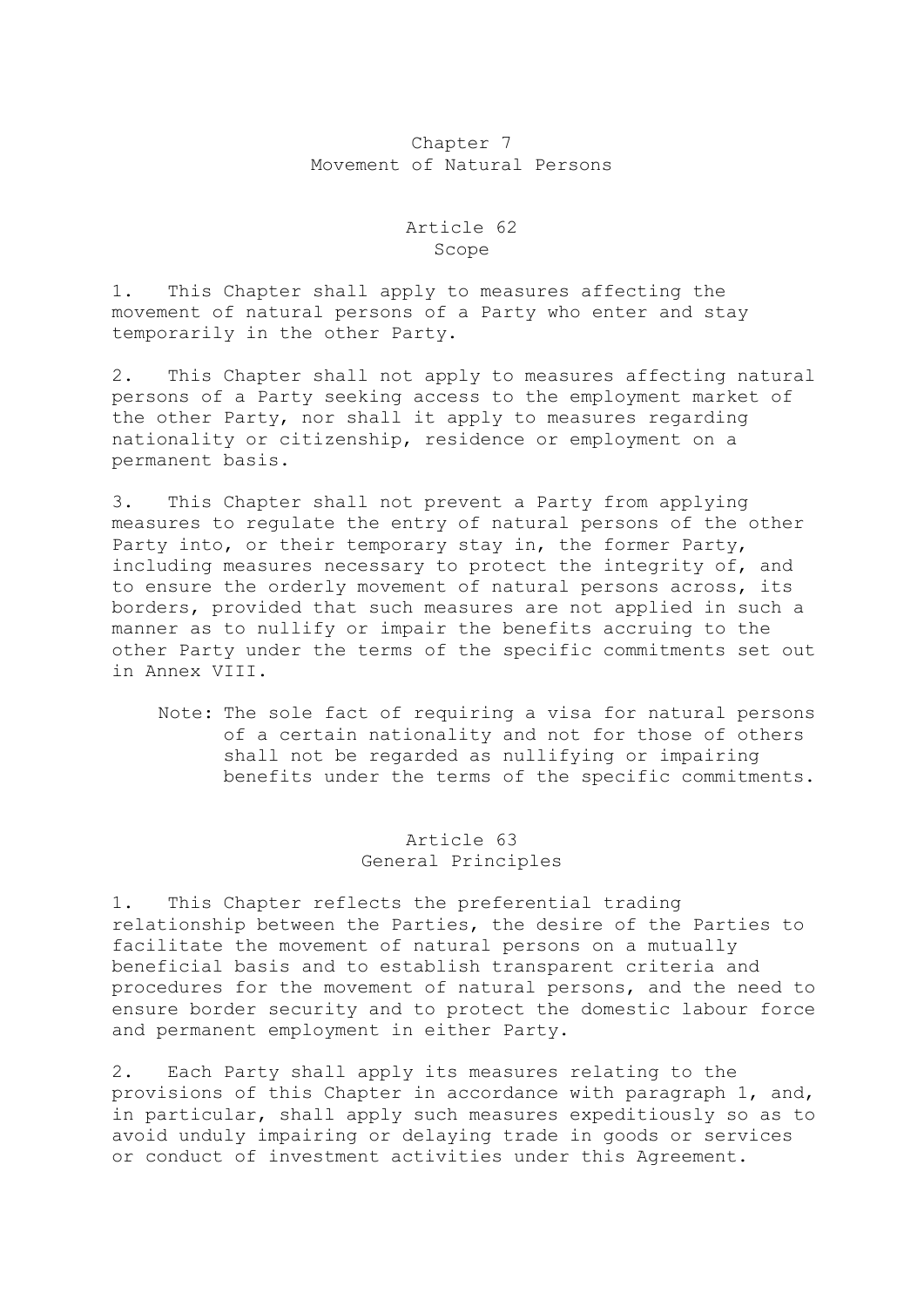# Chapter 7 Movement of Natural Persons

# Article 62 Scope

1. This Chapter shall apply to measures affecting the movement of natural persons of a Party who enter and stay temporarily in the other Party.

2. This Chapter shall not apply to measures affecting natural persons of a Party seeking access to the employment market of the other Party, nor shall it apply to measures regarding nationality or citizenship, residence or employment on a permanent basis.

3. This Chapter shall not prevent a Party from applying measures to regulate the entry of natural persons of the other Party into, or their temporary stay in, the former Party, including measures necessary to protect the integrity of, and to ensure the orderly movement of natural persons across, its borders, provided that such measures are not applied in such a manner as to nullify or impair the benefits accruing to the other Party under the terms of the specific commitments set out in Annex VIII.

 Note: The sole fact of requiring a visa for natural persons of a certain nationality and not for those of others shall not be regarded as nullifying or impairing benefits under the terms of the specific commitments.

# Article 63 General Principles

1. This Chapter reflects the preferential trading relationship between the Parties, the desire of the Parties to facilitate the movement of natural persons on a mutually beneficial basis and to establish transparent criteria and procedures for the movement of natural persons, and the need to ensure border security and to protect the domestic labour force and permanent employment in either Party.

2. Each Party shall apply its measures relating to the provisions of this Chapter in accordance with paragraph 1, and, in particular, shall apply such measures expeditiously so as to avoid unduly impairing or delaying trade in goods or services or conduct of investment activities under this Agreement.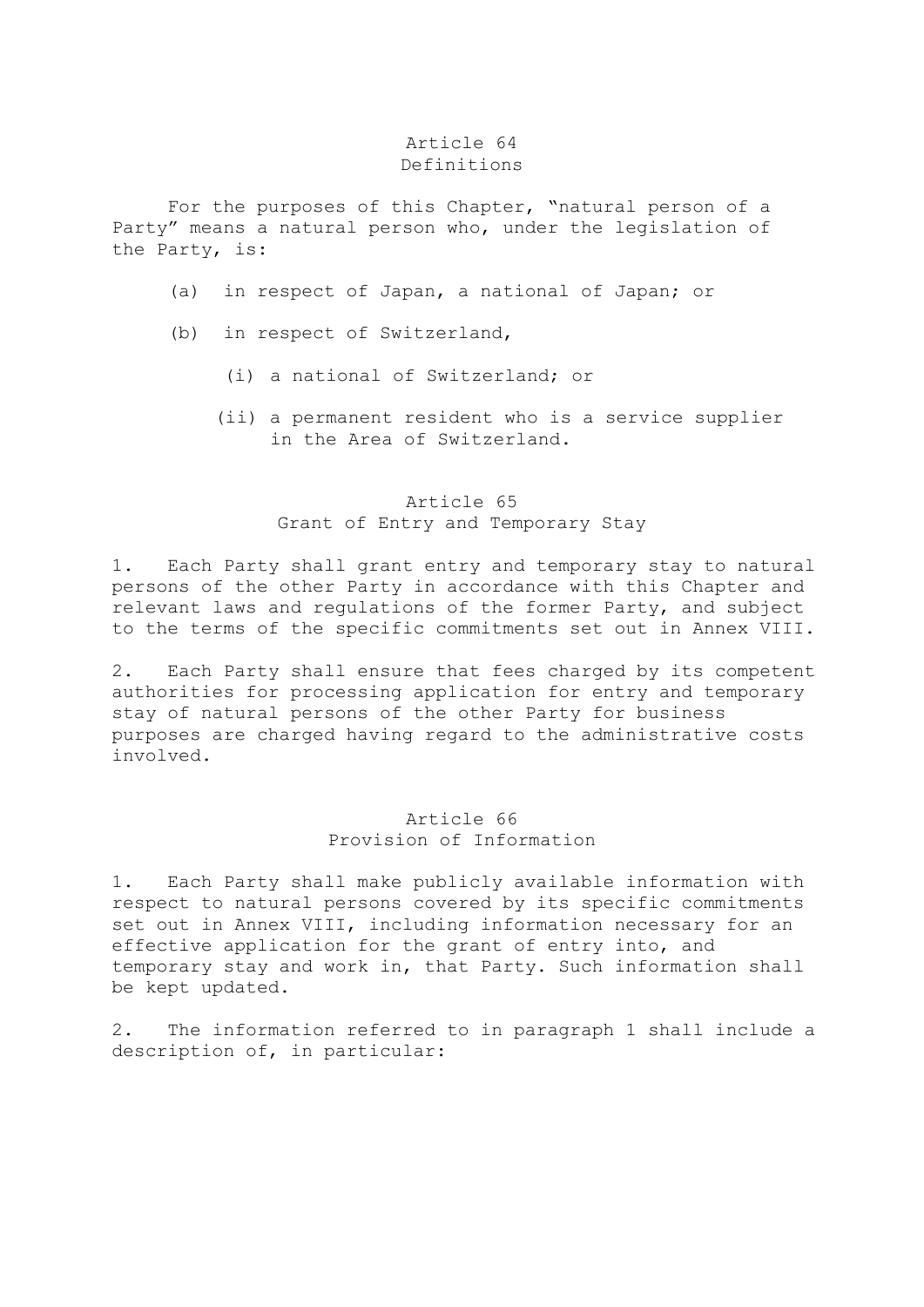#### Article 64 Definitions

 For the purposes of this Chapter, "natural person of a Party" means a natural person who, under the legislation of the Party, is:

- (a) in respect of Japan, a national of Japan; or
- (b) in respect of Switzerland,
	- (i) a national of Switzerland; or
	- (ii) a permanent resident who is a service supplier in the Area of Switzerland.

## Article 65 Grant of Entry and Temporary Stay

1. Each Party shall grant entry and temporary stay to natural persons of the other Party in accordance with this Chapter and relevant laws and regulations of the former Party, and subject to the terms of the specific commitments set out in Annex VIII.

2. Each Party shall ensure that fees charged by its competent authorities for processing application for entry and temporary stay of natural persons of the other Party for business purposes are charged having regard to the administrative costs involved.

# Article 66 Provision of Information

1. Each Party shall make publicly available information with respect to natural persons covered by its specific commitments set out in Annex VIII, including information necessary for an effective application for the grant of entry into, and temporary stay and work in, that Party. Such information shall be kept updated.

2. The information referred to in paragraph 1 shall include a description of, in particular: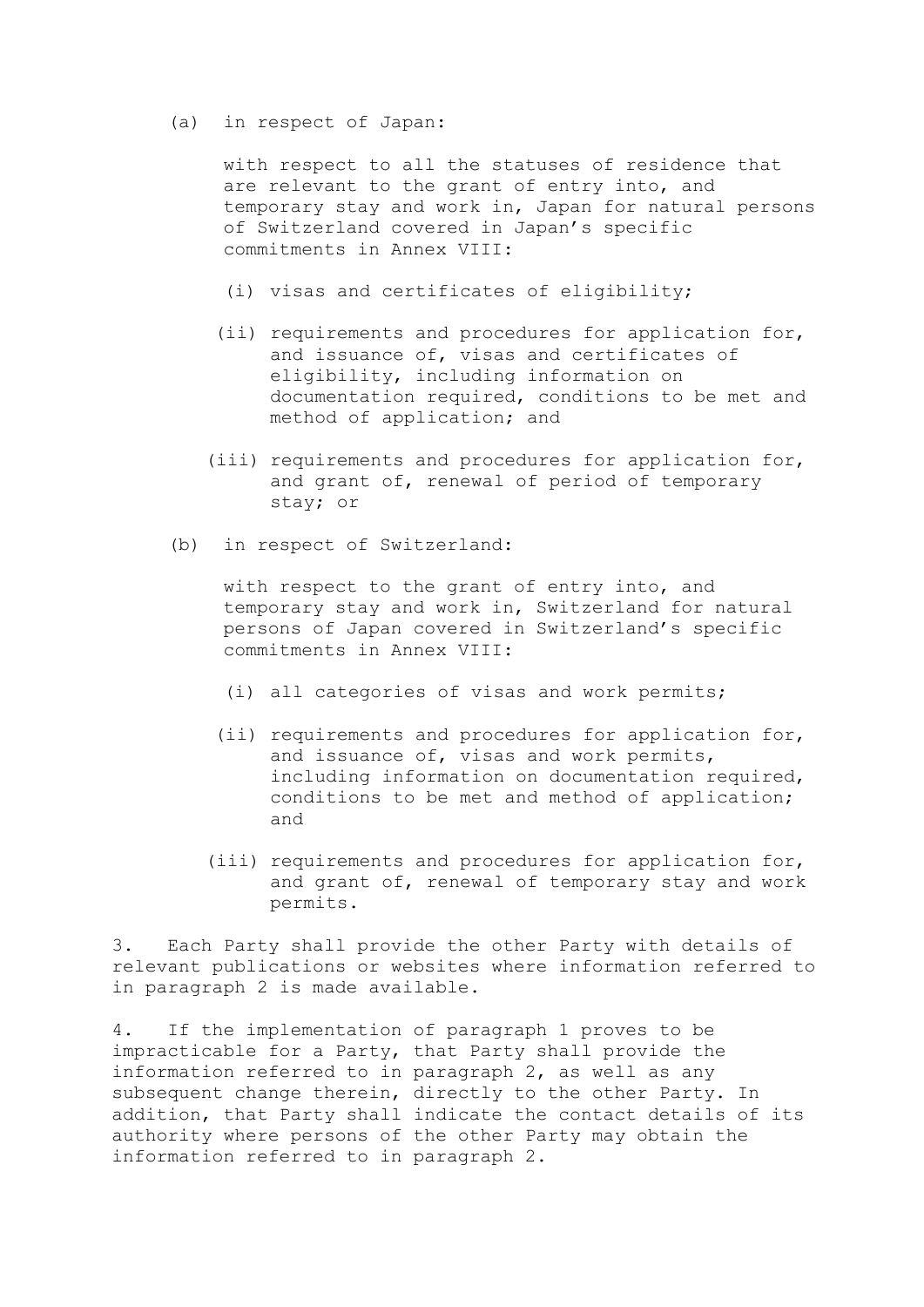(a) in respect of Japan:

 with respect to all the statuses of residence that are relevant to the grant of entry into, and temporary stay and work in, Japan for natural persons of Switzerland covered in Japan's specific commitments in Annex VIII:

- (i) visas and certificates of eligibility;
- (ii) requirements and procedures for application for, and issuance of, visas and certificates of eligibility, including information on documentation required, conditions to be met and method of application; and
- (iii) requirements and procedures for application for, and grant of, renewal of period of temporary stay; or
- (b) in respect of Switzerland:

with respect to the grant of entry into, and temporary stay and work in, Switzerland for natural persons of Japan covered in Switzerland's specific commitments in Annex VIII:

- (i) all categories of visas and work permits;
- (ii) requirements and procedures for application for, and issuance of, visas and work permits, including information on documentation required, conditions to be met and method of application; and
- (iii) requirements and procedures for application for, and grant of, renewal of temporary stay and work permits.

3. Each Party shall provide the other Party with details of relevant publications or websites where information referred to in paragraph 2 is made available.

4. If the implementation of paragraph 1 proves to be impracticable for a Party, that Party shall provide the information referred to in paragraph 2, as well as any subsequent change therein, directly to the other Party. In addition, that Party shall indicate the contact details of its authority where persons of the other Party may obtain the information referred to in paragraph 2.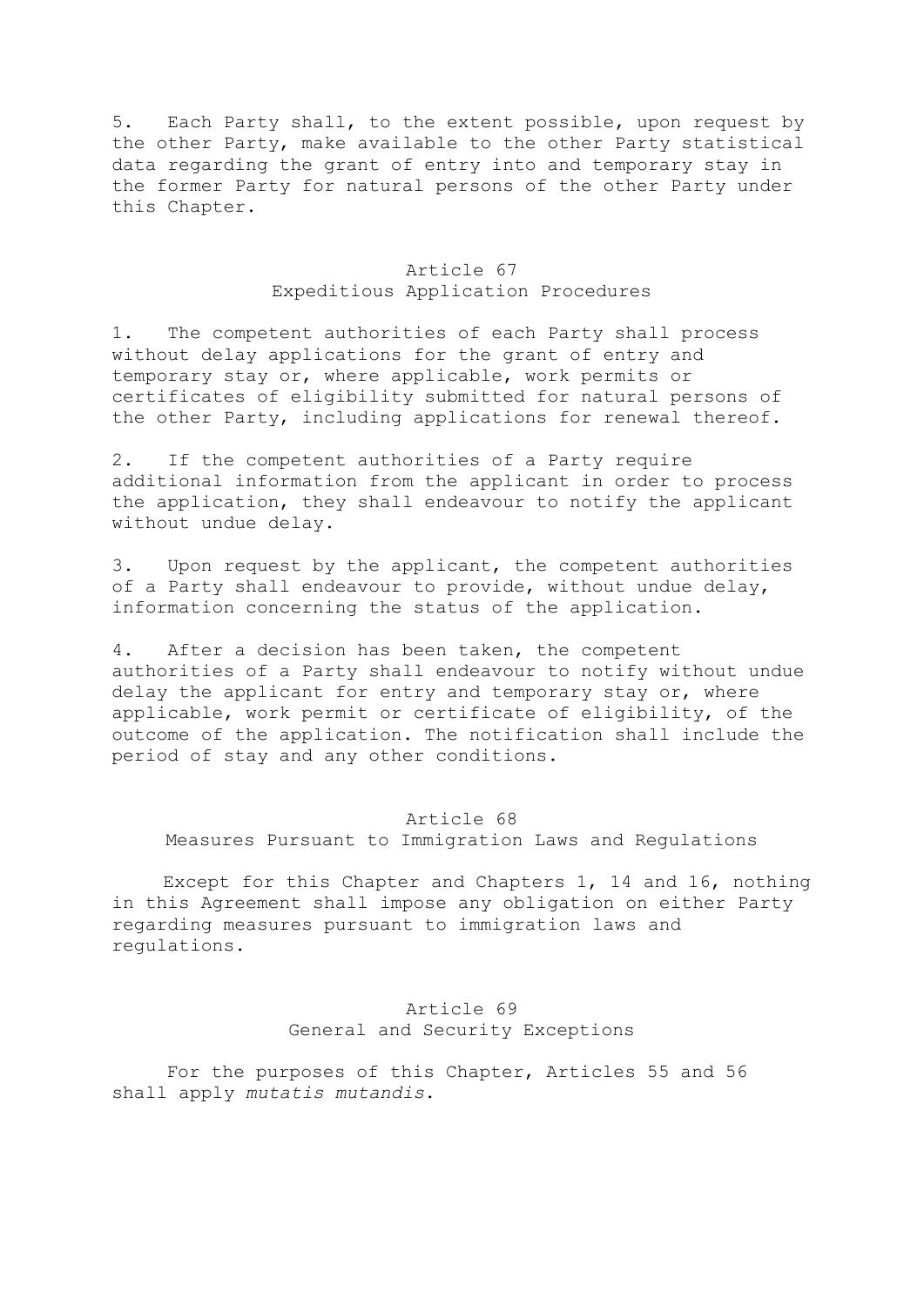5. Each Party shall, to the extent possible, upon request by the other Party, make available to the other Party statistical data regarding the grant of entry into and temporary stay in the former Party for natural persons of the other Party under this Chapter.

# Article 67 Expeditious Application Procedures

1. The competent authorities of each Party shall process without delay applications for the grant of entry and temporary stay or, where applicable, work permits or certificates of eligibility submitted for natural persons of the other Party, including applications for renewal thereof.

2. If the competent authorities of a Party require additional information from the applicant in order to process the application, they shall endeavour to notify the applicant without undue delay.

3. Upon request by the applicant, the competent authorities of a Party shall endeavour to provide, without undue delay, information concerning the status of the application.

4. After a decision has been taken, the competent authorities of a Party shall endeavour to notify without undue delay the applicant for entry and temporary stay or, where applicable, work permit or certificate of eligibility, of the outcome of the application. The notification shall include the period of stay and any other conditions.

# Article 68

Measures Pursuant to Immigration Laws and Regulations

 Except for this Chapter and Chapters 1, 14 and 16, nothing in this Agreement shall impose any obligation on either Party regarding measures pursuant to immigration laws and regulations.

# Article 69 General and Security Exceptions

For the purposes of this Chapter, Articles 55 and 56 shall apply *mutatis mutandis*.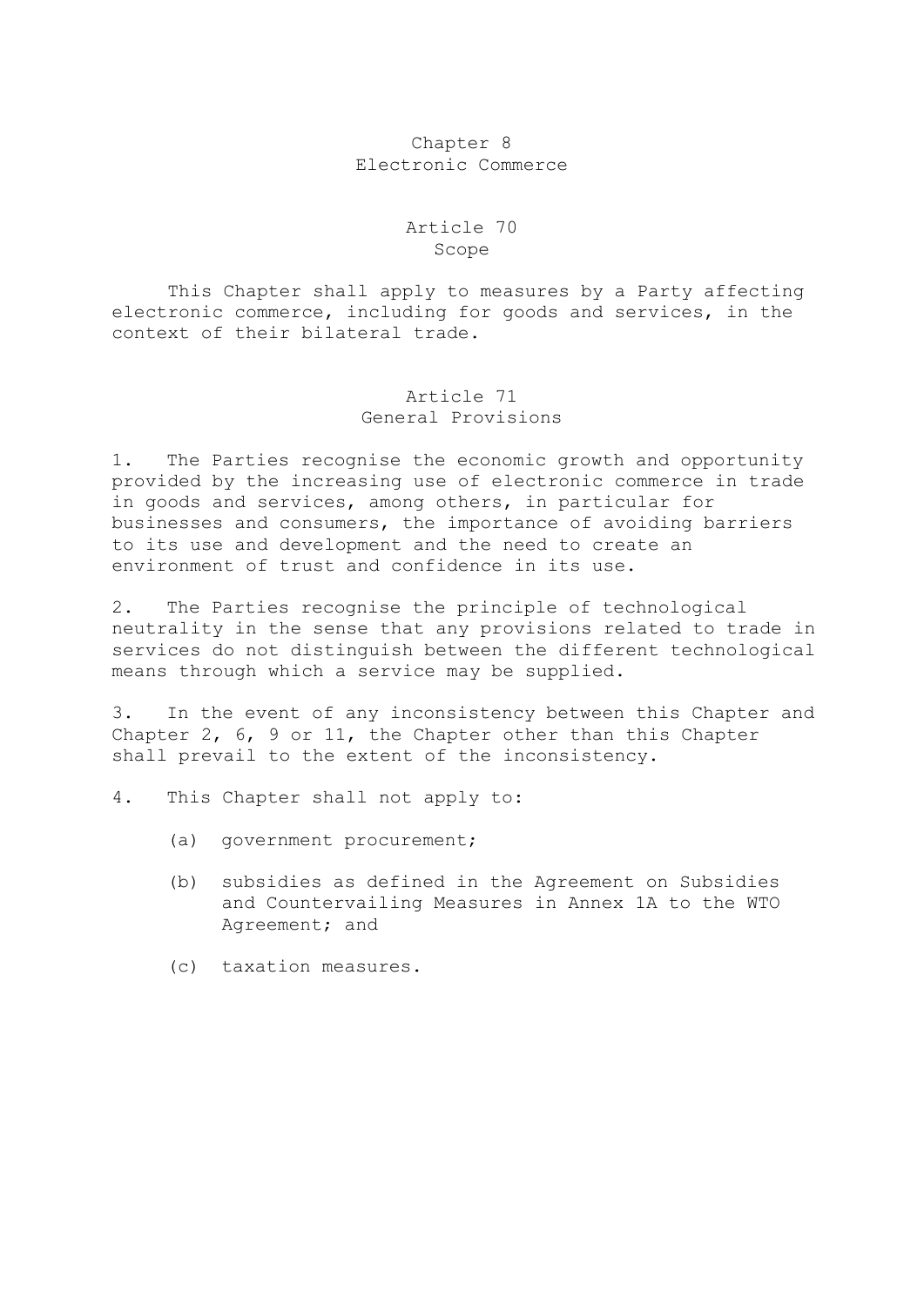# Chapter 8 Electronic Commerce

# Article 70 Scope

 This Chapter shall apply to measures by a Party affecting electronic commerce, including for goods and services, in the context of their bilateral trade.

# Article 71 General Provisions

1. The Parties recognise the economic growth and opportunity provided by the increasing use of electronic commerce in trade in goods and services, among others, in particular for businesses and consumers, the importance of avoiding barriers to its use and development and the need to create an environment of trust and confidence in its use.

2. The Parties recognise the principle of technological neutrality in the sense that any provisions related to trade in services do not distinguish between the different technological means through which a service may be supplied.

3. In the event of any inconsistency between this Chapter and Chapter 2, 6, 9 or 11, the Chapter other than this Chapter shall prevail to the extent of the inconsistency.

- 4. This Chapter shall not apply to:
	- (a) government procurement;
	- (b) subsidies as defined in the Agreement on Subsidies and Countervailing Measures in Annex 1A to the WTO Agreement; and
	- (c) taxation measures.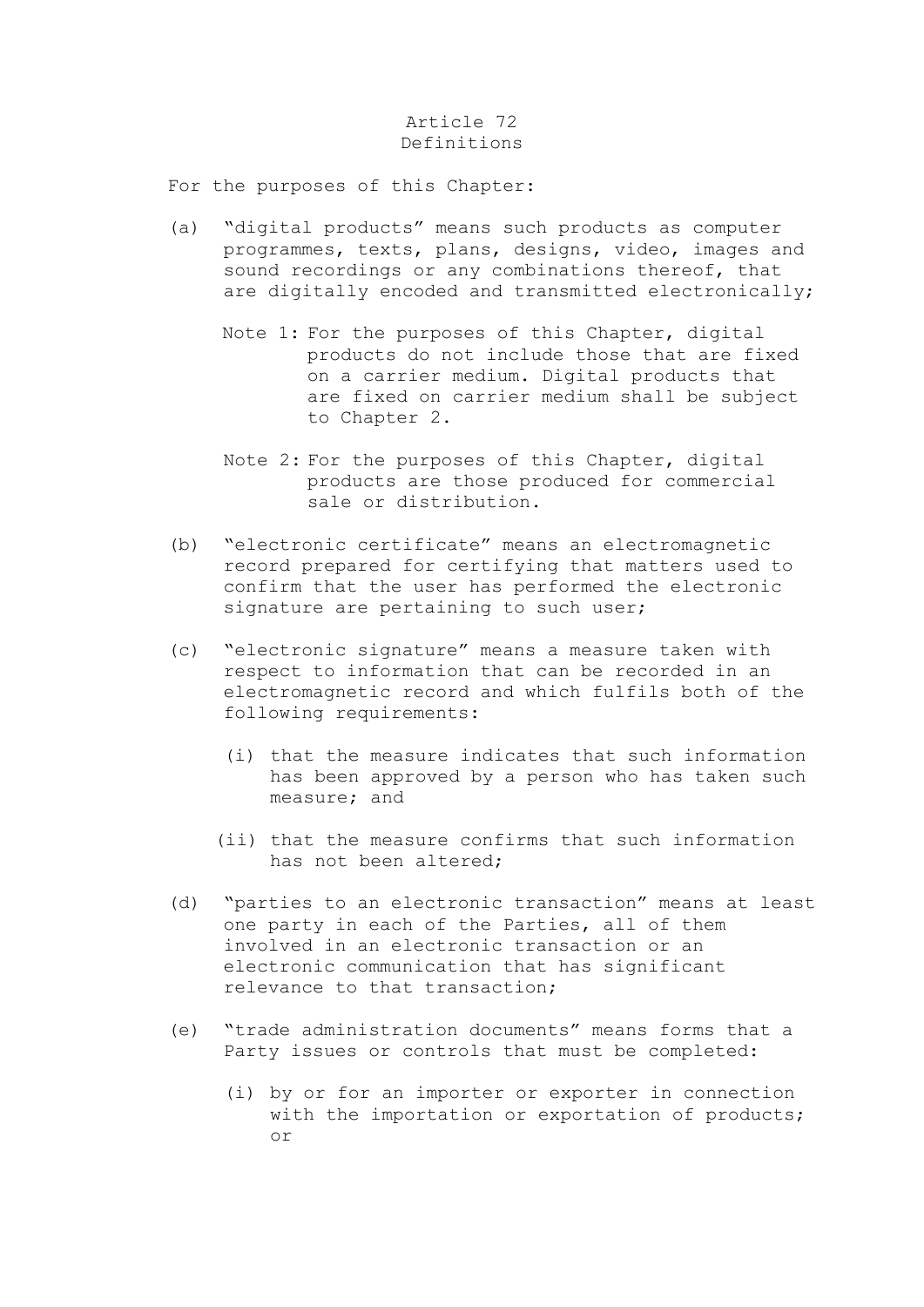# Article 72 Definitions

For the purposes of this Chapter:

- (a) "digital products" means such products as computer programmes, texts, plans, designs, video, images and sound recordings or any combinations thereof, that are digitally encoded and transmitted electronically;
	- Note 1: For the purposes of this Chapter, digital products do not include those that are fixed on a carrier medium. Digital products that are fixed on carrier medium shall be subject to Chapter 2.
	- Note 2: For the purposes of this Chapter, digital products are those produced for commercial sale or distribution.
- (b) "electronic certificate" means an electromagnetic record prepared for certifying that matters used to confirm that the user has performed the electronic signature are pertaining to such user;
- (c) "electronic signature" means a measure taken with respect to information that can be recorded in an electromagnetic record and which fulfils both of the following requirements:
	- (i) that the measure indicates that such information has been approved by a person who has taken such measure; and
	- (ii) that the measure confirms that such information has not been altered;
- (d) "parties to an electronic transaction" means at least one party in each of the Parties, all of them involved in an electronic transaction or an electronic communication that has significant relevance to that transaction;
- (e) "trade administration documents" means forms that a Party issues or controls that must be completed:
	- (i) by or for an importer or exporter in connection with the importation or exportation of products; or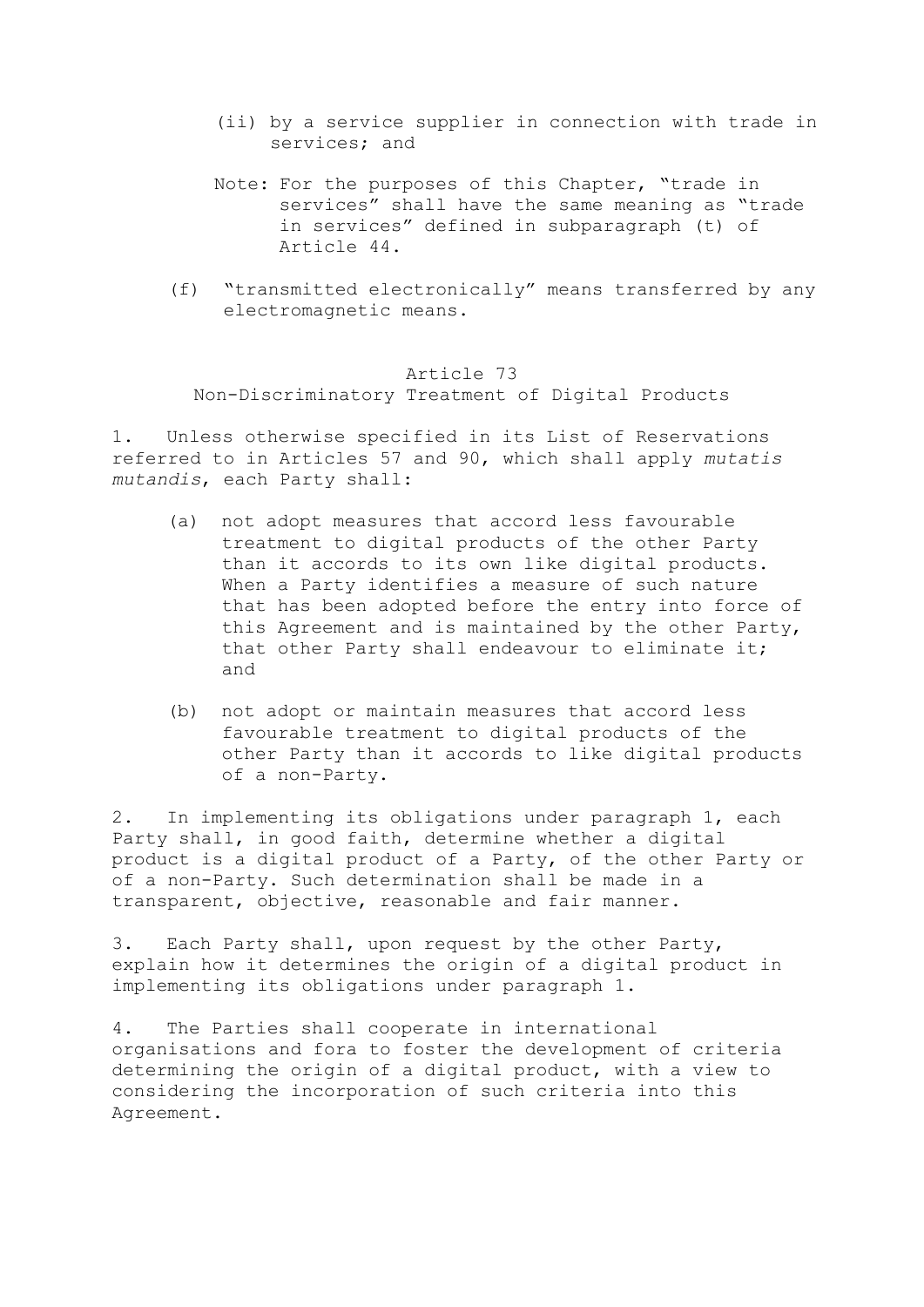- (ii) by a service supplier in connection with trade in services; and
- Note: For the purposes of this Chapter, "trade in services" shall have the same meaning as "trade in services" defined in subparagraph (t) of Article 44.
- (f) "transmitted electronically" means transferred by any electromagnetic means.

#### Article 73

Non-Discriminatory Treatment of Digital Products

1. Unless otherwise specified in its List of Reservations referred to in Articles 57 and 90, which shall apply *mutatis mutandis*, each Party shall:

- (a) not adopt measures that accord less favourable treatment to digital products of the other Party than it accords to its own like digital products. When a Party identifies a measure of such nature that has been adopted before the entry into force of this Agreement and is maintained by the other Party, that other Party shall endeavour to eliminate it; and
- (b) not adopt or maintain measures that accord less favourable treatment to digital products of the other Party than it accords to like digital products of a non-Party.

2. In implementing its obligations under paragraph 1, each Party shall, in good faith, determine whether a digital product is a digital product of a Party, of the other Party or of a non-Party. Such determination shall be made in a transparent, objective, reasonable and fair manner.

3. Each Party shall, upon request by the other Party, explain how it determines the origin of a digital product in implementing its obligations under paragraph 1.

4. The Parties shall cooperate in international organisations and fora to foster the development of criteria determining the origin of a digital product, with a view to considering the incorporation of such criteria into this Agreement.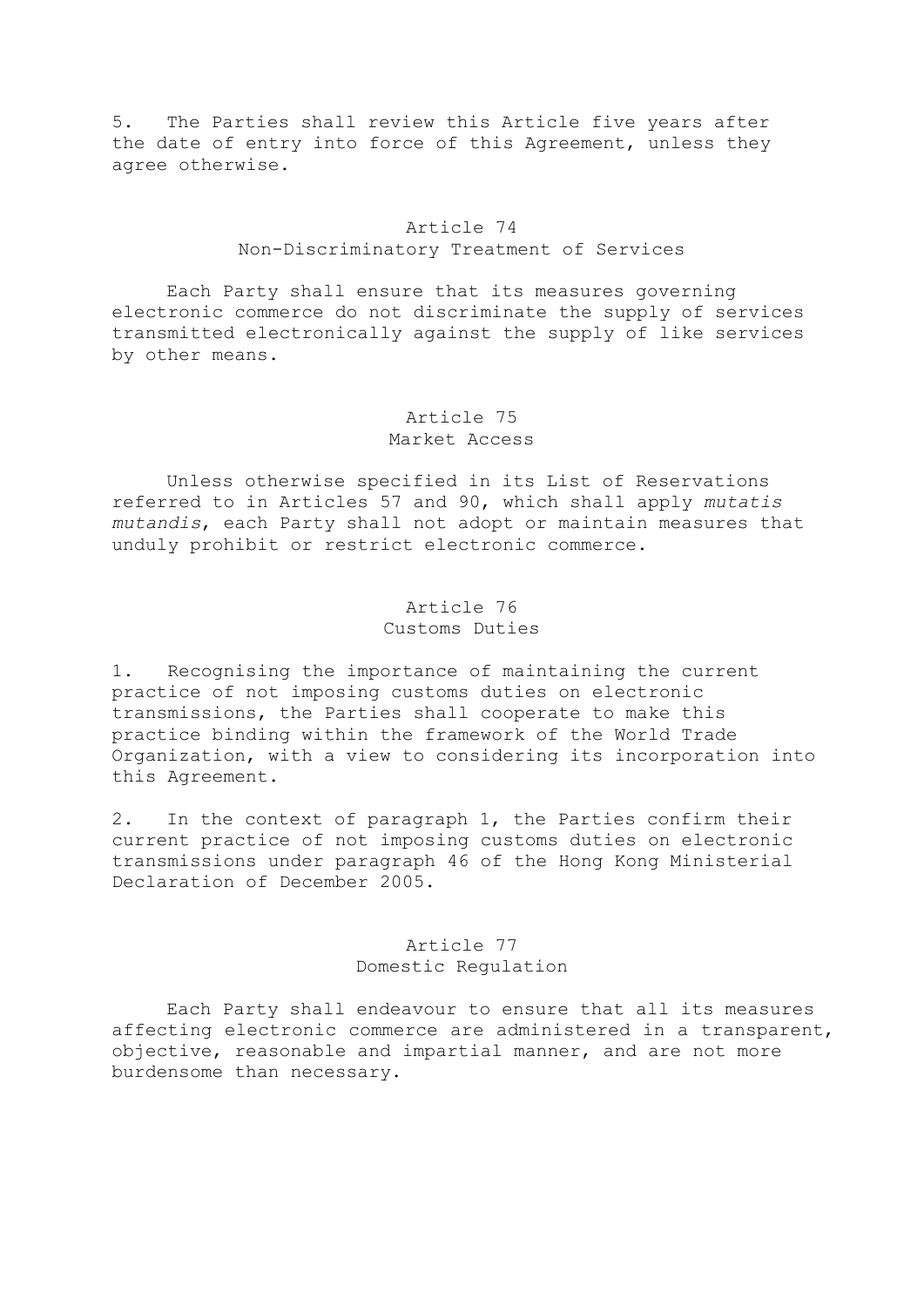5. The Parties shall review this Article five years after the date of entry into force of this Agreement, unless they agree otherwise.

## Article 74

#### Non-Discriminatory Treatment of Services

 Each Party shall ensure that its measures governing electronic commerce do not discriminate the supply of services transmitted electronically against the supply of like services by other means.

#### Article 75 Market Access

 Unless otherwise specified in its List of Reservations referred to in Articles 57 and 90, which shall apply *mutatis mutandis*, each Party shall not adopt or maintain measures that unduly prohibit or restrict electronic commerce.

# Article 76 Customs Duties

1. Recognising the importance of maintaining the current practice of not imposing customs duties on electronic transmissions, the Parties shall cooperate to make this practice binding within the framework of the World Trade Organization, with a view to considering its incorporation into this Agreement.

2. In the context of paragraph 1, the Parties confirm their current practice of not imposing customs duties on electronic transmissions under paragraph 46 of the Hong Kong Ministerial Declaration of December 2005.

# Article 77 Domestic Regulation

 Each Party shall endeavour to ensure that all its measures affecting electronic commerce are administered in a transparent, objective, reasonable and impartial manner, and are not more burdensome than necessary.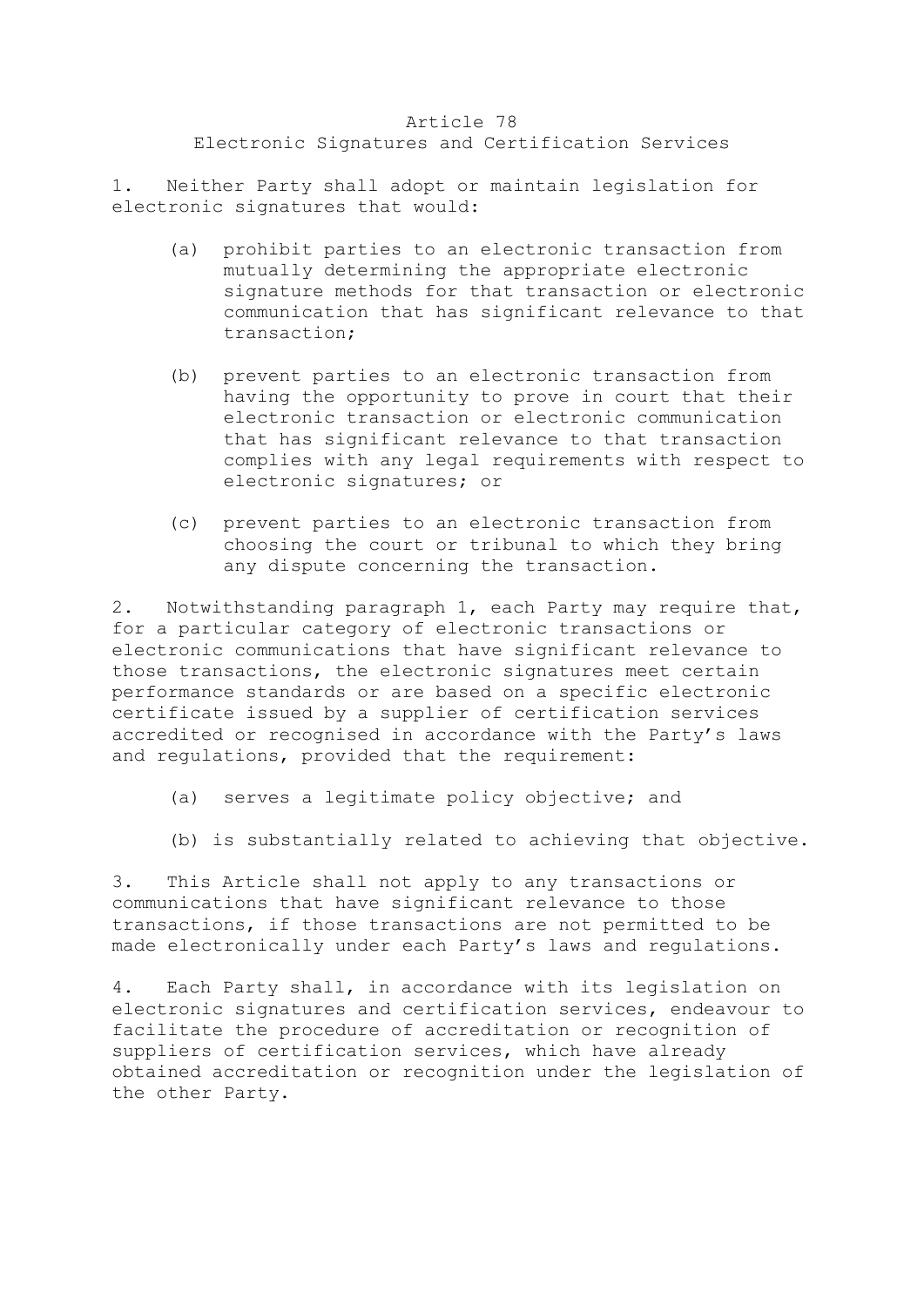#### Article 78

## Electronic Signatures and Certification Services

1. Neither Party shall adopt or maintain legislation for electronic signatures that would:

- (a) prohibit parties to an electronic transaction from mutually determining the appropriate electronic signature methods for that transaction or electronic communication that has significant relevance to that transaction;
- (b) prevent parties to an electronic transaction from having the opportunity to prove in court that their electronic transaction or electronic communication that has significant relevance to that transaction complies with any legal requirements with respect to electronic signatures; or
- (c) prevent parties to an electronic transaction from choosing the court or tribunal to which they bring any dispute concerning the transaction.

2. Notwithstanding paragraph 1, each Party may require that, for a particular category of electronic transactions or electronic communications that have significant relevance to those transactions, the electronic signatures meet certain performance standards or are based on a specific electronic certificate issued by a supplier of certification services accredited or recognised in accordance with the Party's laws and regulations, provided that the requirement:

- (a) serves a legitimate policy objective; and
- (b) is substantially related to achieving that objective.

3. This Article shall not apply to any transactions or communications that have significant relevance to those transactions, if those transactions are not permitted to be made electronically under each Party's laws and regulations.

4. Each Party shall, in accordance with its legislation on electronic signatures and certification services, endeavour to facilitate the procedure of accreditation or recognition of suppliers of certification services, which have already obtained accreditation or recognition under the legislation of the other Party.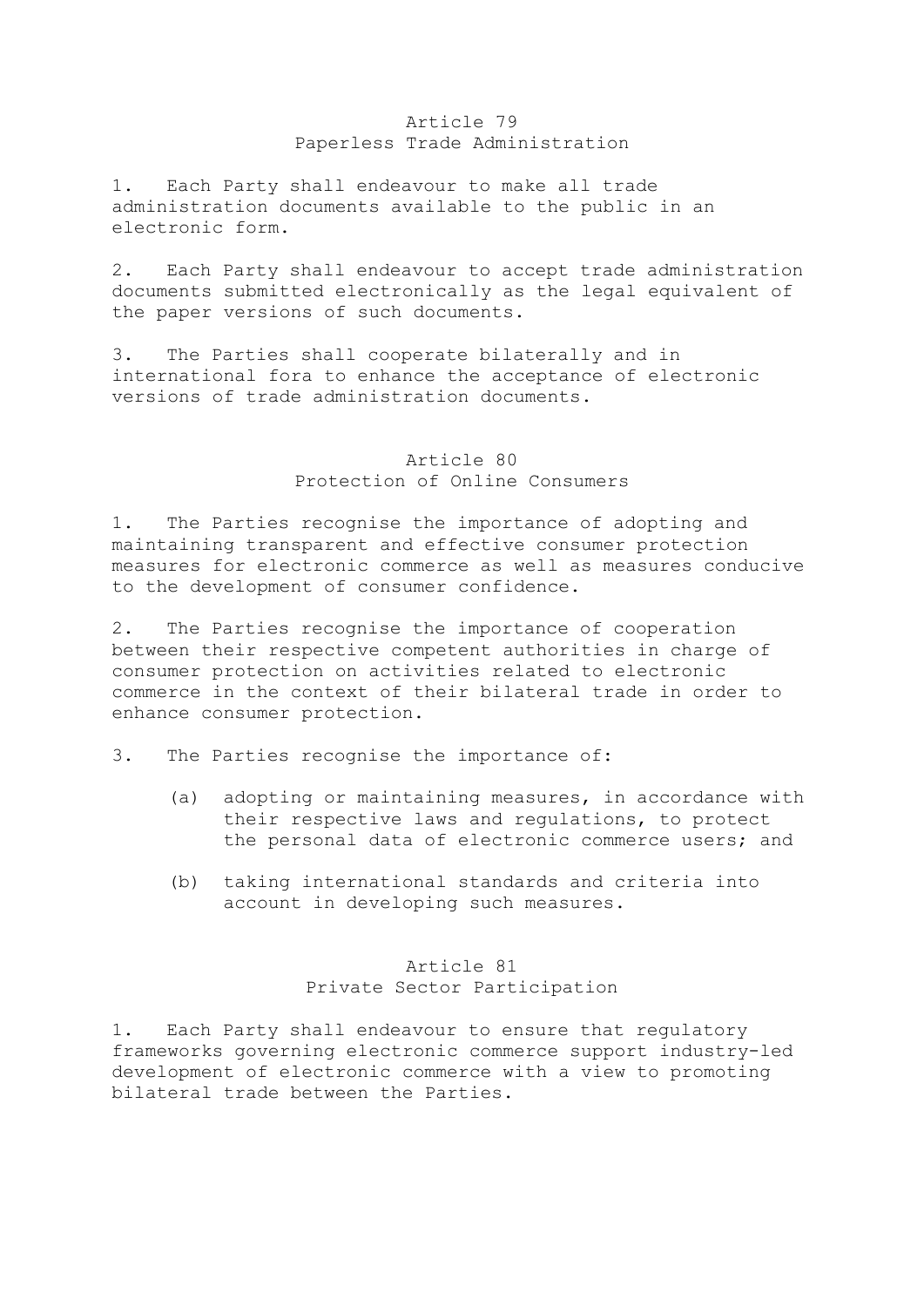#### Article 79 Paperless Trade Administration

1. Each Party shall endeavour to make all trade administration documents available to the public in an electronic form.

2. Each Party shall endeavour to accept trade administration documents submitted electronically as the legal equivalent of the paper versions of such documents.

3. The Parties shall cooperate bilaterally and in international fora to enhance the acceptance of electronic versions of trade administration documents.

# Article 80 Protection of Online Consumers

1. The Parties recognise the importance of adopting and maintaining transparent and effective consumer protection measures for electronic commerce as well as measures conducive to the development of consumer confidence.

2. The Parties recognise the importance of cooperation between their respective competent authorities in charge of consumer protection on activities related to electronic commerce in the context of their bilateral trade in order to enhance consumer protection.

3. The Parties recognise the importance of:

- (a) adopting or maintaining measures, in accordance with their respective laws and regulations, to protect the personal data of electronic commerce users; and
- (b) taking international standards and criteria into account in developing such measures.

# Article 81

Private Sector Participation

1. Each Party shall endeavour to ensure that regulatory frameworks governing electronic commerce support industry-led development of electronic commerce with a view to promoting bilateral trade between the Parties.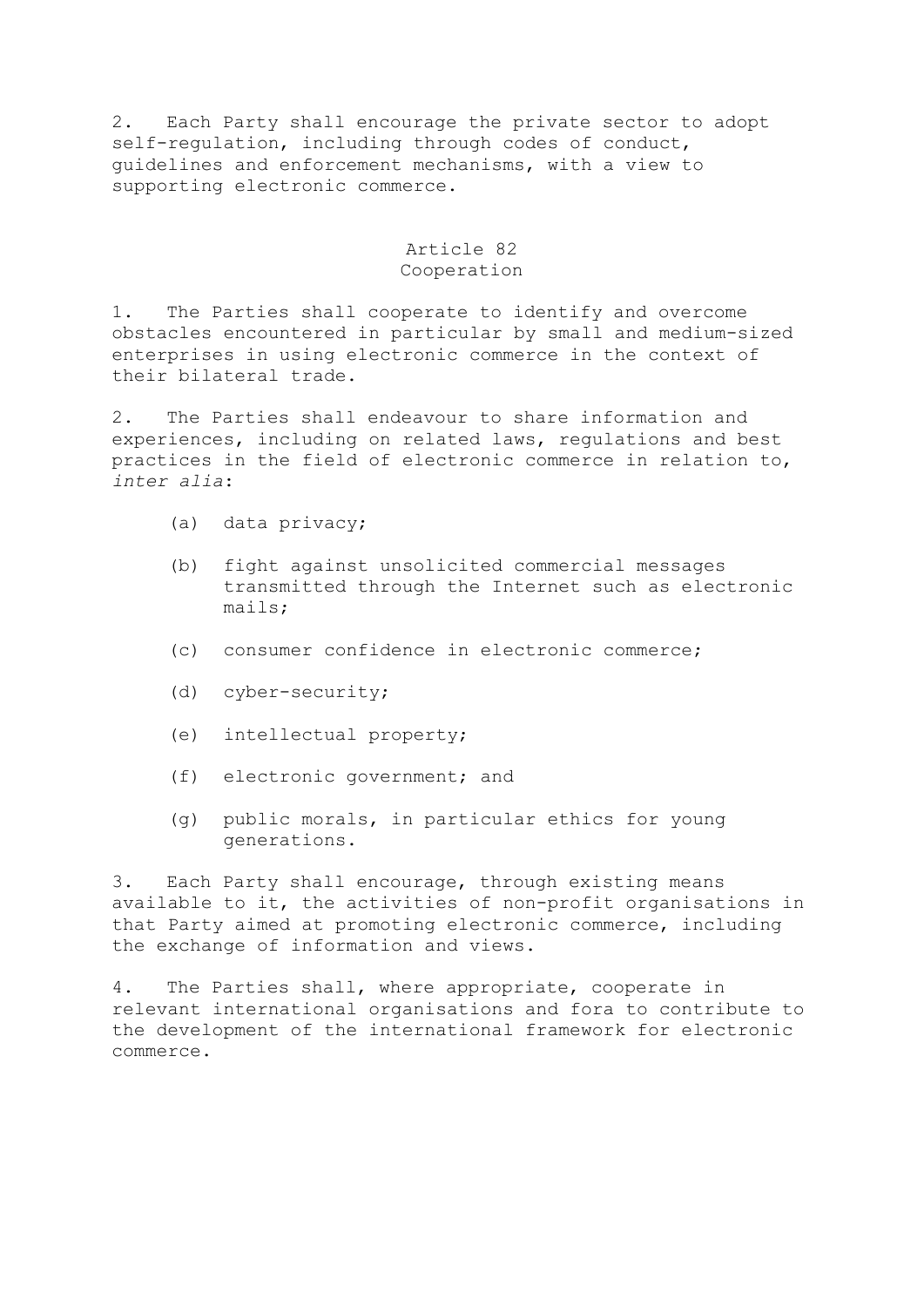2. Each Party shall encourage the private sector to adopt self-regulation, including through codes of conduct, guidelines and enforcement mechanisms, with a view to supporting electronic commerce.

# Article 82 Cooperation

1. The Parties shall cooperate to identify and overcome obstacles encountered in particular by small and medium-sized enterprises in using electronic commerce in the context of their bilateral trade.

2. The Parties shall endeavour to share information and experiences, including on related laws, regulations and best practices in the field of electronic commerce in relation to, *inter alia*:

- (a) data privacy;
- (b) fight against unsolicited commercial messages transmitted through the Internet such as electronic mails;
- (c) consumer confidence in electronic commerce;
- (d) cyber-security;
- (e) intellectual property;
- (f) electronic government; and
- (g) public morals, in particular ethics for young generations.

3. Each Party shall encourage, through existing means available to it, the activities of non-profit organisations in that Party aimed at promoting electronic commerce, including the exchange of information and views.

4. The Parties shall, where appropriate, cooperate in relevant international organisations and fora to contribute to the development of the international framework for electronic commerce.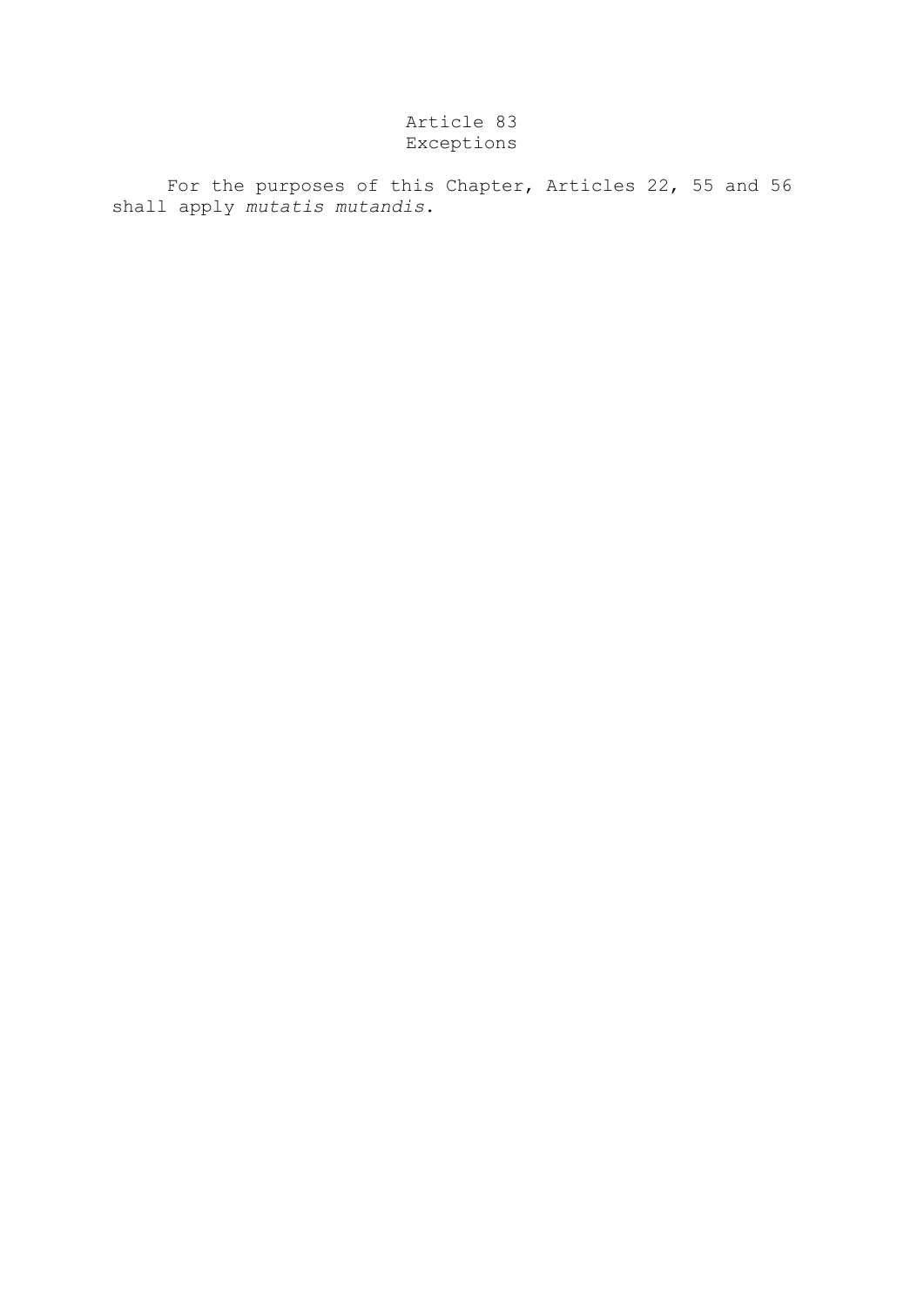# Article 83 Exceptions

For the purposes of this Chapter, Articles 22, 55 and 56 shall apply *mutatis mutandis*.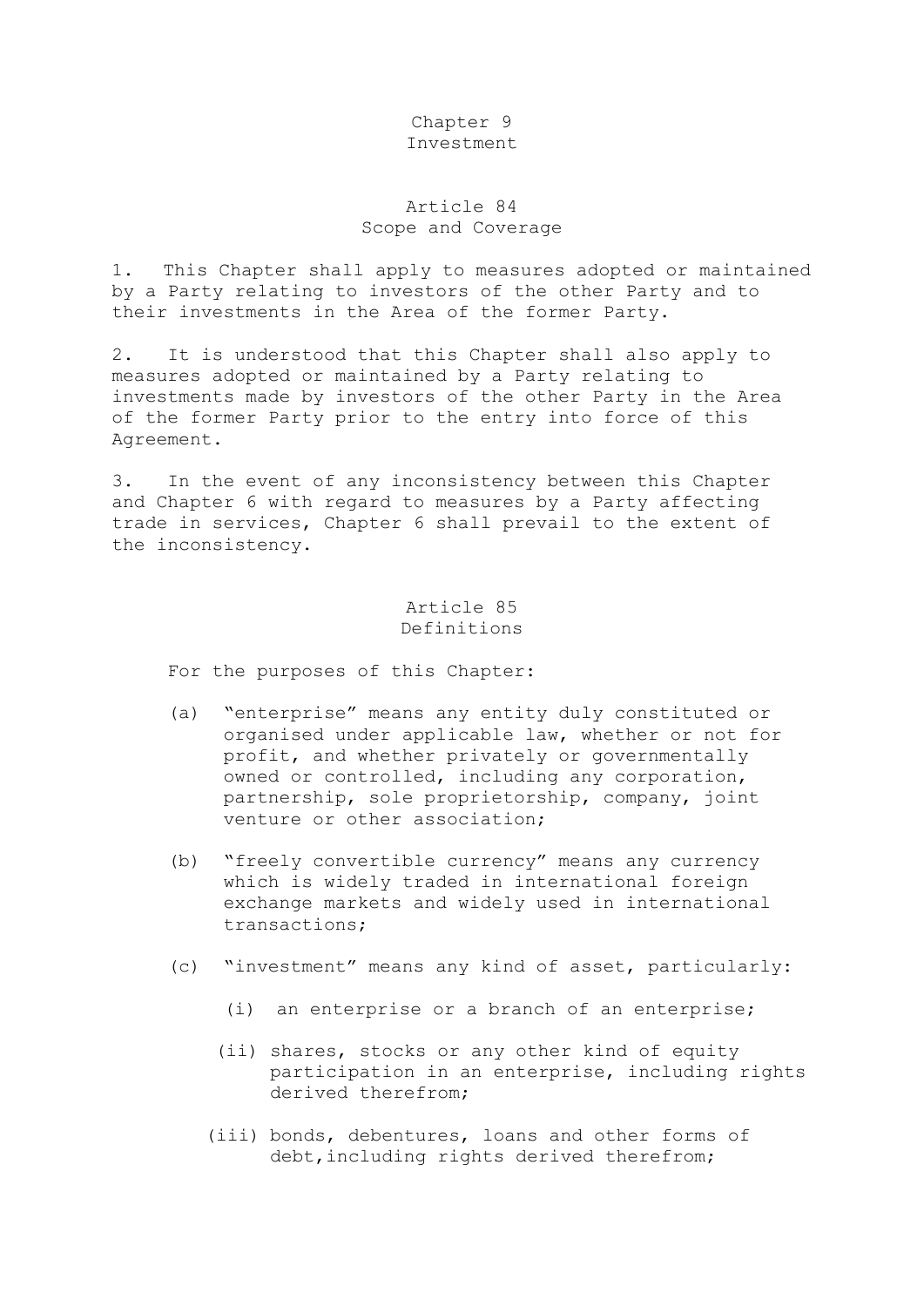#### Chapter 9 Investment

# Article 84 Scope and Coverage

1. This Chapter shall apply to measures adopted or maintained by a Party relating to investors of the other Party and to their investments in the Area of the former Party.

2. It is understood that this Chapter shall also apply to measures adopted or maintained by a Party relating to investments made by investors of the other Party in the Area of the former Party prior to the entry into force of this Agreement.

3. In the event of any inconsistency between this Chapter and Chapter 6 with regard to measures by a Party affecting trade in services, Chapter 6 shall prevail to the extent of the inconsistency.

# Article 85 Definitions

For the purposes of this Chapter:

- (a) "enterprise" means any entity duly constituted or organised under applicable law, whether or not for profit, and whether privately or governmentally owned or controlled, including any corporation, partnership, sole proprietorship, company, joint venture or other association;
- (b) "freely convertible currency" means any currency which is widely traded in international foreign exchange markets and widely used in international transactions;
- (c) "investment" means any kind of asset, particularly:
	- (i) an enterprise or a branch of an enterprise;
	- (ii) shares, stocks or any other kind of equity participation in an enterprise, including rights derived therefrom;
	- (iii) bonds, debentures, loans and other forms of debt, including rights derived therefrom;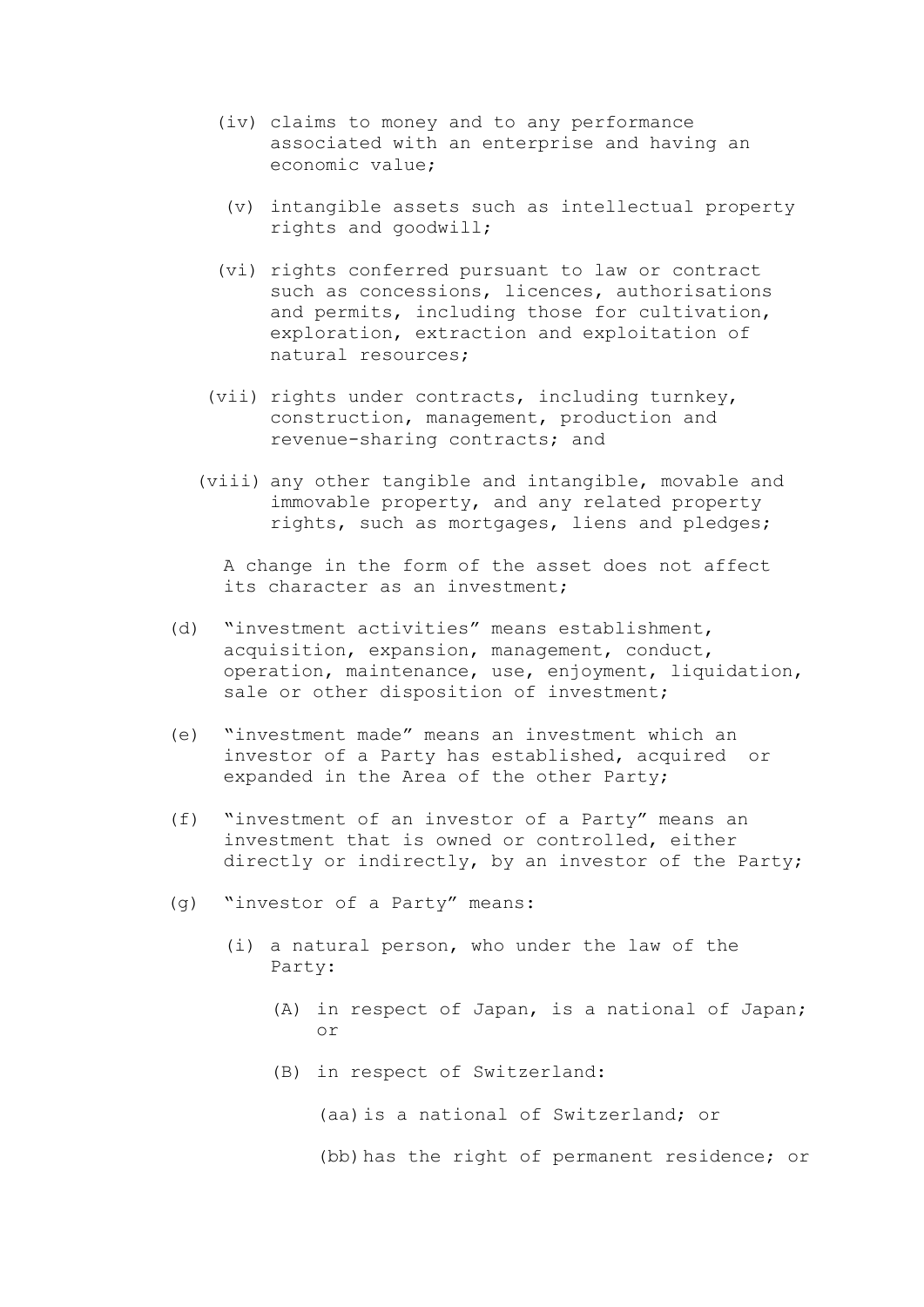- (iv) claims to money and to any performance associated with an enterprise and having an economic value;
- (v) intangible assets such as intellectual property rights and goodwill;
- (vi) rights conferred pursuant to law or contract such as concessions, licences, authorisations and permits, including those for cultivation, exploration, extraction and exploitation of natural resources;
- (vii) rights under contracts, including turnkey, construction, management, production and revenue-sharing contracts; and
- (viii) any other tangible and intangible, movable and immovable property, and any related property rights, such as mortgages, liens and pledges;

 A change in the form of the asset does not affect its character as an investment;

- (d) "investment activities" means establishment, acquisition, expansion, management, conduct, operation, maintenance, use, enjoyment, liquidation, sale or other disposition of investment;
- (e) "investment made" means an investment which an investor of a Party has established, acquired or expanded in the Area of the other Party;
- (f) "investment of an investor of a Party" means an investment that is owned or controlled, either directly or indirectly, by an investor of the Party;
- (g) "investor of a Party" means:
	- (i) a natural person, who under the law of the Party:
		- (A) in respect of Japan, is a national of Japan; or
		- (B) in respect of Switzerland:

(aa) is a national of Switzerland; or

(bb) has the right of permanent residence; or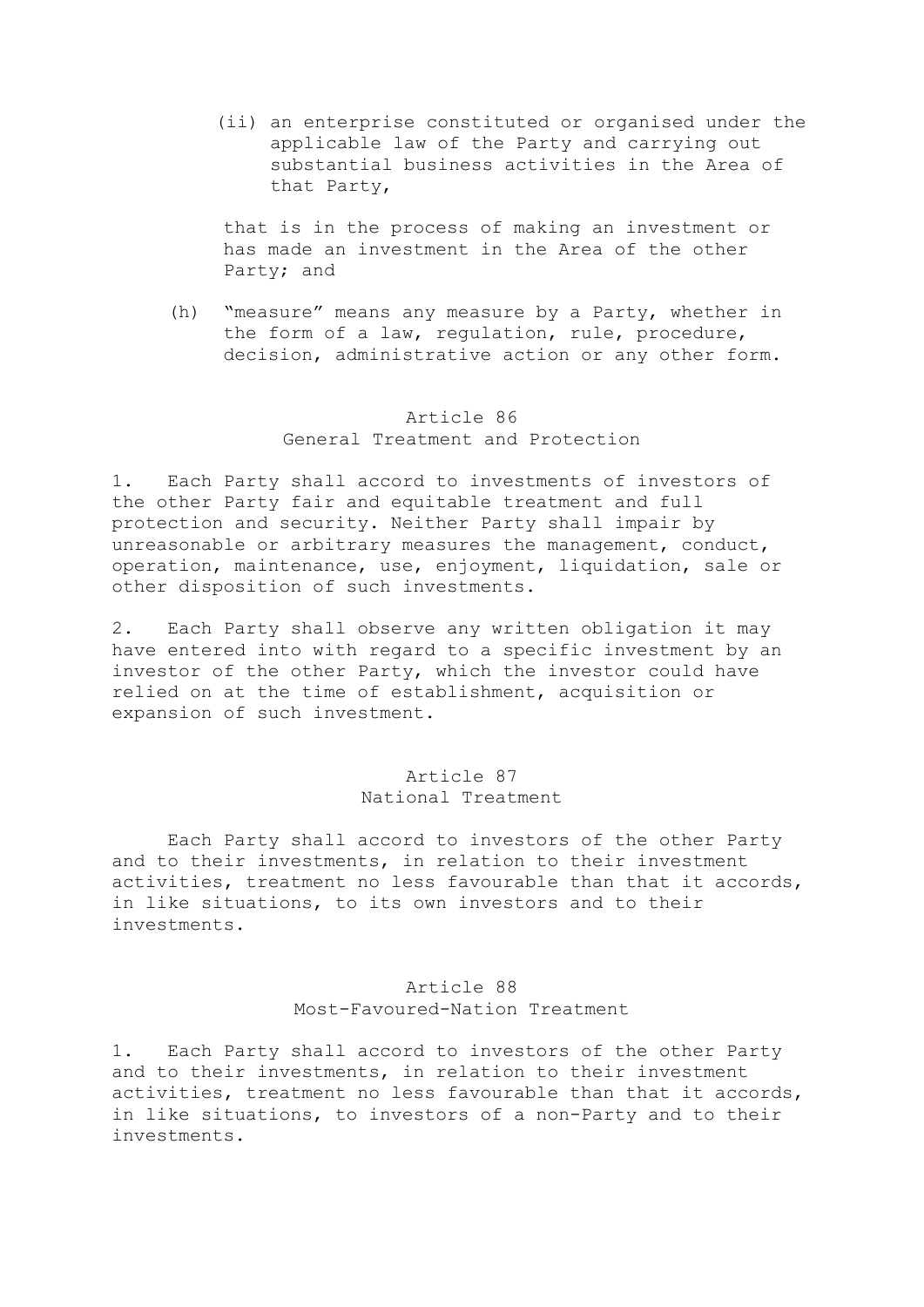(ii) an enterprise constituted or organised under the applicable law of the Party and carrying out substantial business activities in the Area of that Party,

 that is in the process of making an investment or has made an investment in the Area of the other Party; and

 (h) "measure" means any measure by a Party, whether in the form of a law, regulation, rule, procedure, decision, administrative action or any other form.

# Article 86 General Treatment and Protection

1. Each Party shall accord to investments of investors of the other Party fair and equitable treatment and full protection and security. Neither Party shall impair by unreasonable or arbitrary measures the management, conduct, operation, maintenance, use, enjoyment, liquidation, sale or other disposition of such investments.

2. Each Party shall observe any written obligation it may have entered into with regard to a specific investment by an investor of the other Party, which the investor could have relied on at the time of establishment, acquisition or expansion of such investment.

# Article 87 National Treatment

 Each Party shall accord to investors of the other Party and to their investments, in relation to their investment activities, treatment no less favourable than that it accords, in like situations, to its own investors and to their investments.

# Article 88 Most-Favoured-Nation Treatment

1. Each Party shall accord to investors of the other Party and to their investments, in relation to their investment activities, treatment no less favourable than that it accords, in like situations, to investors of a non-Party and to their investments.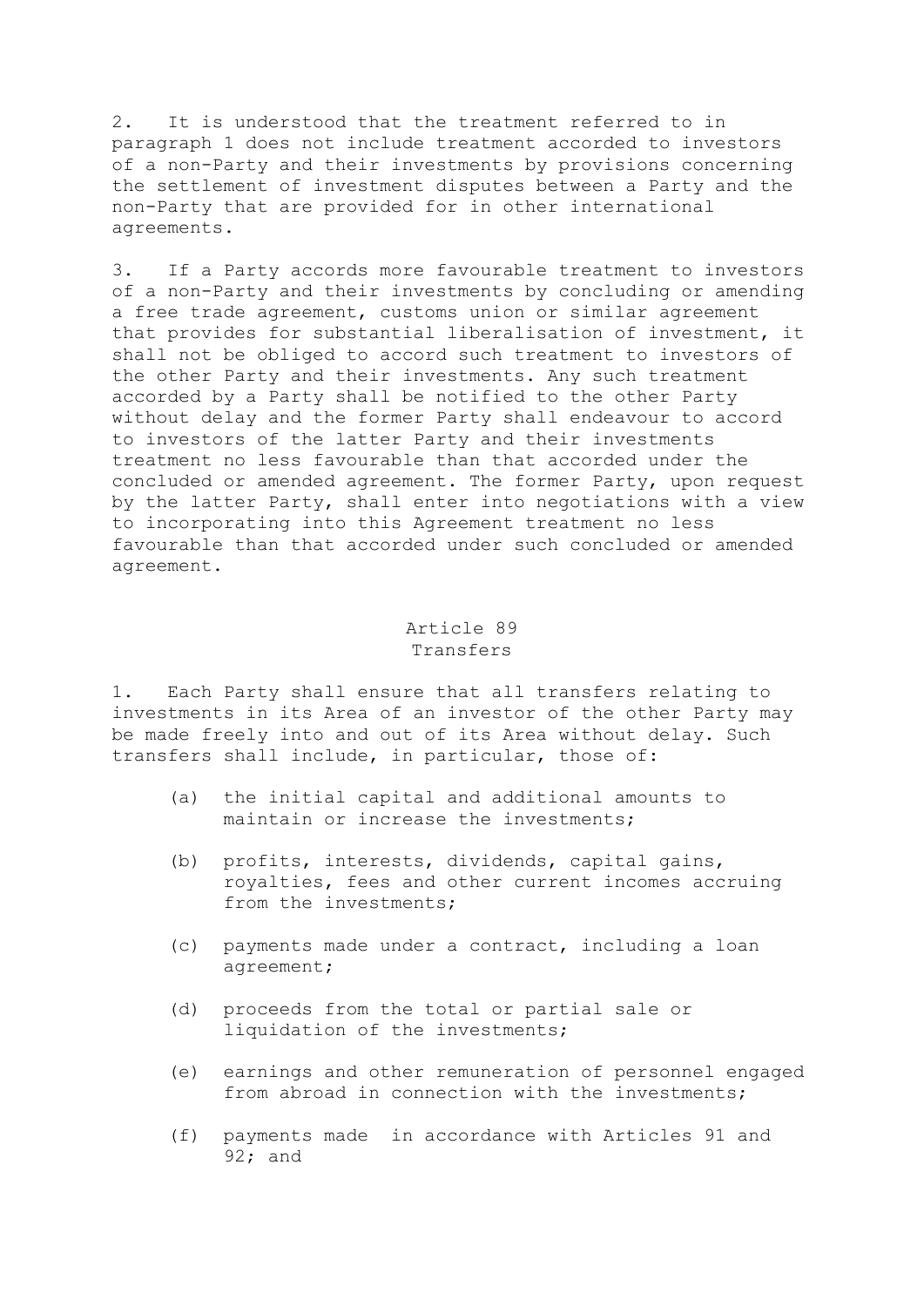2. It is understood that the treatment referred to in paragraph 1 does not include treatment accorded to investors of a non-Party and their investments by provisions concerning the settlement of investment disputes between a Party and the non-Party that are provided for in other international agreements.

3. If a Party accords more favourable treatment to investors of a non-Party and their investments by concluding or amending a free trade agreement, customs union or similar agreement that provides for substantial liberalisation of investment, it shall not be obliged to accord such treatment to investors of the other Party and their investments. Any such treatment accorded by a Party shall be notified to the other Party without delay and the former Party shall endeavour to accord to investors of the latter Party and their investments treatment no less favourable than that accorded under the concluded or amended agreement. The former Party, upon request by the latter Party, shall enter into negotiations with a view to incorporating into this Agreement treatment no less favourable than that accorded under such concluded or amended agreement.

# Article 89 Transfers

1. Each Party shall ensure that all transfers relating to investments in its Area of an investor of the other Party may be made freely into and out of its Area without delay. Such transfers shall include, in particular, those of:

- (a) the initial capital and additional amounts to maintain or increase the investments;
- (b) profits, interests, dividends, capital gains, royalties, fees and other current incomes accruing from the investments;
- (c) payments made under a contract, including a loan agreement;
- (d) proceeds from the total or partial sale or liquidation of the investments;
- (e) earnings and other remuneration of personnel engaged from abroad in connection with the investments;
- (f) payments made in accordance with Articles 91 and 92; and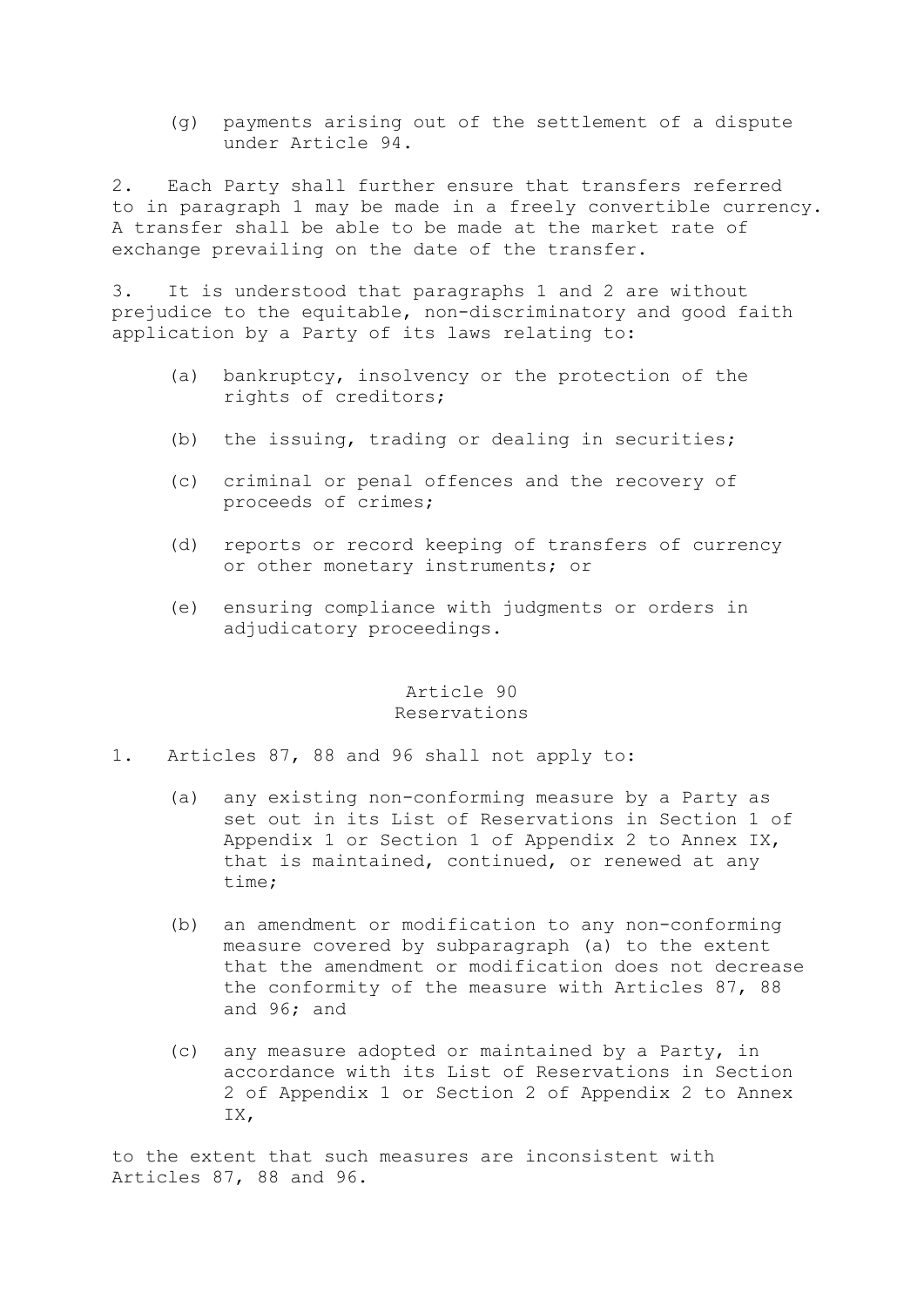(g) payments arising out of the settlement of a dispute under Article 94.

2. Each Party shall further ensure that transfers referred to in paragraph 1 may be made in a freely convertible currency. A transfer shall be able to be made at the market rate of exchange prevailing on the date of the transfer.

3. It is understood that paragraphs 1 and 2 are without prejudice to the equitable, non-discriminatory and good faith application by a Party of its laws relating to:

- (a) bankruptcy, insolvency or the protection of the rights of creditors;
- (b) the issuing, trading or dealing in securities;
- (c) criminal or penal offences and the recovery of proceeds of crimes;
- (d) reports or record keeping of transfers of currency or other monetary instruments; or
- (e) ensuring compliance with judgments or orders in adjudicatory proceedings.

# Article 90 Reservations

- 1. Articles 87, 88 and 96 shall not apply to:
	- (a) any existing non-conforming measure by a Party as set out in its List of Reservations in Section 1 of Appendix 1 or Section 1 of Appendix 2 to Annex IX, that is maintained, continued, or renewed at any time;
	- (b) an amendment or modification to any non-conforming measure covered by subparagraph (a) to the extent that the amendment or modification does not decrease the conformity of the measure with Articles 87, 88 and 96; and
	- (c) any measure adopted or maintained by a Party, in accordance with its List of Reservations in Section 2 of Appendix 1 or Section 2 of Appendix 2 to Annex IX,

to the extent that such measures are inconsistent with Articles 87, 88 and 96.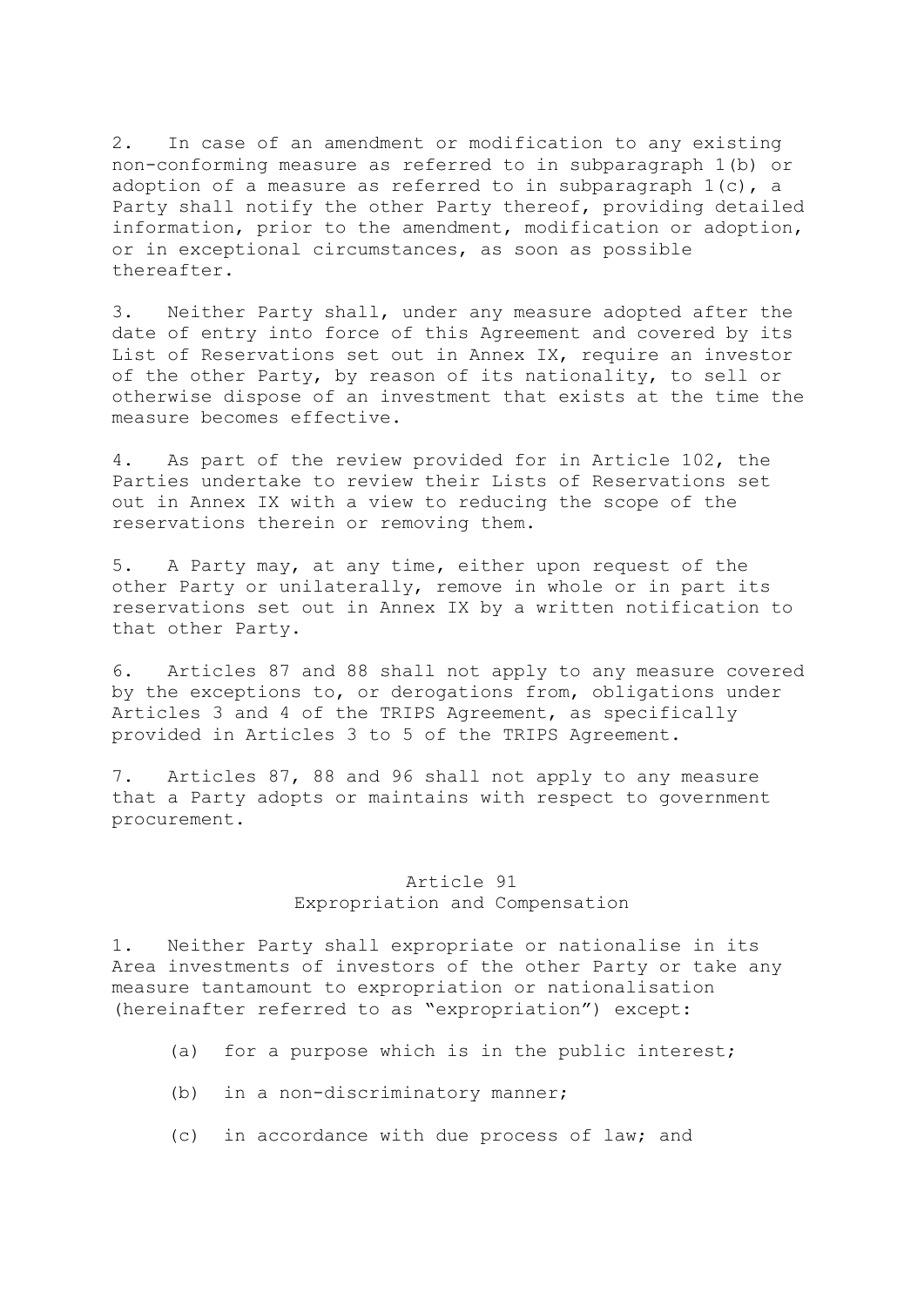2. In case of an amendment or modification to any existing non-conforming measure as referred to in subparagraph 1(b) or adoption of a measure as referred to in subparagraph  $1(c)$ , a Party shall notify the other Party thereof, providing detailed information, prior to the amendment, modification or adoption, or in exceptional circumstances, as soon as possible thereafter.

3. Neither Party shall, under any measure adopted after the date of entry into force of this Agreement and covered by its List of Reservations set out in Annex IX, require an investor of the other Party, by reason of its nationality, to sell or otherwise dispose of an investment that exists at the time the measure becomes effective.

4. As part of the review provided for in Article 102, the Parties undertake to review their Lists of Reservations set out in Annex IX with a view to reducing the scope of the reservations therein or removing them.

5. A Party may, at any time, either upon request of the other Party or unilaterally, remove in whole or in part its reservations set out in Annex IX by a written notification to that other Party.

6. Articles 87 and 88 shall not apply to any measure covered by the exceptions to, or derogations from, obligations under Articles 3 and 4 of the TRIPS Agreement, as specifically provided in Articles 3 to 5 of the TRIPS Agreement.

7. Articles 87, 88 and 96 shall not apply to any measure that a Party adopts or maintains with respect to government procurement.

# Article 91 Expropriation and Compensation

1. Neither Party shall expropriate or nationalise in its Area investments of investors of the other Party or take any measure tantamount to expropriation or nationalisation (hereinafter referred to as "expropriation") except:

- (a) for a purpose which is in the public interest;
- (b) in a non-discriminatory manner;
- (c) in accordance with due process of law; and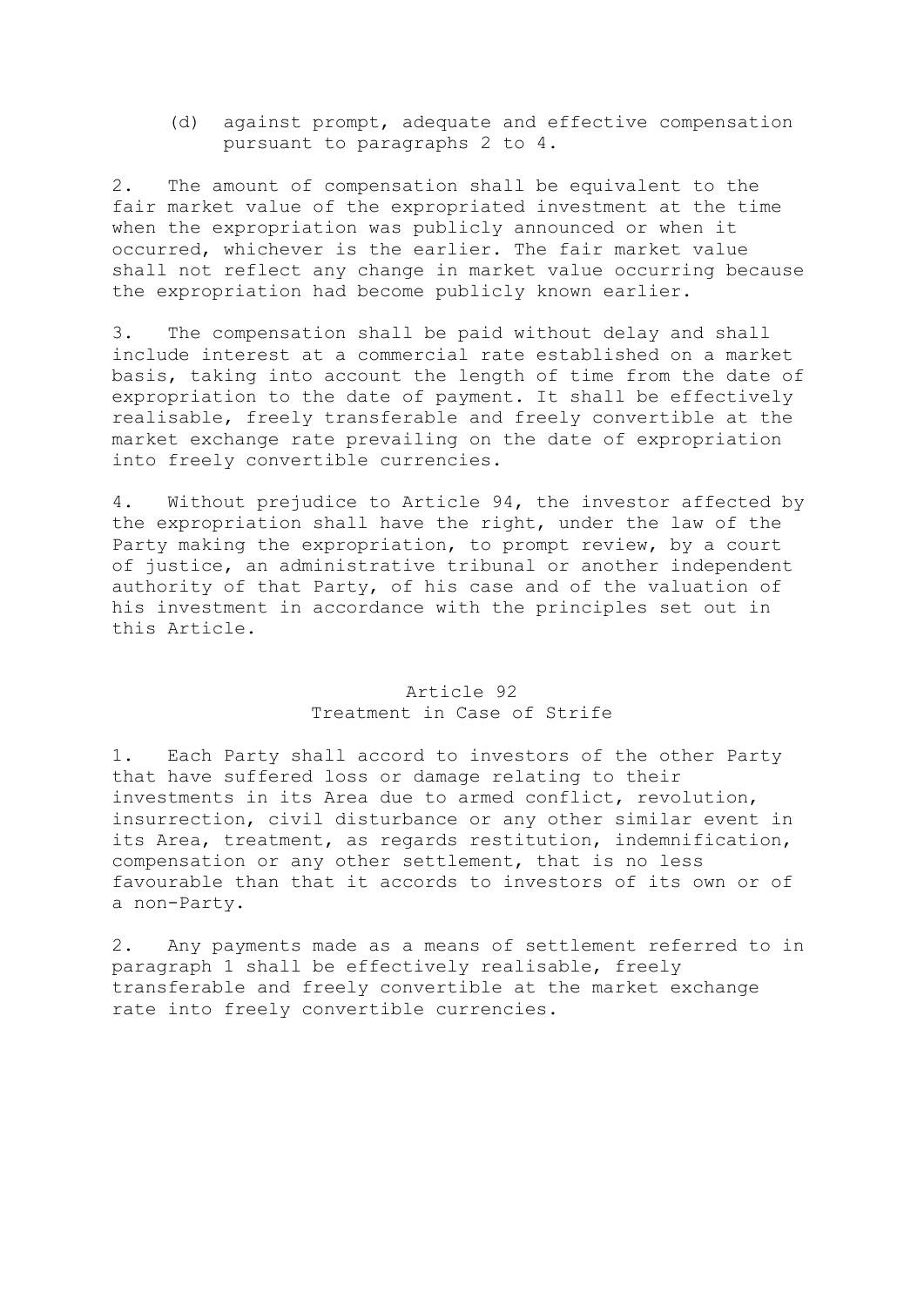(d) against prompt, adequate and effective compensation pursuant to paragraphs 2 to 4.

2. The amount of compensation shall be equivalent to the fair market value of the expropriated investment at the time when the expropriation was publicly announced or when it occurred, whichever is the earlier. The fair market value shall not reflect any change in market value occurring because the expropriation had become publicly known earlier.

3. The compensation shall be paid without delay and shall include interest at a commercial rate established on a market basis, taking into account the length of time from the date of expropriation to the date of payment. It shall be effectively realisable, freely transferable and freely convertible at the market exchange rate prevailing on the date of expropriation into freely convertible currencies.

4. Without prejudice to Article 94, the investor affected by the expropriation shall have the right, under the law of the Party making the expropriation, to prompt review, by a court of justice, an administrative tribunal or another independent authority of that Party, of his case and of the valuation of his investment in accordance with the principles set out in this Article.

# Article 92 Treatment in Case of Strife

1. Each Party shall accord to investors of the other Party that have suffered loss or damage relating to their investments in its Area due to armed conflict, revolution, insurrection, civil disturbance or any other similar event in its Area, treatment, as regards restitution, indemnification, compensation or any other settlement, that is no less favourable than that it accords to investors of its own or of a non-Party.

2. Any payments made as a means of settlement referred to in paragraph 1 shall be effectively realisable, freely transferable and freely convertible at the market exchange rate into freely convertible currencies.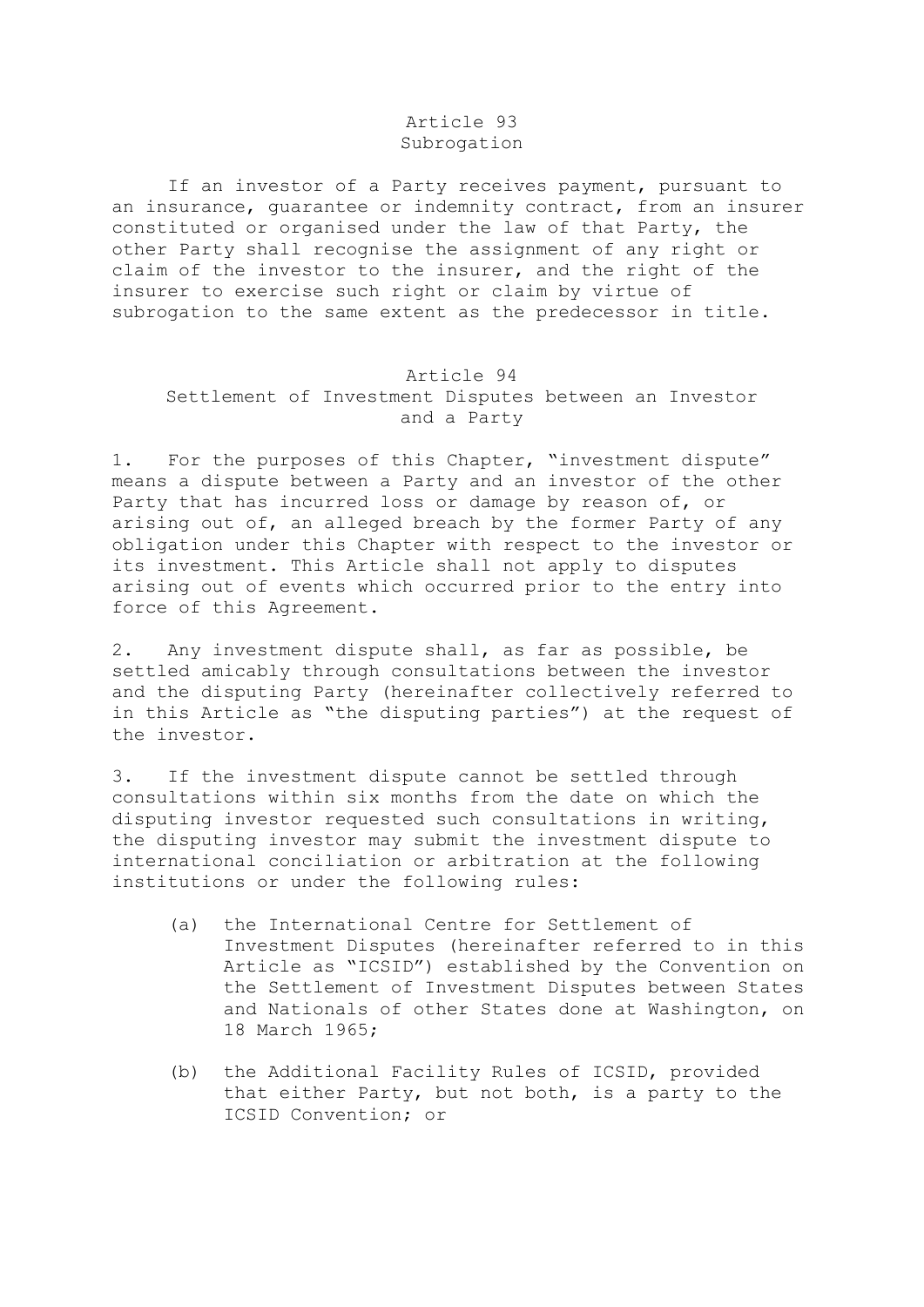## Article 93 Subrogation

 If an investor of a Party receives payment, pursuant to an insurance, guarantee or indemnity contract, from an insurer constituted or organised under the law of that Party, the other Party shall recognise the assignment of any right or claim of the investor to the insurer, and the right of the insurer to exercise such right or claim by virtue of subrogation to the same extent as the predecessor in title.

#### Article 94

# Settlement of Investment Disputes between an Investor and a Party

1. For the purposes of this Chapter, "investment dispute" means a dispute between a Party and an investor of the other Party that has incurred loss or damage by reason of, or arising out of, an alleged breach by the former Party of any obligation under this Chapter with respect to the investor or its investment. This Article shall not apply to disputes arising out of events which occurred prior to the entry into force of this Agreement.

2. Any investment dispute shall, as far as possible, be settled amicably through consultations between the investor and the disputing Party (hereinafter collectively referred to in this Article as "the disputing parties") at the request of the investor.

3. If the investment dispute cannot be settled through consultations within six months from the date on which the disputing investor requested such consultations in writing, the disputing investor may submit the investment dispute to international conciliation or arbitration at the following institutions or under the following rules:

- (a) the International Centre for Settlement of Investment Disputes (hereinafter referred to in this Article as "ICSID") established by the Convention on the Settlement of Investment Disputes between States and Nationals of other States done at Washington, on 18 March 1965;
- (b) the Additional Facility Rules of ICSID, provided that either Party, but not both, is a party to the ICSID Convention; or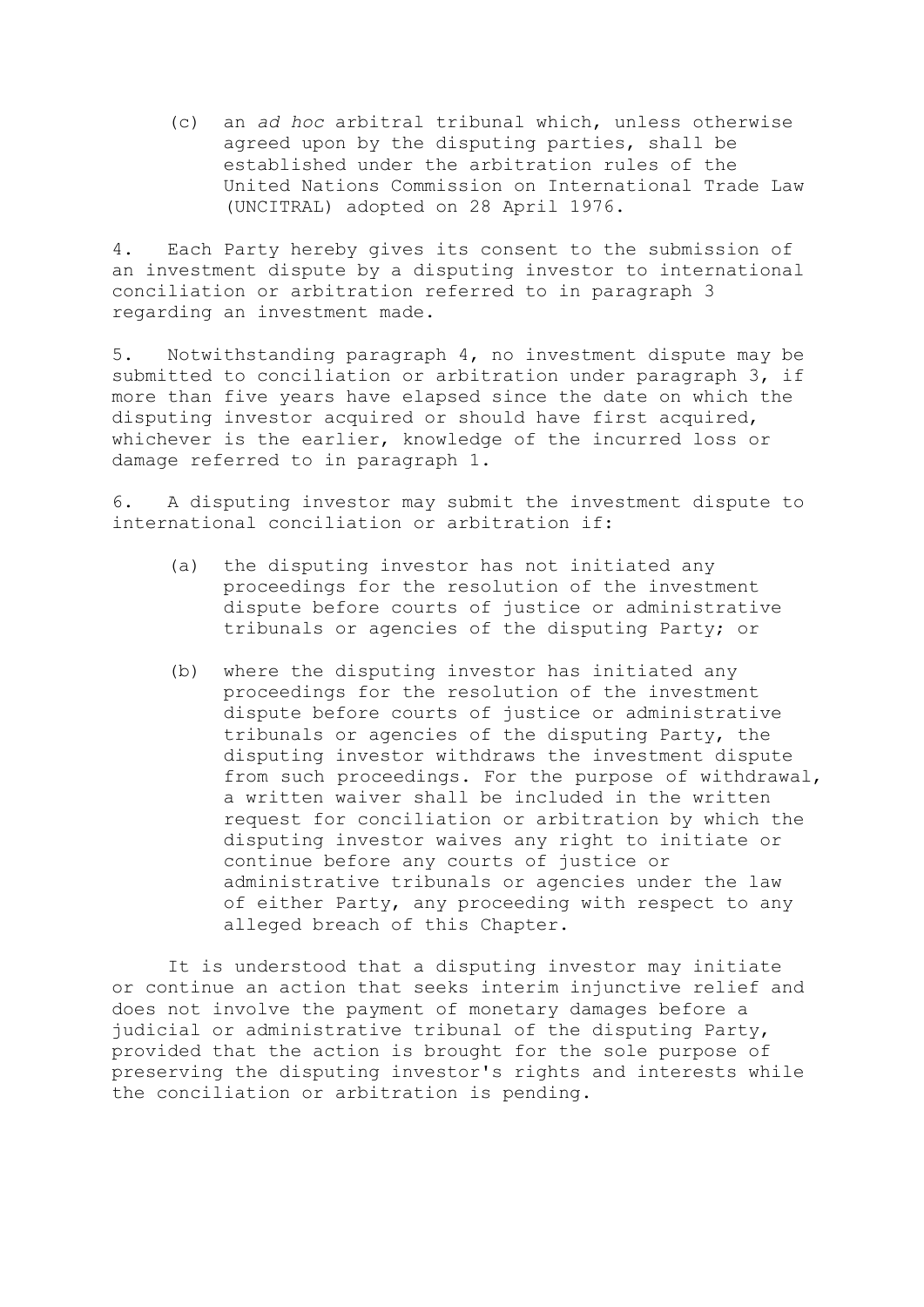(c) an *ad hoc* arbitral tribunal which, unless otherwise agreed upon by the disputing parties, shall be established under the arbitration rules of the United Nations Commission on International Trade Law (UNCITRAL) adopted on 28 April 1976.

4. Each Party hereby gives its consent to the submission of an investment dispute by a disputing investor to international conciliation or arbitration referred to in paragraph 3 regarding an investment made.

5. Notwithstanding paragraph 4, no investment dispute may be submitted to conciliation or arbitration under paragraph 3, if more than five years have elapsed since the date on which the disputing investor acquired or should have first acquired, whichever is the earlier, knowledge of the incurred loss or damage referred to in paragraph 1.

6. A disputing investor may submit the investment dispute to international conciliation or arbitration if:

- (a) the disputing investor has not initiated any proceedings for the resolution of the investment dispute before courts of justice or administrative tribunals or agencies of the disputing Party; or
- (b) where the disputing investor has initiated any proceedings for the resolution of the investment dispute before courts of justice or administrative tribunals or agencies of the disputing Party, the disputing investor withdraws the investment dispute from such proceedings. For the purpose of withdrawal, a written waiver shall be included in the written request for conciliation or arbitration by which the disputing investor waives any right to initiate or continue before any courts of justice or administrative tribunals or agencies under the law of either Party, any proceeding with respect to any alleged breach of this Chapter.

 It is understood that a disputing investor may initiate or continue an action that seeks interim injunctive relief and does not involve the payment of monetary damages before a judicial or administrative tribunal of the disputing Party, provided that the action is brought for the sole purpose of preserving the disputing investor's rights and interests while the conciliation or arbitration is pending.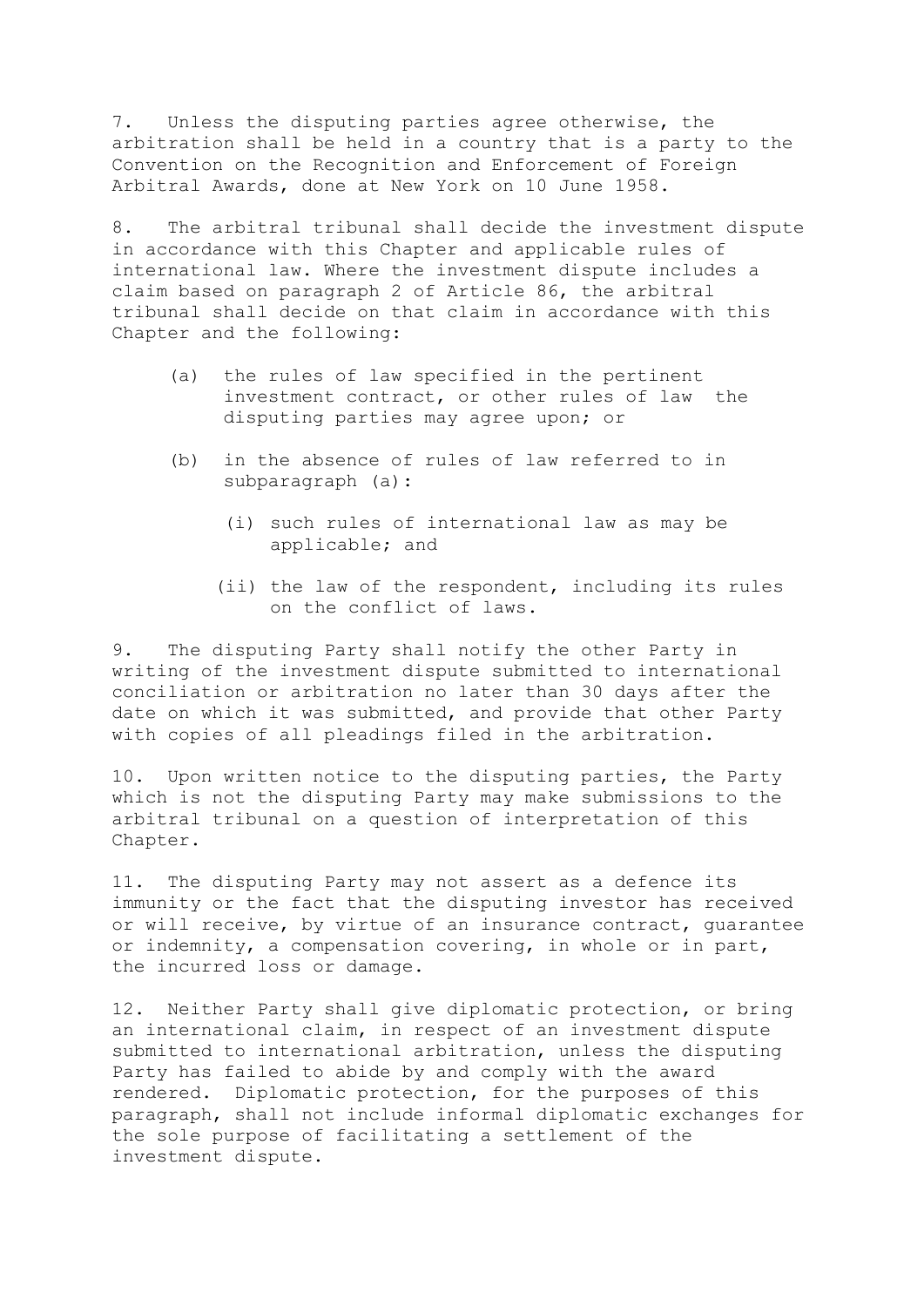7. Unless the disputing parties agree otherwise, the arbitration shall be held in a country that is a party to the Convention on the Recognition and Enforcement of Foreign Arbitral Awards, done at New York on 10 June 1958.

8. The arbitral tribunal shall decide the investment dispute in accordance with this Chapter and applicable rules of international law. Where the investment dispute includes a claim based on paragraph 2 of Article 86, the arbitral tribunal shall decide on that claim in accordance with this Chapter and the following:

- (a) the rules of law specified in the pertinent investment contract, or other rules of law the disputing parties may agree upon; or
- (b) in the absence of rules of law referred to in subparagraph (a):
	- (i) such rules of international law as may be applicable; and
	- (ii) the law of the respondent, including its rules on the conflict of laws.

9. The disputing Party shall notify the other Party in writing of the investment dispute submitted to international conciliation or arbitration no later than 30 days after the date on which it was submitted, and provide that other Party with copies of all pleadings filed in the arbitration.

10. Upon written notice to the disputing parties, the Party which is not the disputing Party may make submissions to the arbitral tribunal on a question of interpretation of this Chapter.

11. The disputing Party may not assert as a defence its immunity or the fact that the disputing investor has received or will receive, by virtue of an insurance contract, guarantee or indemnity, a compensation covering, in whole or in part, the incurred loss or damage.

12. Neither Party shall give diplomatic protection, or bring an international claim, in respect of an investment dispute submitted to international arbitration, unless the disputing Party has failed to abide by and comply with the award rendered. Diplomatic protection, for the purposes of this paragraph, shall not include informal diplomatic exchanges for the sole purpose of facilitating a settlement of the investment dispute.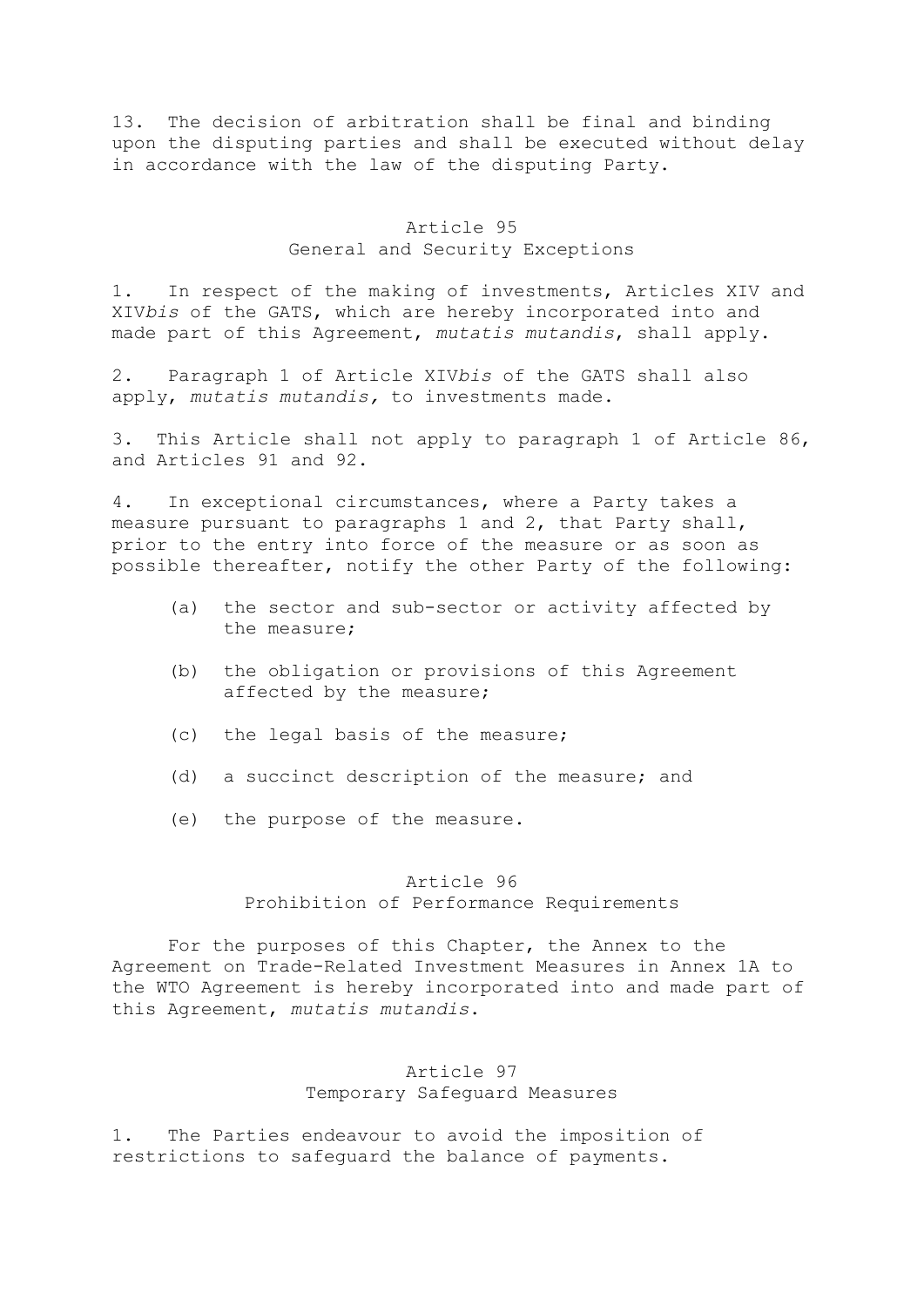13. The decision of arbitration shall be final and binding upon the disputing parties and shall be executed without delay in accordance with the law of the disputing Party.

# Article 95 General and Security Exceptions

1. In respect of the making of investments, Articles XIV and XIV*bis* of the GATS, which are hereby incorporated into and made part of this Agreement, *mutatis mutandis*, shall apply.

2. Paragraph 1 of Article XIV*bis* of the GATS shall also apply, *mutatis mutandis,* to investments made.

3. This Article shall not apply to paragraph 1 of Article 86, and Articles 91 and 92.

4. In exceptional circumstances, where a Party takes a measure pursuant to paragraphs 1 and 2, that Party shall, prior to the entry into force of the measure or as soon as possible thereafter, notify the other Party of the following:

- (a) the sector and sub-sector or activity affected by the measure;
- (b) the obligation or provisions of this Agreement affected by the measure;
- (c) the legal basis of the measure;
- (d) a succinct description of the measure; and
- (e) the purpose of the measure.

#### Article 96

Prohibition of Performance Requirements

 For the purposes of this Chapter, the Annex to the Agreement on Trade-Related Investment Measures in Annex 1A to the WTO Agreement is hereby incorporated into and made part of this Agreement, *mutatis mutandis*.

# Article 97 Temporary Safeguard Measures

1. The Parties endeavour to avoid the imposition of restrictions to safeguard the balance of payments.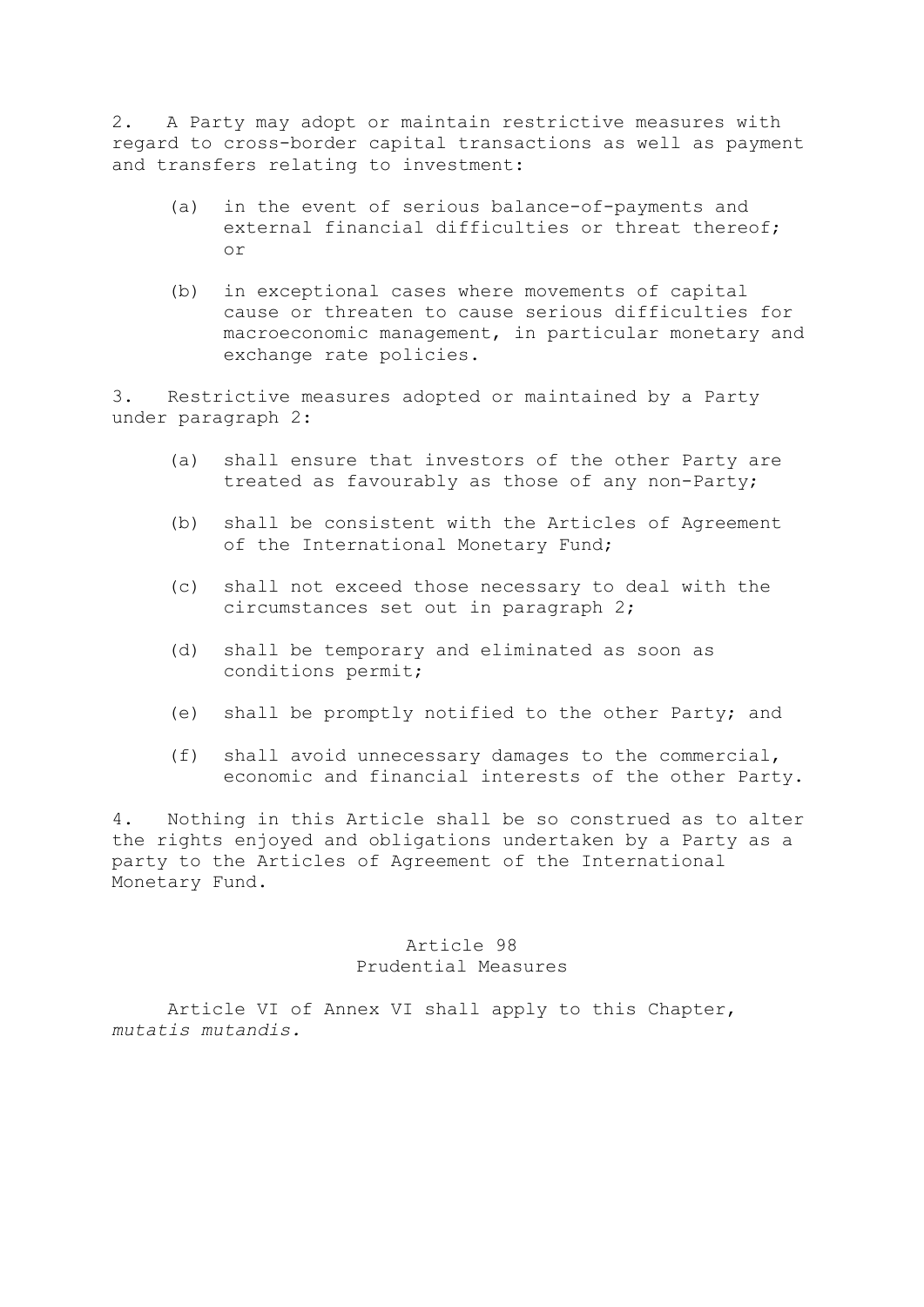2. A Party may adopt or maintain restrictive measures with regard to cross-border capital transactions as well as payment and transfers relating to investment:

- (a) in the event of serious balance-of-payments and external financial difficulties or threat thereof; or
- (b) in exceptional cases where movements of capital cause or threaten to cause serious difficulties for macroeconomic management, in particular monetary and exchange rate policies.

3. Restrictive measures adopted or maintained by a Party under paragraph 2:

- (a) shall ensure that investors of the other Party are treated as favourably as those of any non-Party;
- (b) shall be consistent with the Articles of Agreement of the International Monetary Fund;
- (c) shall not exceed those necessary to deal with the circumstances set out in paragraph 2;
- (d) shall be temporary and eliminated as soon as conditions permit;
- (e) shall be promptly notified to the other Party; and
- (f) shall avoid unnecessary damages to the commercial, economic and financial interests of the other Party.

4. Nothing in this Article shall be so construed as to alter the rights enjoyed and obligations undertaken by a Party as a party to the Articles of Agreement of the International Monetary Fund.

### Article 98 Prudential Measures

 Article VI of Annex VI shall apply to this Chapter, *mutatis mutandis.*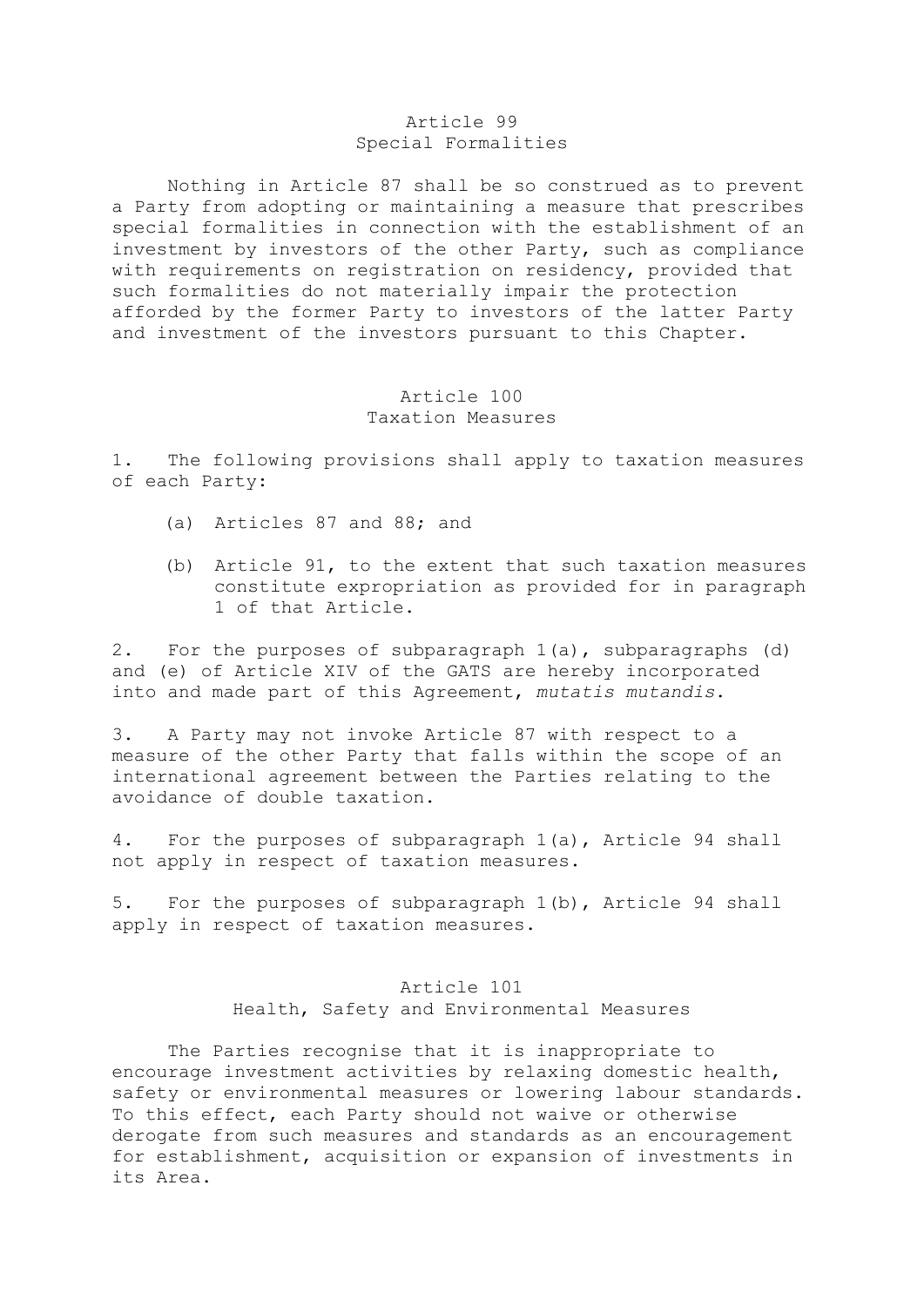#### Article 99 Special Formalities

 Nothing in Article 87 shall be so construed as to prevent a Party from adopting or maintaining a measure that prescribes special formalities in connection with the establishment of an investment by investors of the other Party, such as compliance with requirements on registration on residency, provided that such formalities do not materially impair the protection afforded by the former Party to investors of the latter Party and investment of the investors pursuant to this Chapter.

#### Article 100 Taxation Measures

1. The following provisions shall apply to taxation measures of each Party:

- (a) Articles 87 and 88; and
- (b) Article 91, to the extent that such taxation measures constitute expropriation as provided for in paragraph 1 of that Article.

2. For the purposes of subparagraph 1(a), subparagraphs (d) and (e) of Article XIV of the GATS are hereby incorporated into and made part of this Agreement, *mutatis mutandis*.

3. A Party may not invoke Article 87 with respect to a measure of the other Party that falls within the scope of an international agreement between the Parties relating to the avoidance of double taxation.

4. For the purposes of subparagraph 1(a), Article 94 shall not apply in respect of taxation measures.

5. For the purposes of subparagraph 1(b), Article 94 shall apply in respect of taxation measures.

# Article 101 Health, Safety and Environmental Measures

 The Parties recognise that it is inappropriate to encourage investment activities by relaxing domestic health, safety or environmental measures or lowering labour standards. To this effect, each Party should not waive or otherwise derogate from such measures and standards as an encouragement for establishment, acquisition or expansion of investments in its Area.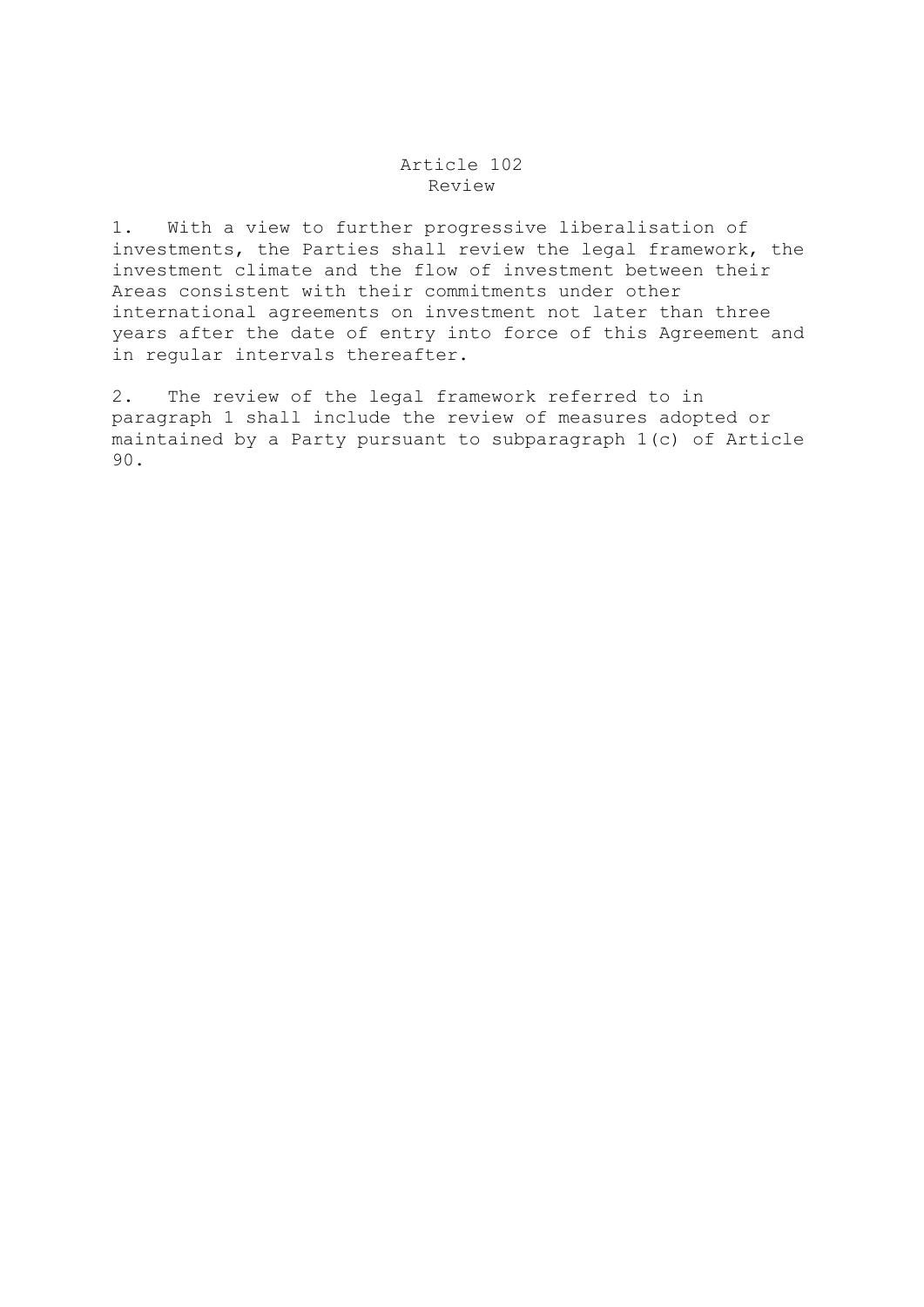#### Article 102 Review

1. With a view to further progressive liberalisation of investments, the Parties shall review the legal framework, the investment climate and the flow of investment between their Areas consistent with their commitments under other international agreements on investment not later than three years after the date of entry into force of this Agreement and in regular intervals thereafter.

2. The review of the legal framework referred to in paragraph 1 shall include the review of measures adopted or maintained by a Party pursuant to subparagraph 1(c) of Article 90.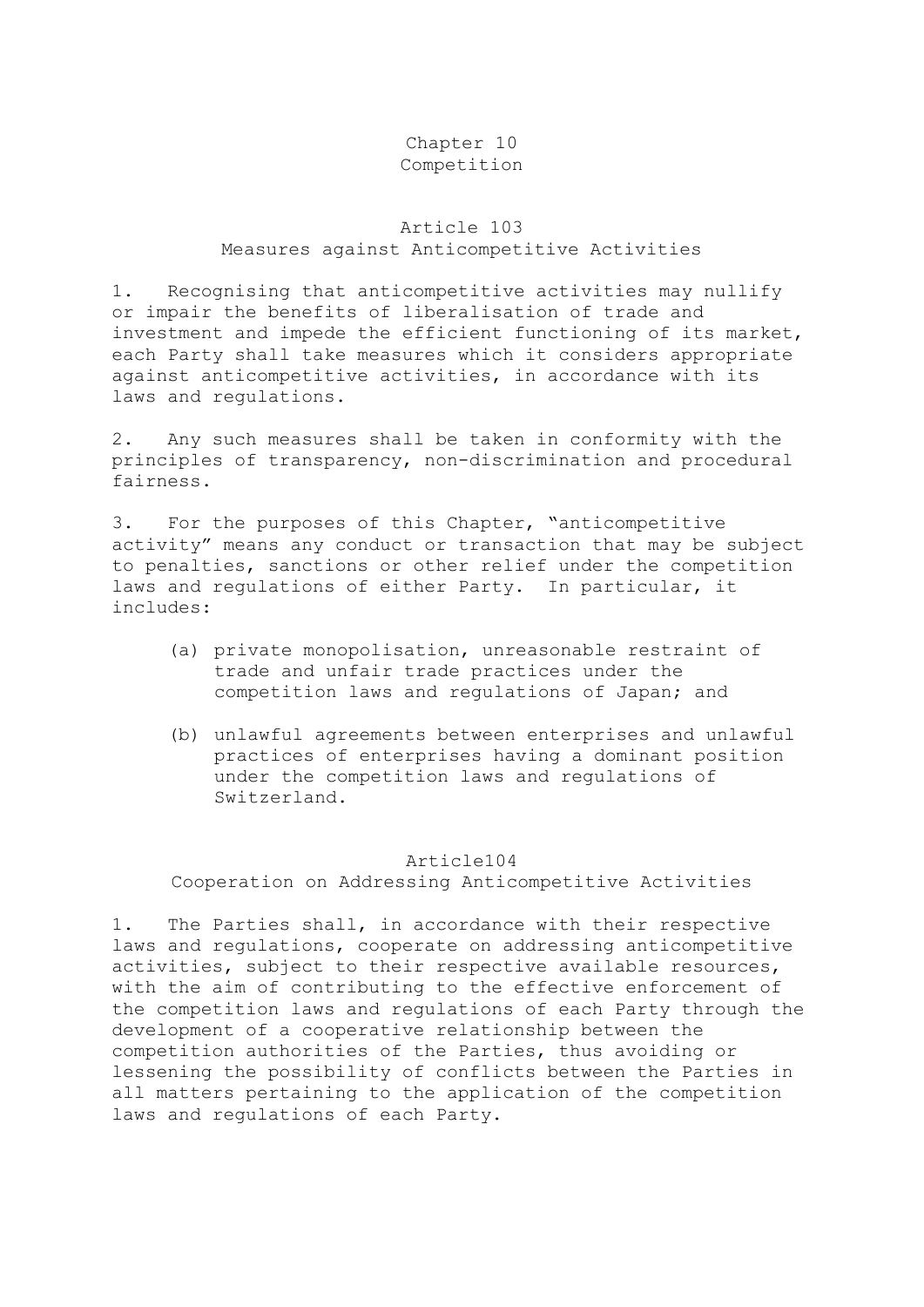### Chapter 10 Competition

# Article 103 Measures against Anticompetitive Activities

1. Recognising that anticompetitive activities may nullify or impair the benefits of liberalisation of trade and investment and impede the efficient functioning of its market, each Party shall take measures which it considers appropriate against anticompetitive activities, in accordance with its laws and regulations.

2. Any such measures shall be taken in conformity with the principles of transparency, non-discrimination and procedural fairness.

3. For the purposes of this Chapter, "anticompetitive activity" means any conduct or transaction that may be subject to penalties, sanctions or other relief under the competition laws and regulations of either Party. In particular, it includes:

- (a) private monopolisation, unreasonable restraint of trade and unfair trade practices under the competition laws and regulations of Japan; and
- (b) unlawful agreements between enterprises and unlawful practices of enterprises having a dominant position under the competition laws and regulations of Switzerland.

## Article104

Cooperation on Addressing Anticompetitive Activities

1. The Parties shall, in accordance with their respective laws and regulations, cooperate on addressing anticompetitive activities, subject to their respective available resources, with the aim of contributing to the effective enforcement of the competition laws and regulations of each Party through the development of a cooperative relationship between the competition authorities of the Parties, thus avoiding or lessening the possibility of conflicts between the Parties in all matters pertaining to the application of the competition laws and regulations of each Party.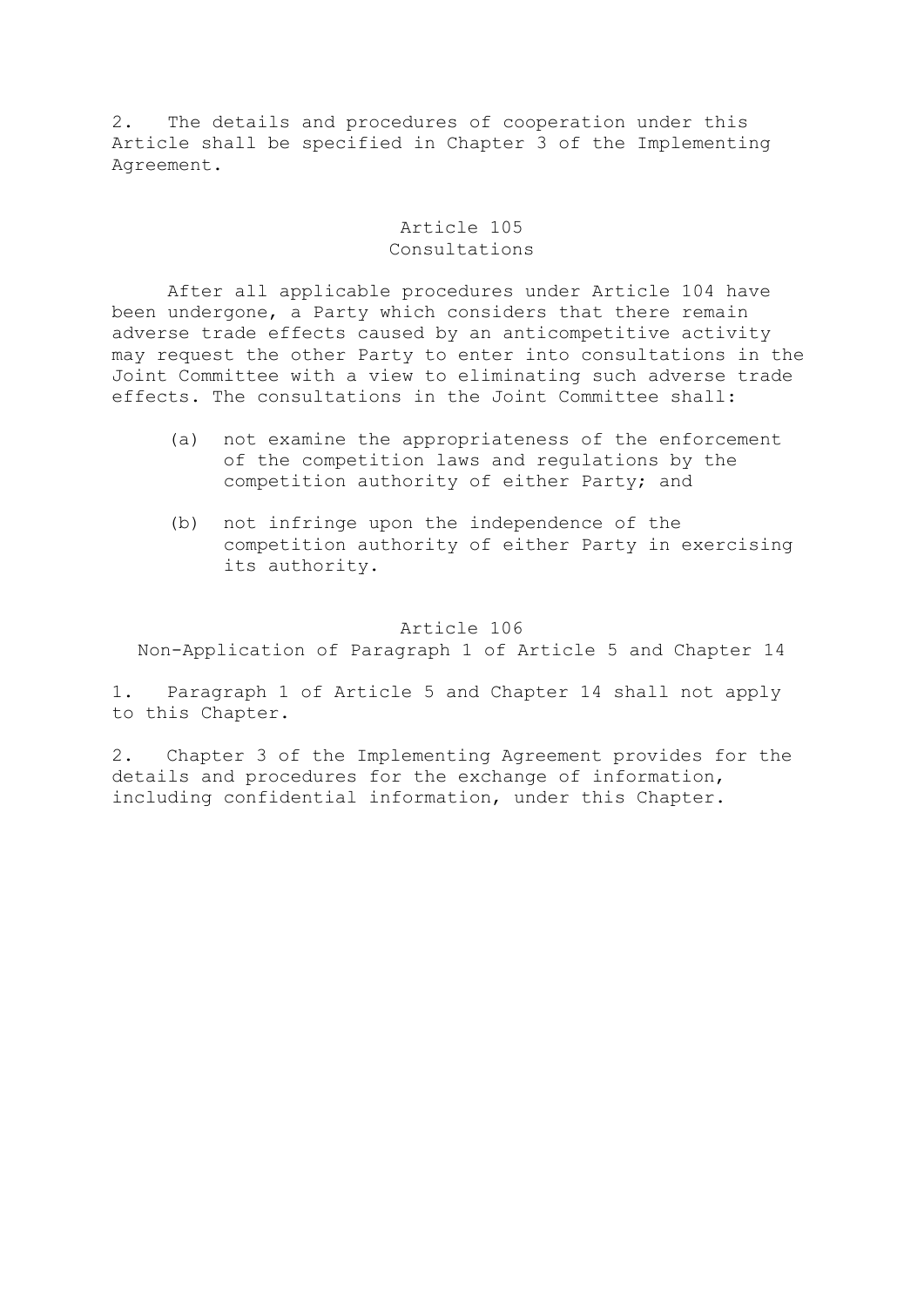2. The details and procedures of cooperation under this Article shall be specified in Chapter 3 of the Implementing Agreement.

# Article 105 Consultations

 After all applicable procedures under Article 104 have been undergone, a Party which considers that there remain adverse trade effects caused by an anticompetitive activity may request the other Party to enter into consultations in the Joint Committee with a view to eliminating such adverse trade effects. The consultations in the Joint Committee shall:

- (a) not examine the appropriateness of the enforcement of the competition laws and regulations by the competition authority of either Party; and
- (b) not infringe upon the independence of the competition authority of either Party in exercising its authority.

Article 106

Non-Application of Paragraph 1 of Article 5 and Chapter 14

1. Paragraph 1 of Article 5 and Chapter 14 shall not apply to this Chapter.

2. Chapter 3 of the Implementing Agreement provides for the details and procedures for the exchange of information, including confidential information, under this Chapter.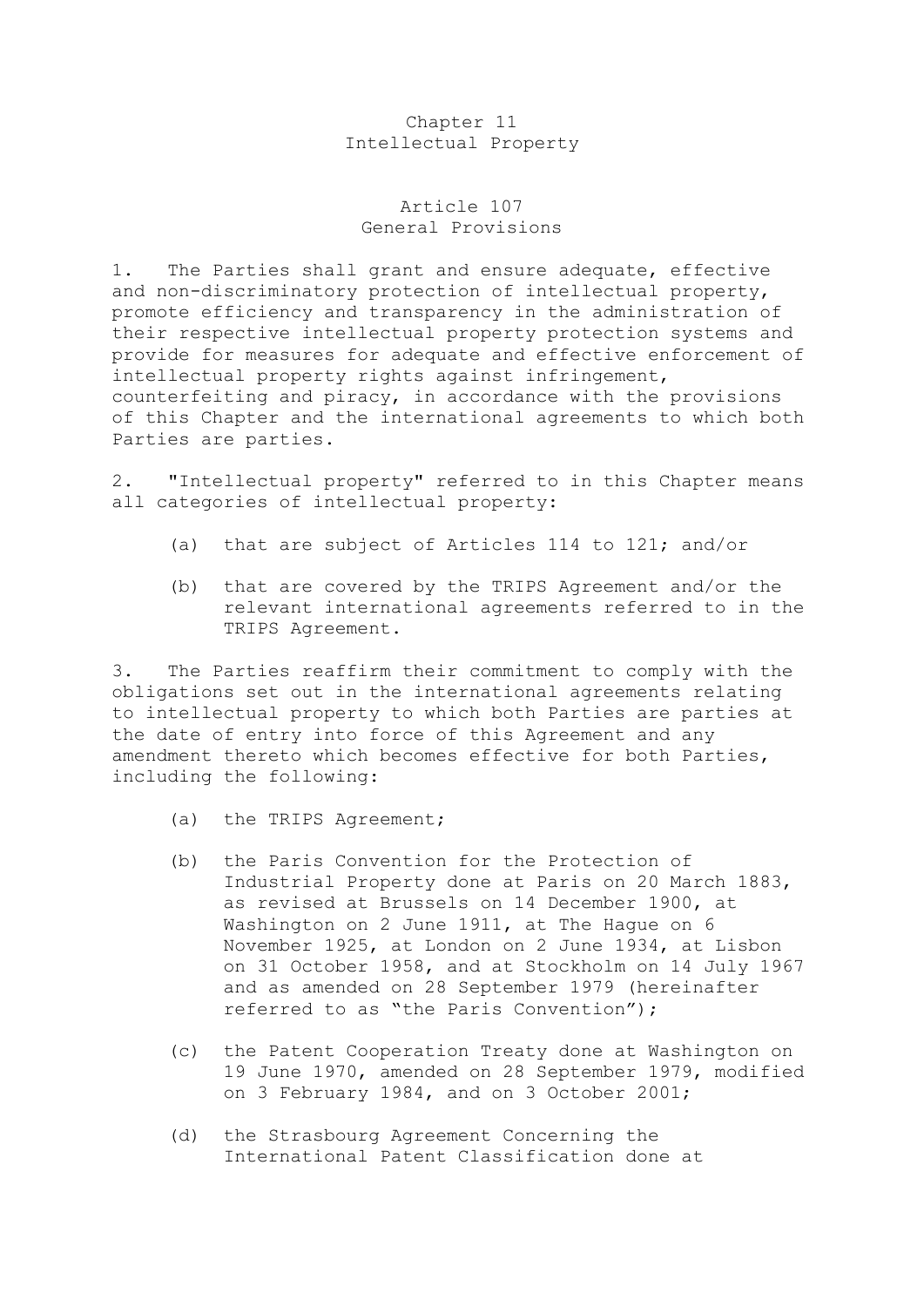## Chapter 11 Intellectual Property

# Article 107 General Provisions

1. The Parties shall grant and ensure adequate, effective and non-discriminatory protection of intellectual property, promote efficiency and transparency in the administration of their respective intellectual property protection systems and provide for measures for adequate and effective enforcement of intellectual property rights against infringement, counterfeiting and piracy, in accordance with the provisions of this Chapter and the international agreements to which both Parties are parties.

2. "Intellectual property" referred to in this Chapter means all categories of intellectual property:

- (a) that are subject of Articles 114 to 121; and/or
- (b) that are covered by the TRIPS Agreement and/or the relevant international agreements referred to in the TRIPS Agreement.

3. The Parties reaffirm their commitment to comply with the obligations set out in the international agreements relating to intellectual property to which both Parties are parties at the date of entry into force of this Agreement and any amendment thereto which becomes effective for both Parties, including the following:

- (a) the TRIPS Agreement;
- (b) the Paris Convention for the Protection of Industrial Property done at Paris on 20 March 1883, as revised at Brussels on 14 December 1900, at Washington on 2 June 1911, at The Hague on 6 November 1925, at London on 2 June 1934, at Lisbon on 31 October 1958, and at Stockholm on 14 July 1967 and as amended on 28 September 1979 (hereinafter referred to as "the Paris Convention");
- (c) the Patent Cooperation Treaty done at Washington on 19 June 1970, amended on 28 September 1979, modified on 3 February 1984, and on 3 October 2001;
- (d) the Strasbourg Agreement Concerning the International Patent Classification done at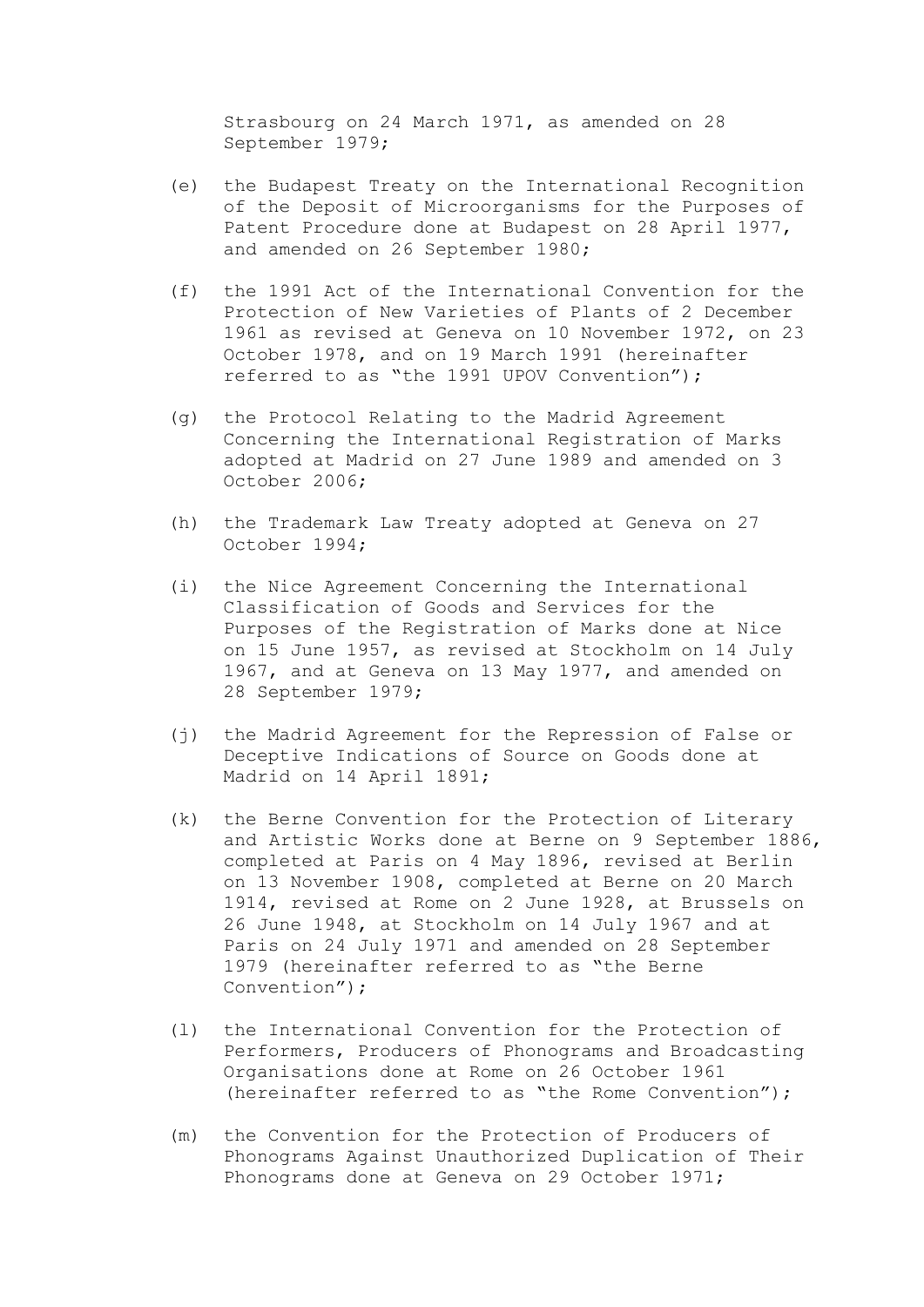Strasbourg on 24 March 1971, as amended on 28 September 1979;

- (e) the Budapest Treaty on the International Recognition of the Deposit of Microorganisms for the Purposes of Patent Procedure done at Budapest on 28 April 1977, and amended on 26 September 1980;
- (f) the 1991 Act of the International Convention for the Protection of New Varieties of Plants of 2 December 1961 as revised at Geneva on 10 November 1972, on 23 October 1978, and on 19 March 1991 (hereinafter referred to as "the 1991 UPOV Convention");
- (g) the Protocol Relating to the Madrid Agreement Concerning the International Registration of Marks adopted at Madrid on 27 June 1989 and amended on 3 October 2006;
- (h) the Trademark Law Treaty adopted at Geneva on 27 October 1994;
- (i) the Nice Agreement Concerning the International Classification of Goods and Services for the Purposes of the Registration of Marks done at Nice on 15 June 1957, as revised at Stockholm on 14 July 1967, and at Geneva on 13 May 1977, and amended on 28 September 1979;
- (j) the Madrid Agreement for the Repression of False or Deceptive Indications of Source on Goods done at Madrid on 14 April 1891;
- (k) the Berne Convention for the Protection of Literary and Artistic Works done at Berne on 9 September 1886, completed at Paris on 4 May 1896, revised at Berlin on 13 November 1908, completed at Berne on 20 March 1914, revised at Rome on 2 June 1928, at Brussels on 26 June 1948, at Stockholm on 14 July 1967 and at Paris on 24 July 1971 and amended on 28 September 1979 (hereinafter referred to as "the Berne Convention");
- (l) the International Convention for the Protection of Performers, Producers of Phonograms and Broadcasting Organisations done at Rome on 26 October 1961 (hereinafter referred to as "the Rome Convention");
- (m) the Convention for the Protection of Producers of Phonograms Against Unauthorized Duplication of Their Phonograms done at Geneva on 29 October 1971;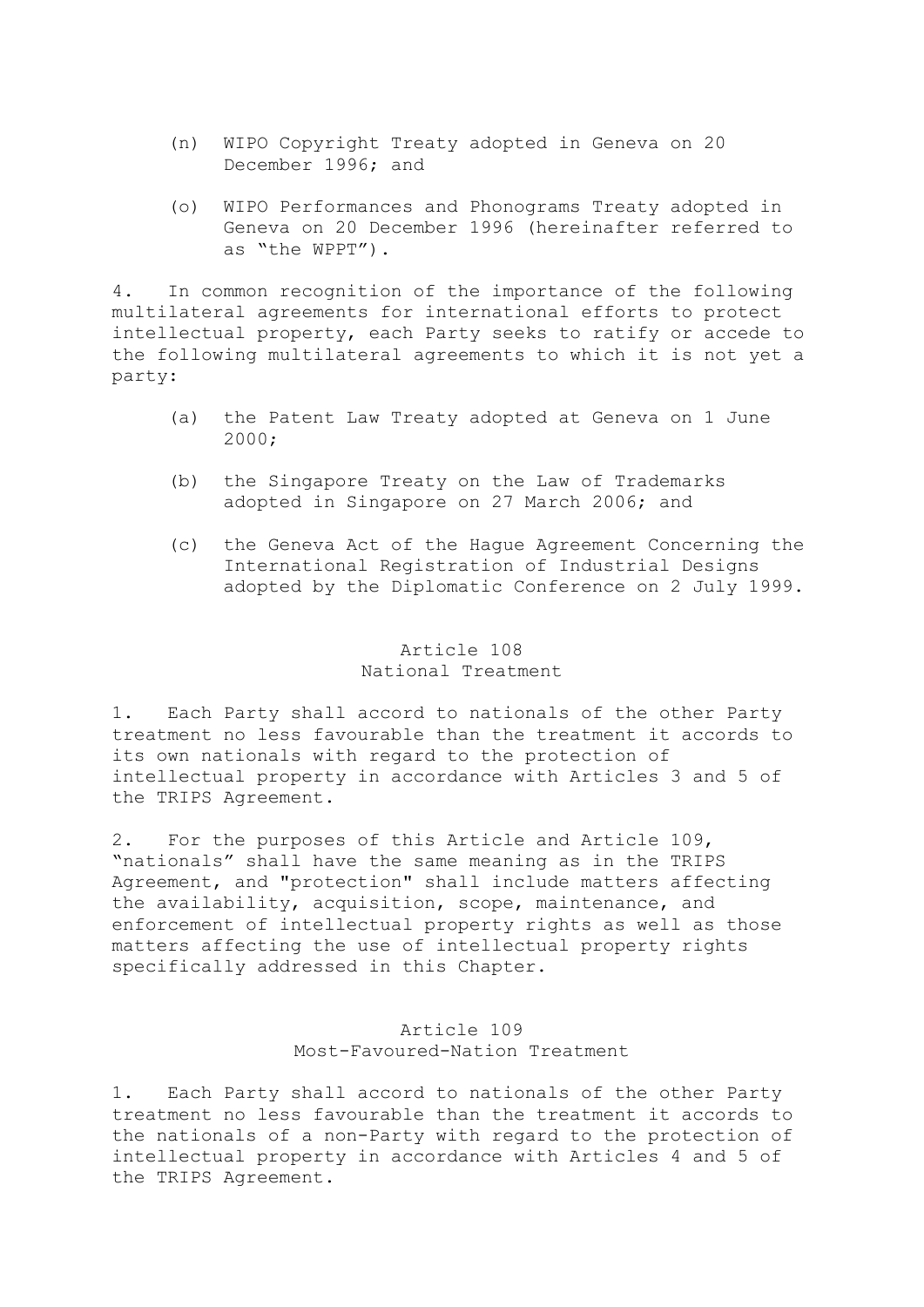- (n) WIPO Copyright Treaty adopted in Geneva on 20 December 1996; and
- (o) WIPO Performances and Phonograms Treaty adopted in Geneva on 20 December 1996 (hereinafter referred to as "the WPPT").

4. In common recognition of the importance of the following multilateral agreements for international efforts to protect intellectual property, each Party seeks to ratify or accede to the following multilateral agreements to which it is not yet a party:

- (a) the Patent Law Treaty adopted at Geneva on 1 June 2000;
- (b) the Singapore Treaty on the Law of Trademarks adopted in Singapore on 27 March 2006; and
- (c) the Geneva Act of the Hague Agreement Concerning the International Registration of Industrial Designs adopted by the Diplomatic Conference on 2 July 1999.

# Article 108 National Treatment

1. Each Party shall accord to nationals of the other Party treatment no less favourable than the treatment it accords to its own nationals with regard to the protection of intellectual property in accordance with Articles 3 and 5 of the TRIPS Agreement.

2. For the purposes of this Article and Article 109, "nationals" shall have the same meaning as in the TRIPS Agreement, and "protection" shall include matters affecting the availability, acquisition, scope, maintenance, and enforcement of intellectual property rights as well as those matters affecting the use of intellectual property rights specifically addressed in this Chapter.

# Article 109 Most-Favoured-Nation Treatment

1. Each Party shall accord to nationals of the other Party treatment no less favourable than the treatment it accords to the nationals of a non-Party with regard to the protection of intellectual property in accordance with Articles 4 and 5 of the TRIPS Agreement.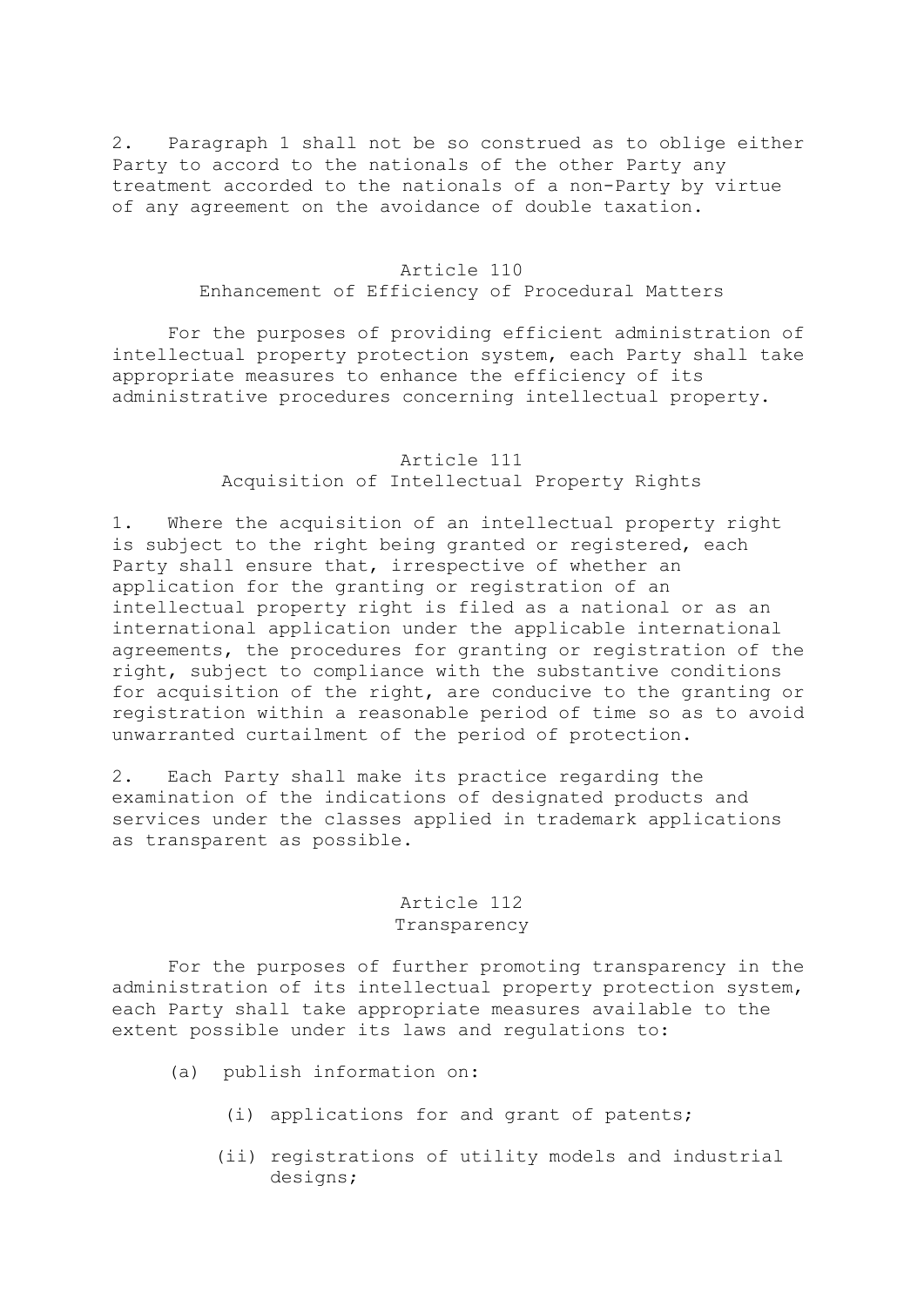2. Paragraph 1 shall not be so construed as to oblige either Party to accord to the nationals of the other Party any treatment accorded to the nationals of a non-Party by virtue of any agreement on the avoidance of double taxation.

### Article 110 Enhancement of Efficiency of Procedural Matters

 For the purposes of providing efficient administration of intellectual property protection system, each Party shall take appropriate measures to enhance the efficiency of its administrative procedures concerning intellectual property.

# Article 111 Acquisition of Intellectual Property Rights

1. Where the acquisition of an intellectual property right is subject to the right being granted or registered, each Party shall ensure that, irrespective of whether an application for the granting or registration of an intellectual property right is filed as a national or as an international application under the applicable international agreements, the procedures for granting or registration of the right, subject to compliance with the substantive conditions for acquisition of the right, are conducive to the granting or registration within a reasonable period of time so as to avoid unwarranted curtailment of the period of protection.

2. Each Party shall make its practice regarding the examination of the indications of designated products and services under the classes applied in trademark applications as transparent as possible.

#### Article 112 Transparency

 For the purposes of further promoting transparency in the administration of its intellectual property protection system, each Party shall take appropriate measures available to the extent possible under its laws and regulations to:

- (a) publish information on:
	- (i) applications for and grant of patents;
	- (ii) registrations of utility models and industrial designs;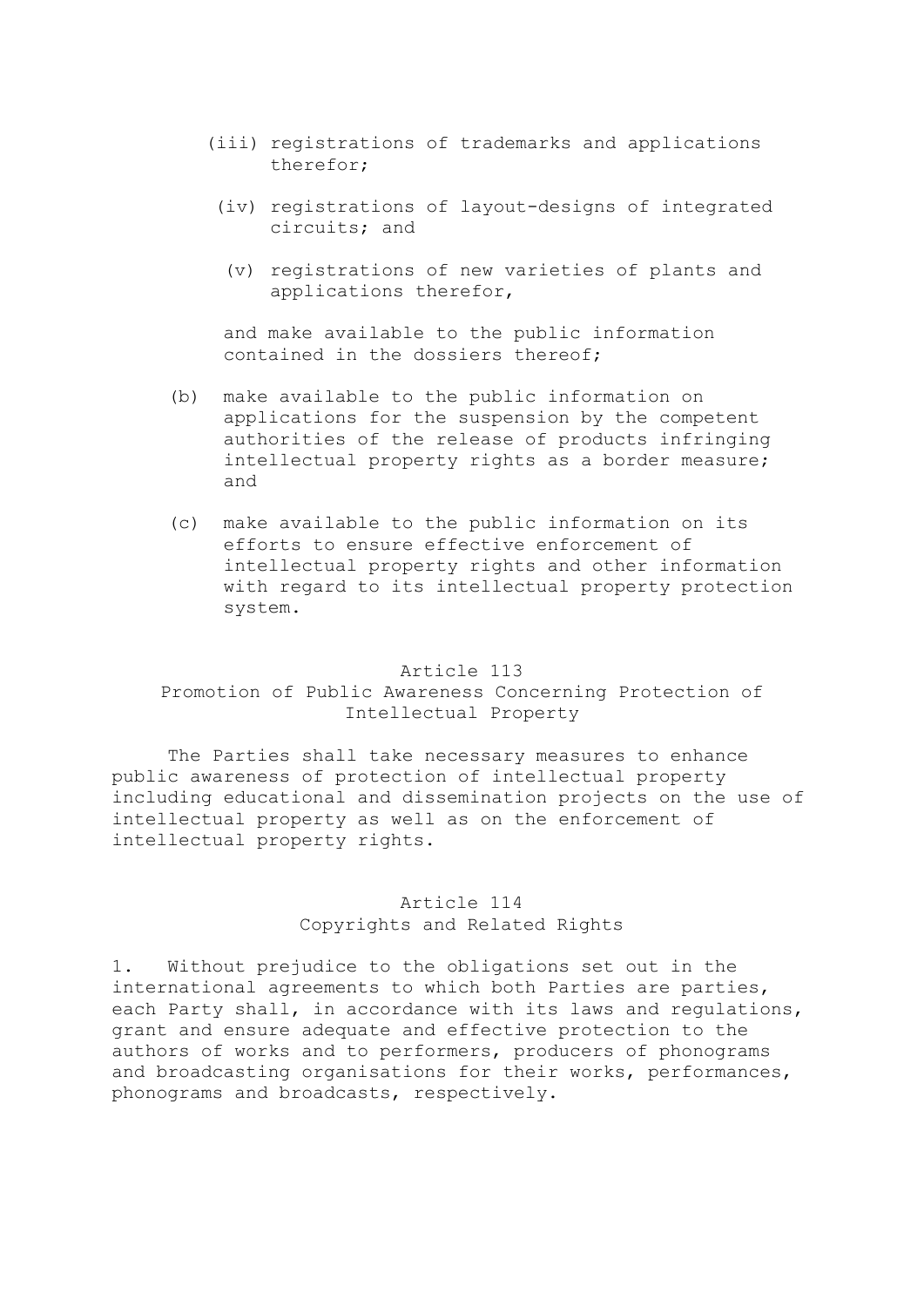- (iii) registrations of trademarks and applications therefor;
	- (iv) registrations of layout-designs of integrated circuits; and
	- (v) registrations of new varieties of plants and applications therefor,

 and make available to the public information contained in the dossiers thereof;

- (b) make available to the public information on applications for the suspension by the competent authorities of the release of products infringing intellectual property rights as a border measure; and
- (c) make available to the public information on its efforts to ensure effective enforcement of intellectual property rights and other information with regard to its intellectual property protection system.

#### Article 113

# Promotion of Public Awareness Concerning Protection of Intellectual Property

 The Parties shall take necessary measures to enhance public awareness of protection of intellectual property including educational and dissemination projects on the use of intellectual property as well as on the enforcement of intellectual property rights.

# Article 114

Copyrights and Related Rights

1. Without prejudice to the obligations set out in the international agreements to which both Parties are parties, each Party shall, in accordance with its laws and regulations, grant and ensure adequate and effective protection to the authors of works and to performers, producers of phonograms and broadcasting organisations for their works, performances, phonograms and broadcasts, respectively.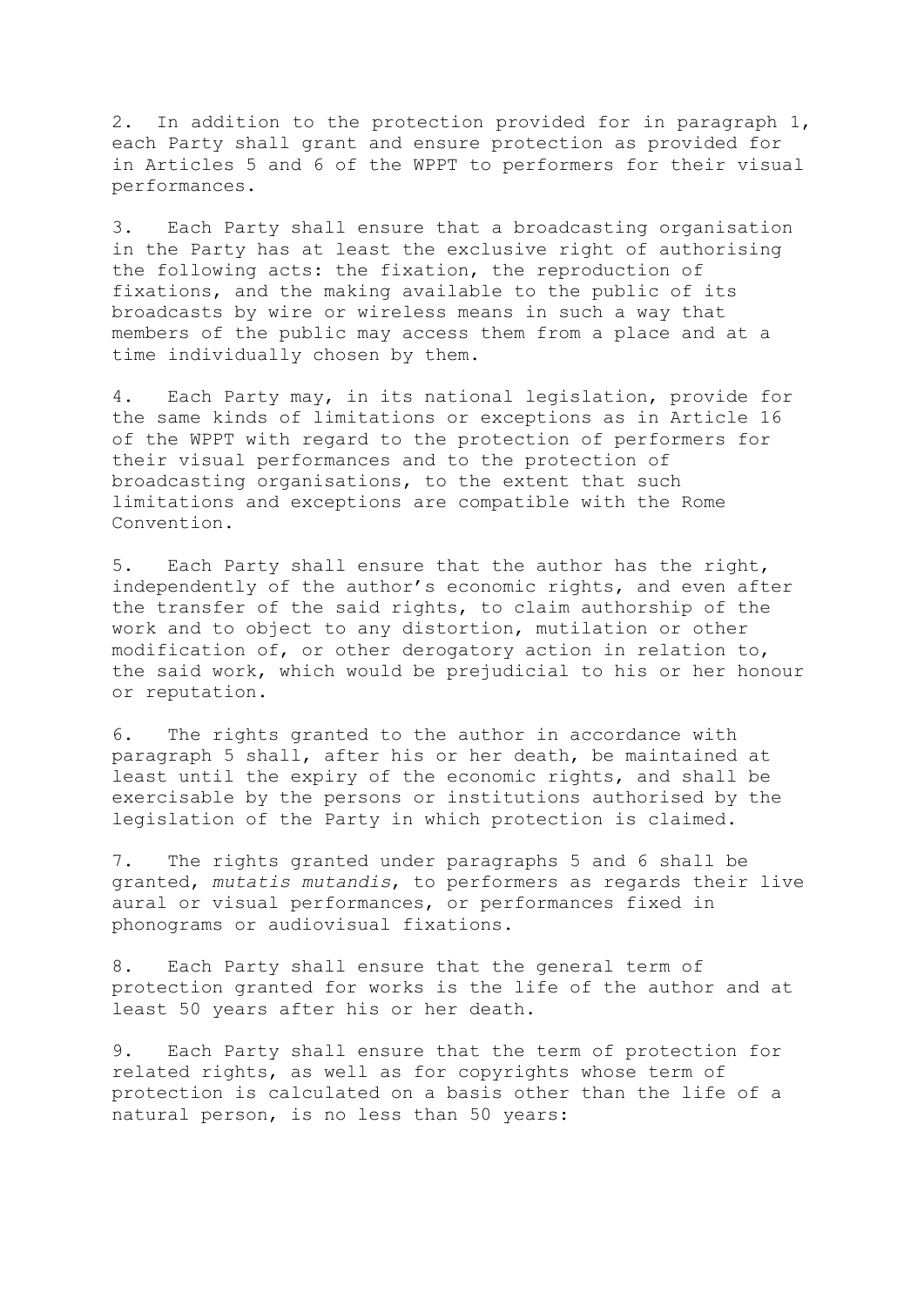2. In addition to the protection provided for in paragraph 1, each Party shall grant and ensure protection as provided for in Articles 5 and 6 of the WPPT to performers for their visual performances.

3. Each Party shall ensure that a broadcasting organisation in the Party has at least the exclusive right of authorising the following acts: the fixation, the reproduction of fixations, and the making available to the public of its broadcasts by wire or wireless means in such a way that members of the public may access them from a place and at a time individually chosen by them.

4. Each Party may, in its national legislation, provide for the same kinds of limitations or exceptions as in Article 16 of the WPPT with regard to the protection of performers for their visual performances and to the protection of broadcasting organisations, to the extent that such limitations and exceptions are compatible with the Rome Convention.

5. Each Party shall ensure that the author has the right, independently of the author's economic rights, and even after the transfer of the said rights, to claim authorship of the work and to object to any distortion, mutilation or other modification of, or other derogatory action in relation to, the said work, which would be prejudicial to his or her honour or reputation.

6. The rights granted to the author in accordance with paragraph 5 shall, after his or her death, be maintained at least until the expiry of the economic rights, and shall be exercisable by the persons or institutions authorised by the legislation of the Party in which protection is claimed.

7. The rights granted under paragraphs 5 and 6 shall be granted, *mutatis mutandis*, to performers as regards their live aural or visual performances, or performances fixed in phonograms or audiovisual fixations.

8. Each Party shall ensure that the general term of protection granted for works is the life of the author and at least 50 years after his or her death.

9. Each Party shall ensure that the term of protection for related rights, as well as for copyrights whose term of protection is calculated on a basis other than the life of a natural person, is no less than 50 years: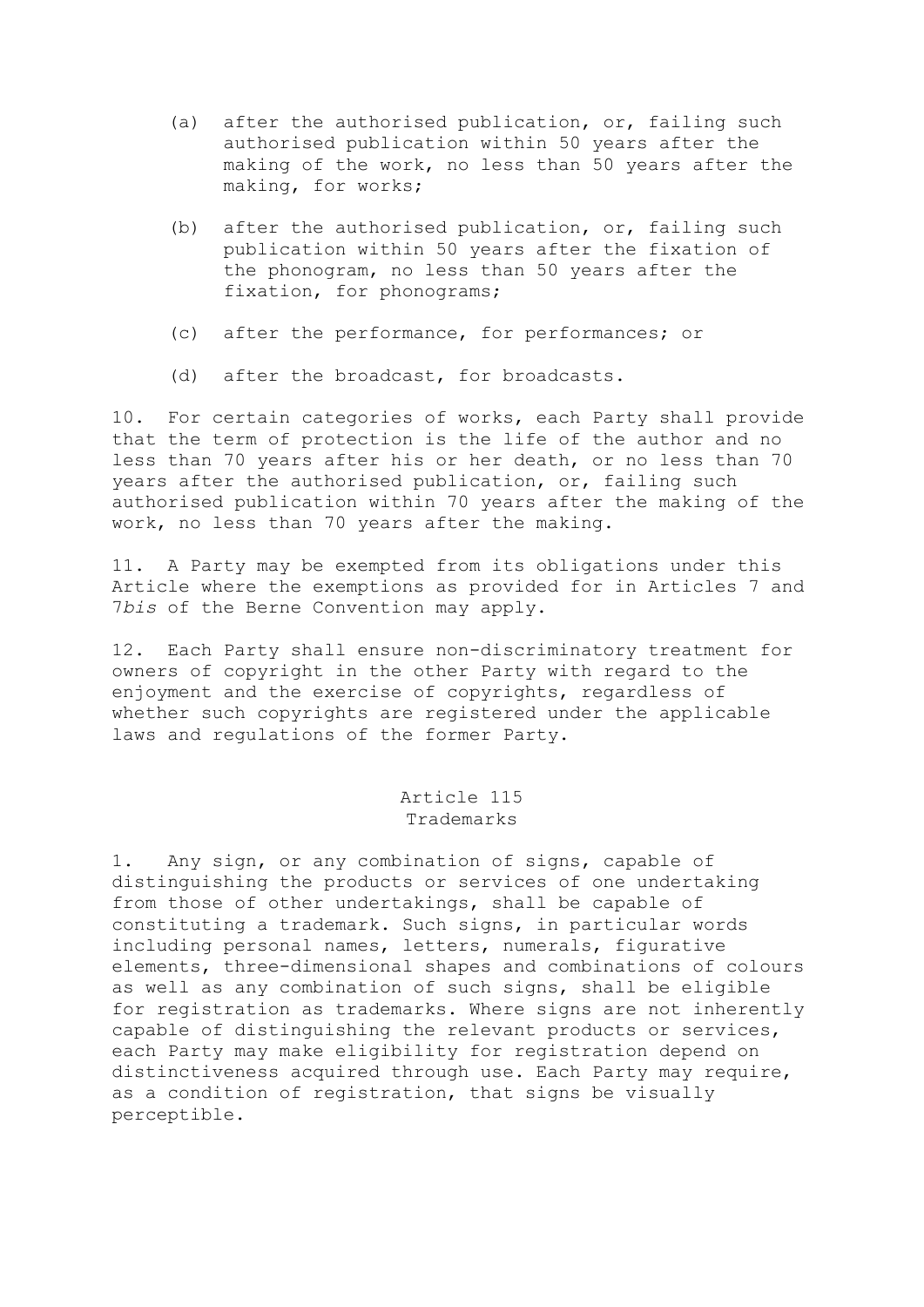- (a) after the authorised publication, or, failing such authorised publication within 50 years after the making of the work, no less than 50 years after the making, for works;
- (b) after the authorised publication, or, failing such publication within 50 years after the fixation of the phonogram, no less than 50 years after the fixation, for phonograms;
- (c) after the performance, for performances; or
- (d) after the broadcast, for broadcasts.

10. For certain categories of works, each Party shall provide that the term of protection is the life of the author and no less than 70 years after his or her death, or no less than 70 years after the authorised publication, or, failing such authorised publication within 70 years after the making of the work, no less than 70 years after the making.

11. A Party may be exempted from its obligations under this Article where the exemptions as provided for in Articles 7 and 7*bis* of the Berne Convention may apply.

12. Each Party shall ensure non-discriminatory treatment for owners of copyright in the other Party with regard to the enjoyment and the exercise of copyrights, regardless of whether such copyrights are registered under the applicable laws and regulations of the former Party.

#### Article 115 Trademarks

1. Any sign, or any combination of signs, capable of distinguishing the products or services of one undertaking from those of other undertakings, shall be capable of constituting a trademark. Such signs, in particular words including personal names, letters, numerals, figurative elements, three-dimensional shapes and combinations of colours as well as any combination of such signs, shall be eligible for registration as trademarks. Where signs are not inherently capable of distinguishing the relevant products or services, each Party may make eligibility for registration depend on distinctiveness acquired through use. Each Party may require, as a condition of registration, that signs be visually perceptible.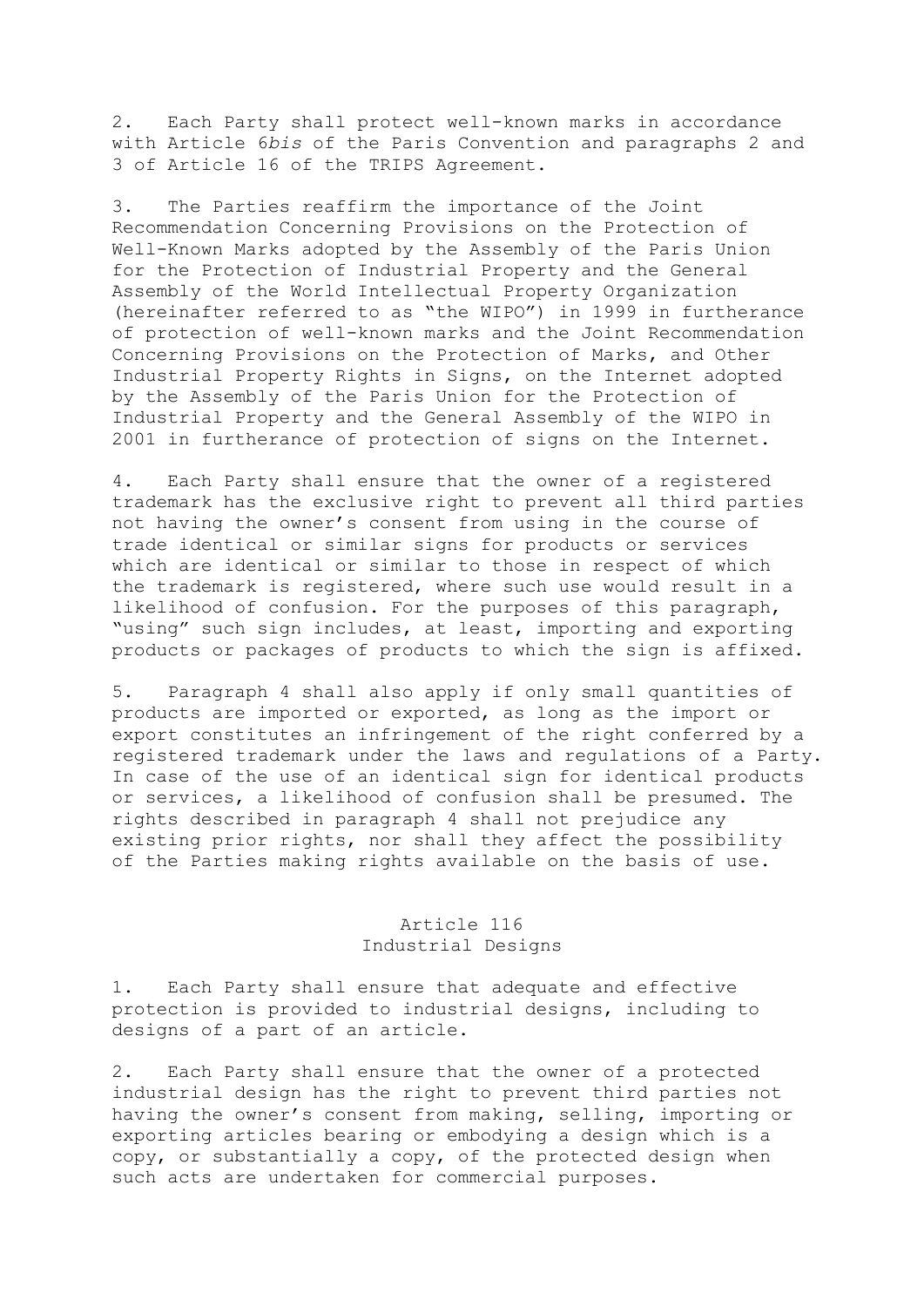2. Each Party shall protect well-known marks in accordance with Article 6*bis* of the Paris Convention and paragraphs 2 and 3 of Article 16 of the TRIPS Agreement.

3. The Parties reaffirm the importance of the Joint Recommendation Concerning Provisions on the Protection of Well-Known Marks adopted by the Assembly of the Paris Union for the Protection of Industrial Property and the General Assembly of the World Intellectual Property Organization (hereinafter referred to as "the WIPO") in 1999 in furtherance of protection of well-known marks and the Joint Recommendation Concerning Provisions on the Protection of Marks, and Other Industrial Property Rights in Signs, on the Internet adopted by the Assembly of the Paris Union for the Protection of Industrial Property and the General Assembly of the WIPO in 2001 in furtherance of protection of signs on the Internet.

4. Each Party shall ensure that the owner of a registered trademark has the exclusive right to prevent all third parties not having the owner's consent from using in the course of trade identical or similar signs for products or services which are identical or similar to those in respect of which the trademark is registered, where such use would result in a likelihood of confusion. For the purposes of this paragraph, "using" such sign includes, at least, importing and exporting products or packages of products to which the sign is affixed.

5. Paragraph 4 shall also apply if only small quantities of products are imported or exported, as long as the import or export constitutes an infringement of the right conferred by a registered trademark under the laws and regulations of a Party. In case of the use of an identical sign for identical products or services, a likelihood of confusion shall be presumed. The rights described in paragraph 4 shall not prejudice any existing prior rights, nor shall they affect the possibility of the Parties making rights available on the basis of use.

# Article 116 Industrial Designs

1. Each Party shall ensure that adequate and effective protection is provided to industrial designs, including to designs of a part of an article.

2. Each Party shall ensure that the owner of a protected industrial design has the right to prevent third parties not having the owner's consent from making, selling, importing or exporting articles bearing or embodying a design which is a copy, or substantially a copy, of the protected design when such acts are undertaken for commercial purposes.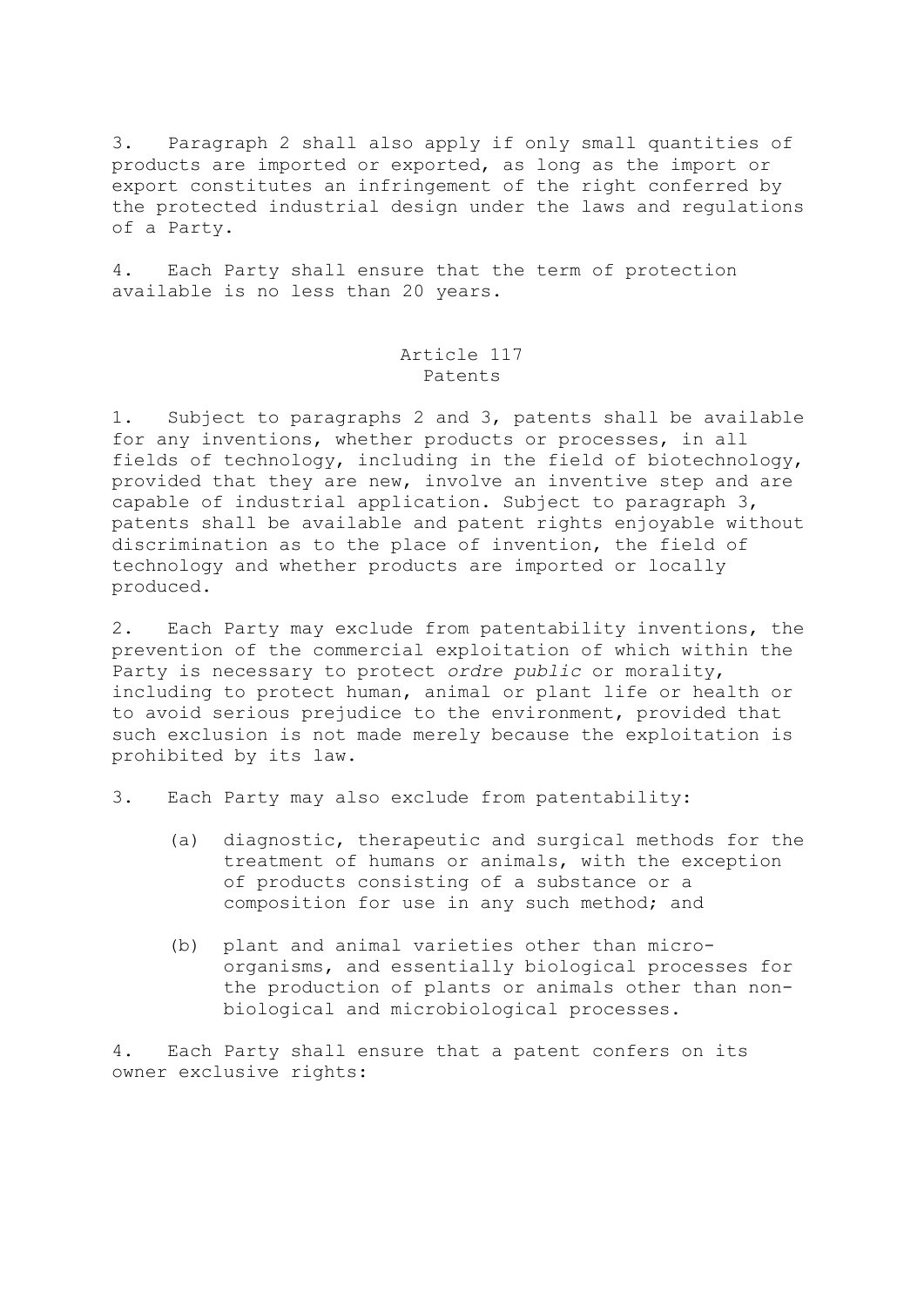3. Paragraph 2 shall also apply if only small quantities of products are imported or exported, as long as the import or export constitutes an infringement of the right conferred by the protected industrial design under the laws and regulations of a Party.

4. Each Party shall ensure that the term of protection available is no less than 20 years.

#### Article 117 Patents

1. Subject to paragraphs 2 and 3, patents shall be available for any inventions, whether products or processes, in all fields of technology, including in the field of biotechnology, provided that they are new, involve an inventive step and are capable of industrial application. Subject to paragraph 3, patents shall be available and patent rights enjoyable without discrimination as to the place of invention, the field of technology and whether products are imported or locally produced.

2. Each Party may exclude from patentability inventions, the prevention of the commercial exploitation of which within the Party is necessary to protect *ordre public* or morality, including to protect human, animal or plant life or health or to avoid serious prejudice to the environment, provided that such exclusion is not made merely because the exploitation is prohibited by its law.

- 3. Each Party may also exclude from patentability:
	- (a) diagnostic, therapeutic and surgical methods for the treatment of humans or animals, with the exception of products consisting of a substance or a composition for use in any such method; and
	- (b) plant and animal varieties other than microorganisms, and essentially biological processes for the production of plants or animals other than nonbiological and microbiological processes.

4. Each Party shall ensure that a patent confers on its owner exclusive rights: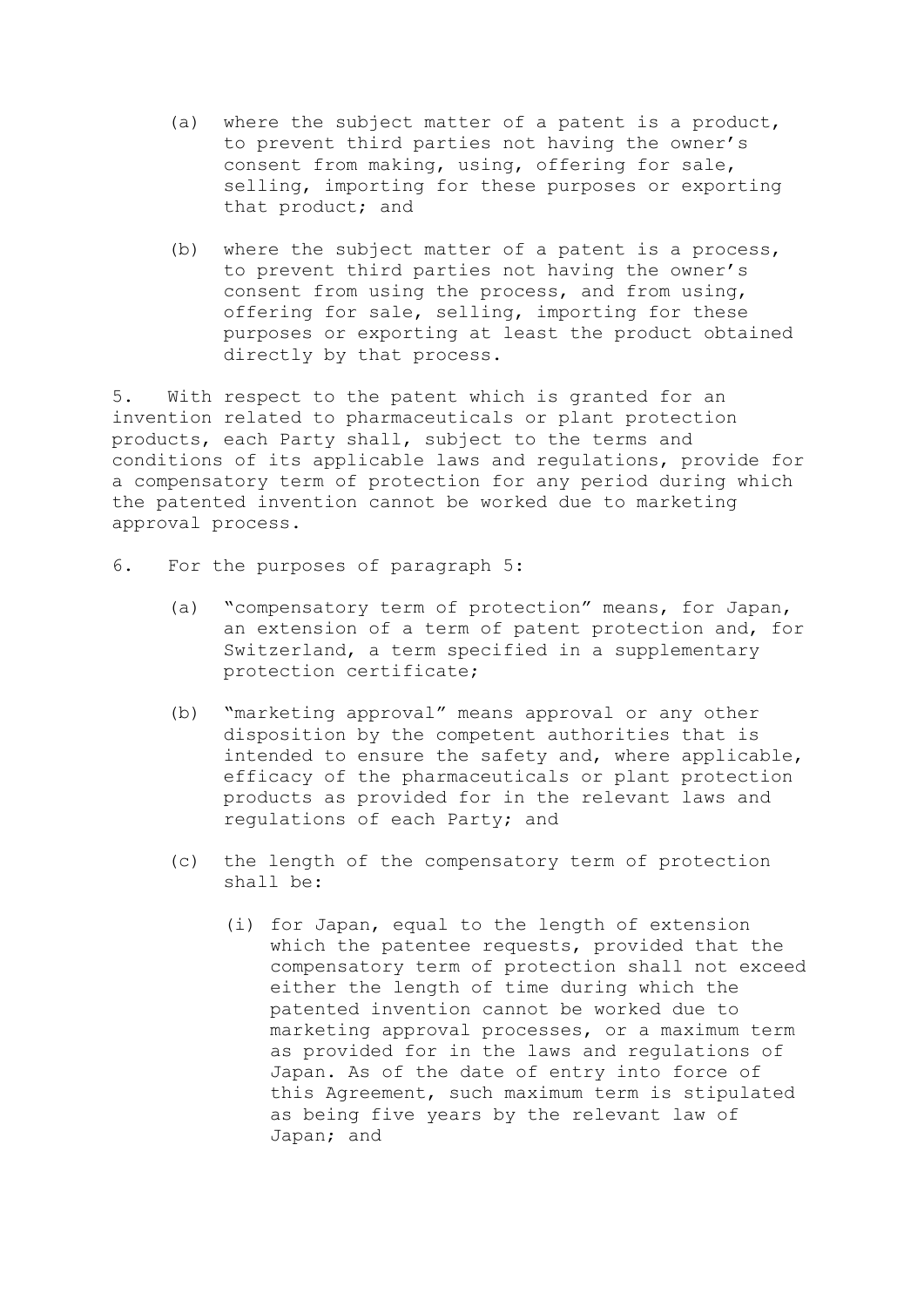- (a) where the subject matter of a patent is a product, to prevent third parties not having the owner's consent from making, using, offering for sale, selling, importing for these purposes or exporting that product; and
- (b) where the subject matter of a patent is a process, to prevent third parties not having the owner's consent from using the process, and from using, offering for sale, selling, importing for these purposes or exporting at least the product obtained directly by that process.

5. With respect to the patent which is granted for an invention related to pharmaceuticals or plant protection products, each Party shall, subject to the terms and conditions of its applicable laws and regulations, provide for a compensatory term of protection for any period during which the patented invention cannot be worked due to marketing approval process.

- 6. For the purposes of paragraph 5:
	- (a) "compensatory term of protection" means, for Japan, an extension of a term of patent protection and, for Switzerland, a term specified in a supplementary protection certificate;
	- (b) "marketing approval" means approval or any other disposition by the competent authorities that is intended to ensure the safety and, where applicable, efficacy of the pharmaceuticals or plant protection products as provided for in the relevant laws and regulations of each Party; and
	- (c) the length of the compensatory term of protection shall be:
		- (i) for Japan, equal to the length of extension which the patentee requests, provided that the compensatory term of protection shall not exceed either the length of time during which the patented invention cannot be worked due to marketing approval processes, or a maximum term as provided for in the laws and regulations of Japan. As of the date of entry into force of this Agreement, such maximum term is stipulated as being five years by the relevant law of Japan; and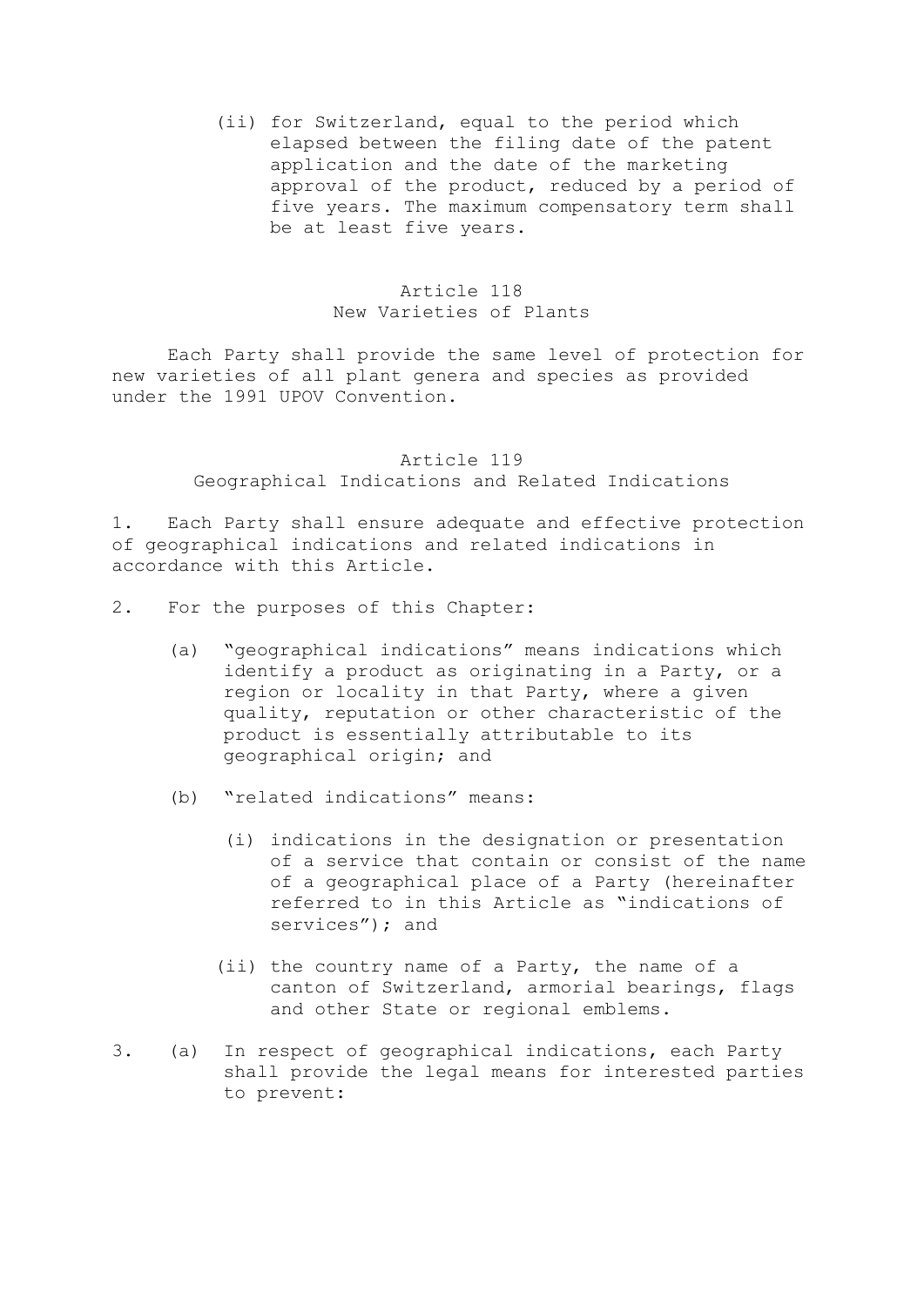(ii) for Switzerland, equal to the period which elapsed between the filing date of the patent application and the date of the marketing approval of the product, reduced by a period of five years. The maximum compensatory term shall be at least five years.

### Article 118 New Varieties of Plants

 Each Party shall provide the same level of protection for new varieties of all plant genera and species as provided under the 1991 UPOV Convention.

# Article 119 Geographical Indications and Related Indications

1. Each Party shall ensure adequate and effective protection of geographical indications and related indications in accordance with this Article.

- 2. For the purposes of this Chapter:
	- (a) "geographical indications" means indications which identify a product as originating in a Party, or a region or locality in that Party, where a given quality, reputation or other characteristic of the product is essentially attributable to its geographical origin; and
	- (b) "related indications" means:
		- (i) indications in the designation or presentation of a service that contain or consist of the name of a geographical place of a Party (hereinafter referred to in this Article as "indications of services"); and
		- (ii) the country name of a Party, the name of a canton of Switzerland, armorial bearings, flags and other State or regional emblems.
- 3. (a) In respect of geographical indications, each Party shall provide the legal means for interested parties to prevent: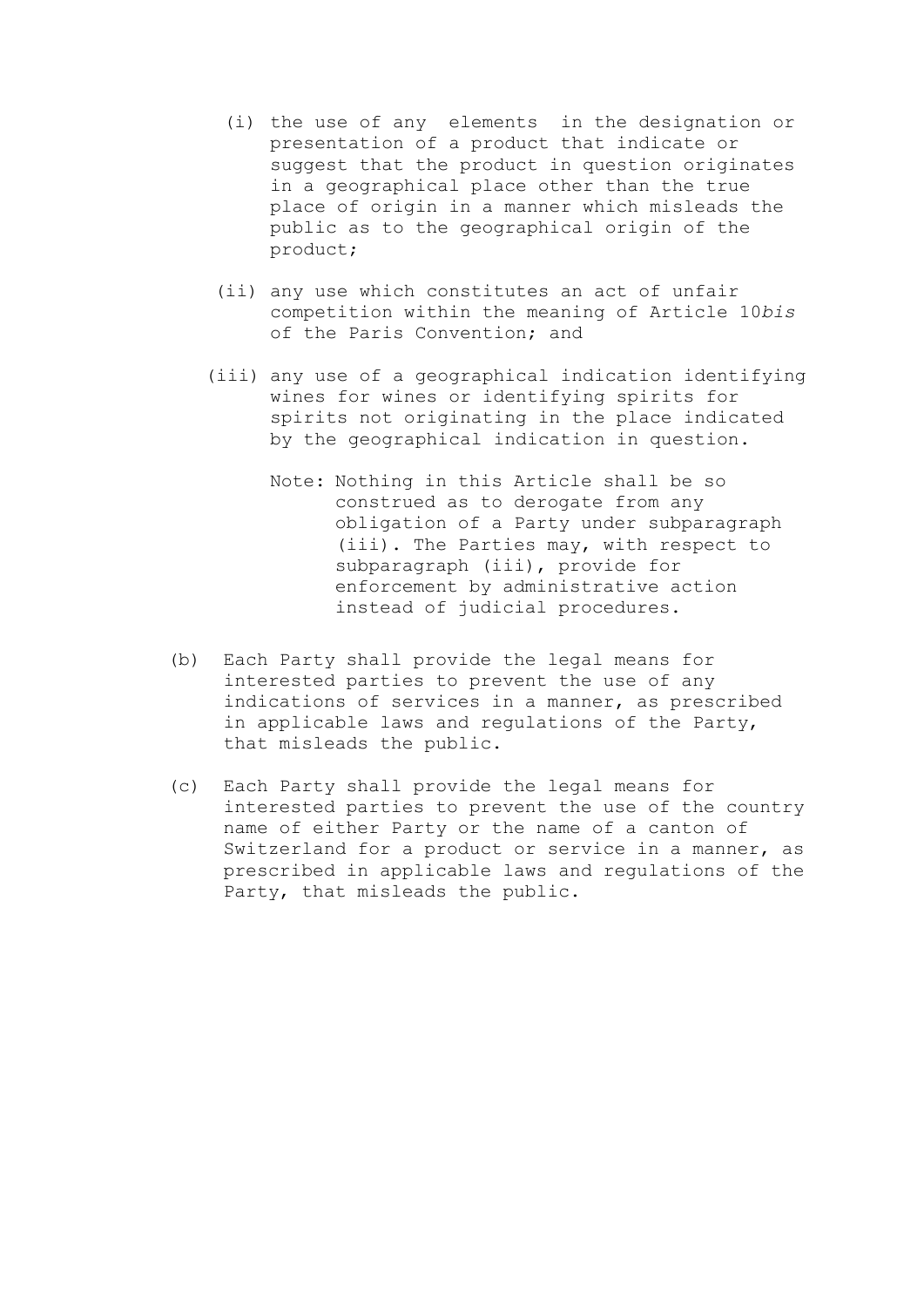- (i) the use of any elements in the designation or presentation of a product that indicate or suggest that the product in question originates in a geographical place other than the true place of origin in a manner which misleads the public as to the geographical origin of the product;
- (ii) any use which constitutes an act of unfair competition within the meaning of Article 10*bis* of the Paris Convention; and
- (iii) any use of a geographical indication identifying wines for wines or identifying spirits for spirits not originating in the place indicated by the geographical indication in question.
	- Note: Nothing in this Article shall be so construed as to derogate from any obligation of a Party under subparagraph (iii). The Parties may, with respect to subparagraph (iii), provide for enforcement by administrative action instead of judicial procedures.
- (b) Each Party shall provide the legal means for interested parties to prevent the use of any indications of services in a manner, as prescribed in applicable laws and regulations of the Party, that misleads the public.
- (c) Each Party shall provide the legal means for interested parties to prevent the use of the country name of either Party or the name of a canton of Switzerland for a product or service in a manner, as prescribed in applicable laws and regulations of the Party, that misleads the public.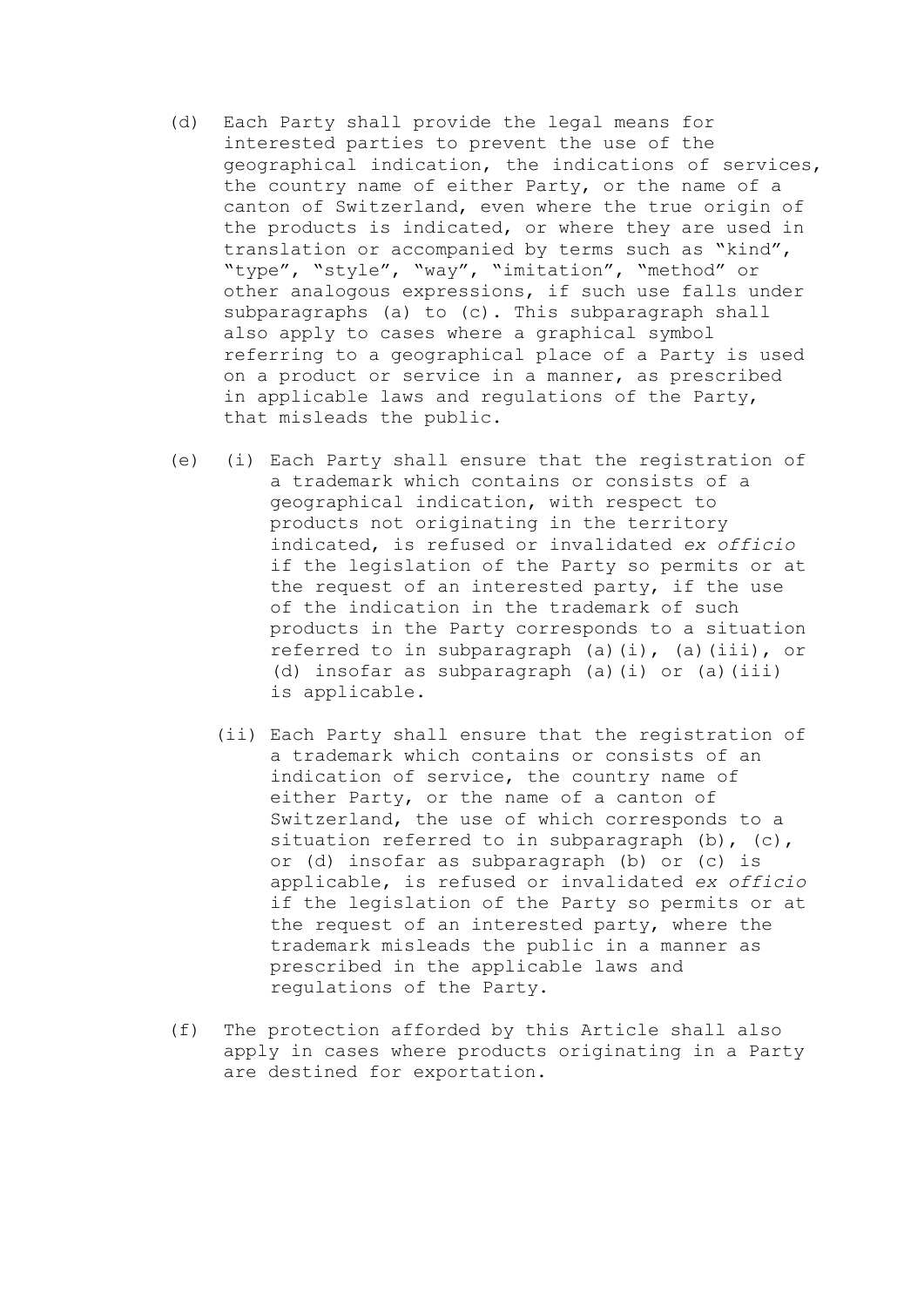- (d) Each Party shall provide the legal means for interested parties to prevent the use of the geographical indication, the indications of services, the country name of either Party, or the name of a canton of Switzerland, even where the true origin of the products is indicated, or where they are used in translation or accompanied by terms such as "kind", "type", "style", "way", "imitation", "method" or other analogous expressions, if such use falls under subparagraphs (a) to (c). This subparagraph shall also apply to cases where a graphical symbol referring to a geographical place of a Party is used on a product or service in a manner, as prescribed in applicable laws and regulations of the Party, that misleads the public.
- (e) (i) Each Party shall ensure that the registration of a trademark which contains or consists of a geographical indication, with respect to products not originating in the territory indicated, is refused or invalidated *ex officio* if the legislation of the Party so permits or at the request of an interested party, if the use of the indication in the trademark of such products in the Party corresponds to a situation referred to in subparagraph (a)(i), (a)(iii), or (d) insofar as subparagraph (a)(i) or (a)(iii) is applicable.
	- (ii) Each Party shall ensure that the registration of a trademark which contains or consists of an indication of service, the country name of either Party, or the name of a canton of Switzerland, the use of which corresponds to a situation referred to in subparagraph (b), (c), or (d) insofar as subparagraph (b) or (c) is applicable, is refused or invalidated *ex officio* if the legislation of the Party so permits or at the request of an interested party, where the trademark misleads the public in a manner as prescribed in the applicable laws and regulations of the Party.
- (f) The protection afforded by this Article shall also apply in cases where products originating in a Party are destined for exportation.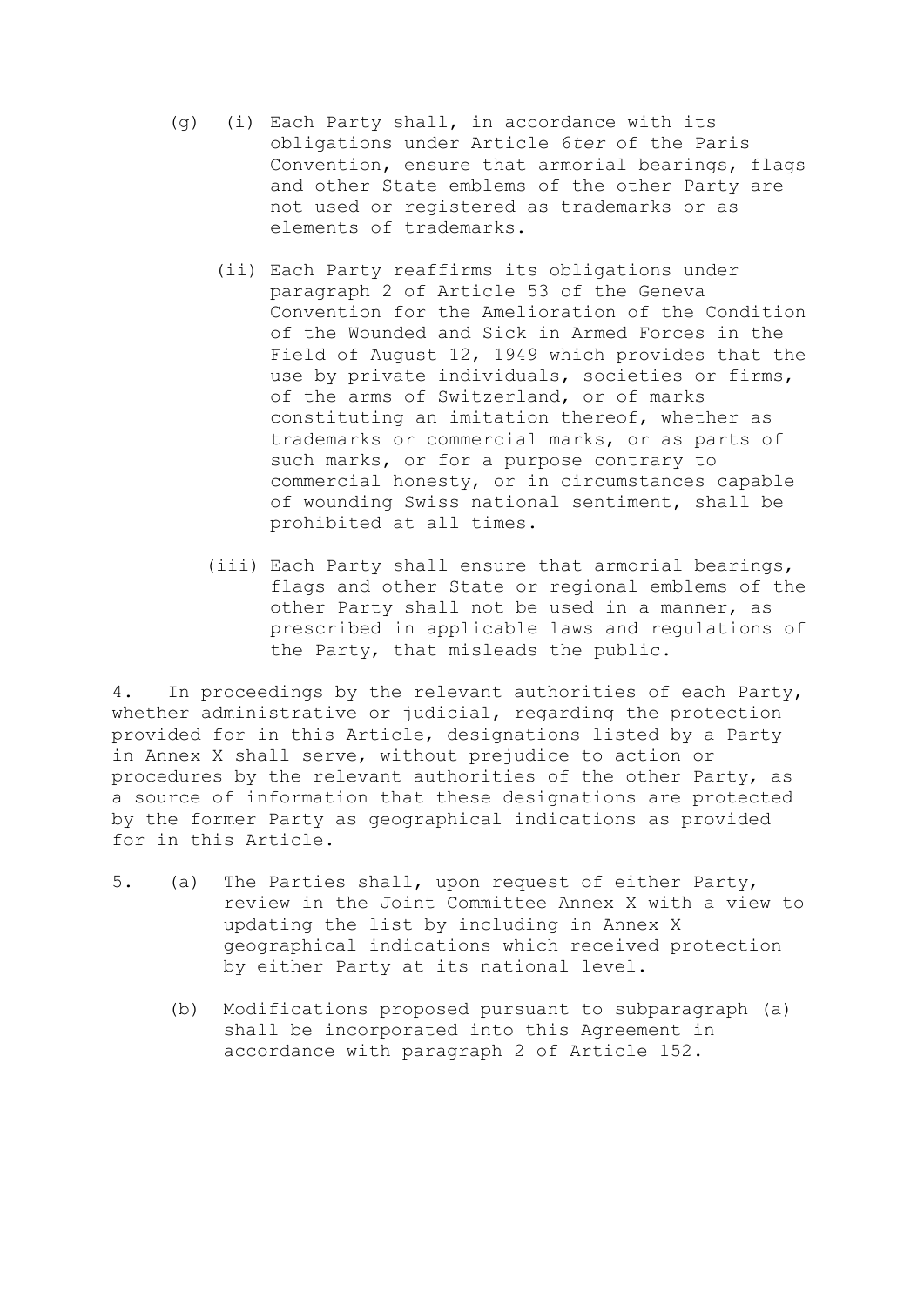- (g) (i) Each Party shall, in accordance with its obligations under Article 6*ter* of the Paris Convention, ensure that armorial bearings, flags and other State emblems of the other Party are not used or registered as trademarks or as elements of trademarks.
	- (ii) Each Party reaffirms its obligations under paragraph 2 of Article 53 of the Geneva Convention for the Amelioration of the Condition of the Wounded and Sick in Armed Forces in the Field of August 12, 1949 which provides that the use by private individuals, societies or firms, of the arms of Switzerland, or of marks constituting an imitation thereof, whether as trademarks or commercial marks, or as parts of such marks, or for a purpose contrary to commercial honesty, or in circumstances capable of wounding Swiss national sentiment, shall be prohibited at all times.
	- (iii) Each Party shall ensure that armorial bearings, flags and other State or regional emblems of the other Party shall not be used in a manner, as prescribed in applicable laws and regulations of the Party, that misleads the public.

4. In proceedings by the relevant authorities of each Party, whether administrative or judicial, regarding the protection provided for in this Article, designations listed by a Party in Annex X shall serve, without prejudice to action or procedures by the relevant authorities of the other Party, as a source of information that these designations are protected by the former Party as geographical indications as provided for in this Article.

- 5. (a) The Parties shall, upon request of either Party, review in the Joint Committee Annex X with a view to updating the list by including in Annex X geographical indications which received protection by either Party at its national level.
	- (b) Modifications proposed pursuant to subparagraph (a) shall be incorporated into this Agreement in accordance with paragraph 2 of Article 152.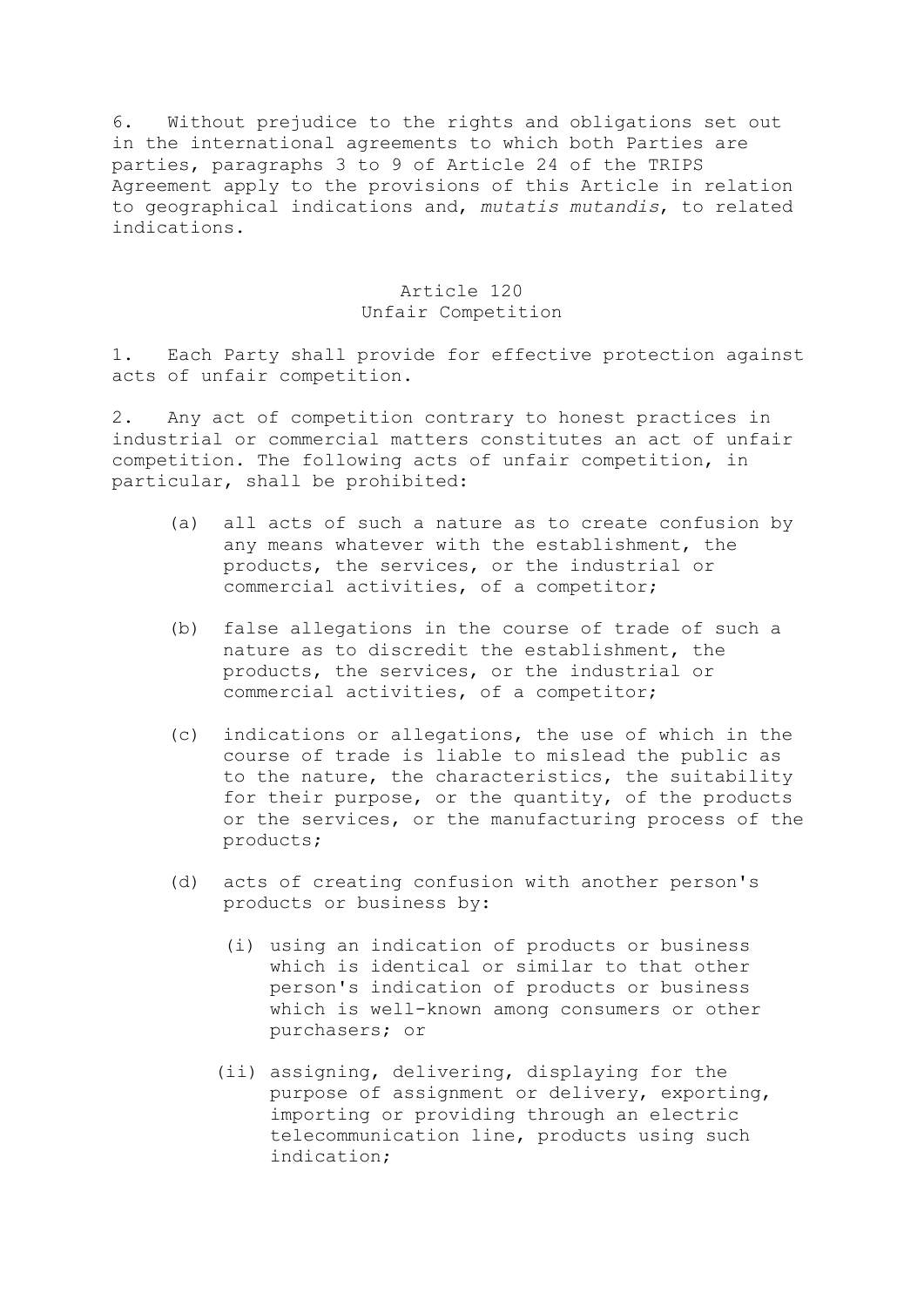6. Without prejudice to the rights and obligations set out in the international agreements to which both Parties are parties, paragraphs 3 to 9 of Article 24 of the TRIPS Agreement apply to the provisions of this Article in relation to geographical indications and, *mutatis mutandis*, to related indications.

### Article 120 Unfair Competition

1. Each Party shall provide for effective protection against acts of unfair competition.

2. Any act of competition contrary to honest practices in industrial or commercial matters constitutes an act of unfair competition. The following acts of unfair competition, in particular, shall be prohibited:

- (a) all acts of such a nature as to create confusion by any means whatever with the establishment, the products, the services, or the industrial or commercial activities, of a competitor;
- (b) false allegations in the course of trade of such a nature as to discredit the establishment, the products, the services, or the industrial or commercial activities, of a competitor;
- (c) indications or allegations, the use of which in the course of trade is liable to mislead the public as to the nature, the characteristics, the suitability for their purpose, or the quantity, of the products or the services, or the manufacturing process of the products;
- (d) acts of creating confusion with another person's products or business by:
	- (i) using an indication of products or business which is identical or similar to that other person's indication of products or business which is well-known among consumers or other purchasers; or
	- (ii) assigning, delivering, displaying for the purpose of assignment or delivery, exporting, importing or providing through an electric telecommunication line, products using such indication;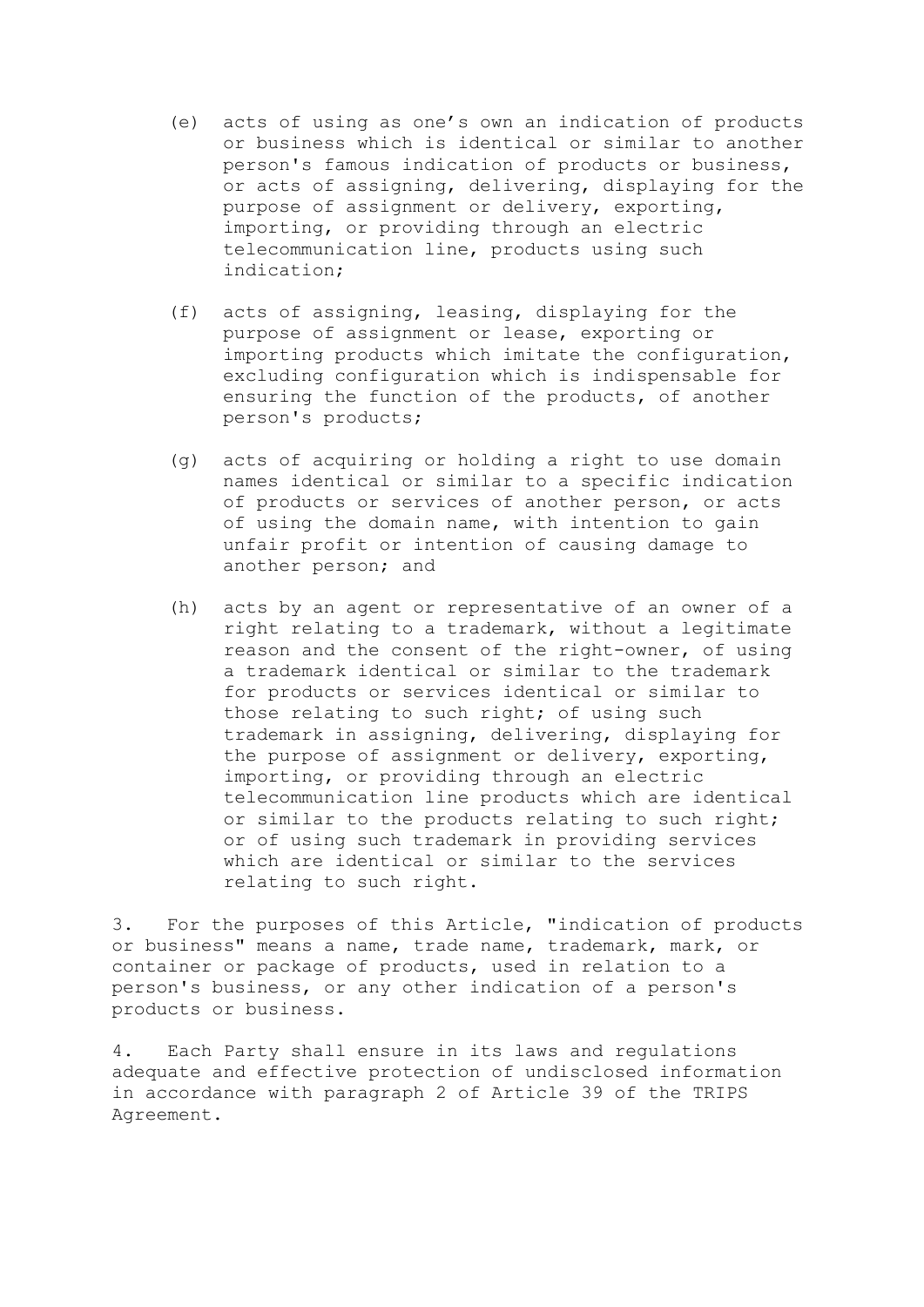- (e) acts of using as one's own an indication of products or business which is identical or similar to another person's famous indication of products or business, or acts of assigning, delivering, displaying for the purpose of assignment or delivery, exporting, importing, or providing through an electric telecommunication line, products using such indication;
- (f) acts of assigning, leasing, displaying for the purpose of assignment or lease, exporting or importing products which imitate the configuration, excluding configuration which is indispensable for ensuring the function of the products, of another person's products;
- (g) acts of acquiring or holding a right to use domain names identical or similar to a specific indication of products or services of another person, or acts of using the domain name, with intention to gain unfair profit or intention of causing damage to another person; and
- (h) acts by an agent or representative of an owner of a right relating to a trademark, without a legitimate reason and the consent of the right-owner, of using a trademark identical or similar to the trademark for products or services identical or similar to those relating to such right; of using such trademark in assigning, delivering, displaying for the purpose of assignment or delivery, exporting, importing, or providing through an electric telecommunication line products which are identical or similar to the products relating to such right; or of using such trademark in providing services which are identical or similar to the services relating to such right.

3. For the purposes of this Article, "indication of products or business" means a name, trade name, trademark, mark, or container or package of products, used in relation to a person's business, or any other indication of a person's products or business.

4. Each Party shall ensure in its laws and regulations adequate and effective protection of undisclosed information in accordance with paragraph 2 of Article 39 of the TRIPS Agreement.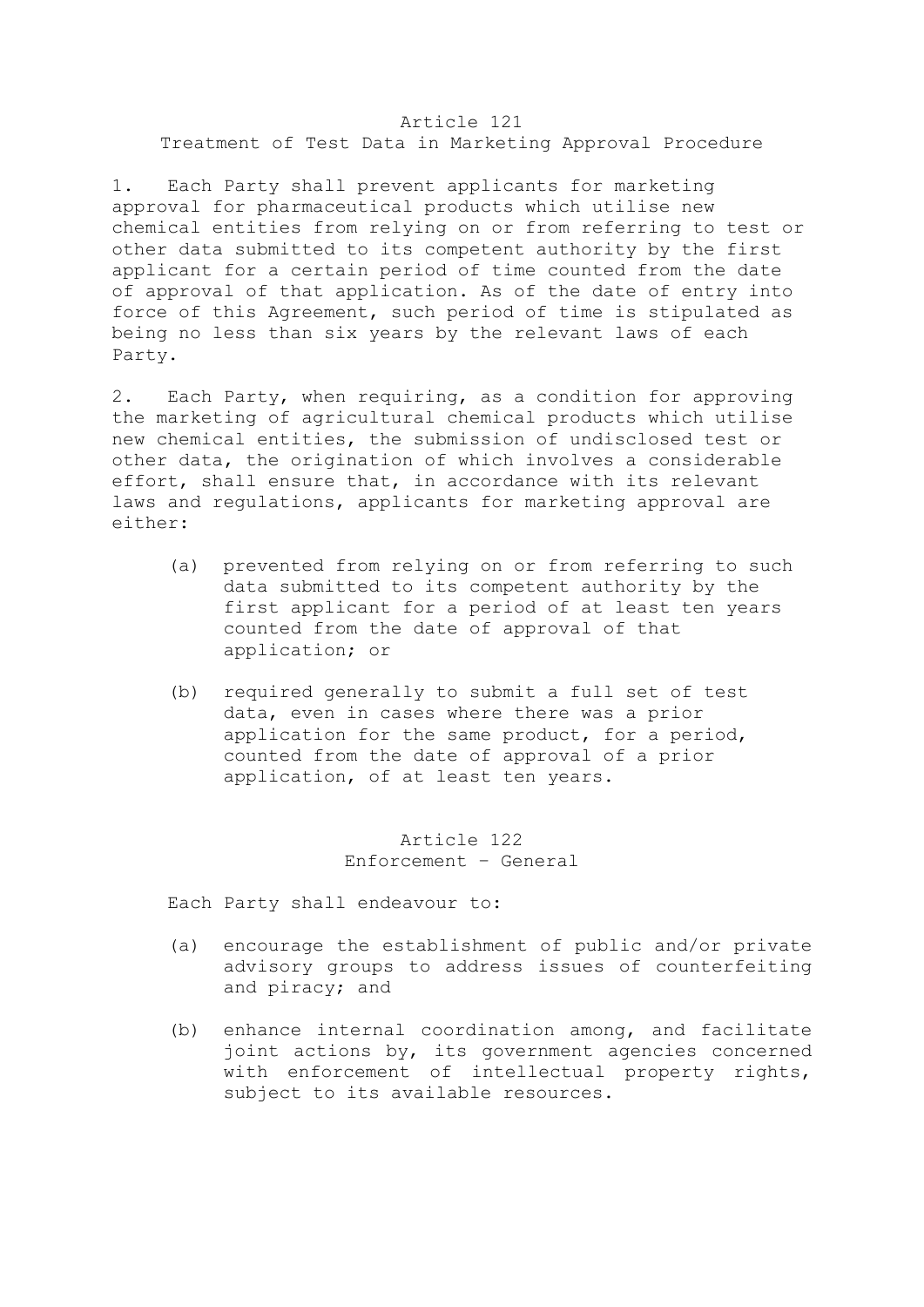#### Article 121 Treatment of Test Data in Marketing Approval Procedure

1. Each Party shall prevent applicants for marketing approval for pharmaceutical products which utilise new chemical entities from relying on or from referring to test or other data submitted to its competent authority by the first applicant for a certain period of time counted from the date of approval of that application. As of the date of entry into force of this Agreement, such period of time is stipulated as being no less than six years by the relevant laws of each Party.

2. Each Party, when requiring, as a condition for approving the marketing of agricultural chemical products which utilise new chemical entities, the submission of undisclosed test or other data, the origination of which involves a considerable effort, shall ensure that, in accordance with its relevant laws and regulations, applicants for marketing approval are either:

- (a) prevented from relying on or from referring to such data submitted to its competent authority by the first applicant for a period of at least ten years counted from the date of approval of that application; or
- (b) required generally to submit a full set of test data, even in cases where there was a prior application for the same product, for a period, counted from the date of approval of a prior application, of at least ten years.

Article 122 Enforcement – General

Each Party shall endeavour to:

- (a) encourage the establishment of public and/or private advisory groups to address issues of counterfeiting and piracy; and
- (b) enhance internal coordination among, and facilitate joint actions by, its government agencies concerned with enforcement of intellectual property rights, subject to its available resources.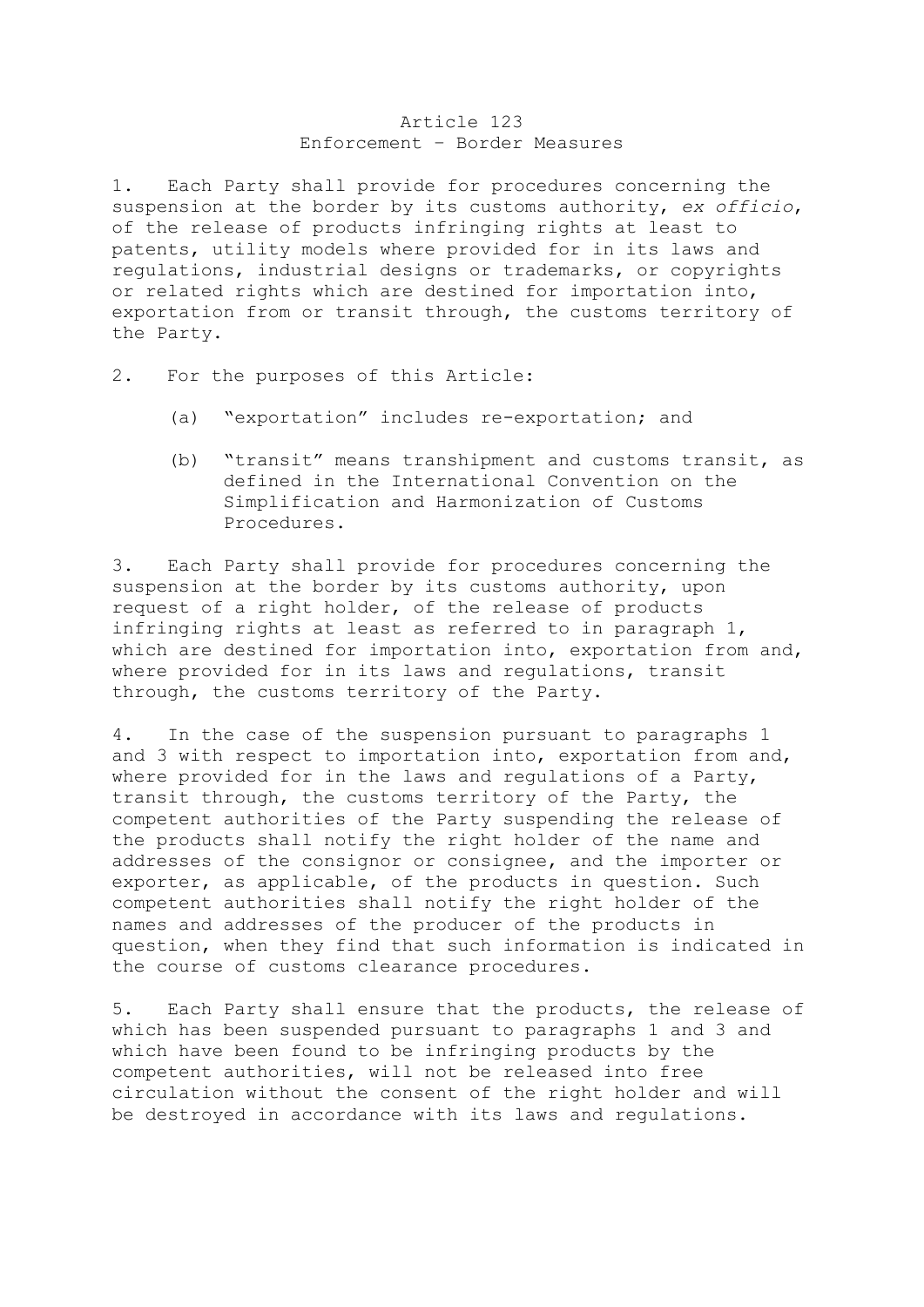#### Article 123 Enforcement – Border Measures

1. Each Party shall provide for procedures concerning the suspension at the border by its customs authority, *ex officio*, of the release of products infringing rights at least to patents, utility models where provided for in its laws and regulations, industrial designs or trademarks, or copyrights or related rights which are destined for importation into, exportation from or transit through, the customs territory of the Party.

- 2. For the purposes of this Article:
	- (a) "exportation" includes re-exportation; and
	- (b) "transit" means transhipment and customs transit, as defined in the International Convention on the Simplification and Harmonization of Customs Procedures.

3. Each Party shall provide for procedures concerning the suspension at the border by its customs authority, upon request of a right holder, of the release of products infringing rights at least as referred to in paragraph 1, which are destined for importation into, exportation from and, where provided for in its laws and regulations, transit through, the customs territory of the Party.

4. In the case of the suspension pursuant to paragraphs 1 and 3 with respect to importation into, exportation from and, where provided for in the laws and regulations of a Party, transit through, the customs territory of the Party, the competent authorities of the Party suspending the release of the products shall notify the right holder of the name and addresses of the consignor or consignee, and the importer or exporter, as applicable, of the products in question. Such competent authorities shall notify the right holder of the names and addresses of the producer of the products in question, when they find that such information is indicated in the course of customs clearance procedures.

5. Each Party shall ensure that the products, the release of which has been suspended pursuant to paragraphs 1 and 3 and which have been found to be infringing products by the competent authorities, will not be released into free circulation without the consent of the right holder and will be destroyed in accordance with its laws and regulations.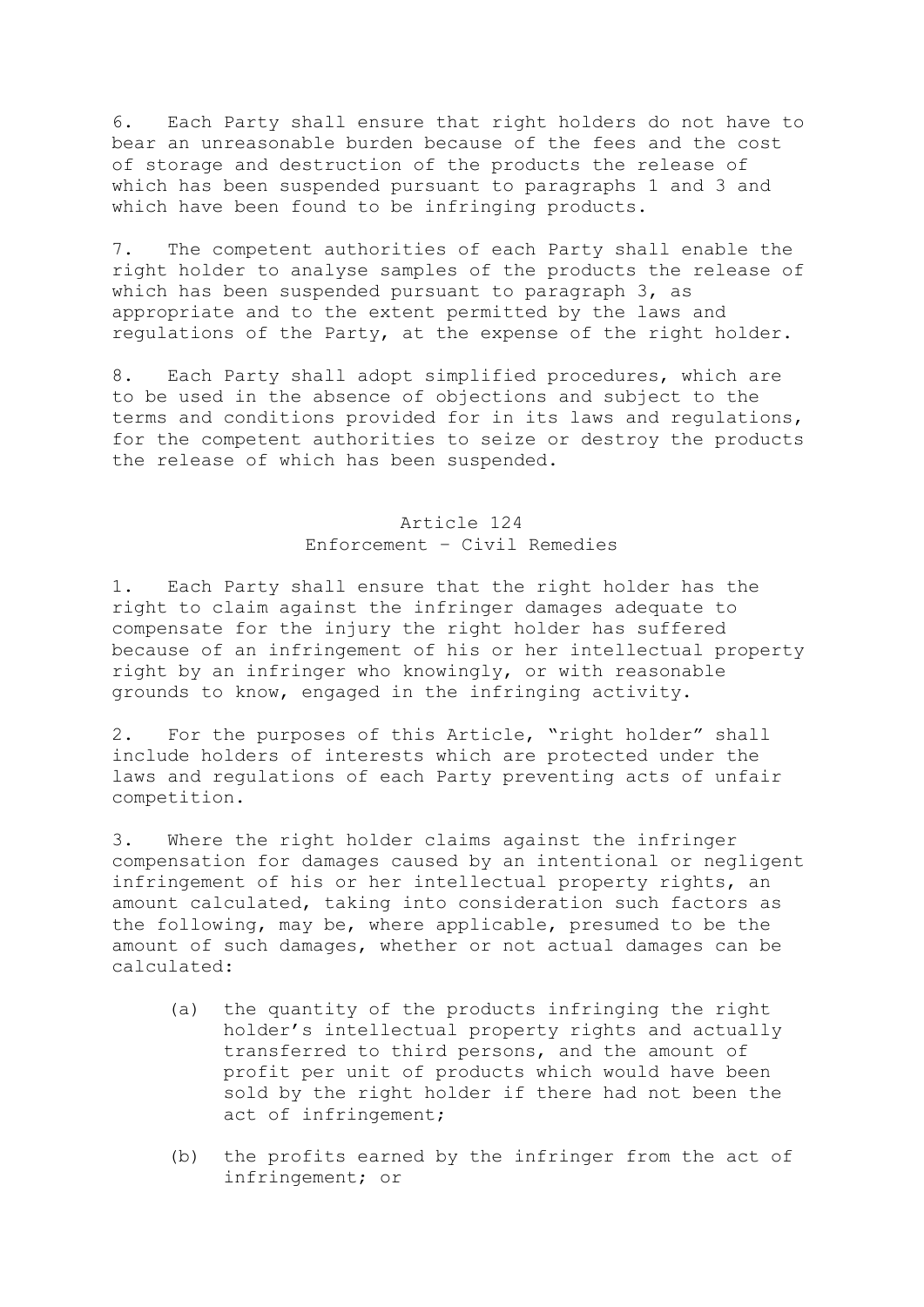6. Each Party shall ensure that right holders do not have to bear an unreasonable burden because of the fees and the cost of storage and destruction of the products the release of which has been suspended pursuant to paragraphs 1 and 3 and which have been found to be infringing products.

7. The competent authorities of each Party shall enable the right holder to analyse samples of the products the release of which has been suspended pursuant to paragraph 3, as appropriate and to the extent permitted by the laws and regulations of the Party, at the expense of the right holder.

8. Each Party shall adopt simplified procedures, which are to be used in the absence of objections and subject to the terms and conditions provided for in its laws and regulations, for the competent authorities to seize or destroy the products the release of which has been suspended.

## Article 124 Enforcement – Civil Remedies

1. Each Party shall ensure that the right holder has the right to claim against the infringer damages adequate to compensate for the injury the right holder has suffered because of an infringement of his or her intellectual property right by an infringer who knowingly, or with reasonable grounds to know, engaged in the infringing activity.

2. For the purposes of this Article, "right holder" shall include holders of interests which are protected under the laws and regulations of each Party preventing acts of unfair competition.

3. Where the right holder claims against the infringer compensation for damages caused by an intentional or negligent infringement of his or her intellectual property rights, an amount calculated, taking into consideration such factors as the following, may be, where applicable, presumed to be the amount of such damages, whether or not actual damages can be calculated:

- (a) the quantity of the products infringing the right holder's intellectual property rights and actually transferred to third persons, and the amount of profit per unit of products which would have been sold by the right holder if there had not been the act of infringement;
- (b) the profits earned by the infringer from the act of infringement; or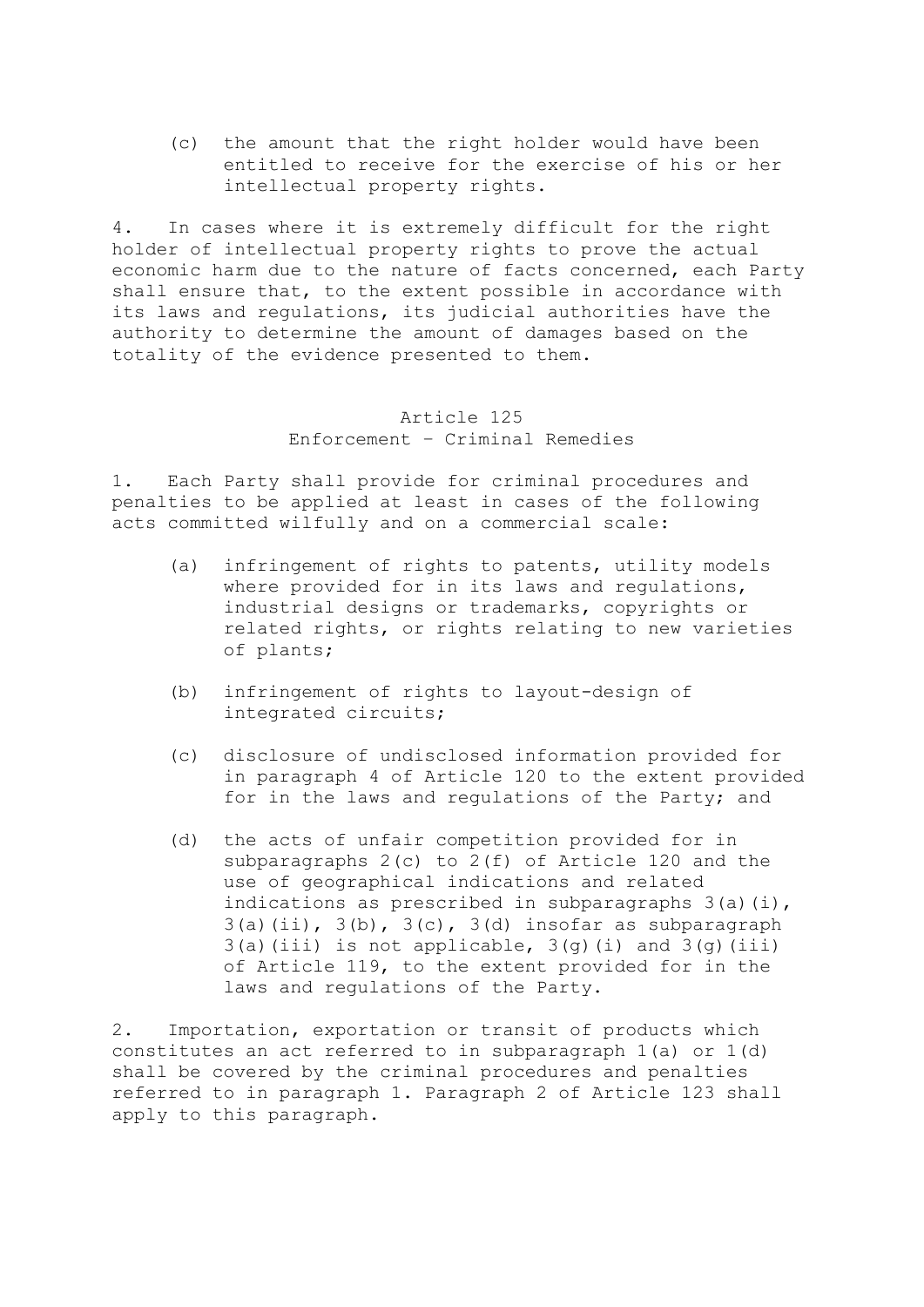(c) the amount that the right holder would have been entitled to receive for the exercise of his or her intellectual property rights.

4. In cases where it is extremely difficult for the right holder of intellectual property rights to prove the actual economic harm due to the nature of facts concerned, each Party shall ensure that, to the extent possible in accordance with its laws and regulations, its judicial authorities have the authority to determine the amount of damages based on the totality of the evidence presented to them.

### Article 125 Enforcement – Criminal Remedies

1. Each Party shall provide for criminal procedures and penalties to be applied at least in cases of the following acts committed wilfully and on a commercial scale:

- (a) infringement of rights to patents, utility models where provided for in its laws and regulations, industrial designs or trademarks, copyrights or related rights, or rights relating to new varieties of plants;
- (b) infringement of rights to layout-design of integrated circuits;
- (c) disclosure of undisclosed information provided for in paragraph 4 of Article 120 to the extent provided for in the laws and regulations of the Party; and
- (d) the acts of unfair competition provided for in subparagraphs 2(c) to 2(f) of Article 120 and the use of geographical indications and related indications as prescribed in subparagraphs 3(a)(i),  $3(a)(ii)$ ,  $3(b)$ ,  $3(c)$ ,  $3(d)$  insofar as subparagraph  $3(a)$ (iii) is not applicable,  $3(q)$ (i) and  $3(q)$ (iii) of Article 119, to the extent provided for in the laws and regulations of the Party.

2. Importation, exportation or transit of products which constitutes an act referred to in subparagraph 1(a) or 1(d) shall be covered by the criminal procedures and penalties referred to in paragraph 1. Paragraph 2 of Article 123 shall apply to this paragraph.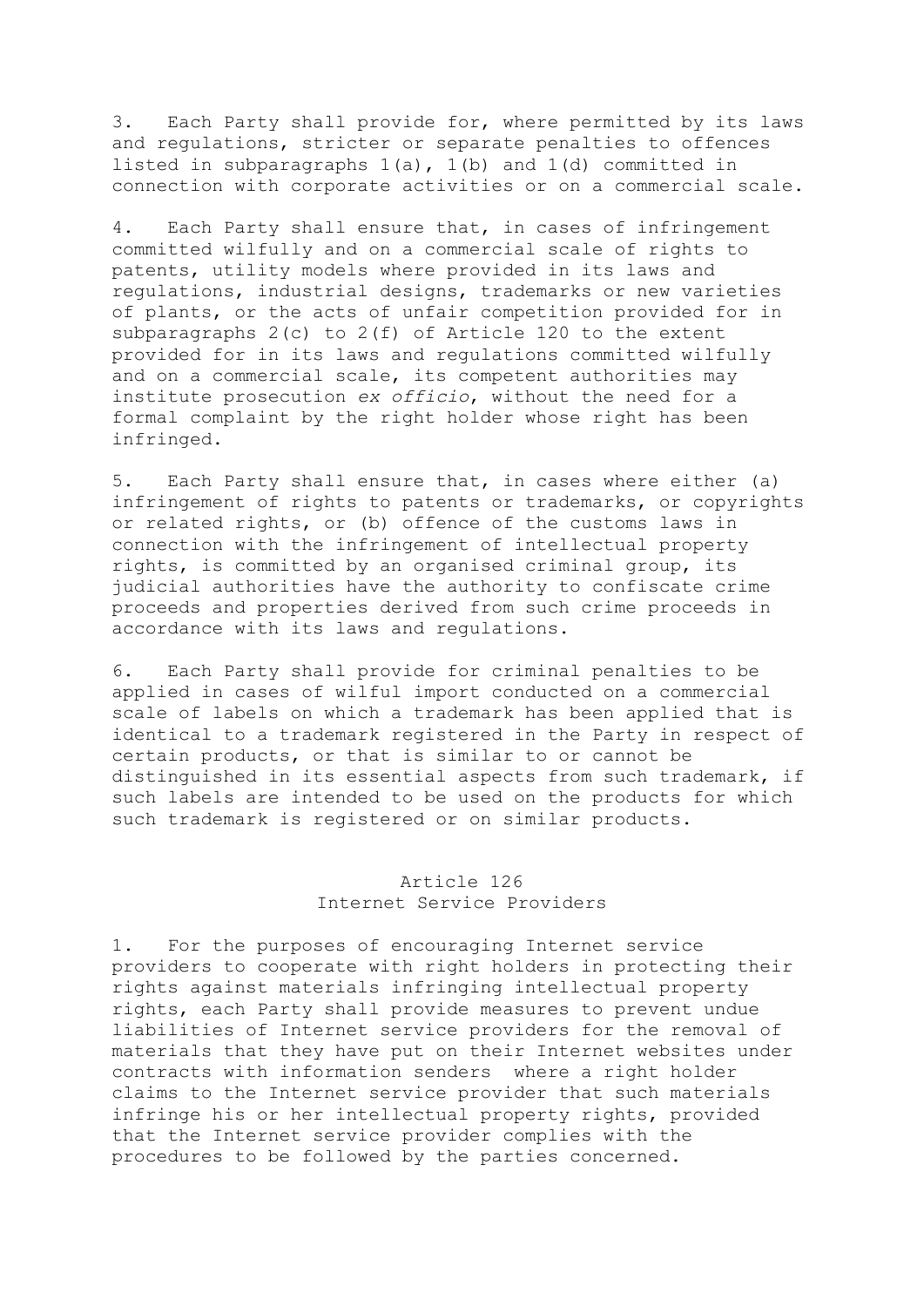3. Each Party shall provide for, where permitted by its laws and regulations, stricter or separate penalties to offences listed in subparagraphs 1(a), 1(b) and 1(d) committed in connection with corporate activities or on a commercial scale.

4. Each Party shall ensure that, in cases of infringement committed wilfully and on a commercial scale of rights to patents, utility models where provided in its laws and regulations, industrial designs, trademarks or new varieties of plants, or the acts of unfair competition provided for in subparagraphs 2(c) to 2(f) of Article 120 to the extent provided for in its laws and regulations committed wilfully and on a commercial scale, its competent authorities may institute prosecution *ex officio*, without the need for a formal complaint by the right holder whose right has been infringed.

5. Each Party shall ensure that, in cases where either (a) infringement of rights to patents or trademarks, or copyrights or related rights, or (b) offence of the customs laws in connection with the infringement of intellectual property rights, is committed by an organised criminal group, its judicial authorities have the authority to confiscate crime proceeds and properties derived from such crime proceeds in accordance with its laws and regulations.

6. Each Party shall provide for criminal penalties to be applied in cases of wilful import conducted on a commercial scale of labels on which a trademark has been applied that is identical to a trademark registered in the Party in respect of certain products, or that is similar to or cannot be distinguished in its essential aspects from such trademark, if such labels are intended to be used on the products for which such trademark is registered or on similar products.

# Article 126 Internet Service Providers

1. For the purposes of encouraging Internet service providers to cooperate with right holders in protecting their rights against materials infringing intellectual property rights, each Party shall provide measures to prevent undue liabilities of Internet service providers for the removal of materials that they have put on their Internet websites under contracts with information senders where a right holder claims to the Internet service provider that such materials infringe his or her intellectual property rights, provided that the Internet service provider complies with the procedures to be followed by the parties concerned.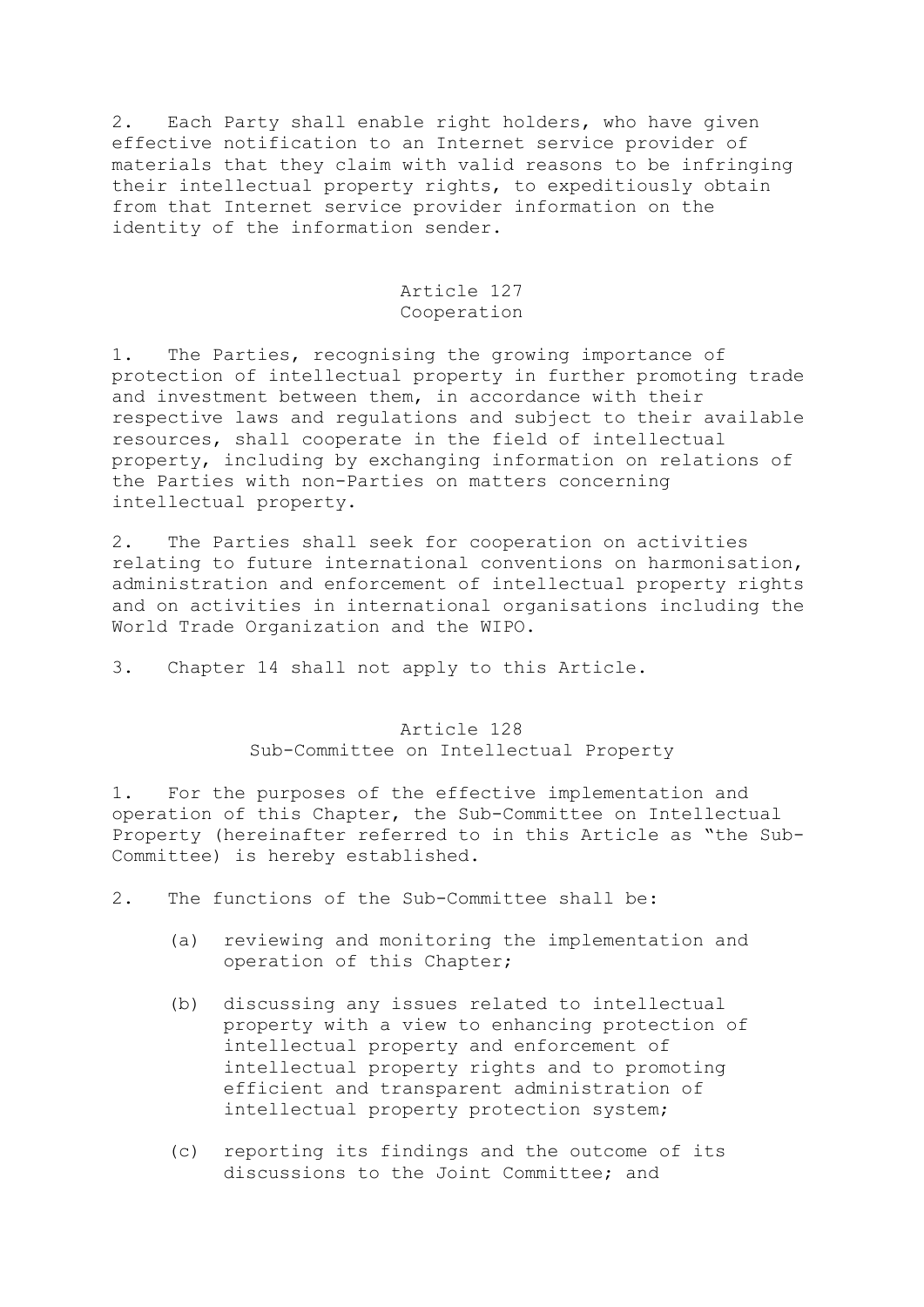2. Each Party shall enable right holders, who have given effective notification to an Internet service provider of materials that they claim with valid reasons to be infringing their intellectual property rights, to expeditiously obtain from that Internet service provider information on the identity of the information sender.

### Article 127 Cooperation

1. The Parties, recognising the growing importance of protection of intellectual property in further promoting trade and investment between them, in accordance with their respective laws and regulations and subject to their available resources, shall cooperate in the field of intellectual property, including by exchanging information on relations of the Parties with non-Parties on matters concerning intellectual property.

2. The Parties shall seek for cooperation on activities relating to future international conventions on harmonisation, administration and enforcement of intellectual property rights and on activities in international organisations including the World Trade Organization and the WIPO.

3. Chapter 14 shall not apply to this Article.

#### Article 128

Sub-Committee on Intellectual Property

1. For the purposes of the effective implementation and operation of this Chapter, the Sub-Committee on Intellectual Property (hereinafter referred to in this Article as "the Sub-Committee) is hereby established.

2. The functions of the Sub-Committee shall be:

- (a) reviewing and monitoring the implementation and operation of this Chapter;
- (b) discussing any issues related to intellectual property with a view to enhancing protection of intellectual property and enforcement of intellectual property rights and to promoting efficient and transparent administration of intellectual property protection system;
- (c) reporting its findings and the outcome of its discussions to the Joint Committee; and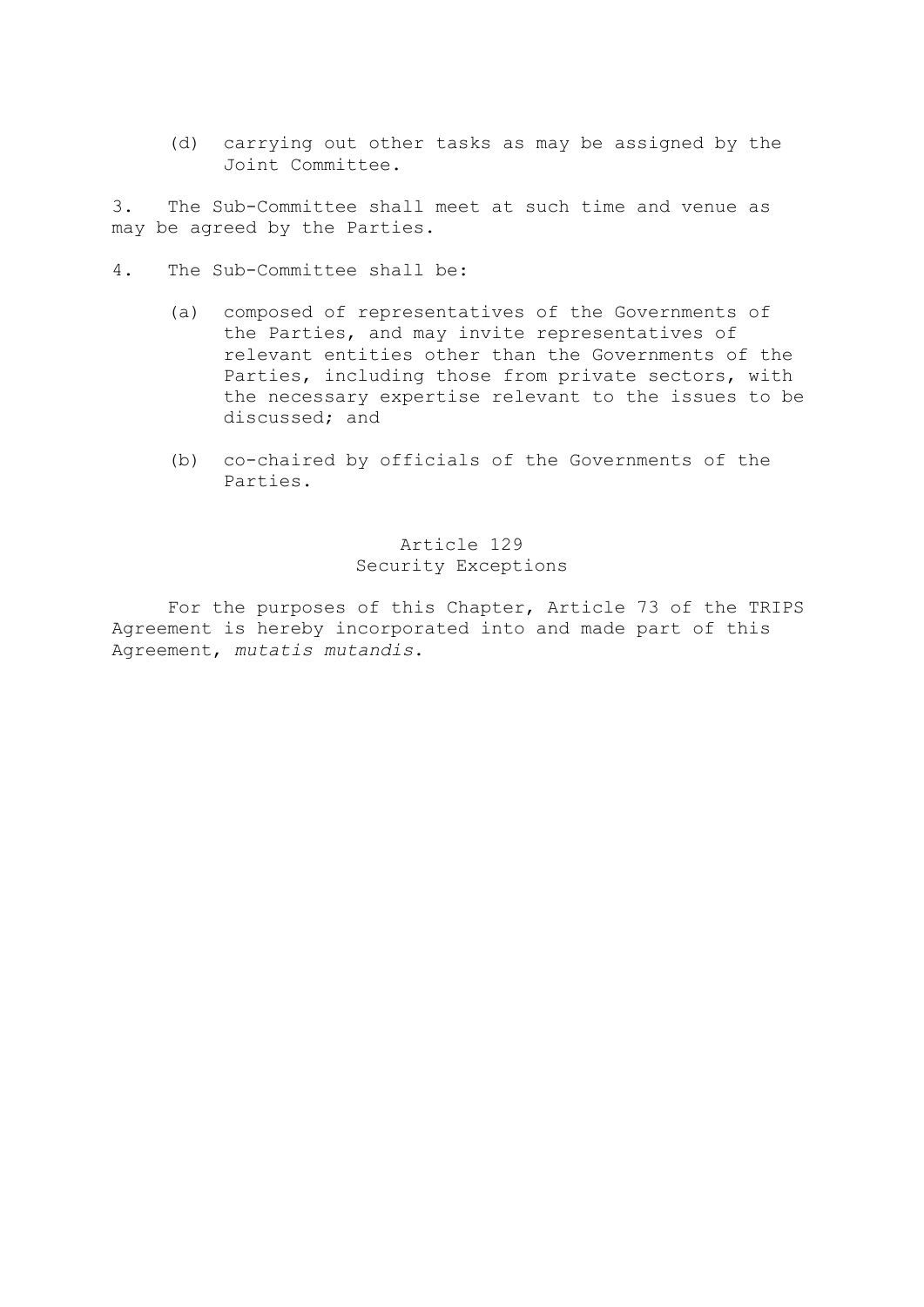(d) carrying out other tasks as may be assigned by the Joint Committee.

3. The Sub-Committee shall meet at such time and venue as may be agreed by the Parties.

- 4. The Sub-Committee shall be:
	- (a) composed of representatives of the Governments of the Parties, and may invite representatives of relevant entities other than the Governments of the Parties, including those from private sectors, with the necessary expertise relevant to the issues to be discussed; and
	- (b) co-chaired by officials of the Governments of the Parties.

# Article 129 Security Exceptions

 For the purposes of this Chapter, Article 73 of the TRIPS Agreement is hereby incorporated into and made part of this Agreement, *mutatis mutandis*.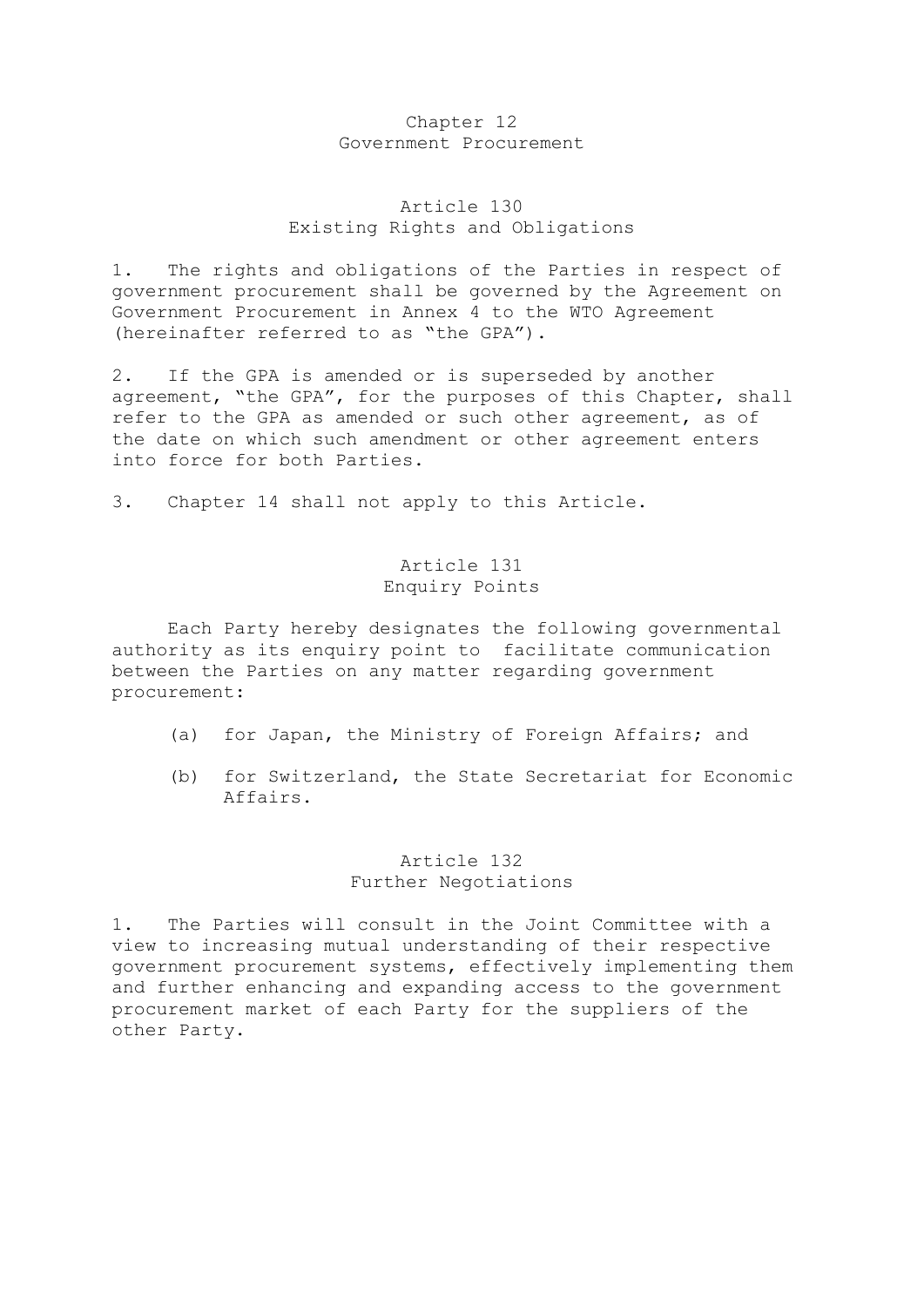#### Chapter 12 Government Procurement

# Article 130 Existing Rights and Obligations

1. The rights and obligations of the Parties in respect of government procurement shall be governed by the Agreement on Government Procurement in Annex 4 to the WTO Agreement (hereinafter referred to as "the GPA").

2. If the GPA is amended or is superseded by another agreement, "the GPA", for the purposes of this Chapter, shall refer to the GPA as amended or such other agreement, as of the date on which such amendment or other agreement enters into force for both Parties.

3. Chapter 14 shall not apply to this Article.

### Article 131 Enquiry Points

 Each Party hereby designates the following governmental authority as its enquiry point to facilitate communication between the Parties on any matter regarding government procurement:

- (a) for Japan, the Ministry of Foreign Affairs; and
- (b) for Switzerland, the State Secretariat for Economic Affairs.

# Article 132 Further Negotiations

1. The Parties will consult in the Joint Committee with a view to increasing mutual understanding of their respective government procurement systems, effectively implementing them and further enhancing and expanding access to the government procurement market of each Party for the suppliers of the other Party.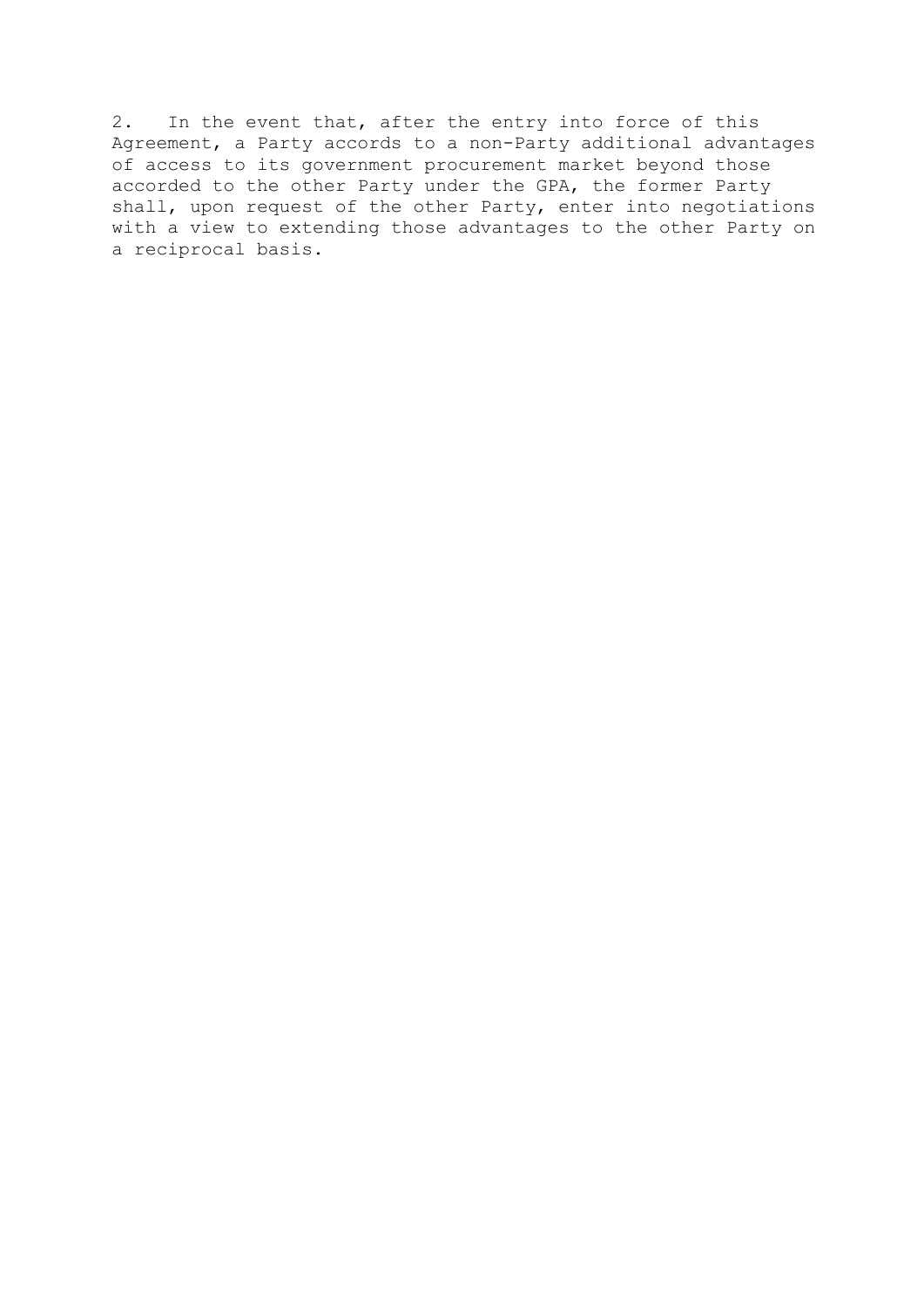2. In the event that, after the entry into force of this Agreement, a Party accords to a non-Party additional advantages of access to its government procurement market beyond those accorded to the other Party under the GPA, the former Party shall, upon request of the other Party, enter into negotiations with a view to extending those advantages to the other Party on a reciprocal basis.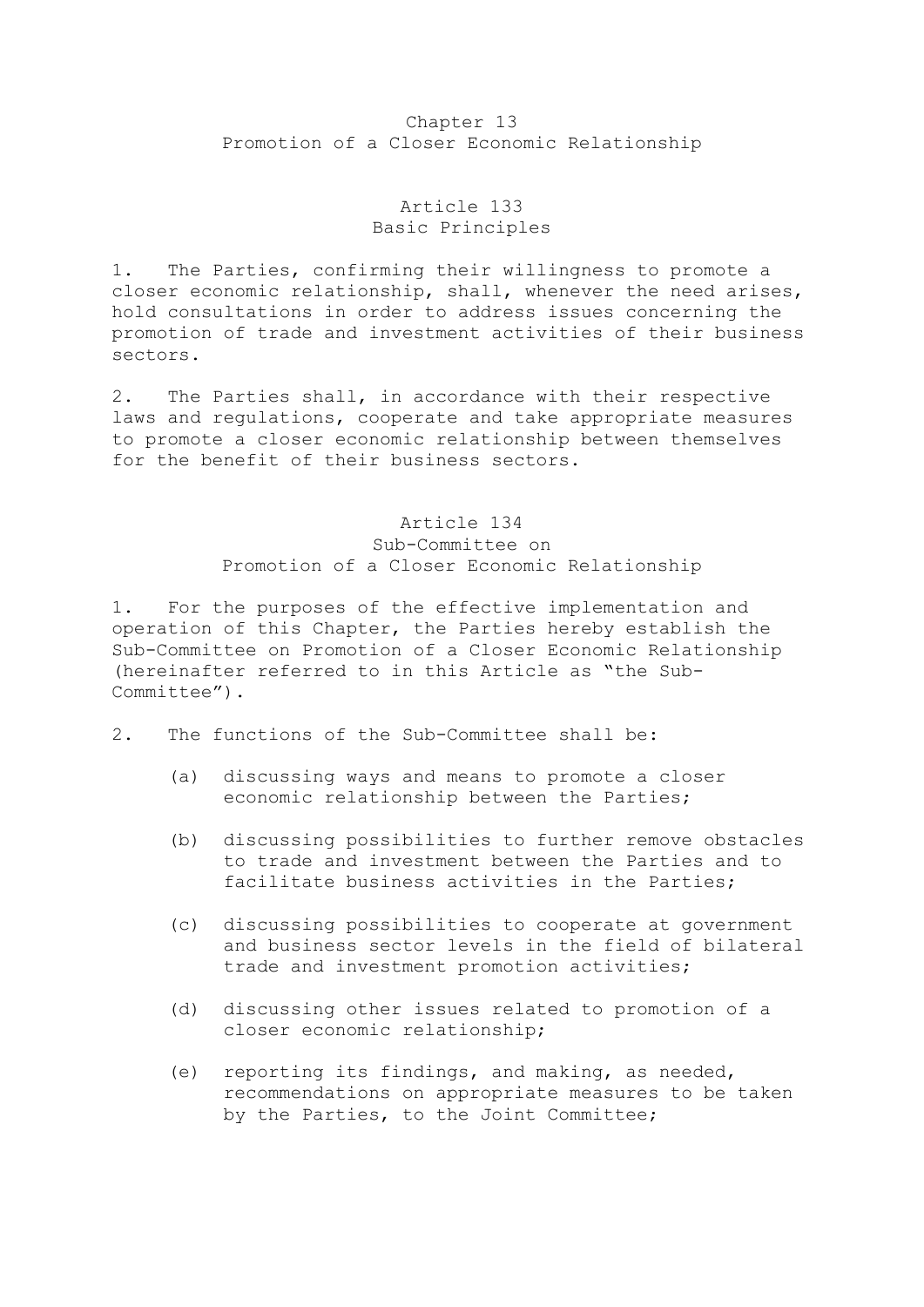### Chapter 13 Promotion of a Closer Economic Relationship

# Article 133 Basic Principles

1. The Parties, confirming their willingness to promote a closer economic relationship, shall, whenever the need arises, hold consultations in order to address issues concerning the promotion of trade and investment activities of their business sectors.

2. The Parties shall, in accordance with their respective laws and regulations, cooperate and take appropriate measures to promote a closer economic relationship between themselves for the benefit of their business sectors.

# Article 134 Sub-Committee on Promotion of a Closer Economic Relationship

1. For the purposes of the effective implementation and operation of this Chapter, the Parties hereby establish the Sub-Committee on Promotion of a Closer Economic Relationship (hereinafter referred to in this Article as "the Sub-Committee").

- 2. The functions of the Sub-Committee shall be:
	- (a) discussing ways and means to promote a closer economic relationship between the Parties;
	- (b) discussing possibilities to further remove obstacles to trade and investment between the Parties and to facilitate business activities in the Parties;
	- (c) discussing possibilities to cooperate at government and business sector levels in the field of bilateral trade and investment promotion activities;
	- (d) discussing other issues related to promotion of a closer economic relationship;
	- (e) reporting its findings, and making, as needed, recommendations on appropriate measures to be taken by the Parties, to the Joint Committee;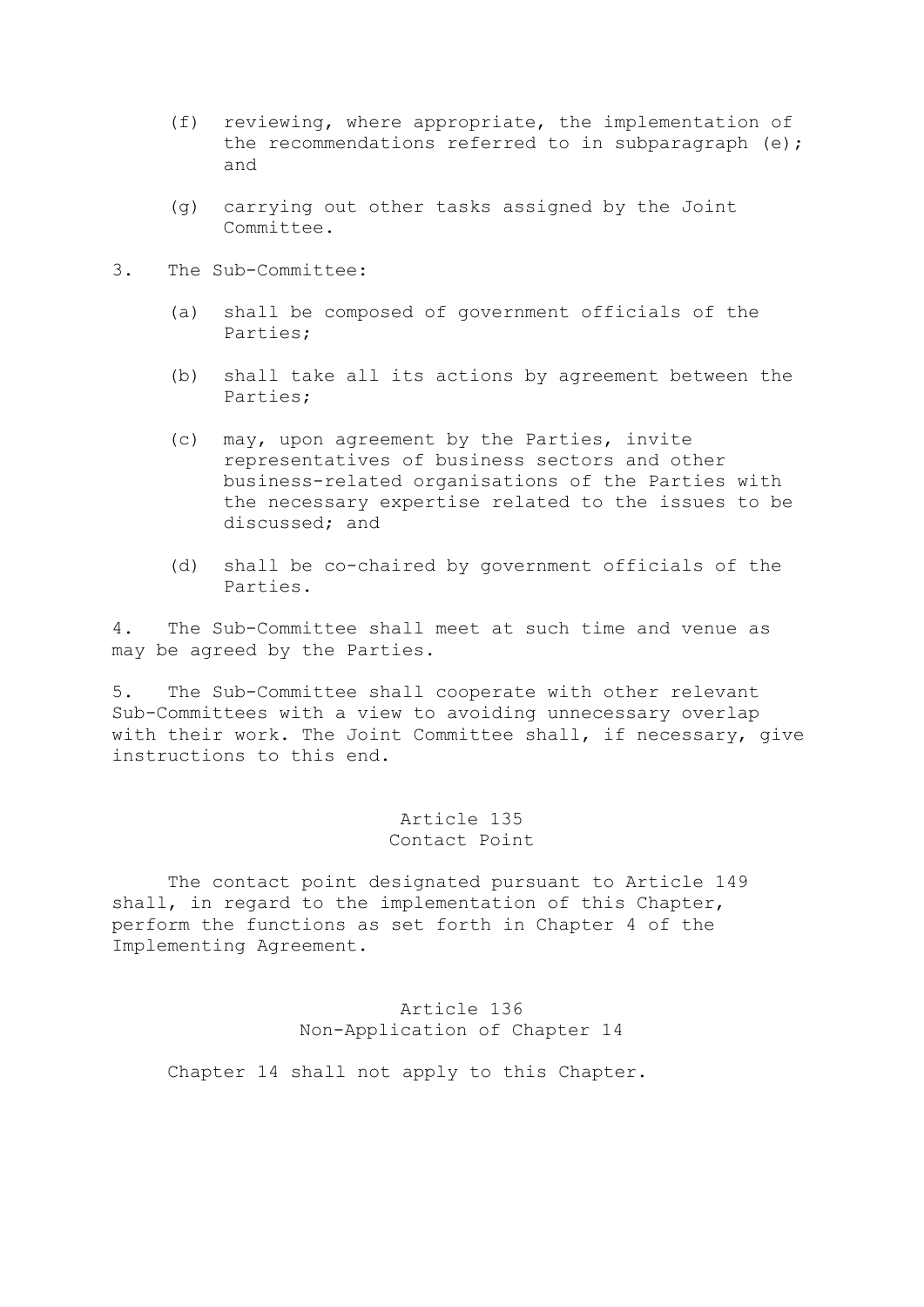- (f) reviewing, where appropriate, the implementation of the recommendations referred to in subparagraph (e); and
- (g) carrying out other tasks assigned by the Joint Committee.
- 3. The Sub-Committee:
	- (a) shall be composed of government officials of the Parties;
	- (b) shall take all its actions by agreement between the Parties;
	- (c) may, upon agreement by the Parties, invite representatives of business sectors and other business-related organisations of the Parties with the necessary expertise related to the issues to be discussed; and
	- (d) shall be co-chaired by government officials of the Parties.

4. The Sub-Committee shall meet at such time and venue as may be agreed by the Parties.

5. The Sub-Committee shall cooperate with other relevant Sub-Committees with a view to avoiding unnecessary overlap with their work. The Joint Committee shall, if necessary, give instructions to this end.

> Article 135 Contact Point

 The contact point designated pursuant to Article 149 shall, in regard to the implementation of this Chapter, perform the functions as set forth in Chapter 4 of the Implementing Agreement.

> Article 136 Non-Application of Chapter 14

Chapter 14 shall not apply to this Chapter.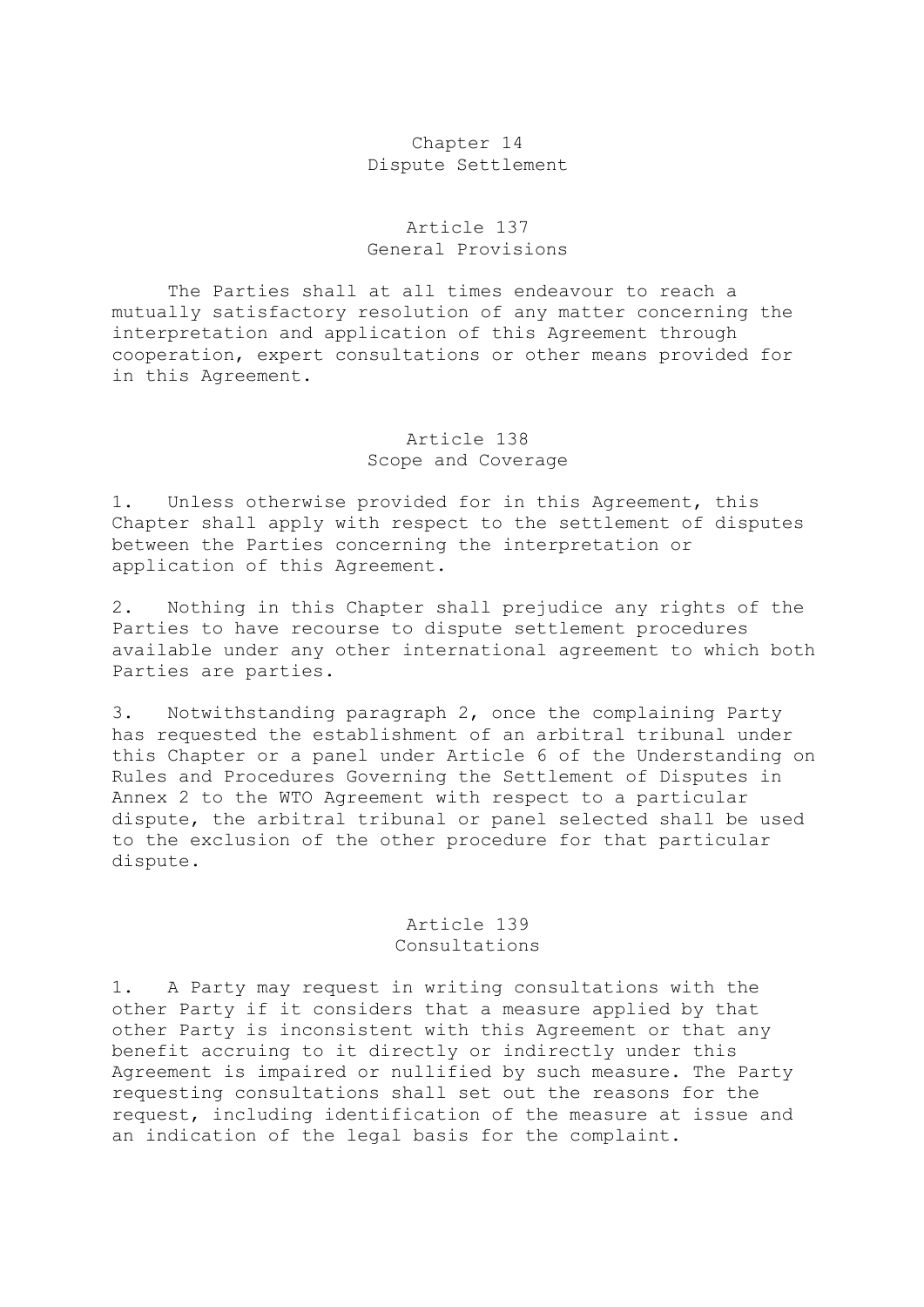# Chapter 14 Dispute Settlement

# Article 137 General Provisions

 The Parties shall at all times endeavour to reach a mutually satisfactory resolution of any matter concerning the interpretation and application of this Agreement through cooperation, expert consultations or other means provided for in this Agreement.

# Article 138 Scope and Coverage

1. Unless otherwise provided for in this Agreement, this Chapter shall apply with respect to the settlement of disputes between the Parties concerning the interpretation or application of this Agreement.

2. Nothing in this Chapter shall prejudice any rights of the Parties to have recourse to dispute settlement procedures available under any other international agreement to which both Parties are parties.

3. Notwithstanding paragraph 2, once the complaining Party has requested the establishment of an arbitral tribunal under this Chapter or a panel under Article 6 of the Understanding on Rules and Procedures Governing the Settlement of Disputes in Annex 2 to the WTO Agreement with respect to a particular dispute, the arbitral tribunal or panel selected shall be used to the exclusion of the other procedure for that particular dispute.

# Article 139 Consultations

1. A Party may request in writing consultations with the other Party if it considers that a measure applied by that other Party is inconsistent with this Agreement or that any benefit accruing to it directly or indirectly under this Agreement is impaired or nullified by such measure. The Party requesting consultations shall set out the reasons for the request, including identification of the measure at issue and an indication of the legal basis for the complaint.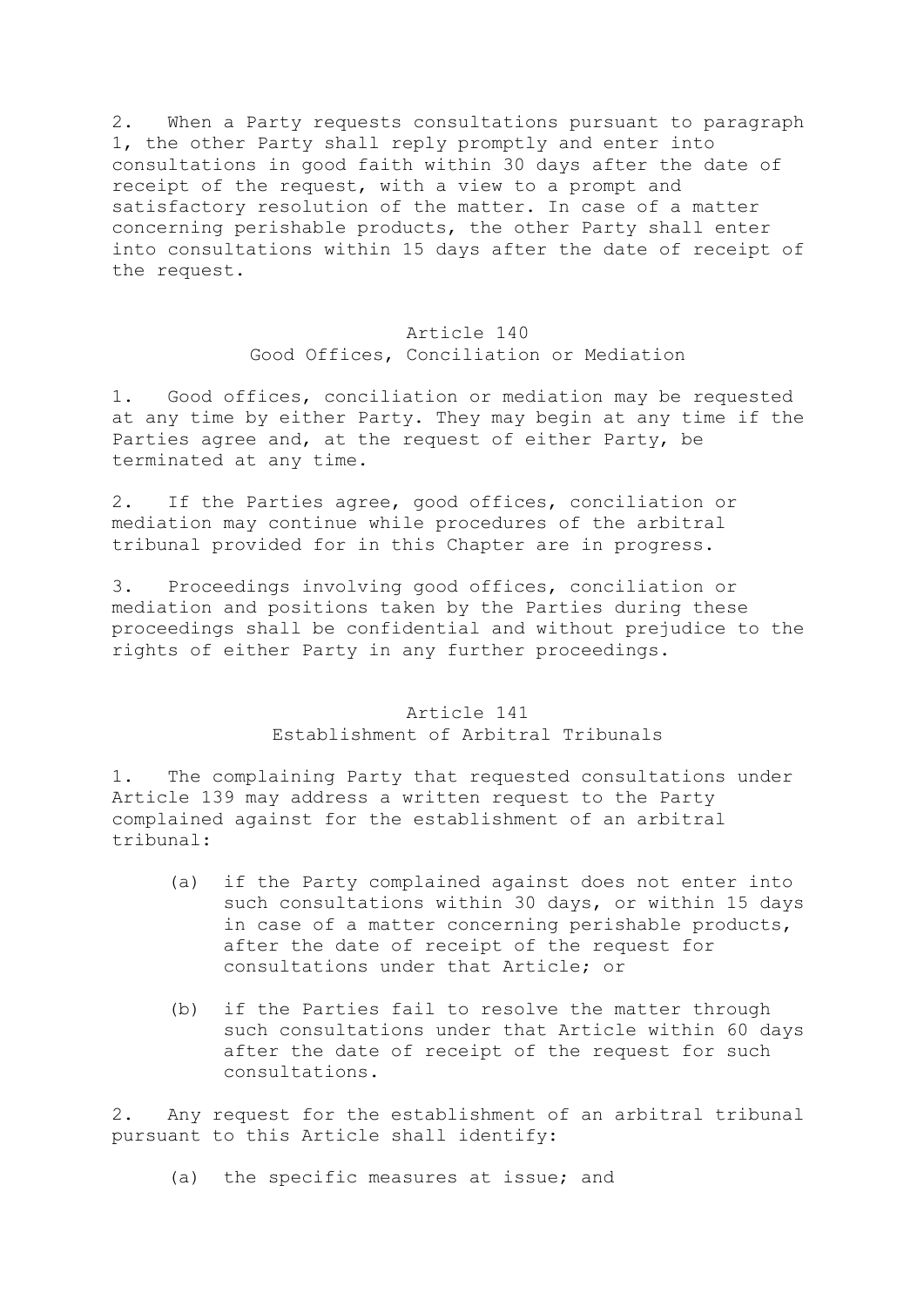2. When a Party requests consultations pursuant to paragraph 1, the other Party shall reply promptly and enter into consultations in good faith within 30 days after the date of receipt of the request, with a view to a prompt and satisfactory resolution of the matter. In case of a matter concerning perishable products, the other Party shall enter into consultations within 15 days after the date of receipt of the request.

## Article 140 Good Offices, Conciliation or Mediation

1. Good offices, conciliation or mediation may be requested at any time by either Party. They may begin at any time if the Parties agree and, at the request of either Party, be terminated at any time.

2. If the Parties agree, good offices, conciliation or mediation may continue while procedures of the arbitral tribunal provided for in this Chapter are in progress.

3. Proceedings involving good offices, conciliation or mediation and positions taken by the Parties during these proceedings shall be confidential and without prejudice to the rights of either Party in any further proceedings.

# Article 141 Establishment of Arbitral Tribunals

1. The complaining Party that requested consultations under Article 139 may address a written request to the Party complained against for the establishment of an arbitral tribunal:

- (a) if the Party complained against does not enter into such consultations within 30 days, or within 15 days in case of a matter concerning perishable products, after the date of receipt of the request for consultations under that Article; or
- (b) if the Parties fail to resolve the matter through such consultations under that Article within 60 days after the date of receipt of the request for such consultations.

2. Any request for the establishment of an arbitral tribunal pursuant to this Article shall identify:

(a) the specific measures at issue; and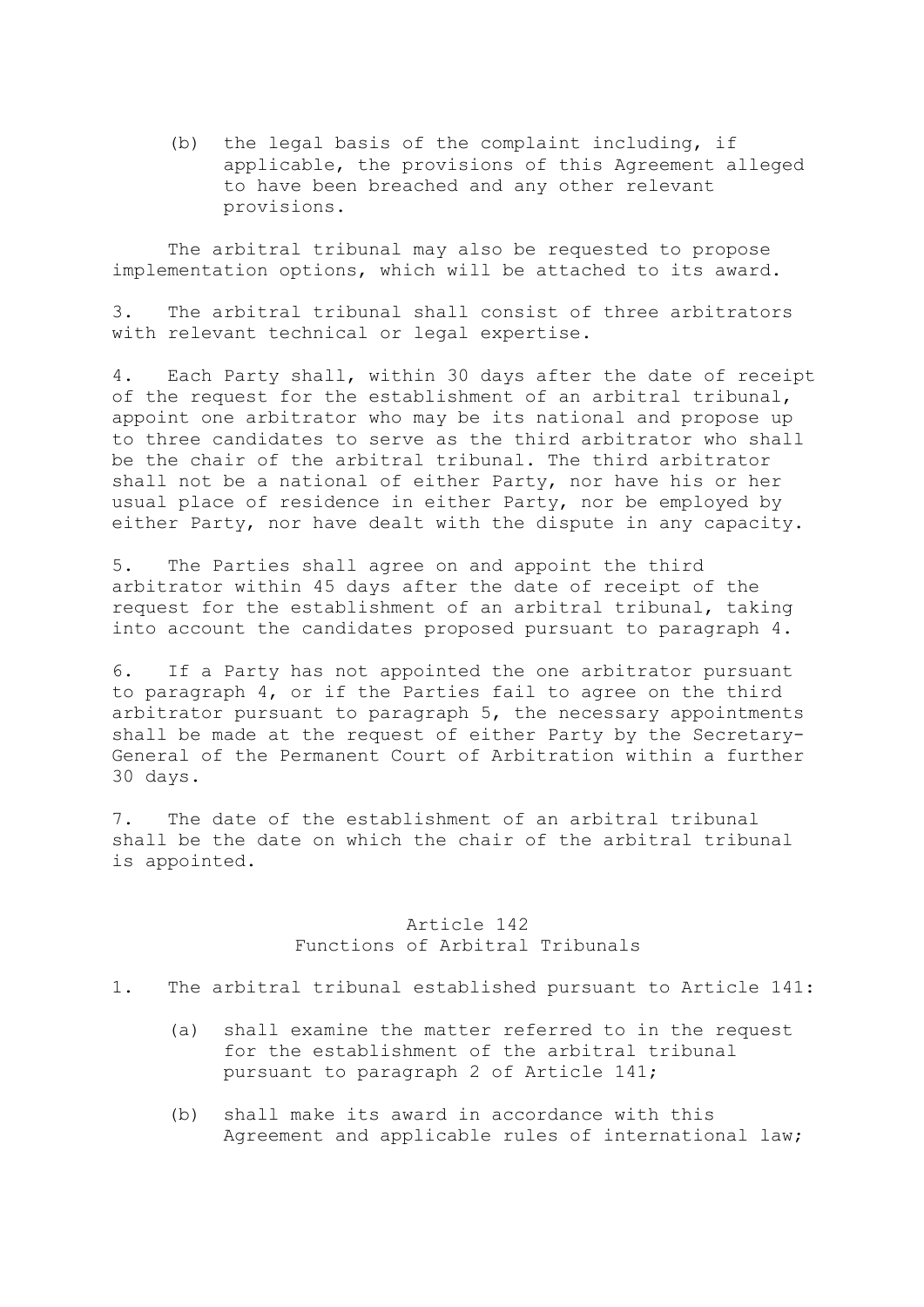(b) the legal basis of the complaint including, if applicable, the provisions of this Agreement alleged to have been breached and any other relevant provisions.

 The arbitral tribunal may also be requested to propose implementation options, which will be attached to its award.

3. The arbitral tribunal shall consist of three arbitrators with relevant technical or legal expertise.

4. Each Party shall, within 30 days after the date of receipt of the request for the establishment of an arbitral tribunal, appoint one arbitrator who may be its national and propose up to three candidates to serve as the third arbitrator who shall be the chair of the arbitral tribunal. The third arbitrator shall not be a national of either Party, nor have his or her usual place of residence in either Party, nor be employed by either Party, nor have dealt with the dispute in any capacity.

5. The Parties shall agree on and appoint the third arbitrator within 45 days after the date of receipt of the request for the establishment of an arbitral tribunal, taking into account the candidates proposed pursuant to paragraph 4.

6. If a Party has not appointed the one arbitrator pursuant to paragraph 4, or if the Parties fail to agree on the third arbitrator pursuant to paragraph 5, the necessary appointments shall be made at the request of either Party by the Secretary-General of the Permanent Court of Arbitration within a further 30 days.

7. The date of the establishment of an arbitral tribunal shall be the date on which the chair of the arbitral tribunal is appointed.

# Article 142 Functions of Arbitral Tribunals

- 1. The arbitral tribunal established pursuant to Article 141:
	- (a) shall examine the matter referred to in the request for the establishment of the arbitral tribunal pursuant to paragraph 2 of Article 141;
	- (b) shall make its award in accordance with this Agreement and applicable rules of international law;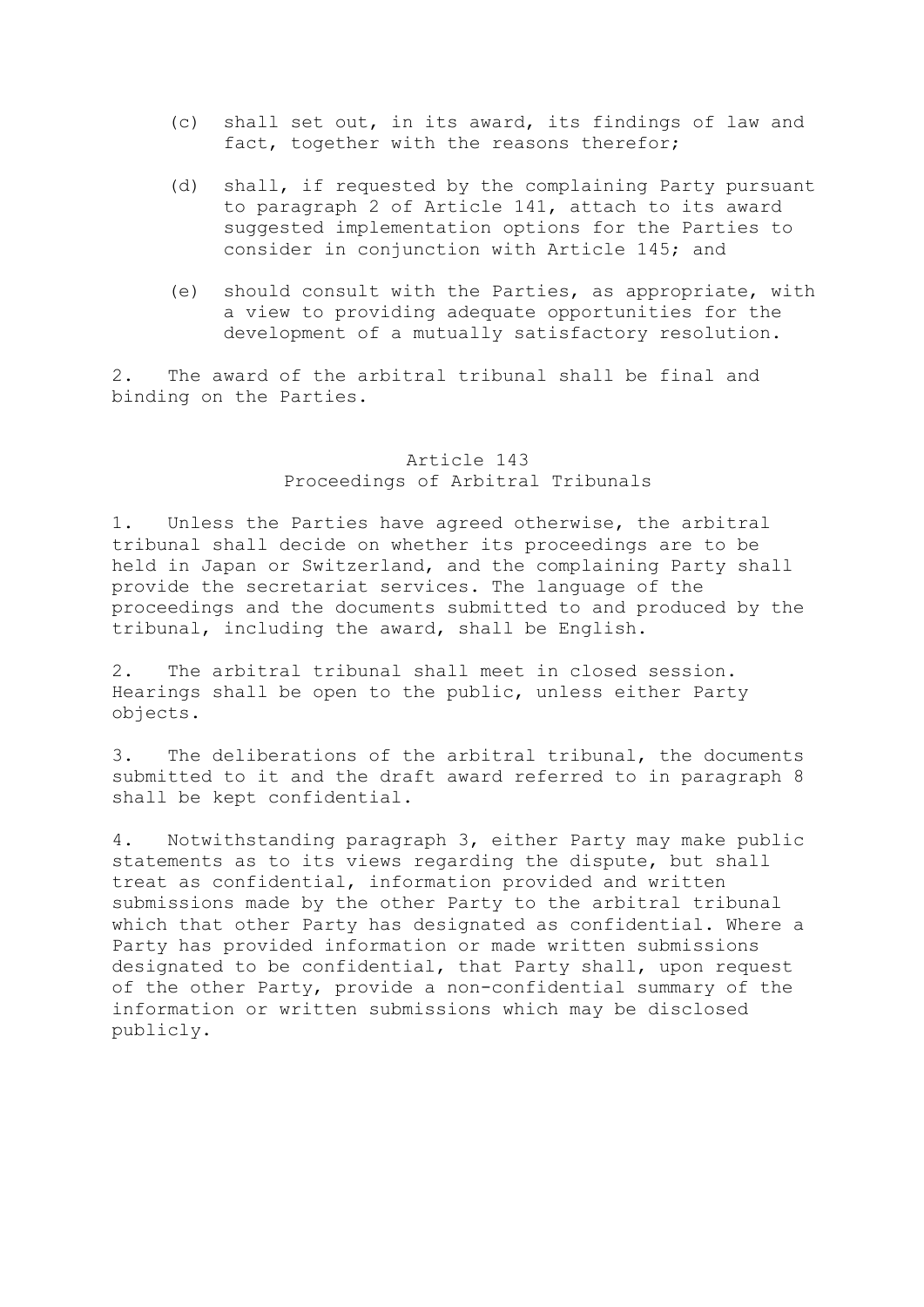- (c) shall set out, in its award, its findings of law and fact, together with the reasons therefor;
- (d) shall, if requested by the complaining Party pursuant to paragraph 2 of Article 141, attach to its award suggested implementation options for the Parties to consider in conjunction with Article 145; and
- (e) should consult with the Parties, as appropriate, with a view to providing adequate opportunities for the development of a mutually satisfactory resolution.

2. The award of the arbitral tribunal shall be final and binding on the Parties.

# Article 143 Proceedings of Arbitral Tribunals

1. Unless the Parties have agreed otherwise, the arbitral tribunal shall decide on whether its proceedings are to be held in Japan or Switzerland, and the complaining Party shall provide the secretariat services. The language of the proceedings and the documents submitted to and produced by the tribunal, including the award, shall be English.

2. The arbitral tribunal shall meet in closed session. Hearings shall be open to the public, unless either Party objects.

3. The deliberations of the arbitral tribunal, the documents submitted to it and the draft award referred to in paragraph 8 shall be kept confidential.

4. Notwithstanding paragraph 3, either Party may make public statements as to its views regarding the dispute, but shall treat as confidential, information provided and written submissions made by the other Party to the arbitral tribunal which that other Party has designated as confidential. Where a Party has provided information or made written submissions designated to be confidential, that Party shall, upon request of the other Party, provide a non-confidential summary of the information or written submissions which may be disclosed publicly.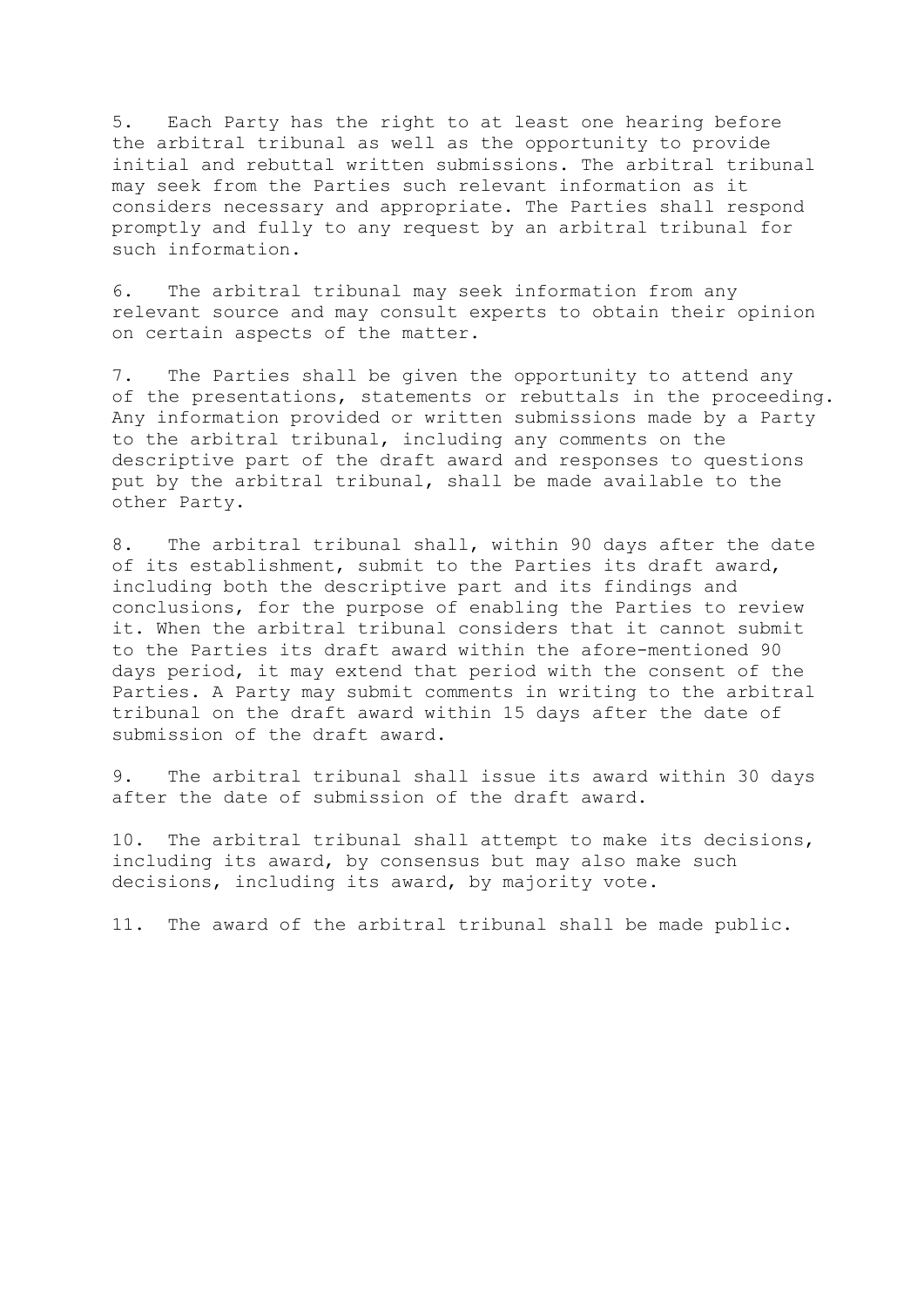5. Each Party has the right to at least one hearing before the arbitral tribunal as well as the opportunity to provide initial and rebuttal written submissions. The arbitral tribunal may seek from the Parties such relevant information as it considers necessary and appropriate. The Parties shall respond promptly and fully to any request by an arbitral tribunal for such information.

6. The arbitral tribunal may seek information from any relevant source and may consult experts to obtain their opinion on certain aspects of the matter.

7. The Parties shall be given the opportunity to attend any of the presentations, statements or rebuttals in the proceeding. Any information provided or written submissions made by a Party to the arbitral tribunal, including any comments on the descriptive part of the draft award and responses to questions put by the arbitral tribunal, shall be made available to the other Party.

8. The arbitral tribunal shall, within 90 days after the date of its establishment, submit to the Parties its draft award, including both the descriptive part and its findings and conclusions, for the purpose of enabling the Parties to review it. When the arbitral tribunal considers that it cannot submit to the Parties its draft award within the afore-mentioned 90 days period, it may extend that period with the consent of the Parties. A Party may submit comments in writing to the arbitral tribunal on the draft award within 15 days after the date of submission of the draft award.

9. The arbitral tribunal shall issue its award within 30 days after the date of submission of the draft award.

10. The arbitral tribunal shall attempt to make its decisions, including its award, by consensus but may also make such decisions, including its award, by majority vote.

11. The award of the arbitral tribunal shall be made public.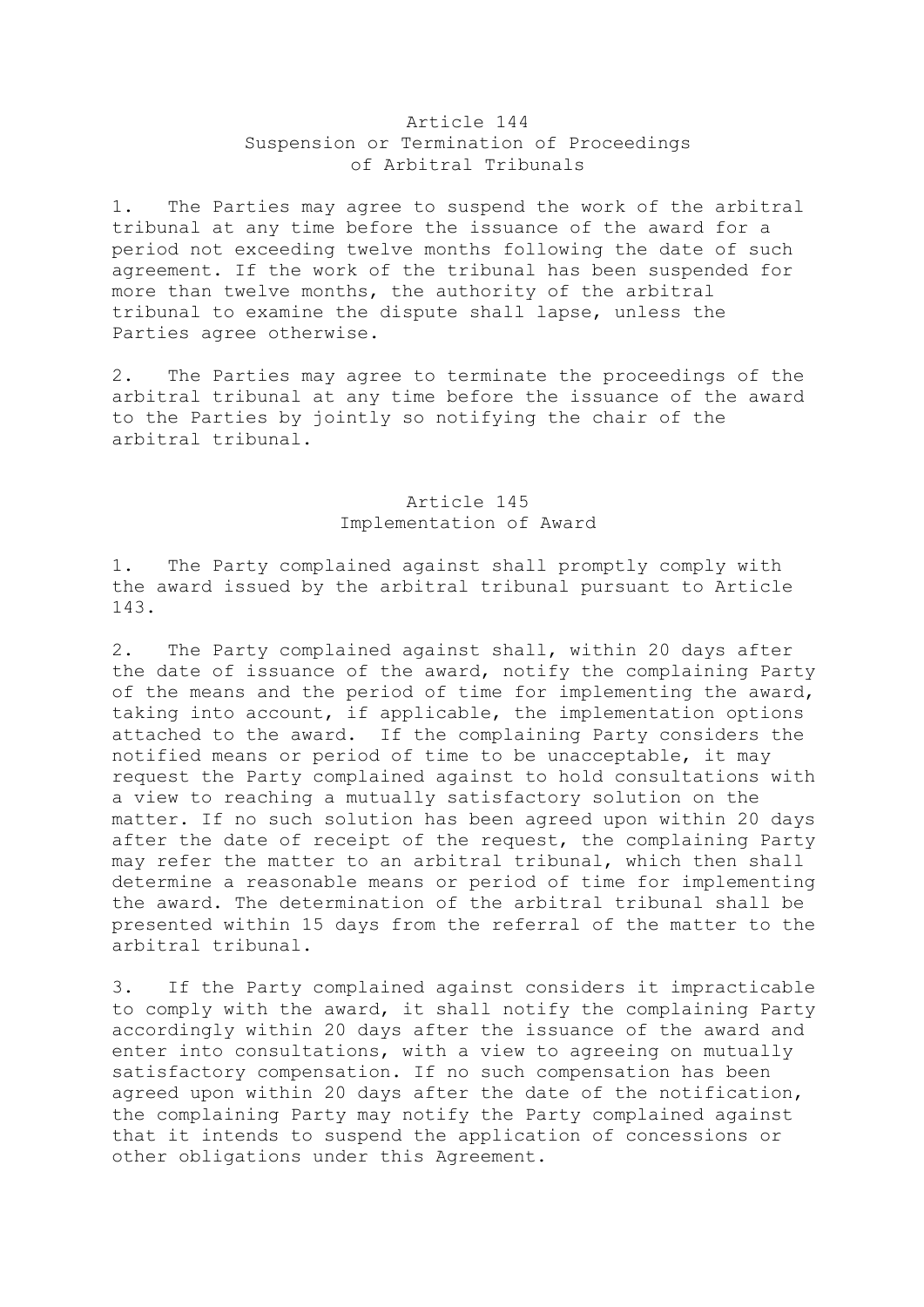## Article 144 Suspension or Termination of Proceedings of Arbitral Tribunals

1. The Parties may agree to suspend the work of the arbitral tribunal at any time before the issuance of the award for a period not exceeding twelve months following the date of such agreement. If the work of the tribunal has been suspended for more than twelve months, the authority of the arbitral tribunal to examine the dispute shall lapse, unless the Parties agree otherwise.

2. The Parties may agree to terminate the proceedings of the arbitral tribunal at any time before the issuance of the award to the Parties by jointly so notifying the chair of the arbitral tribunal.

# Article 145 Implementation of Award

1. The Party complained against shall promptly comply with the award issued by the arbitral tribunal pursuant to Article 143.

2. The Party complained against shall, within 20 days after the date of issuance of the award, notify the complaining Party of the means and the period of time for implementing the award, taking into account, if applicable, the implementation options attached to the award. If the complaining Party considers the notified means or period of time to be unacceptable, it may request the Party complained against to hold consultations with a view to reaching a mutually satisfactory solution on the matter. If no such solution has been agreed upon within 20 days after the date of receipt of the request, the complaining Party may refer the matter to an arbitral tribunal, which then shall determine a reasonable means or period of time for implementing the award. The determination of the arbitral tribunal shall be presented within 15 days from the referral of the matter to the arbitral tribunal.

3. If the Party complained against considers it impracticable to comply with the award, it shall notify the complaining Party accordingly within 20 days after the issuance of the award and enter into consultations, with a view to agreeing on mutually satisfactory compensation. If no such compensation has been agreed upon within 20 days after the date of the notification, the complaining Party may notify the Party complained against that it intends to suspend the application of concessions or other obligations under this Agreement.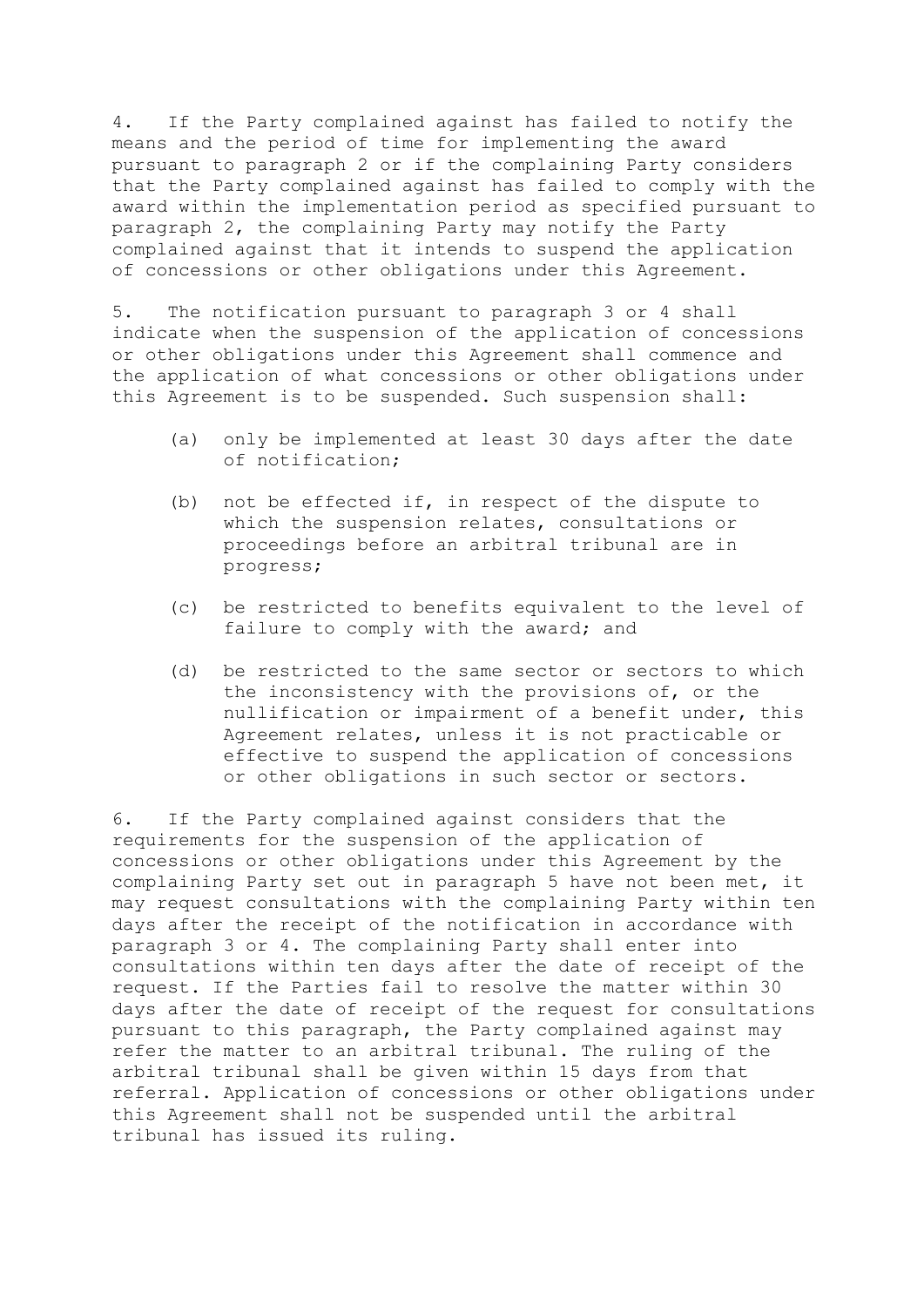4. If the Party complained against has failed to notify the means and the period of time for implementing the award pursuant to paragraph 2 or if the complaining Party considers that the Party complained against has failed to comply with the award within the implementation period as specified pursuant to paragraph 2, the complaining Party may notify the Party complained against that it intends to suspend the application of concessions or other obligations under this Agreement.

5. The notification pursuant to paragraph 3 or 4 shall indicate when the suspension of the application of concessions or other obligations under this Agreement shall commence and the application of what concessions or other obligations under this Agreement is to be suspended. Such suspension shall:

- (a) only be implemented at least 30 days after the date of notification;
- (b) not be effected if, in respect of the dispute to which the suspension relates, consultations or proceedings before an arbitral tribunal are in progress;
- (c) be restricted to benefits equivalent to the level of failure to comply with the award; and
- (d) be restricted to the same sector or sectors to which the inconsistency with the provisions of, or the nullification or impairment of a benefit under, this Agreement relates, unless it is not practicable or effective to suspend the application of concessions or other obligations in such sector or sectors.

6. If the Party complained against considers that the requirements for the suspension of the application of concessions or other obligations under this Agreement by the complaining Party set out in paragraph 5 have not been met, it may request consultations with the complaining Party within ten days after the receipt of the notification in accordance with paragraph 3 or 4. The complaining Party shall enter into consultations within ten days after the date of receipt of the request. If the Parties fail to resolve the matter within 30 days after the date of receipt of the request for consultations pursuant to this paragraph, the Party complained against may refer the matter to an arbitral tribunal. The ruling of the arbitral tribunal shall be given within 15 days from that referral. Application of concessions or other obligations under this Agreement shall not be suspended until the arbitral tribunal has issued its ruling.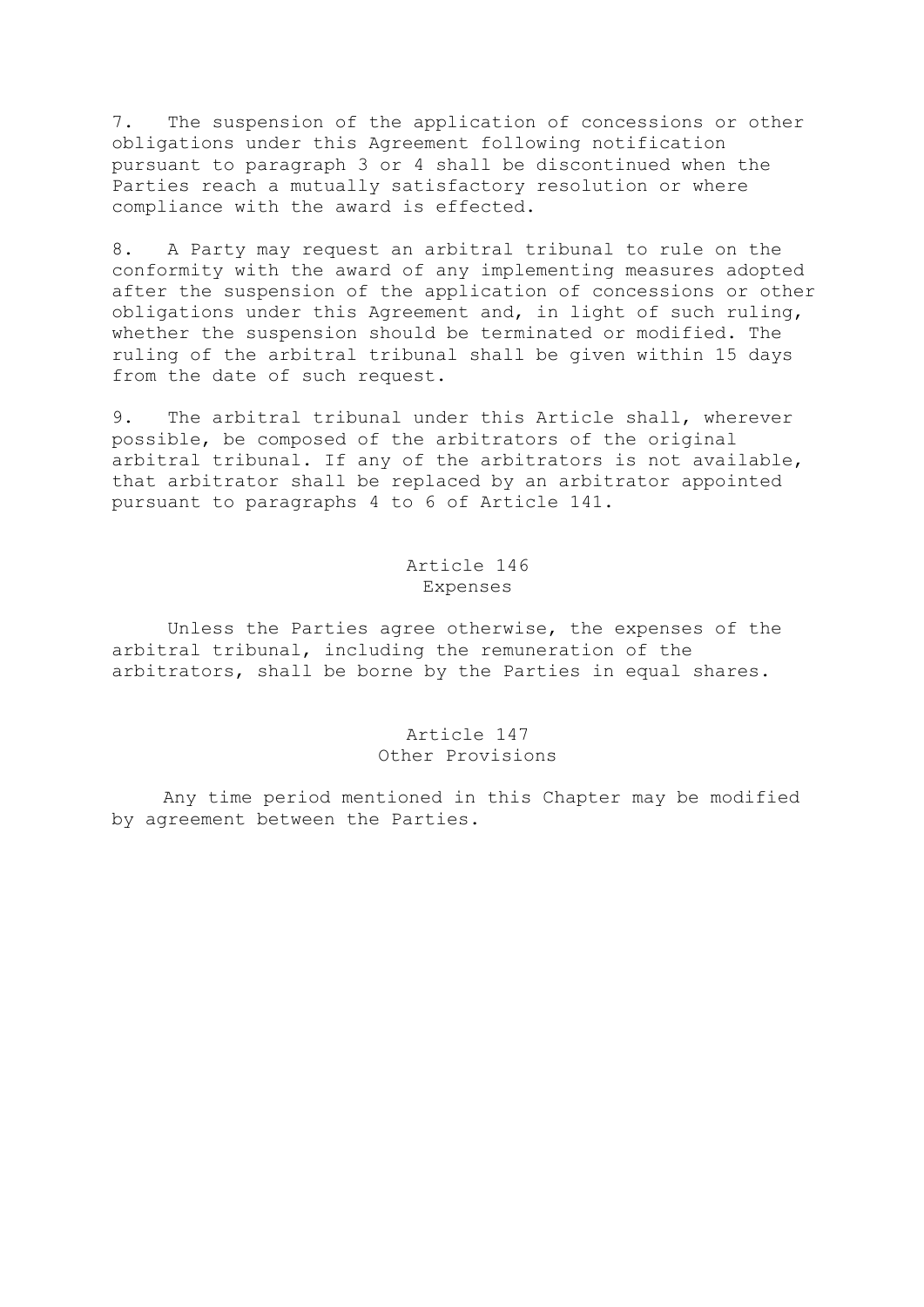7. The suspension of the application of concessions or other obligations under this Agreement following notification pursuant to paragraph 3 or 4 shall be discontinued when the Parties reach a mutually satisfactory resolution or where compliance with the award is effected.

8. A Party may request an arbitral tribunal to rule on the conformity with the award of any implementing measures adopted after the suspension of the application of concessions or other obligations under this Agreement and, in light of such ruling, whether the suspension should be terminated or modified. The ruling of the arbitral tribunal shall be given within 15 days from the date of such request.

9. The arbitral tribunal under this Article shall, wherever possible, be composed of the arbitrators of the original arbitral tribunal. If any of the arbitrators is not available, that arbitrator shall be replaced by an arbitrator appointed pursuant to paragraphs 4 to 6 of Article 141.

### Article 146 Expenses

 Unless the Parties agree otherwise, the expenses of the arbitral tribunal, including the remuneration of the arbitrators, shall be borne by the Parties in equal shares.

#### Article 147 Other Provisions

 Any time period mentioned in this Chapter may be modified by agreement between the Parties.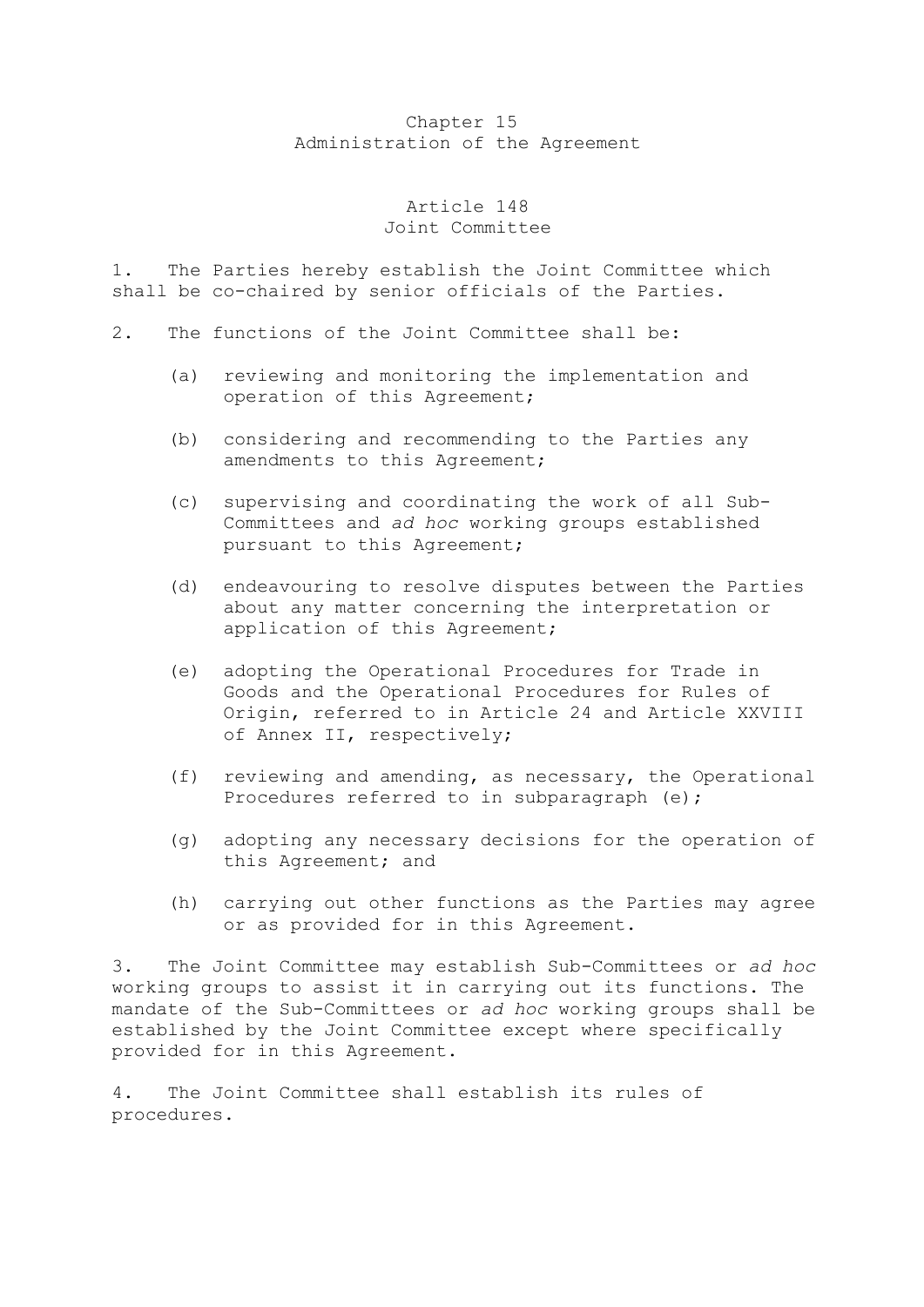## Chapter 15 Administration of the Agreement

# Article 148 Joint Committee

1. The Parties hereby establish the Joint Committee which shall be co-chaired by senior officials of the Parties.

- 2. The functions of the Joint Committee shall be:
	- (a) reviewing and monitoring the implementation and operation of this Agreement;
	- (b) considering and recommending to the Parties any amendments to this Agreement;
	- (c) supervising and coordinating the work of all Sub-Committees and *ad hoc* working groups established pursuant to this Agreement;
	- (d) endeavouring to resolve disputes between the Parties about any matter concerning the interpretation or application of this Agreement;
	- (e) adopting the Operational Procedures for Trade in Goods and the Operational Procedures for Rules of Origin, referred to in Article 24 and Article XXVIII of Annex II, respectively;
	- (f) reviewing and amending, as necessary, the Operational Procedures referred to in subparagraph (e);
	- (g) adopting any necessary decisions for the operation of this Agreement; and
	- (h) carrying out other functions as the Parties may agree or as provided for in this Agreement.

3. The Joint Committee may establish Sub-Committees or *ad hoc* working groups to assist it in carrying out its functions. The mandate of the Sub-Committees or *ad hoc* working groups shall be established by the Joint Committee except where specifically provided for in this Agreement.

4. The Joint Committee shall establish its rules of procedures.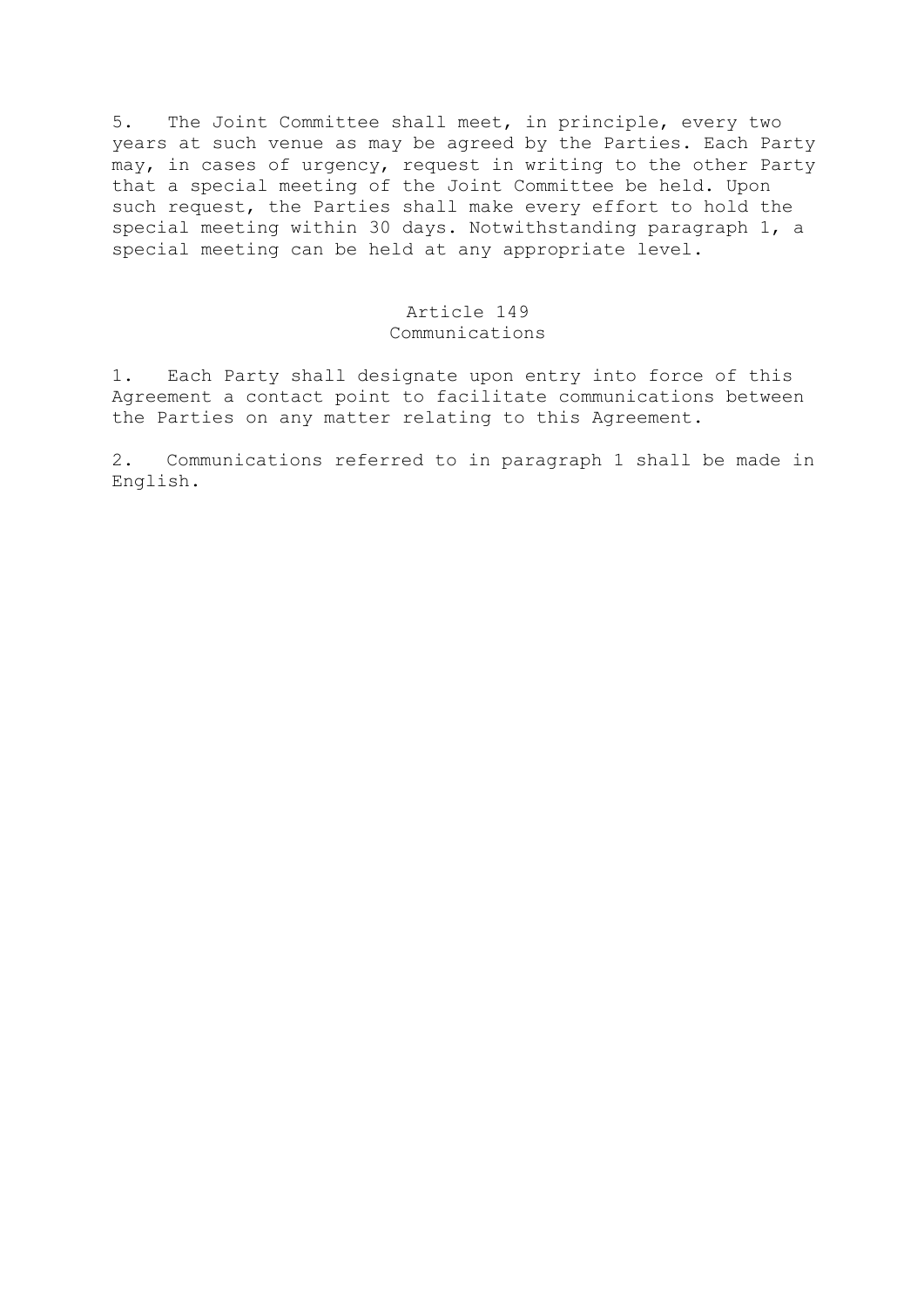5. The Joint Committee shall meet, in principle, every two years at such venue as may be agreed by the Parties. Each Party may, in cases of urgency, request in writing to the other Party that a special meeting of the Joint Committee be held. Upon such request, the Parties shall make every effort to hold the special meeting within 30 days. Notwithstanding paragraph 1, a special meeting can be held at any appropriate level.

### Article 149 Communications

1. Each Party shall designate upon entry into force of this Agreement a contact point to facilitate communications between the Parties on any matter relating to this Agreement.

2. Communications referred to in paragraph 1 shall be made in English.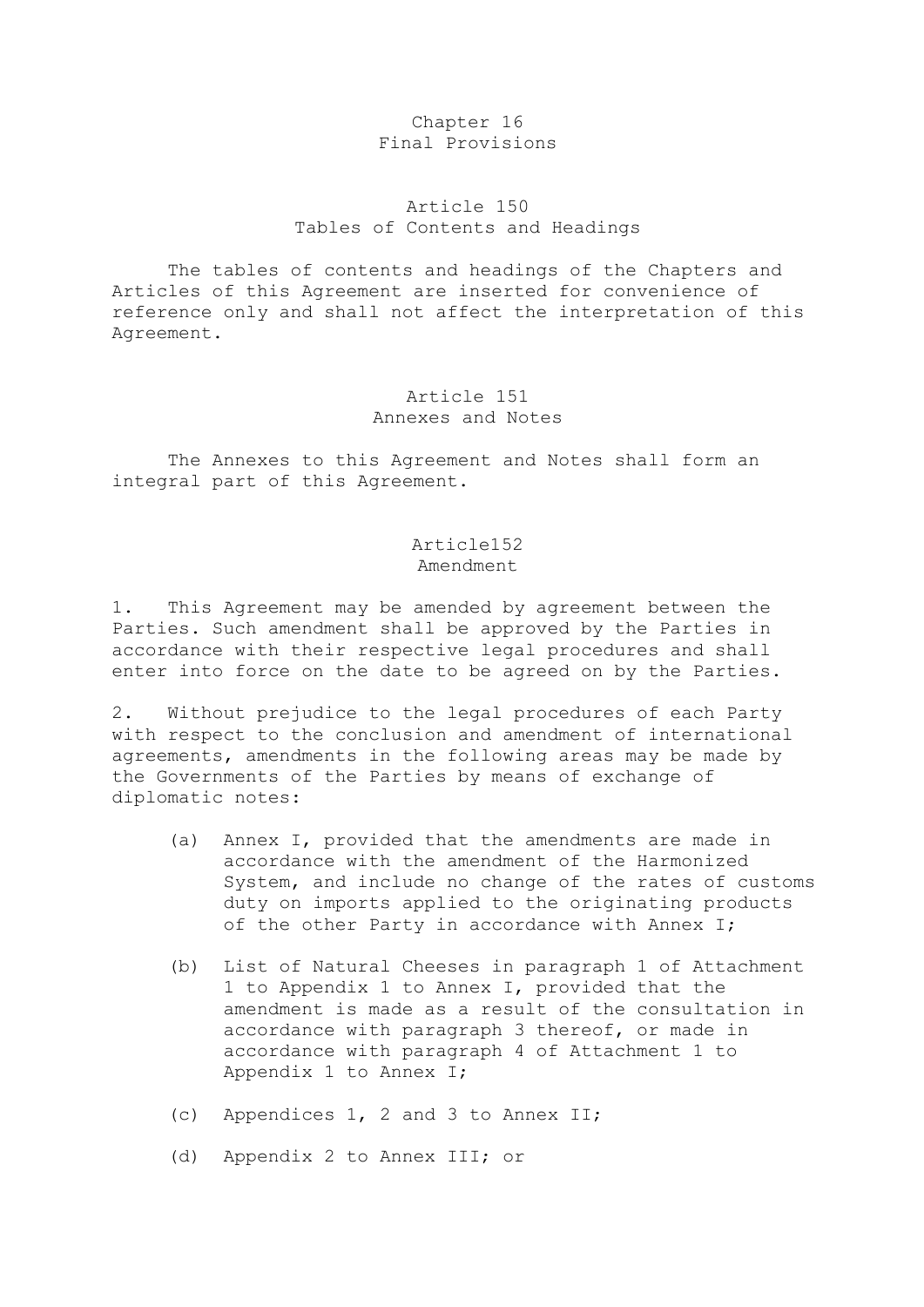### Chapter 16 Final Provisions

# Article 150 Tables of Contents and Headings

 The tables of contents and headings of the Chapters and Articles of this Agreement are inserted for convenience of reference only and shall not affect the interpretation of this Agreement.

### Article 151 Annexes and Notes

 The Annexes to this Agreement and Notes shall form an integral part of this Agreement.

### Article152 Amendment

1. This Agreement may be amended by agreement between the Parties. Such amendment shall be approved by the Parties in accordance with their respective legal procedures and shall enter into force on the date to be agreed on by the Parties.

2. Without prejudice to the legal procedures of each Party with respect to the conclusion and amendment of international agreements, amendments in the following areas may be made by the Governments of the Parties by means of exchange of diplomatic notes:

- (a) Annex I, provided that the amendments are made in accordance with the amendment of the Harmonized System, and include no change of the rates of customs duty on imports applied to the originating products of the other Party in accordance with Annex I;
- (b) List of Natural Cheeses in paragraph 1 of Attachment 1 to Appendix 1 to Annex I, provided that the amendment is made as a result of the consultation in accordance with paragraph 3 thereof, or made in accordance with paragraph 4 of Attachment 1 to Appendix 1 to Annex I;
- (c) Appendices 1, 2 and 3 to Annex II;
- (d) Appendix 2 to Annex III; or